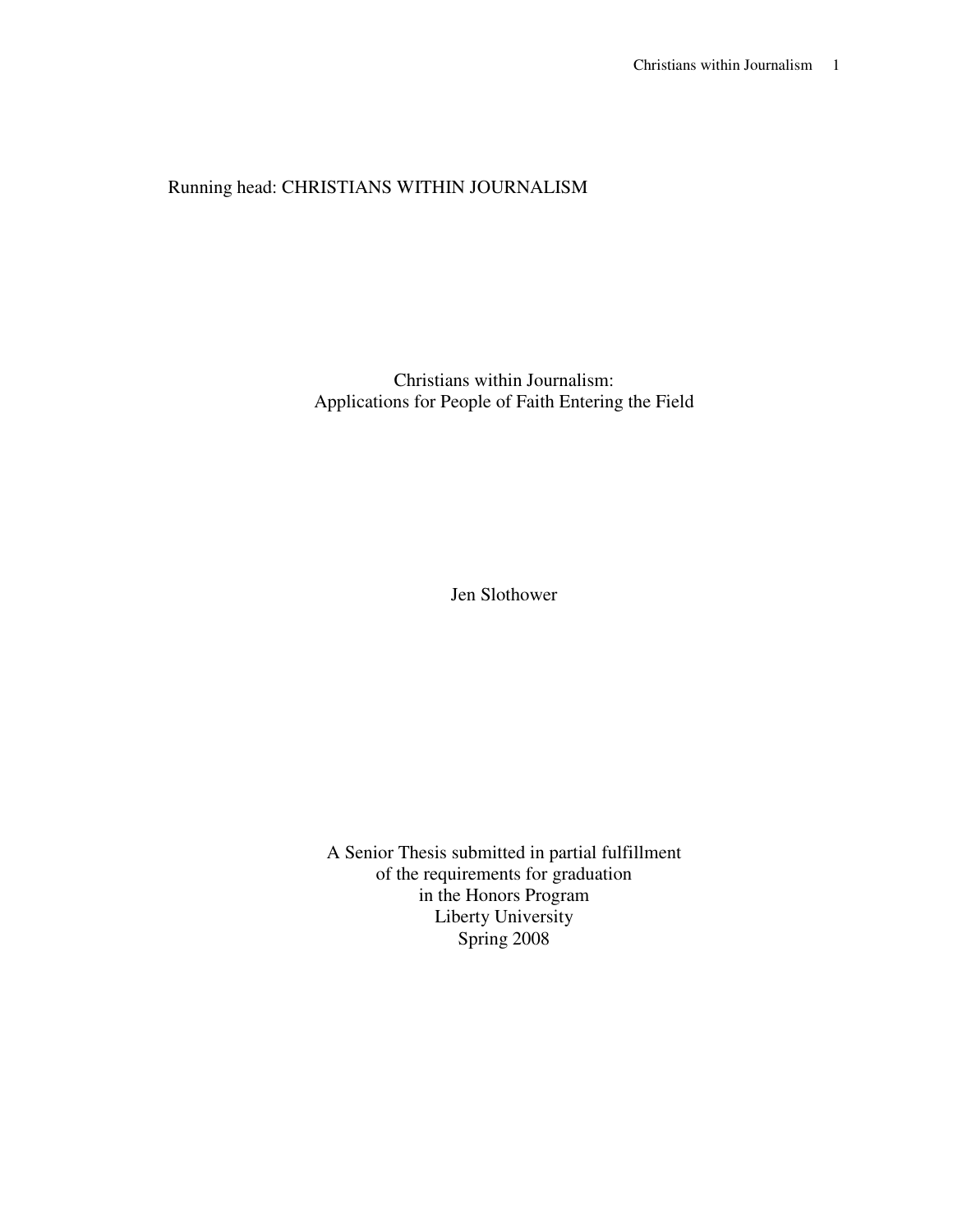# Running head: CHRISTIANS WITHIN JOURNALISM

Christians within Journalism: Applications for People of Faith Entering the Field

Jen Slothower

A Senior Thesis submitted in partial fulfillment of the requirements for graduation in the Honors Program Liberty University Spring 2008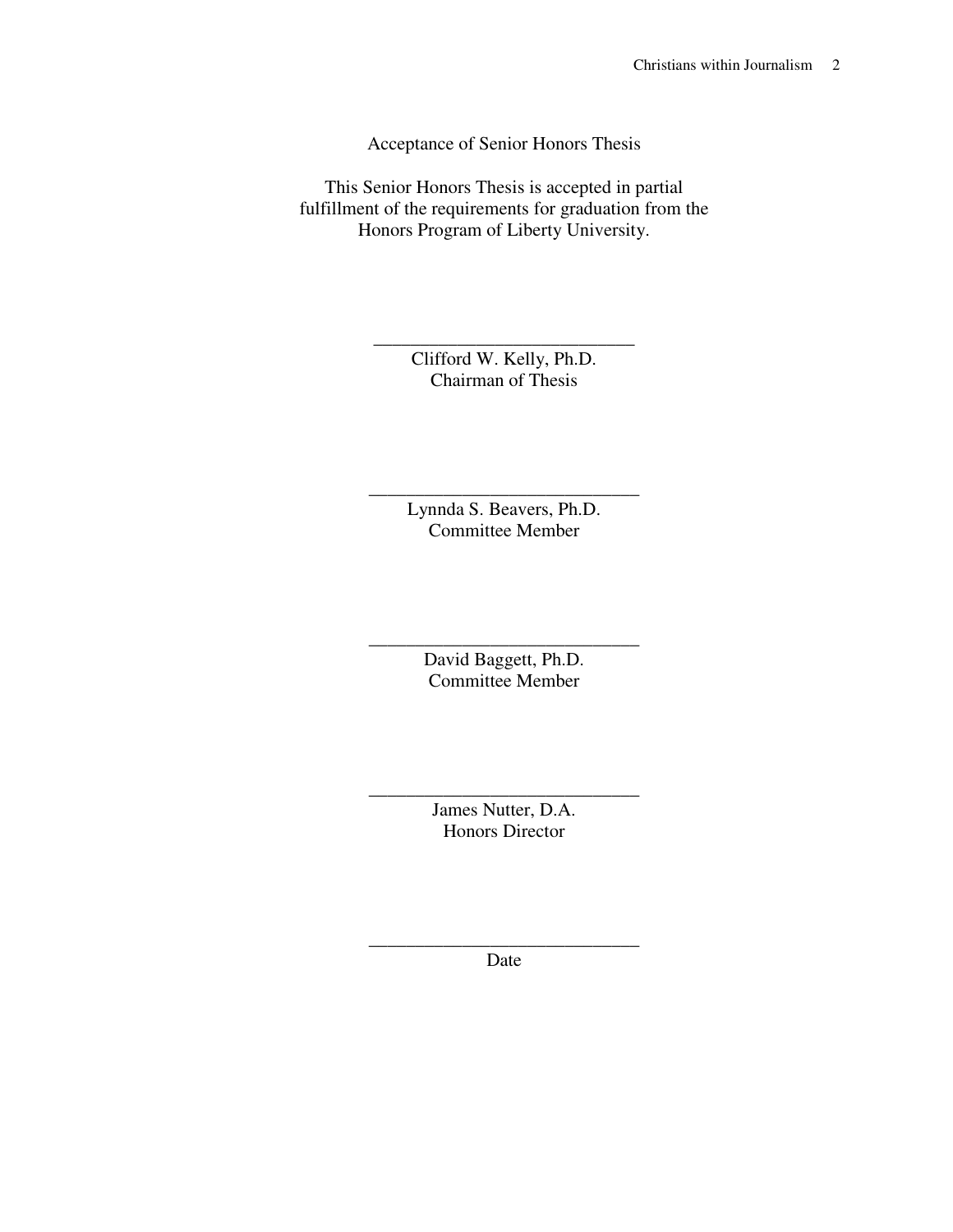Acceptance of Senior Honors Thesis

This Senior Honors Thesis is accepted in partial fulfillment of the requirements for graduation from the Honors Program of Liberty University.

> \_\_\_\_\_\_\_\_\_\_\_\_\_\_\_\_\_\_\_\_\_\_\_\_\_\_\_\_ Clifford W. Kelly, Ph.D. Chairman of Thesis

> > Lynnda S. Beavers, Ph.D. Committee Member

\_\_\_\_\_\_\_\_\_\_\_\_\_\_\_\_\_\_\_\_\_\_\_\_\_\_\_\_\_

\_\_\_\_\_\_\_\_\_\_\_\_\_\_\_\_\_\_\_\_\_\_\_\_\_\_\_\_\_ David Baggett, Ph.D. Committee Member

> James Nutter, D.A. Honors Director

\_\_\_\_\_\_\_\_\_\_\_\_\_\_\_\_\_\_\_\_\_\_\_\_\_\_\_\_\_

\_\_\_\_\_\_\_\_\_\_\_\_\_\_\_\_\_\_\_\_\_\_\_\_\_\_\_\_\_ Date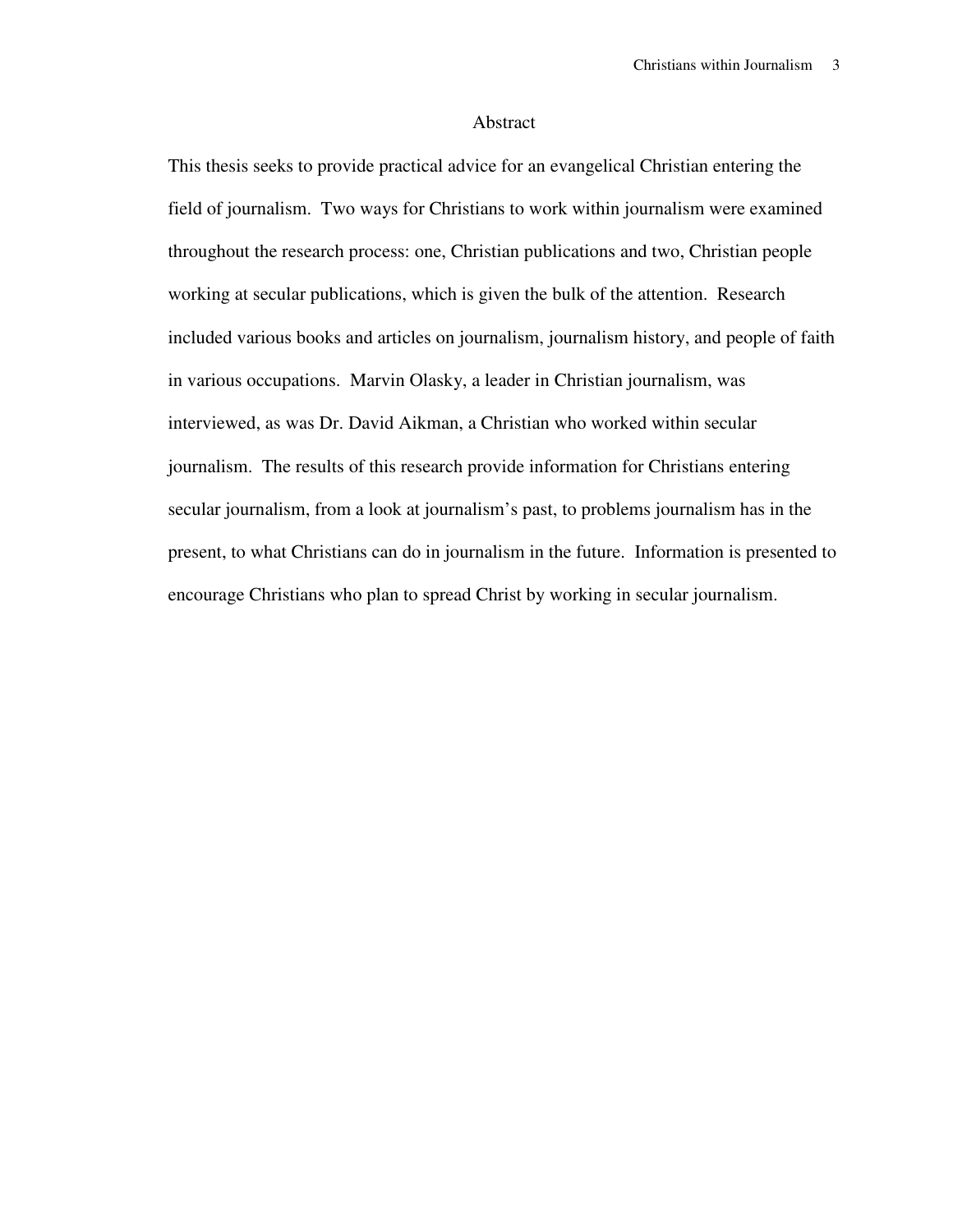#### Abstract

This thesis seeks to provide practical advice for an evangelical Christian entering the field of journalism. Two ways for Christians to work within journalism were examined throughout the research process: one, Christian publications and two, Christian people working at secular publications, which is given the bulk of the attention. Research included various books and articles on journalism, journalism history, and people of faith in various occupations. Marvin Olasky, a leader in Christian journalism, was interviewed, as was Dr. David Aikman, a Christian who worked within secular journalism. The results of this research provide information for Christians entering secular journalism, from a look at journalism's past, to problems journalism has in the present, to what Christians can do in journalism in the future. Information is presented to encourage Christians who plan to spread Christ by working in secular journalism.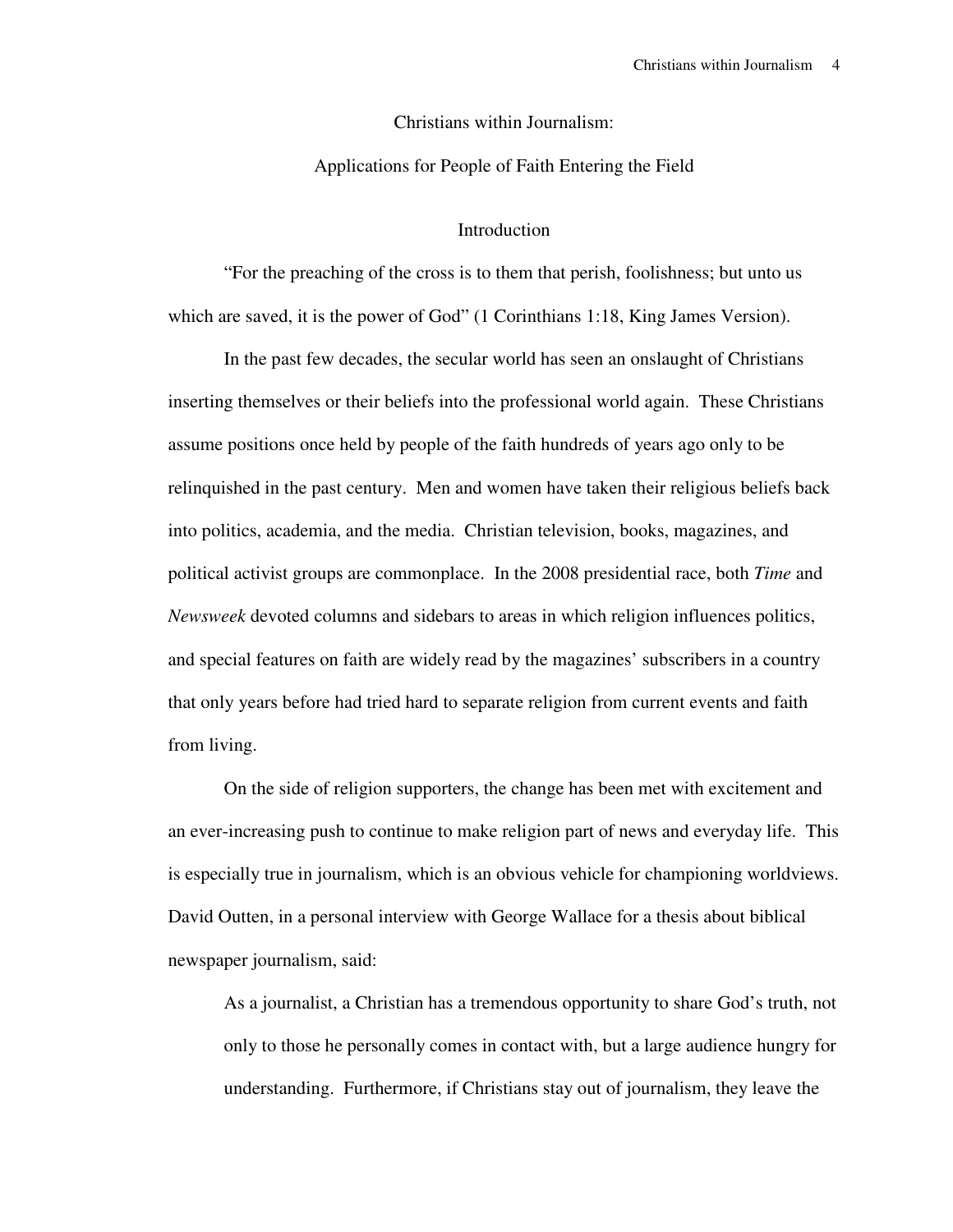#### Christians within Journalism:

## Applications for People of Faith Entering the Field

## Introduction

 "For the preaching of the cross is to them that perish, foolishness; but unto us which are saved, it is the power of God" (1 Corinthians 1:18, King James Version).

 In the past few decades, the secular world has seen an onslaught of Christians inserting themselves or their beliefs into the professional world again. These Christians assume positions once held by people of the faith hundreds of years ago only to be relinquished in the past century. Men and women have taken their religious beliefs back into politics, academia, and the media. Christian television, books, magazines, and political activist groups are commonplace. In the 2008 presidential race, both *Time* and *Newsweek* devoted columns and sidebars to areas in which religion influences politics, and special features on faith are widely read by the magazines' subscribers in a country that only years before had tried hard to separate religion from current events and faith from living.

 On the side of religion supporters, the change has been met with excitement and an ever-increasing push to continue to make religion part of news and everyday life. This is especially true in journalism, which is an obvious vehicle for championing worldviews. David Outten, in a personal interview with George Wallace for a thesis about biblical newspaper journalism, said:

As a journalist, a Christian has a tremendous opportunity to share God's truth, not only to those he personally comes in contact with, but a large audience hungry for understanding. Furthermore, if Christians stay out of journalism, they leave the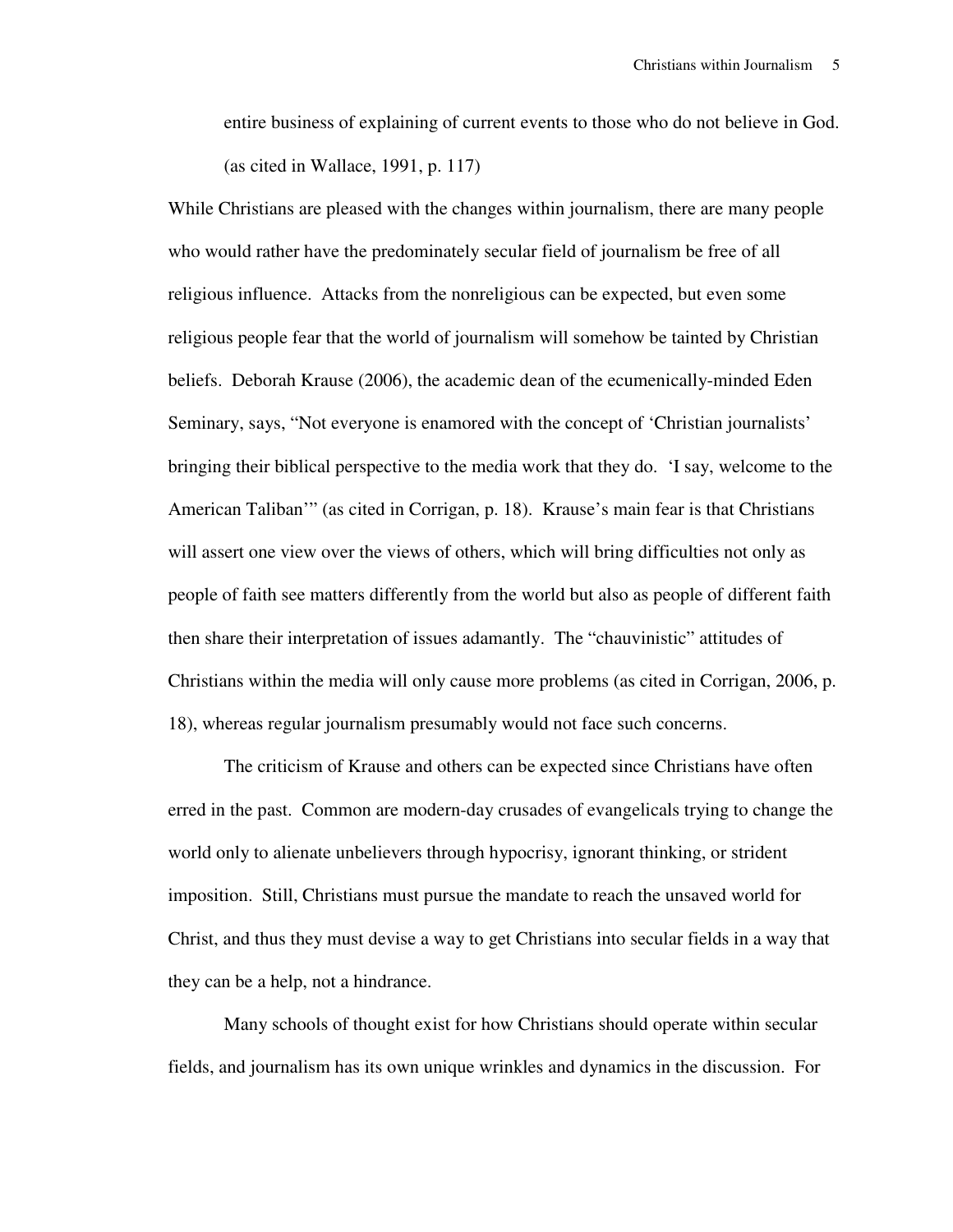entire business of explaining of current events to those who do not believe in God. (as cited in Wallace, 1991, p. 117)

While Christians are pleased with the changes within journalism, there are many people who would rather have the predominately secular field of journalism be free of all religious influence. Attacks from the nonreligious can be expected, but even some religious people fear that the world of journalism will somehow be tainted by Christian beliefs. Deborah Krause (2006), the academic dean of the ecumenically-minded Eden Seminary, says, "Not everyone is enamored with the concept of 'Christian journalists' bringing their biblical perspective to the media work that they do. 'I say, welcome to the American Taliban'" (as cited in Corrigan, p. 18). Krause's main fear is that Christians will assert one view over the views of others, which will bring difficulties not only as people of faith see matters differently from the world but also as people of different faith then share their interpretation of issues adamantly. The "chauvinistic" attitudes of Christians within the media will only cause more problems (as cited in Corrigan, 2006, p. 18), whereas regular journalism presumably would not face such concerns.

 The criticism of Krause and others can be expected since Christians have often erred in the past. Common are modern-day crusades of evangelicals trying to change the world only to alienate unbelievers through hypocrisy, ignorant thinking, or strident imposition. Still, Christians must pursue the mandate to reach the unsaved world for Christ, and thus they must devise a way to get Christians into secular fields in a way that they can be a help, not a hindrance.

 Many schools of thought exist for how Christians should operate within secular fields, and journalism has its own unique wrinkles and dynamics in the discussion. For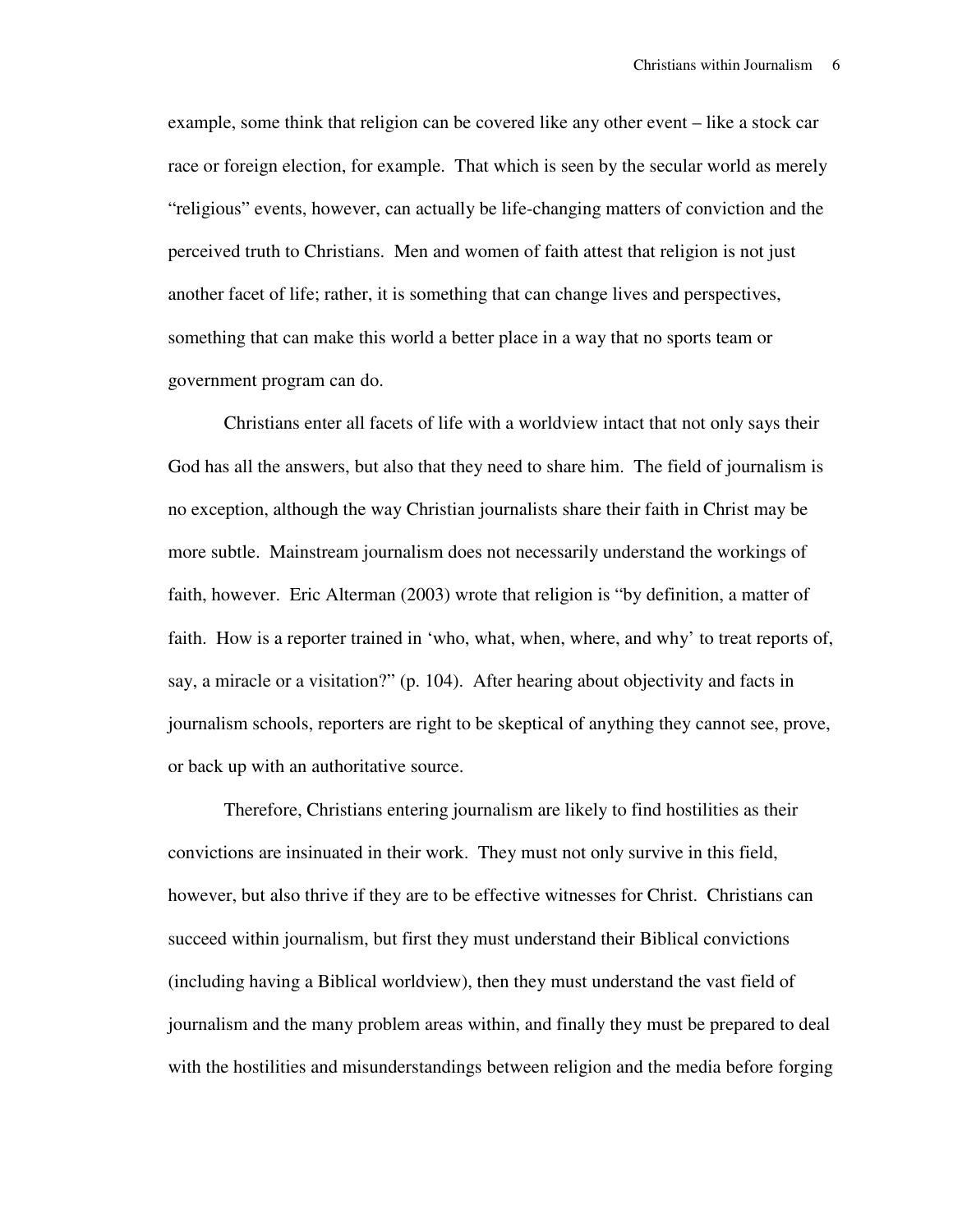example, some think that religion can be covered like any other event – like a stock car race or foreign election, for example. That which is seen by the secular world as merely "religious" events, however, can actually be life-changing matters of conviction and the perceived truth to Christians. Men and women of faith attest that religion is not just another facet of life; rather, it is something that can change lives and perspectives, something that can make this world a better place in a way that no sports team or government program can do.

 Christians enter all facets of life with a worldview intact that not only says their God has all the answers, but also that they need to share him. The field of journalism is no exception, although the way Christian journalists share their faith in Christ may be more subtle. Mainstream journalism does not necessarily understand the workings of faith, however. Eric Alterman (2003) wrote that religion is "by definition, a matter of faith. How is a reporter trained in 'who, what, when, where, and why' to treat reports of, say, a miracle or a visitation?" (p. 104). After hearing about objectivity and facts in journalism schools, reporters are right to be skeptical of anything they cannot see, prove, or back up with an authoritative source.

 Therefore, Christians entering journalism are likely to find hostilities as their convictions are insinuated in their work. They must not only survive in this field, however, but also thrive if they are to be effective witnesses for Christ. Christians can succeed within journalism, but first they must understand their Biblical convictions (including having a Biblical worldview), then they must understand the vast field of journalism and the many problem areas within, and finally they must be prepared to deal with the hostilities and misunderstandings between religion and the media before forging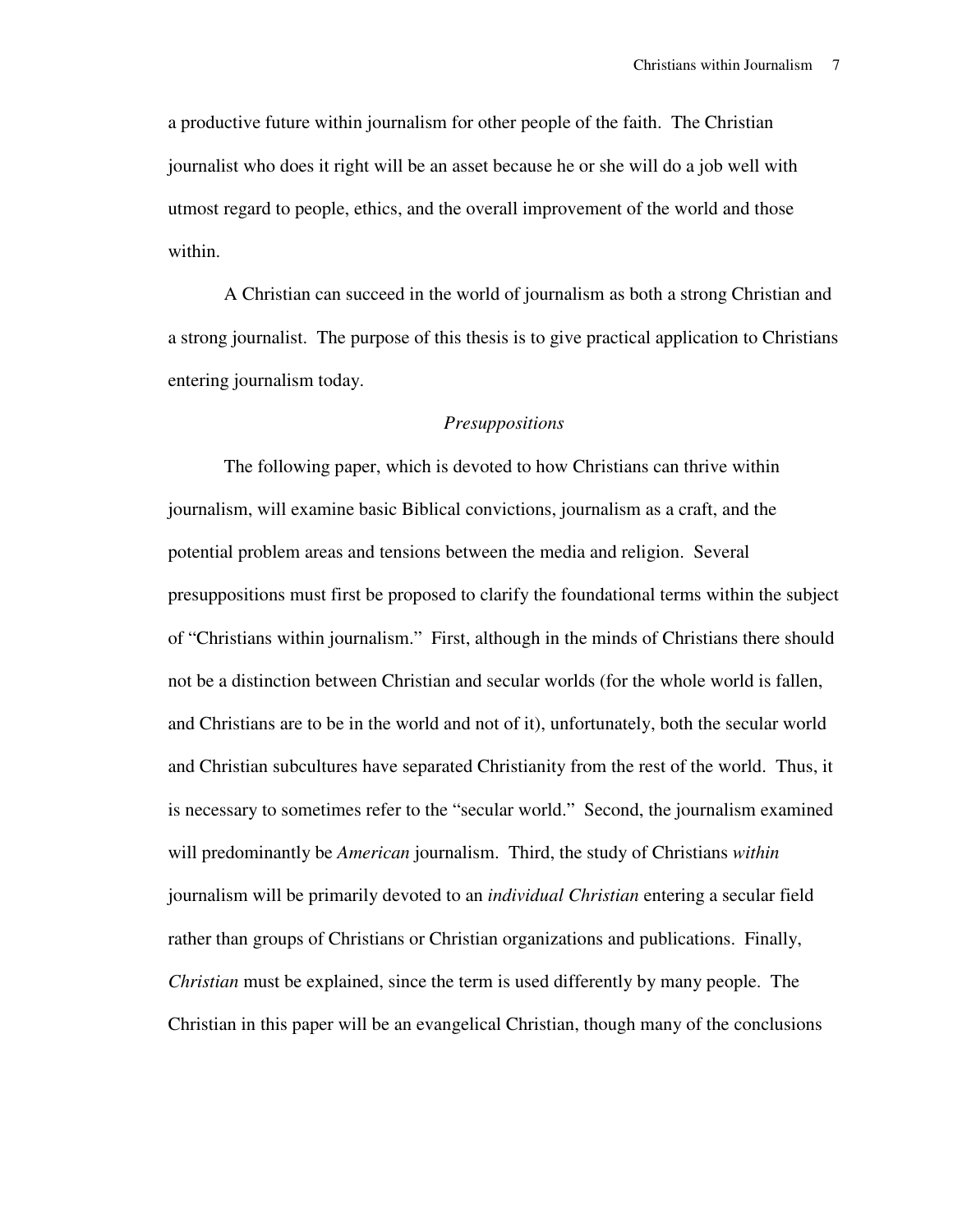a productive future within journalism for other people of the faith. The Christian journalist who does it right will be an asset because he or she will do a job well with utmost regard to people, ethics, and the overall improvement of the world and those within.

 A Christian can succeed in the world of journalism as both a strong Christian and a strong journalist. The purpose of this thesis is to give practical application to Christians entering journalism today.

# *Presuppositions*

 The following paper, which is devoted to how Christians can thrive within journalism, will examine basic Biblical convictions, journalism as a craft, and the potential problem areas and tensions between the media and religion. Several presuppositions must first be proposed to clarify the foundational terms within the subject of "Christians within journalism." First, although in the minds of Christians there should not be a distinction between Christian and secular worlds (for the whole world is fallen, and Christians are to be in the world and not of it), unfortunately, both the secular world and Christian subcultures have separated Christianity from the rest of the world. Thus, it is necessary to sometimes refer to the "secular world." Second, the journalism examined will predominantly be *American* journalism. Third, the study of Christians *within* journalism will be primarily devoted to an *individual Christian* entering a secular field rather than groups of Christians or Christian organizations and publications. Finally, *Christian* must be explained, since the term is used differently by many people. The Christian in this paper will be an evangelical Christian, though many of the conclusions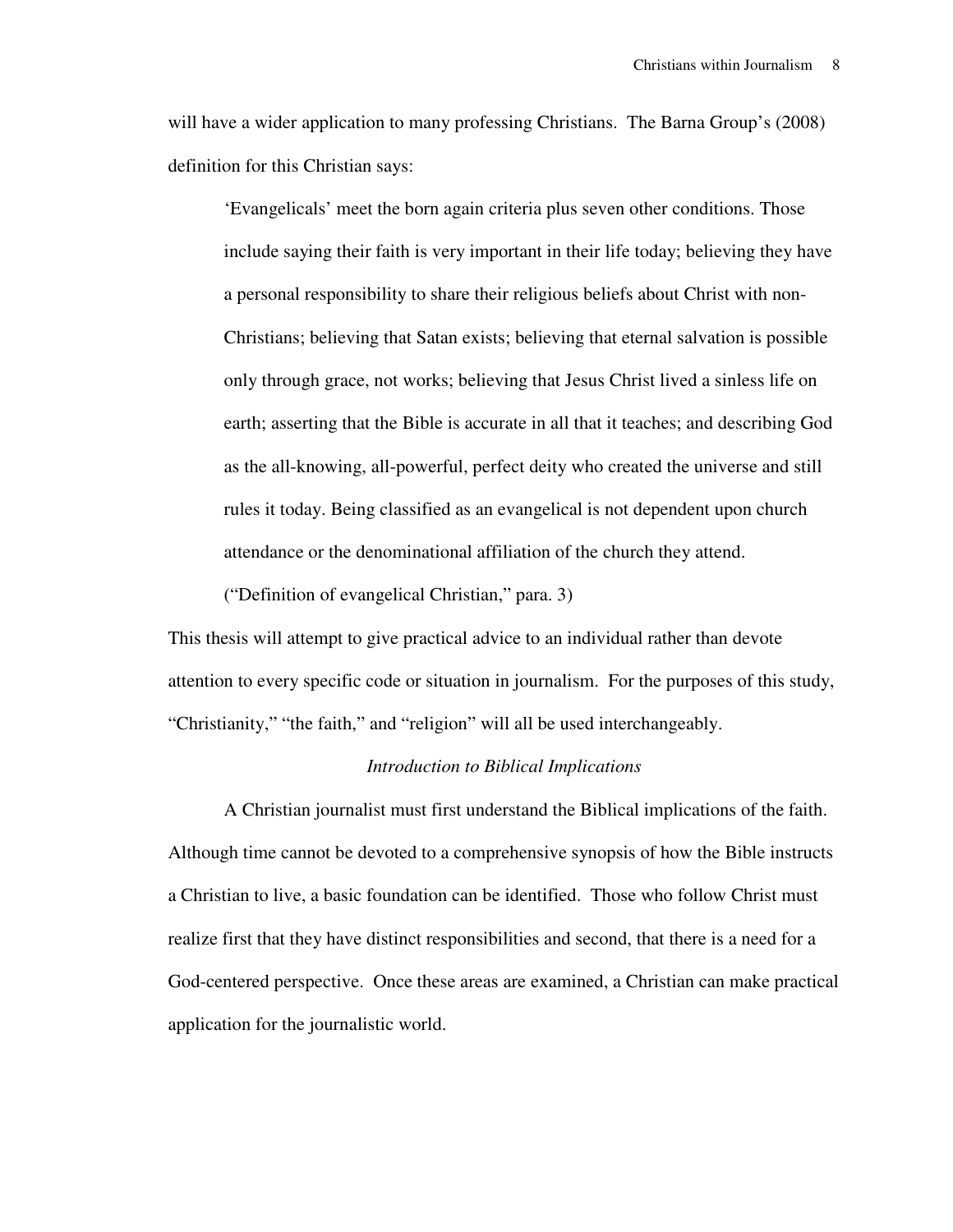will have a wider application to many professing Christians. The Barna Group's (2008) definition for this Christian says:

'Evangelicals' meet the born again criteria plus seven other conditions. Those include saying their faith is very important in their life today; believing they have a personal responsibility to share their religious beliefs about Christ with non-Christians; believing that Satan exists; believing that eternal salvation is possible only through grace, not works; believing that Jesus Christ lived a sinless life on earth; asserting that the Bible is accurate in all that it teaches; and describing God as the all-knowing, all-powerful, perfect deity who created the universe and still rules it today. Being classified as an evangelical is not dependent upon church attendance or the denominational affiliation of the church they attend.

("Definition of evangelical Christian," para. 3)

This thesis will attempt to give practical advice to an individual rather than devote attention to every specific code or situation in journalism. For the purposes of this study, "Christianity," "the faith," and "religion" will all be used interchangeably.

### *Introduction to Biblical Implications*

 A Christian journalist must first understand the Biblical implications of the faith. Although time cannot be devoted to a comprehensive synopsis of how the Bible instructs a Christian to live, a basic foundation can be identified. Those who follow Christ must realize first that they have distinct responsibilities and second, that there is a need for a God-centered perspective. Once these areas are examined, a Christian can make practical application for the journalistic world.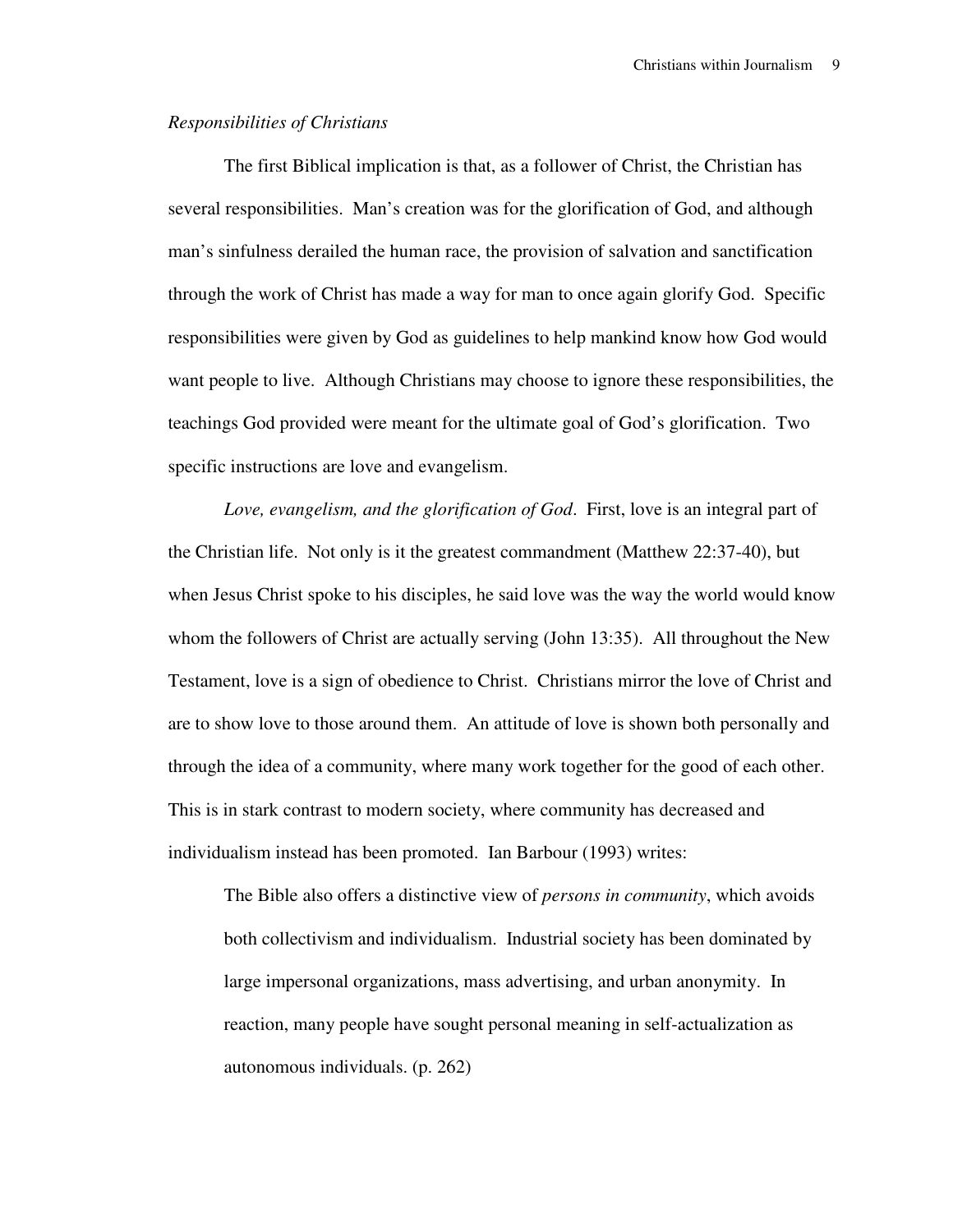#### *Responsibilities of Christians*

 The first Biblical implication is that, as a follower of Christ, the Christian has several responsibilities. Man's creation was for the glorification of God, and although man's sinfulness derailed the human race, the provision of salvation and sanctification through the work of Christ has made a way for man to once again glorify God. Specific responsibilities were given by God as guidelines to help mankind know how God would want people to live. Although Christians may choose to ignore these responsibilities, the teachings God provided were meant for the ultimate goal of God's glorification. Two specific instructions are love and evangelism.

 *Love, evangelism, and the glorification of God*. First, love is an integral part of the Christian life. Not only is it the greatest commandment (Matthew 22:37-40), but when Jesus Christ spoke to his disciples, he said love was the way the world would know whom the followers of Christ are actually serving (John 13:35). All throughout the New Testament, love is a sign of obedience to Christ. Christians mirror the love of Christ and are to show love to those around them. An attitude of love is shown both personally and through the idea of a community, where many work together for the good of each other. This is in stark contrast to modern society, where community has decreased and individualism instead has been promoted. Ian Barbour (1993) writes:

The Bible also offers a distinctive view of *persons in community*, which avoids both collectivism and individualism. Industrial society has been dominated by large impersonal organizations, mass advertising, and urban anonymity. In reaction, many people have sought personal meaning in self-actualization as autonomous individuals. (p. 262)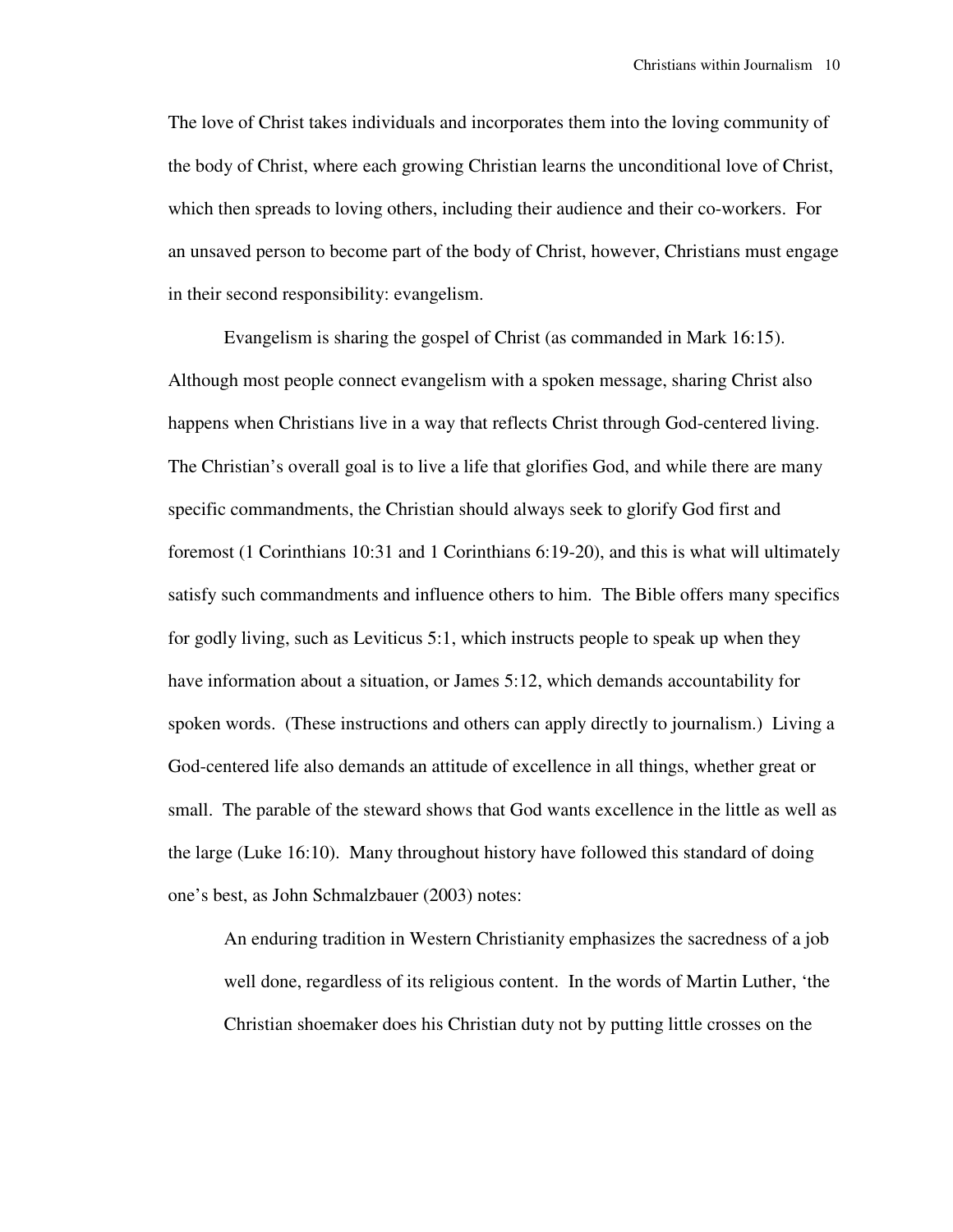The love of Christ takes individuals and incorporates them into the loving community of the body of Christ, where each growing Christian learns the unconditional love of Christ, which then spreads to loving others, including their audience and their co-workers. For an unsaved person to become part of the body of Christ, however, Christians must engage in their second responsibility: evangelism.

 Evangelism is sharing the gospel of Christ (as commanded in Mark 16:15). Although most people connect evangelism with a spoken message, sharing Christ also happens when Christians live in a way that reflects Christ through God-centered living. The Christian's overall goal is to live a life that glorifies God, and while there are many specific commandments, the Christian should always seek to glorify God first and foremost (1 Corinthians 10:31 and 1 Corinthians 6:19-20), and this is what will ultimately satisfy such commandments and influence others to him. The Bible offers many specifics for godly living, such as Leviticus 5:1, which instructs people to speak up when they have information about a situation, or James 5:12, which demands accountability for spoken words. (These instructions and others can apply directly to journalism.) Living a God-centered life also demands an attitude of excellence in all things, whether great or small. The parable of the steward shows that God wants excellence in the little as well as the large (Luke 16:10). Many throughout history have followed this standard of doing one's best, as John Schmalzbauer (2003) notes:

An enduring tradition in Western Christianity emphasizes the sacredness of a job well done, regardless of its religious content. In the words of Martin Luther, 'the Christian shoemaker does his Christian duty not by putting little crosses on the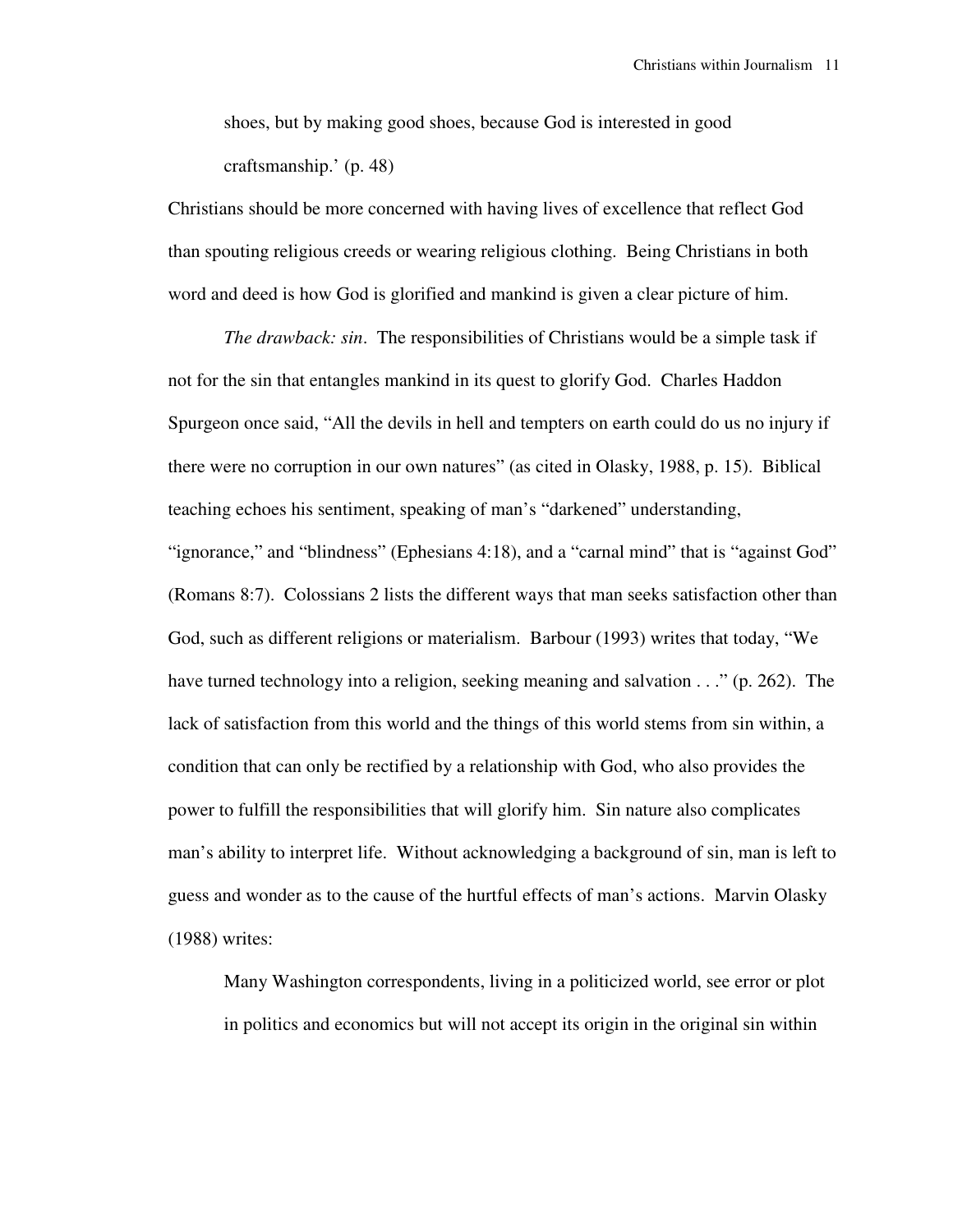shoes, but by making good shoes, because God is interested in good craftsmanship.' (p. 48)

Christians should be more concerned with having lives of excellence that reflect God than spouting religious creeds or wearing religious clothing. Being Christians in both word and deed is how God is glorified and mankind is given a clear picture of him.

 *The drawback: sin*. The responsibilities of Christians would be a simple task if not for the sin that entangles mankind in its quest to glorify God. Charles Haddon Spurgeon once said, "All the devils in hell and tempters on earth could do us no injury if there were no corruption in our own natures" (as cited in Olasky, 1988, p. 15). Biblical teaching echoes his sentiment, speaking of man's "darkened" understanding, "ignorance," and "blindness" (Ephesians 4:18), and a "carnal mind" that is "against God" (Romans 8:7). Colossians 2 lists the different ways that man seeks satisfaction other than God, such as different religions or materialism. Barbour (1993) writes that today, "We have turned technology into a religion, seeking meaning and salvation . . ." (p. 262). The lack of satisfaction from this world and the things of this world stems from sin within, a condition that can only be rectified by a relationship with God, who also provides the power to fulfill the responsibilities that will glorify him. Sin nature also complicates man's ability to interpret life. Without acknowledging a background of sin, man is left to guess and wonder as to the cause of the hurtful effects of man's actions. Marvin Olasky (1988) writes:

Many Washington correspondents, living in a politicized world, see error or plot in politics and economics but will not accept its origin in the original sin within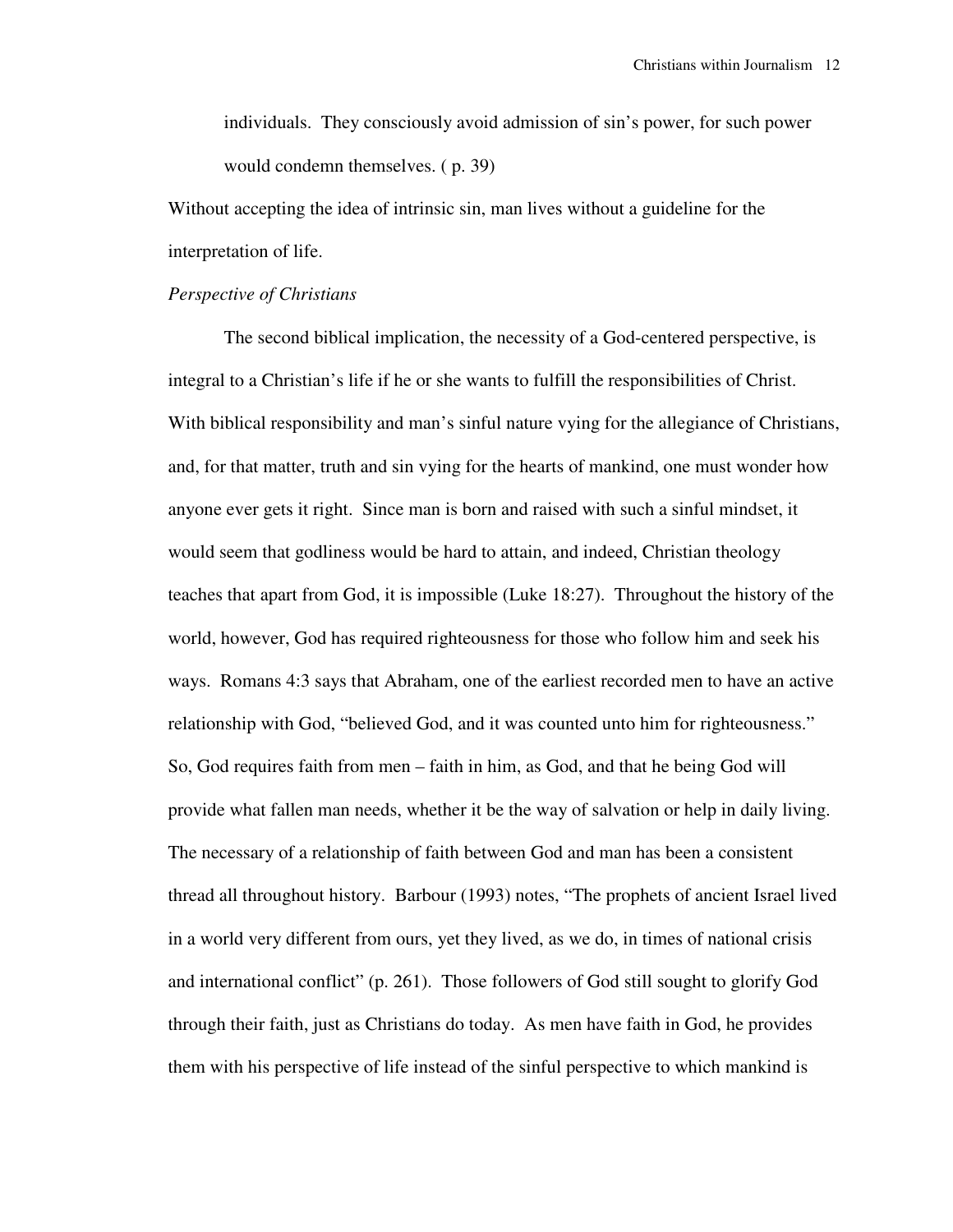individuals. They consciously avoid admission of sin's power, for such power would condemn themselves. ( p. 39)

Without accepting the idea of intrinsic sin, man lives without a guideline for the interpretation of life.

## *Perspective of Christians*

 The second biblical implication, the necessity of a God-centered perspective, is integral to a Christian's life if he or she wants to fulfill the responsibilities of Christ. With biblical responsibility and man's sinful nature vying for the allegiance of Christians, and, for that matter, truth and sin vying for the hearts of mankind, one must wonder how anyone ever gets it right. Since man is born and raised with such a sinful mindset, it would seem that godliness would be hard to attain, and indeed, Christian theology teaches that apart from God, it is impossible (Luke 18:27). Throughout the history of the world, however, God has required righteousness for those who follow him and seek his ways. Romans 4:3 says that Abraham, one of the earliest recorded men to have an active relationship with God, "believed God, and it was counted unto him for righteousness." So, God requires faith from men – faith in him, as God, and that he being God will provide what fallen man needs, whether it be the way of salvation or help in daily living. The necessary of a relationship of faith between God and man has been a consistent thread all throughout history. Barbour (1993) notes, "The prophets of ancient Israel lived in a world very different from ours, yet they lived, as we do, in times of national crisis and international conflict" (p. 261). Those followers of God still sought to glorify God through their faith, just as Christians do today. As men have faith in God, he provides them with his perspective of life instead of the sinful perspective to which mankind is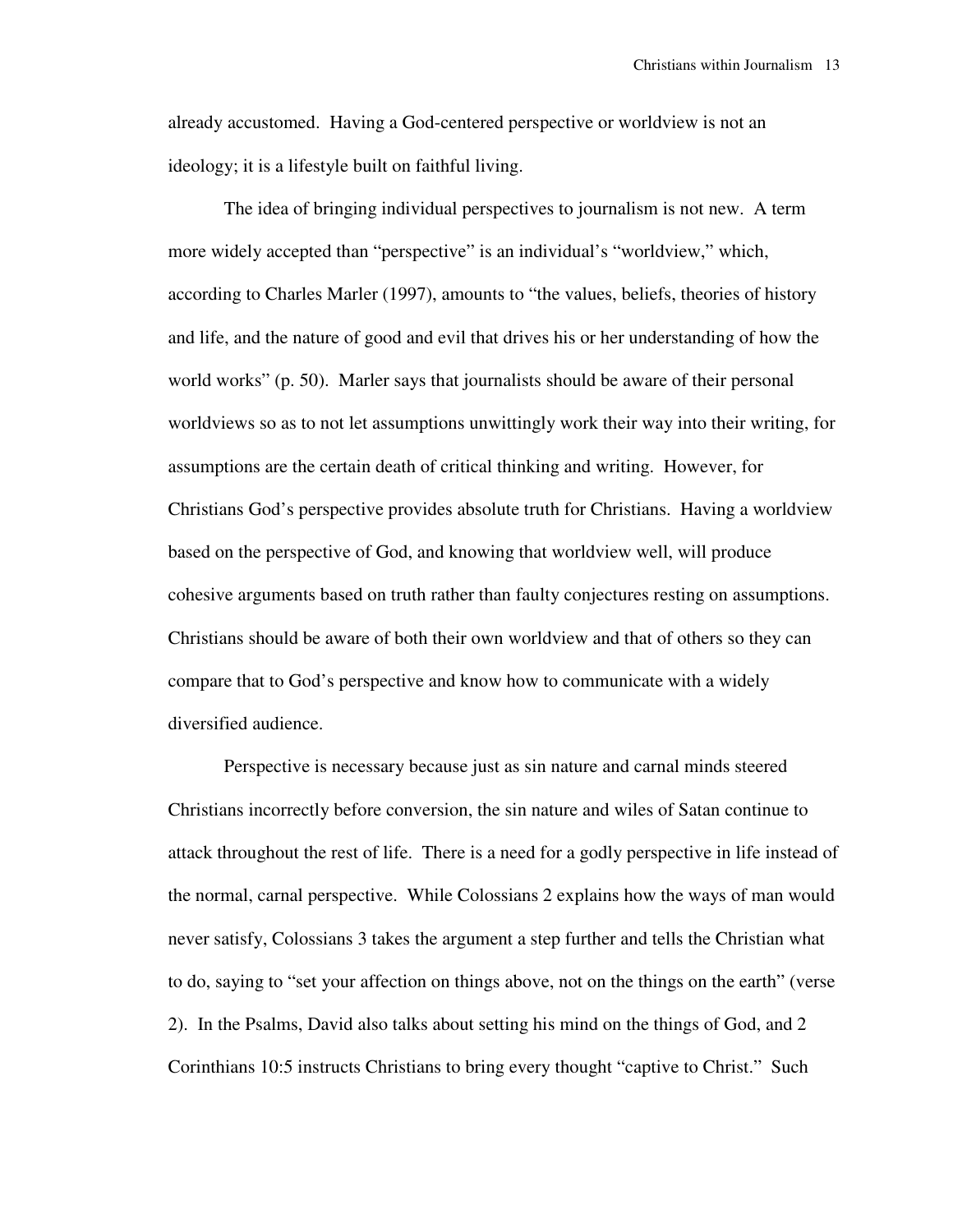already accustomed. Having a God-centered perspective or worldview is not an ideology; it is a lifestyle built on faithful living.

 The idea of bringing individual perspectives to journalism is not new. A term more widely accepted than "perspective" is an individual's "worldview," which, according to Charles Marler (1997), amounts to "the values, beliefs, theories of history and life, and the nature of good and evil that drives his or her understanding of how the world works" (p. 50). Marler says that journalists should be aware of their personal worldviews so as to not let assumptions unwittingly work their way into their writing, for assumptions are the certain death of critical thinking and writing. However, for Christians God's perspective provides absolute truth for Christians. Having a worldview based on the perspective of God, and knowing that worldview well, will produce cohesive arguments based on truth rather than faulty conjectures resting on assumptions. Christians should be aware of both their own worldview and that of others so they can compare that to God's perspective and know how to communicate with a widely diversified audience.

 Perspective is necessary because just as sin nature and carnal minds steered Christians incorrectly before conversion, the sin nature and wiles of Satan continue to attack throughout the rest of life. There is a need for a godly perspective in life instead of the normal, carnal perspective. While Colossians 2 explains how the ways of man would never satisfy, Colossians 3 takes the argument a step further and tells the Christian what to do, saying to "set your affection on things above, not on the things on the earth" (verse 2). In the Psalms, David also talks about setting his mind on the things of God, and 2 Corinthians 10:5 instructs Christians to bring every thought "captive to Christ." Such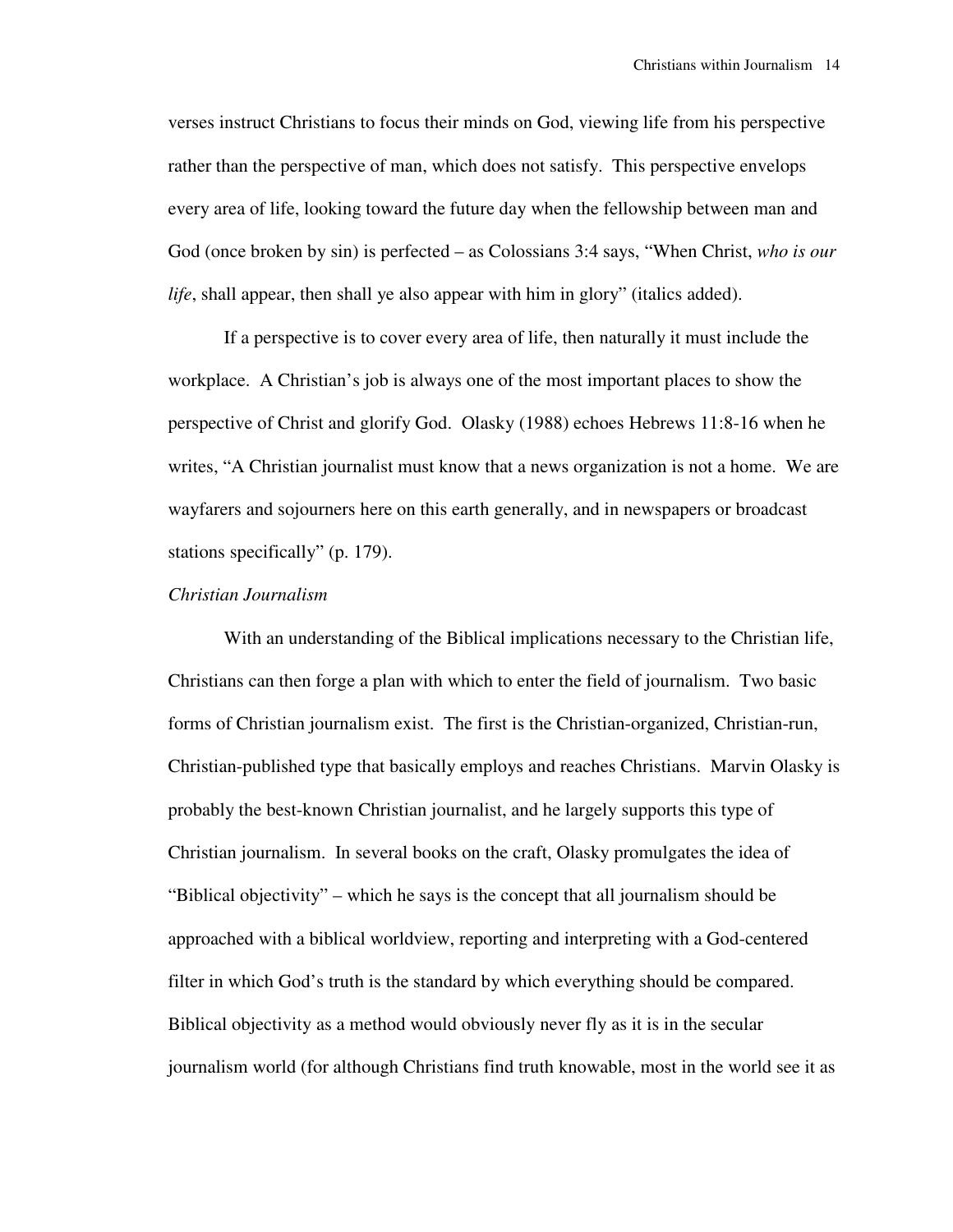verses instruct Christians to focus their minds on God, viewing life from his perspective rather than the perspective of man, which does not satisfy. This perspective envelops every area of life, looking toward the future day when the fellowship between man and God (once broken by sin) is perfected – as Colossians 3:4 says, "When Christ, *who is our life*, shall appear, then shall ye also appear with him in glory" (italics added).

 If a perspective is to cover every area of life, then naturally it must include the workplace. A Christian's job is always one of the most important places to show the perspective of Christ and glorify God. Olasky (1988) echoes Hebrews 11:8-16 when he writes, "A Christian journalist must know that a news organization is not a home. We are wayfarers and sojourners here on this earth generally, and in newspapers or broadcast stations specifically" (p. 179).

## *Christian Journalism*

 With an understanding of the Biblical implications necessary to the Christian life, Christians can then forge a plan with which to enter the field of journalism. Two basic forms of Christian journalism exist. The first is the Christian-organized, Christian-run, Christian-published type that basically employs and reaches Christians. Marvin Olasky is probably the best-known Christian journalist, and he largely supports this type of Christian journalism. In several books on the craft, Olasky promulgates the idea of "Biblical objectivity" – which he says is the concept that all journalism should be approached with a biblical worldview, reporting and interpreting with a God-centered filter in which God's truth is the standard by which everything should be compared. Biblical objectivity as a method would obviously never fly as it is in the secular journalism world (for although Christians find truth knowable, most in the world see it as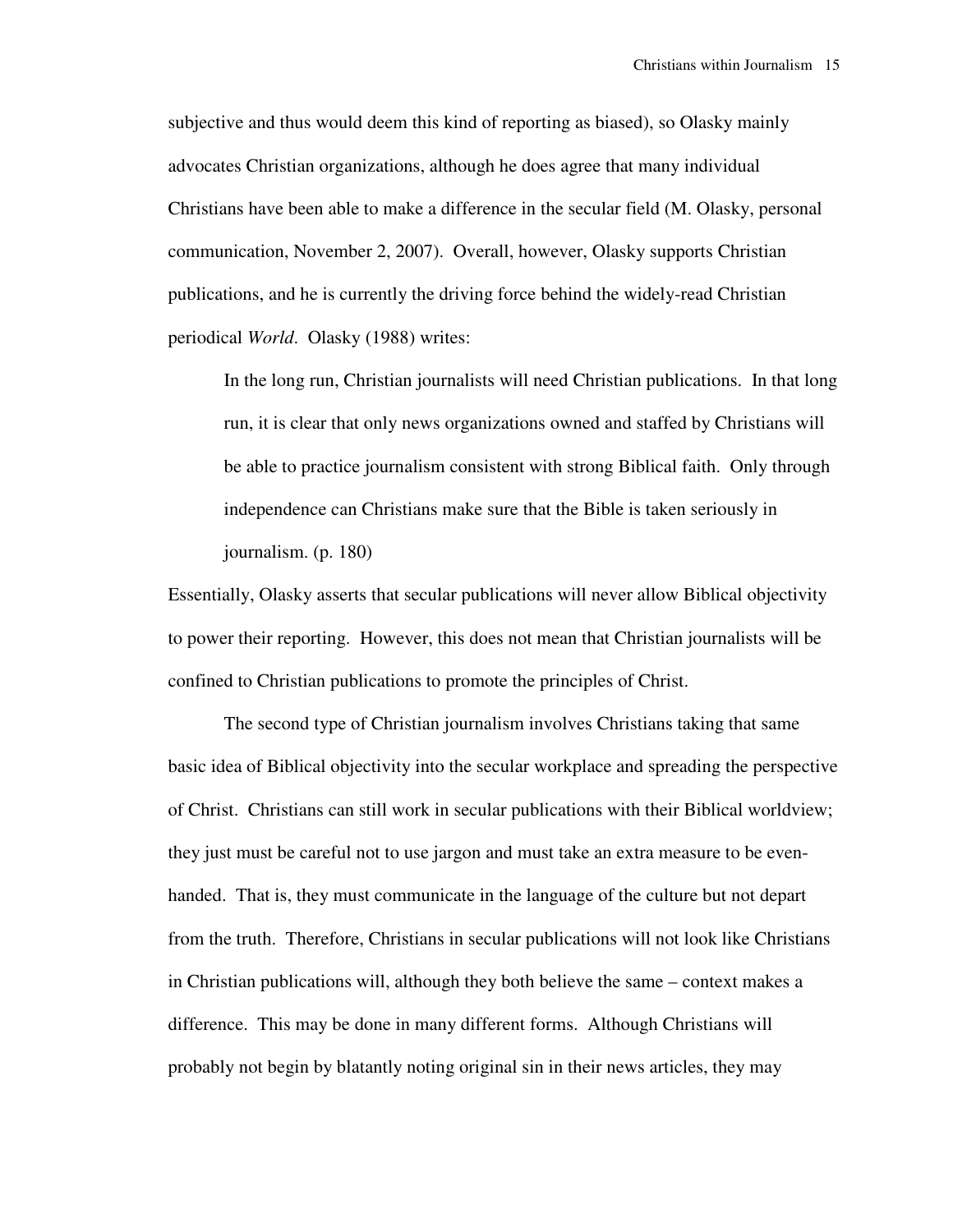subjective and thus would deem this kind of reporting as biased), so Olasky mainly advocates Christian organizations, although he does agree that many individual Christians have been able to make a difference in the secular field (M. Olasky, personal communication, November 2, 2007). Overall, however, Olasky supports Christian publications, and he is currently the driving force behind the widely-read Christian periodical *World*. Olasky (1988) writes:

In the long run, Christian journalists will need Christian publications. In that long run, it is clear that only news organizations owned and staffed by Christians will be able to practice journalism consistent with strong Biblical faith. Only through independence can Christians make sure that the Bible is taken seriously in journalism. (p. 180)

Essentially, Olasky asserts that secular publications will never allow Biblical objectivity to power their reporting. However, this does not mean that Christian journalists will be confined to Christian publications to promote the principles of Christ.

 The second type of Christian journalism involves Christians taking that same basic idea of Biblical objectivity into the secular workplace and spreading the perspective of Christ. Christians can still work in secular publications with their Biblical worldview; they just must be careful not to use jargon and must take an extra measure to be evenhanded. That is, they must communicate in the language of the culture but not depart from the truth. Therefore, Christians in secular publications will not look like Christians in Christian publications will, although they both believe the same – context makes a difference. This may be done in many different forms. Although Christians will probably not begin by blatantly noting original sin in their news articles, they may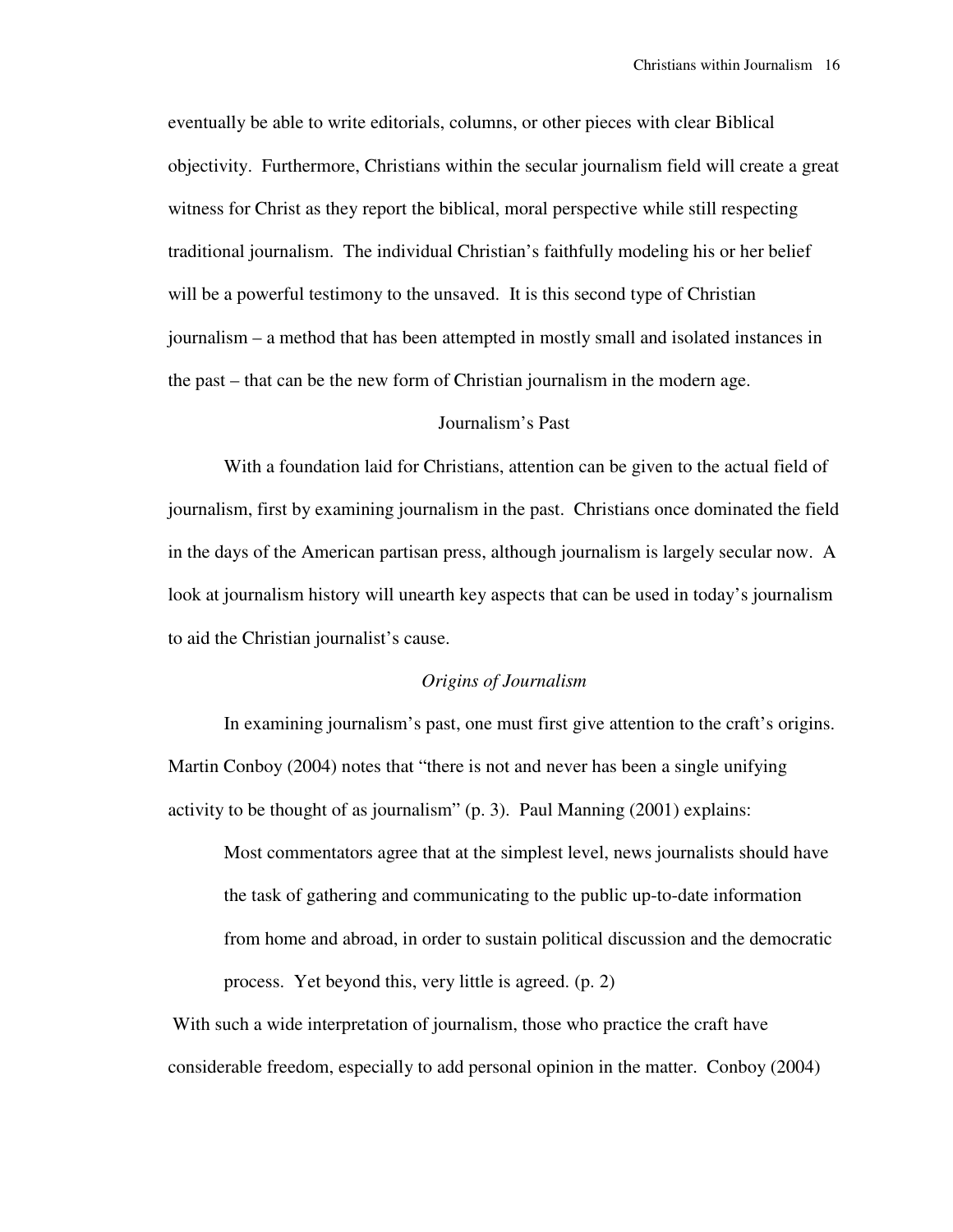eventually be able to write editorials, columns, or other pieces with clear Biblical objectivity. Furthermore, Christians within the secular journalism field will create a great witness for Christ as they report the biblical, moral perspective while still respecting traditional journalism. The individual Christian's faithfully modeling his or her belief will be a powerful testimony to the unsaved. It is this second type of Christian journalism – a method that has been attempted in mostly small and isolated instances in the past – that can be the new form of Christian journalism in the modern age.

## Journalism's Past

 With a foundation laid for Christians, attention can be given to the actual field of journalism, first by examining journalism in the past. Christians once dominated the field in the days of the American partisan press, although journalism is largely secular now. A look at journalism history will unearth key aspects that can be used in today's journalism to aid the Christian journalist's cause.

# *Origins of Journalism*

 In examining journalism's past, one must first give attention to the craft's origins. Martin Conboy (2004) notes that "there is not and never has been a single unifying activity to be thought of as journalism" (p. 3). Paul Manning (2001) explains:

Most commentators agree that at the simplest level, news journalists should have the task of gathering and communicating to the public up-to-date information from home and abroad, in order to sustain political discussion and the democratic process. Yet beyond this, very little is agreed. (p. 2)

With such a wide interpretation of journalism, those who practice the craft have considerable freedom, especially to add personal opinion in the matter. Conboy (2004)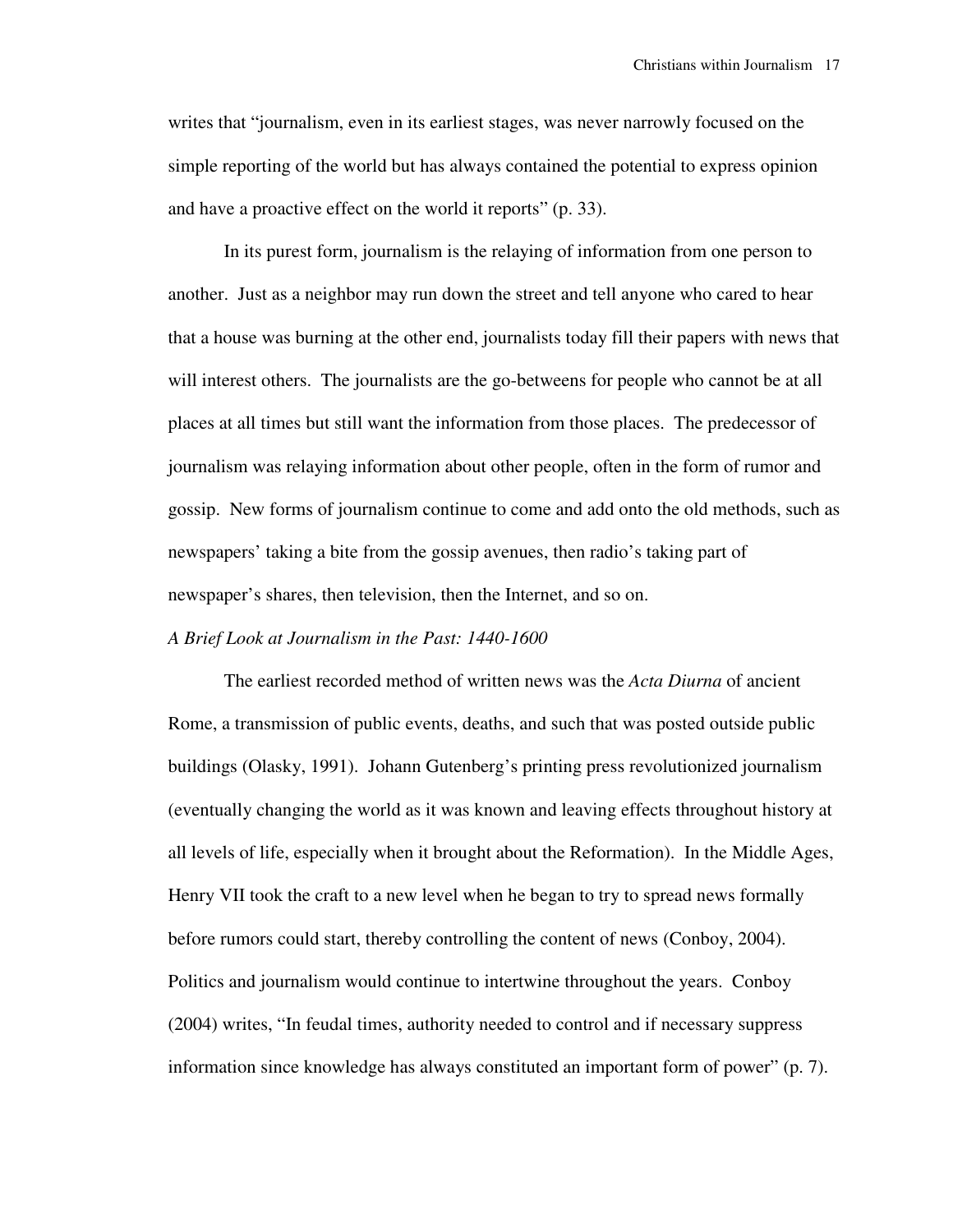writes that "journalism, even in its earliest stages, was never narrowly focused on the simple reporting of the world but has always contained the potential to express opinion and have a proactive effect on the world it reports" (p. 33).

 In its purest form, journalism is the relaying of information from one person to another. Just as a neighbor may run down the street and tell anyone who cared to hear that a house was burning at the other end, journalists today fill their papers with news that will interest others. The journalists are the go-betweens for people who cannot be at all places at all times but still want the information from those places. The predecessor of journalism was relaying information about other people, often in the form of rumor and gossip. New forms of journalism continue to come and add onto the old methods, such as newspapers' taking a bite from the gossip avenues, then radio's taking part of newspaper's shares, then television, then the Internet, and so on.

## *A Brief Look at Journalism in the Past: 1440-1600*

 The earliest recorded method of written news was the *Acta Diurna* of ancient Rome, a transmission of public events, deaths, and such that was posted outside public buildings (Olasky, 1991). Johann Gutenberg's printing press revolutionized journalism (eventually changing the world as it was known and leaving effects throughout history at all levels of life, especially when it brought about the Reformation). In the Middle Ages, Henry VII took the craft to a new level when he began to try to spread news formally before rumors could start, thereby controlling the content of news (Conboy, 2004). Politics and journalism would continue to intertwine throughout the years. Conboy (2004) writes, "In feudal times, authority needed to control and if necessary suppress information since knowledge has always constituted an important form of power" (p. 7).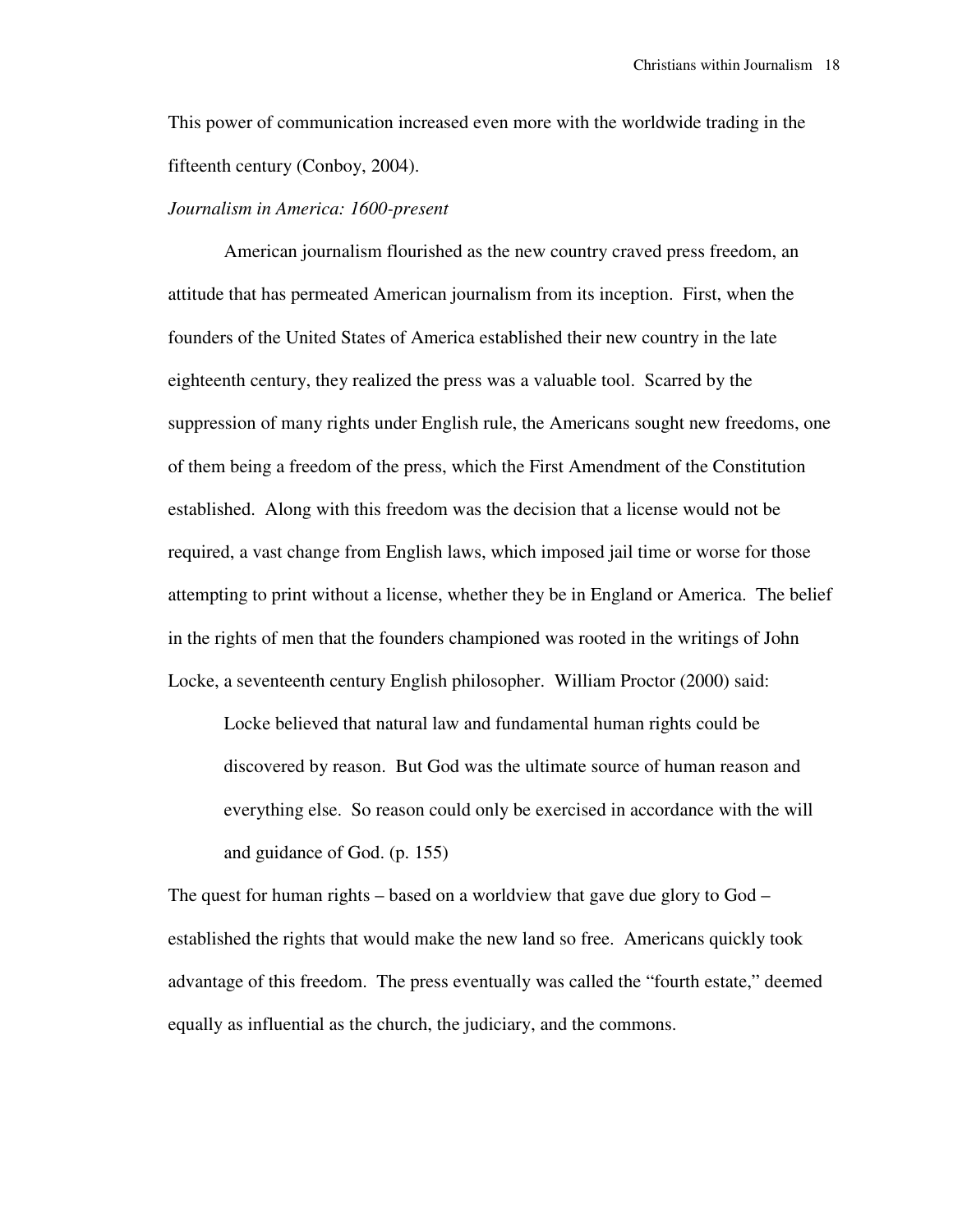This power of communication increased even more with the worldwide trading in the fifteenth century (Conboy, 2004).

## *Journalism in America: 1600-present*

 American journalism flourished as the new country craved press freedom, an attitude that has permeated American journalism from its inception. First, when the founders of the United States of America established their new country in the late eighteenth century, they realized the press was a valuable tool. Scarred by the suppression of many rights under English rule, the Americans sought new freedoms, one of them being a freedom of the press, which the First Amendment of the Constitution established. Along with this freedom was the decision that a license would not be required, a vast change from English laws, which imposed jail time or worse for those attempting to print without a license, whether they be in England or America. The belief in the rights of men that the founders championed was rooted in the writings of John Locke, a seventeenth century English philosopher. William Proctor (2000) said:

Locke believed that natural law and fundamental human rights could be discovered by reason. But God was the ultimate source of human reason and everything else. So reason could only be exercised in accordance with the will and guidance of God. (p. 155)

The quest for human rights – based on a worldview that gave due glory to God – established the rights that would make the new land so free. Americans quickly took advantage of this freedom. The press eventually was called the "fourth estate," deemed equally as influential as the church, the judiciary, and the commons.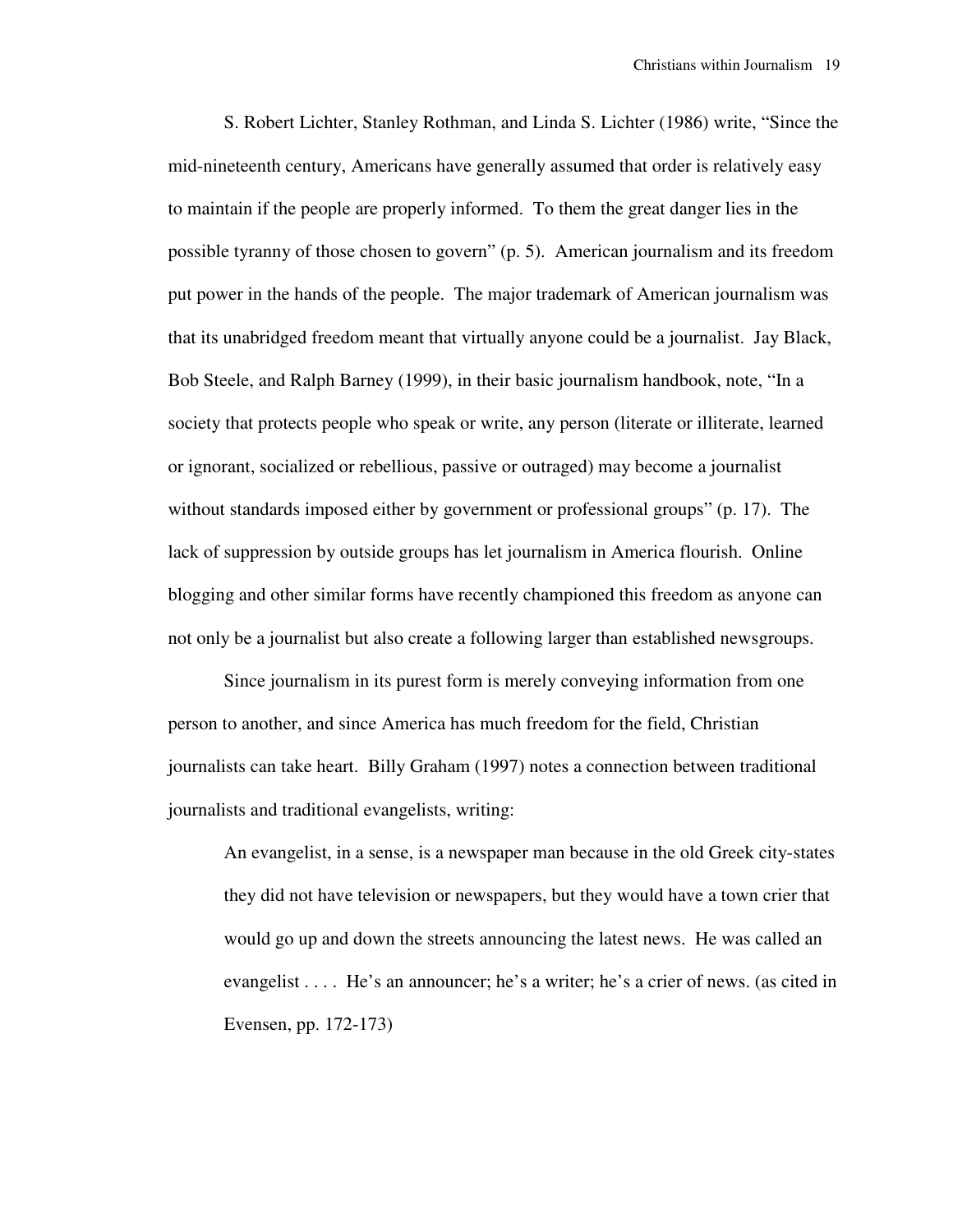S. Robert Lichter, Stanley Rothman, and Linda S. Lichter (1986) write, "Since the mid-nineteenth century, Americans have generally assumed that order is relatively easy to maintain if the people are properly informed. To them the great danger lies in the possible tyranny of those chosen to govern" (p. 5). American journalism and its freedom put power in the hands of the people. The major trademark of American journalism was that its unabridged freedom meant that virtually anyone could be a journalist. Jay Black, Bob Steele, and Ralph Barney (1999), in their basic journalism handbook, note, "In a society that protects people who speak or write, any person (literate or illiterate, learned or ignorant, socialized or rebellious, passive or outraged) may become a journalist without standards imposed either by government or professional groups" (p. 17). The lack of suppression by outside groups has let journalism in America flourish. Online blogging and other similar forms have recently championed this freedom as anyone can not only be a journalist but also create a following larger than established newsgroups.

 Since journalism in its purest form is merely conveying information from one person to another, and since America has much freedom for the field, Christian journalists can take heart. Billy Graham (1997) notes a connection between traditional journalists and traditional evangelists, writing:

An evangelist, in a sense, is a newspaper man because in the old Greek city-states they did not have television or newspapers, but they would have a town crier that would go up and down the streets announcing the latest news. He was called an evangelist . . . . He's an announcer; he's a writer; he's a crier of news. (as cited in Evensen, pp. 172-173)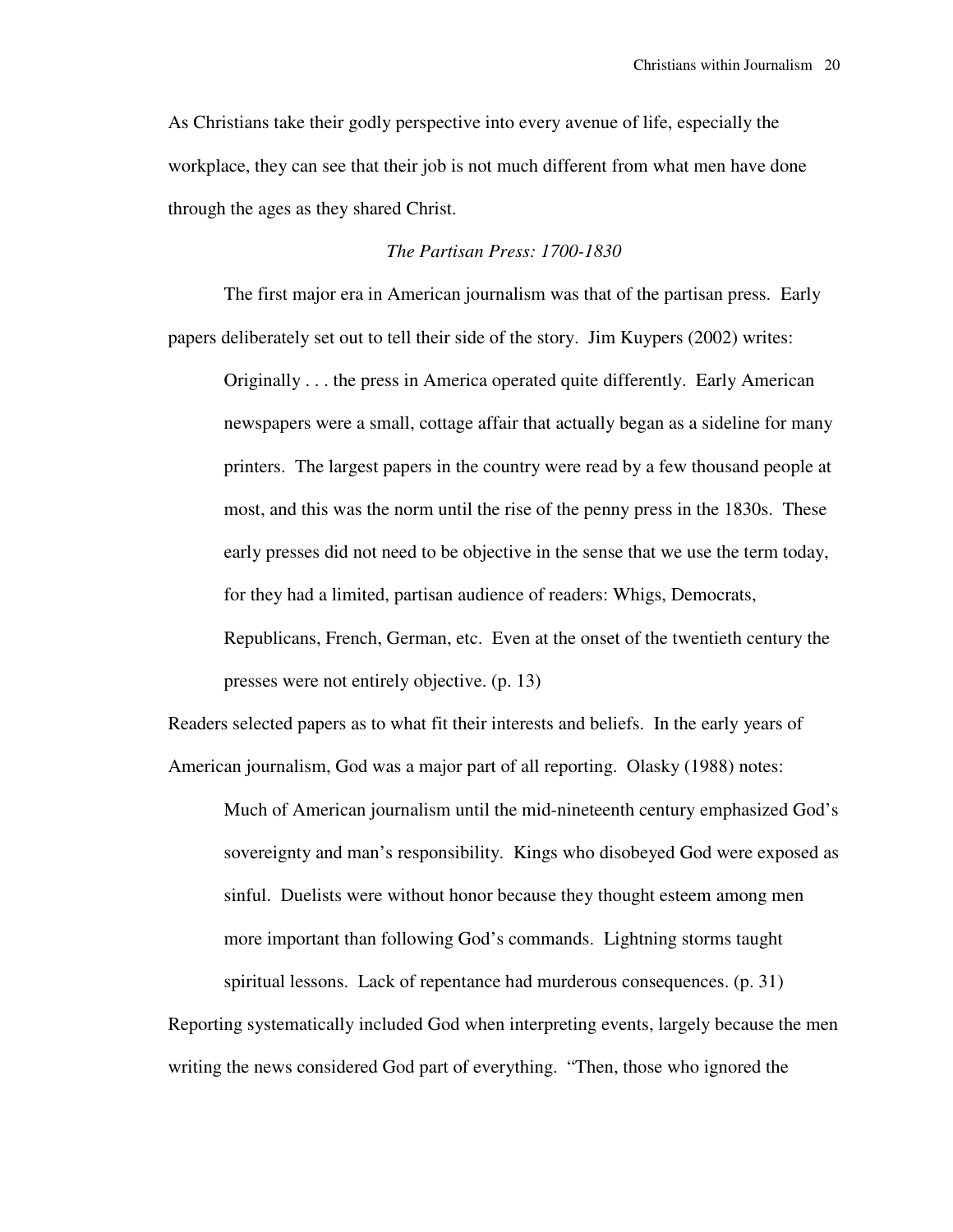As Christians take their godly perspective into every avenue of life, especially the workplace, they can see that their job is not much different from what men have done through the ages as they shared Christ.

## *The Partisan Press: 1700-1830*

 The first major era in American journalism was that of the partisan press. Early papers deliberately set out to tell their side of the story. Jim Kuypers (2002) writes:

Originally . . . the press in America operated quite differently. Early American newspapers were a small, cottage affair that actually began as a sideline for many printers. The largest papers in the country were read by a few thousand people at most, and this was the norm until the rise of the penny press in the 1830s. These early presses did not need to be objective in the sense that we use the term today, for they had a limited, partisan audience of readers: Whigs, Democrats,

Republicans, French, German, etc. Even at the onset of the twentieth century the presses were not entirely objective. (p. 13)

Readers selected papers as to what fit their interests and beliefs. In the early years of American journalism, God was a major part of all reporting. Olasky (1988) notes:

Much of American journalism until the mid-nineteenth century emphasized God's sovereignty and man's responsibility. Kings who disobeyed God were exposed as sinful. Duelists were without honor because they thought esteem among men more important than following God's commands. Lightning storms taught spiritual lessons. Lack of repentance had murderous consequences. (p. 31)

Reporting systematically included God when interpreting events, largely because the men writing the news considered God part of everything. "Then, those who ignored the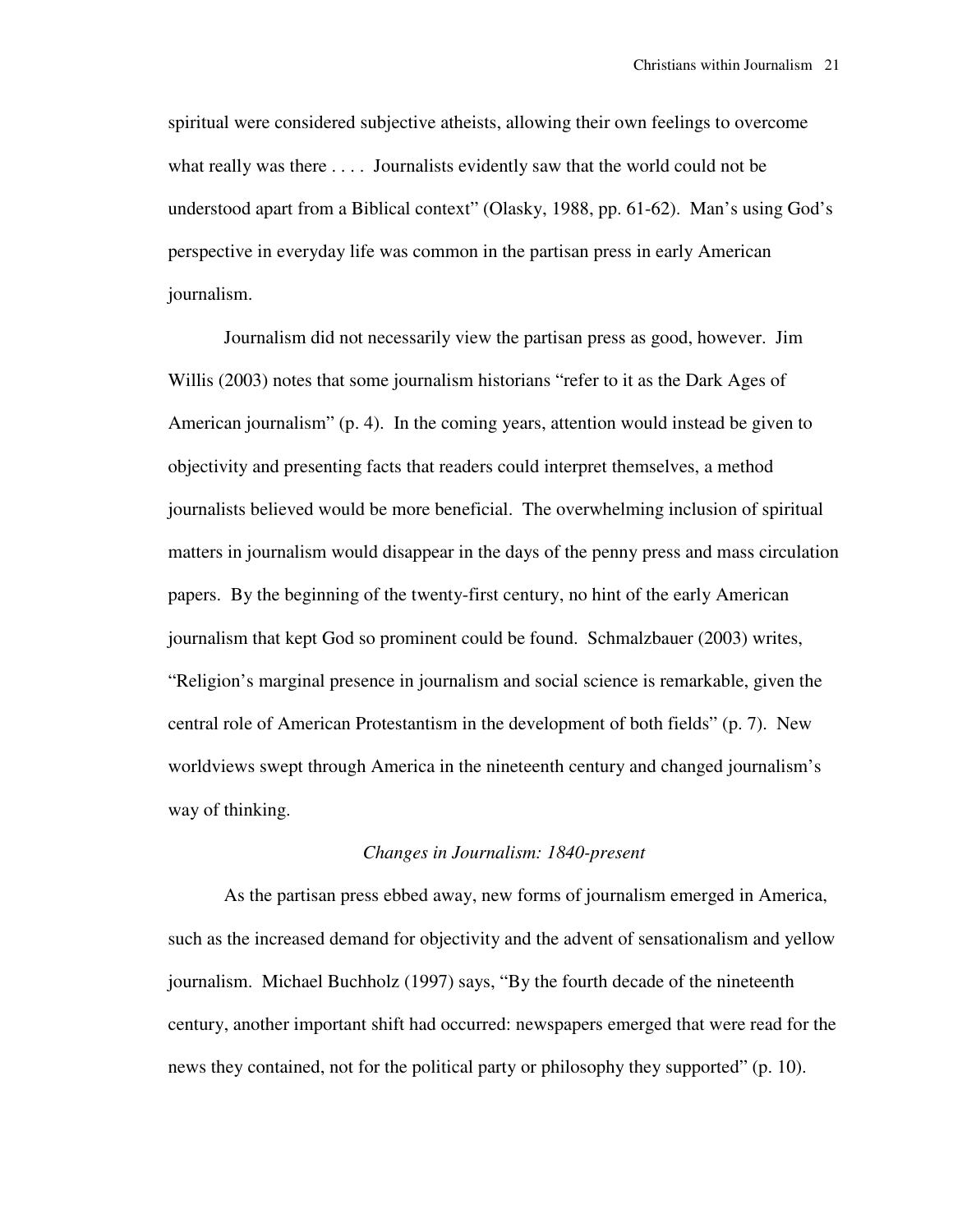spiritual were considered subjective atheists, allowing their own feelings to overcome what really was there . . . . Journalists evidently saw that the world could not be understood apart from a Biblical context" (Olasky, 1988, pp. 61-62). Man's using God's perspective in everyday life was common in the partisan press in early American journalism.

 Journalism did not necessarily view the partisan press as good, however. Jim Willis (2003) notes that some journalism historians "refer to it as the Dark Ages of American journalism" (p. 4). In the coming years, attention would instead be given to objectivity and presenting facts that readers could interpret themselves, a method journalists believed would be more beneficial. The overwhelming inclusion of spiritual matters in journalism would disappear in the days of the penny press and mass circulation papers. By the beginning of the twenty-first century, no hint of the early American journalism that kept God so prominent could be found. Schmalzbauer (2003) writes, "Religion's marginal presence in journalism and social science is remarkable, given the central role of American Protestantism in the development of both fields" (p. 7). New worldviews swept through America in the nineteenth century and changed journalism's way of thinking.

# *Changes in Journalism: 1840-present*

 As the partisan press ebbed away, new forms of journalism emerged in America, such as the increased demand for objectivity and the advent of sensationalism and yellow journalism. Michael Buchholz (1997) says, "By the fourth decade of the nineteenth century, another important shift had occurred: newspapers emerged that were read for the news they contained, not for the political party or philosophy they supported" (p. 10).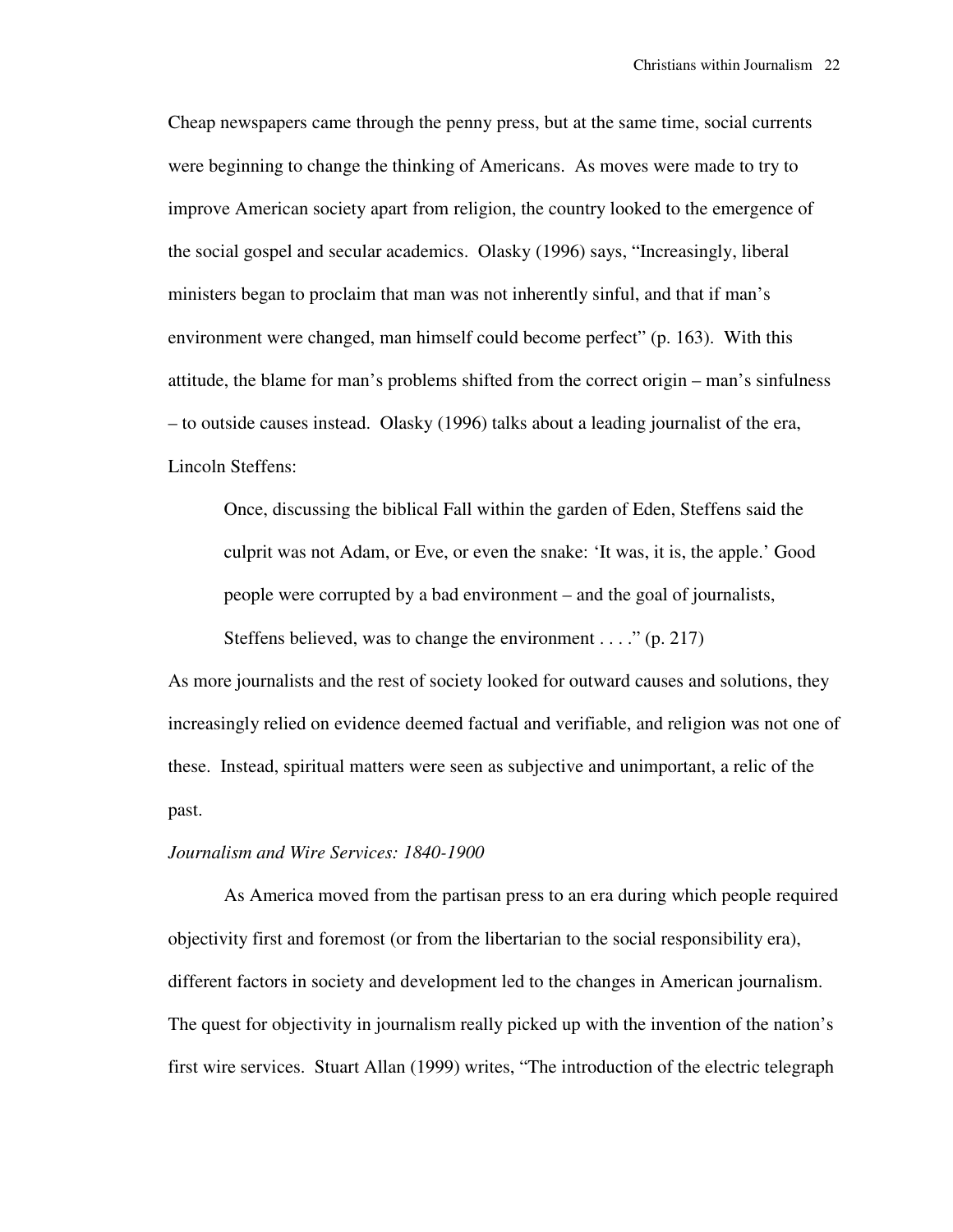Cheap newspapers came through the penny press, but at the same time, social currents were beginning to change the thinking of Americans. As moves were made to try to improve American society apart from religion, the country looked to the emergence of the social gospel and secular academics. Olasky (1996) says, "Increasingly, liberal ministers began to proclaim that man was not inherently sinful, and that if man's environment were changed, man himself could become perfect" (p. 163). With this attitude, the blame for man's problems shifted from the correct origin – man's sinfulness – to outside causes instead. Olasky (1996) talks about a leading journalist of the era, Lincoln Steffens:

Once, discussing the biblical Fall within the garden of Eden, Steffens said the culprit was not Adam, or Eve, or even the snake: 'It was, it is, the apple.' Good people were corrupted by a bad environment – and the goal of journalists,

Steffens believed, was to change the environment  $\dots$  " (p. 217)

As more journalists and the rest of society looked for outward causes and solutions, they increasingly relied on evidence deemed factual and verifiable, and religion was not one of these. Instead, spiritual matters were seen as subjective and unimportant, a relic of the past.

# *Journalism and Wire Services: 1840-1900*

 As America moved from the partisan press to an era during which people required objectivity first and foremost (or from the libertarian to the social responsibility era), different factors in society and development led to the changes in American journalism. The quest for objectivity in journalism really picked up with the invention of the nation's first wire services. Stuart Allan (1999) writes, "The introduction of the electric telegraph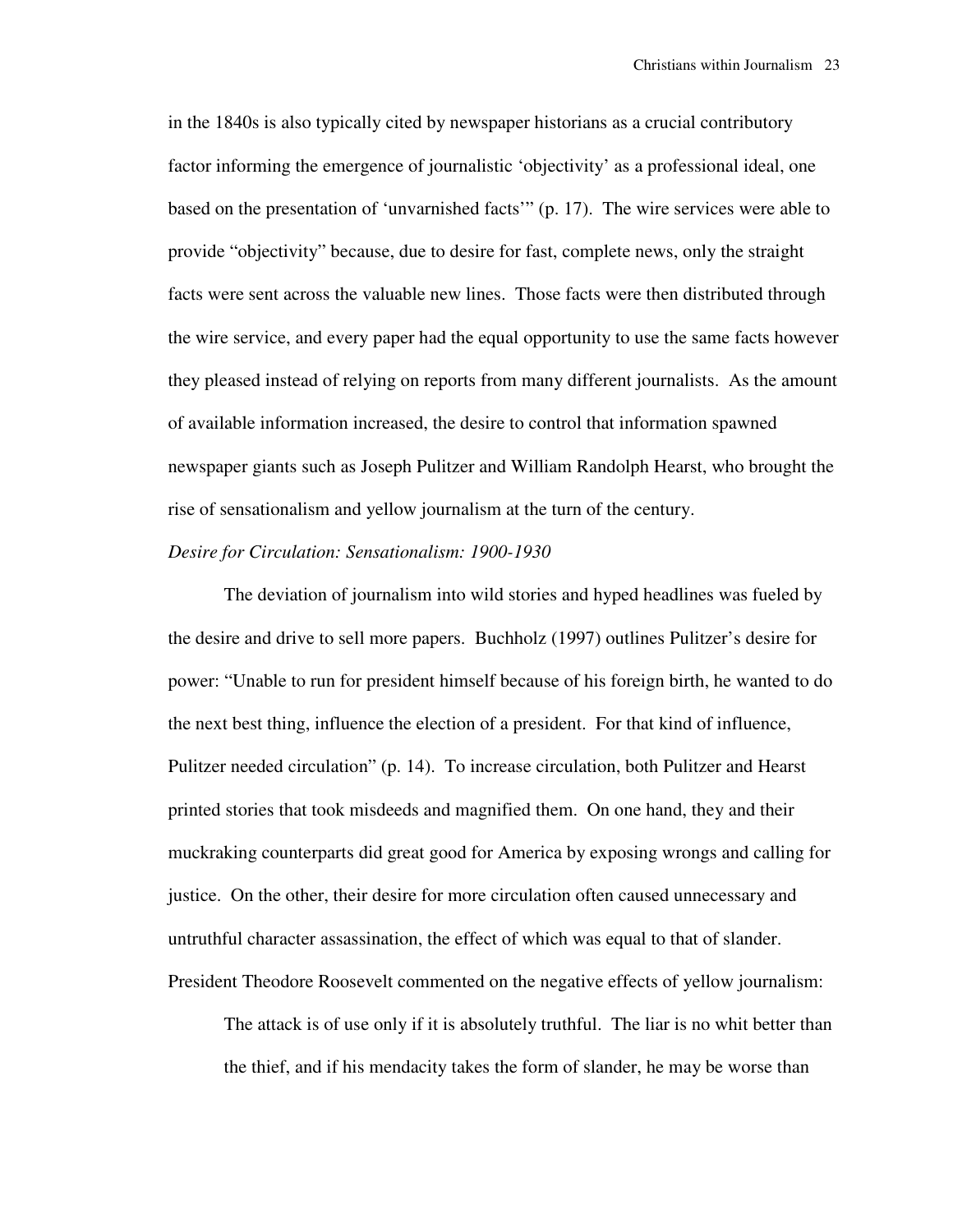in the 1840s is also typically cited by newspaper historians as a crucial contributory factor informing the emergence of journalistic 'objectivity' as a professional ideal, one based on the presentation of 'unvarnished facts'" (p. 17). The wire services were able to provide "objectivity" because, due to desire for fast, complete news, only the straight facts were sent across the valuable new lines. Those facts were then distributed through the wire service, and every paper had the equal opportunity to use the same facts however they pleased instead of relying on reports from many different journalists. As the amount of available information increased, the desire to control that information spawned newspaper giants such as Joseph Pulitzer and William Randolph Hearst, who brought the rise of sensationalism and yellow journalism at the turn of the century.

## *Desire for Circulation: Sensationalism: 1900-1930*

 The deviation of journalism into wild stories and hyped headlines was fueled by the desire and drive to sell more papers. Buchholz (1997) outlines Pulitzer's desire for power: "Unable to run for president himself because of his foreign birth, he wanted to do the next best thing, influence the election of a president. For that kind of influence, Pulitzer needed circulation" (p. 14). To increase circulation, both Pulitzer and Hearst printed stories that took misdeeds and magnified them. On one hand, they and their muckraking counterparts did great good for America by exposing wrongs and calling for justice. On the other, their desire for more circulation often caused unnecessary and untruthful character assassination, the effect of which was equal to that of slander. President Theodore Roosevelt commented on the negative effects of yellow journalism:

The attack is of use only if it is absolutely truthful. The liar is no whit better than the thief, and if his mendacity takes the form of slander, he may be worse than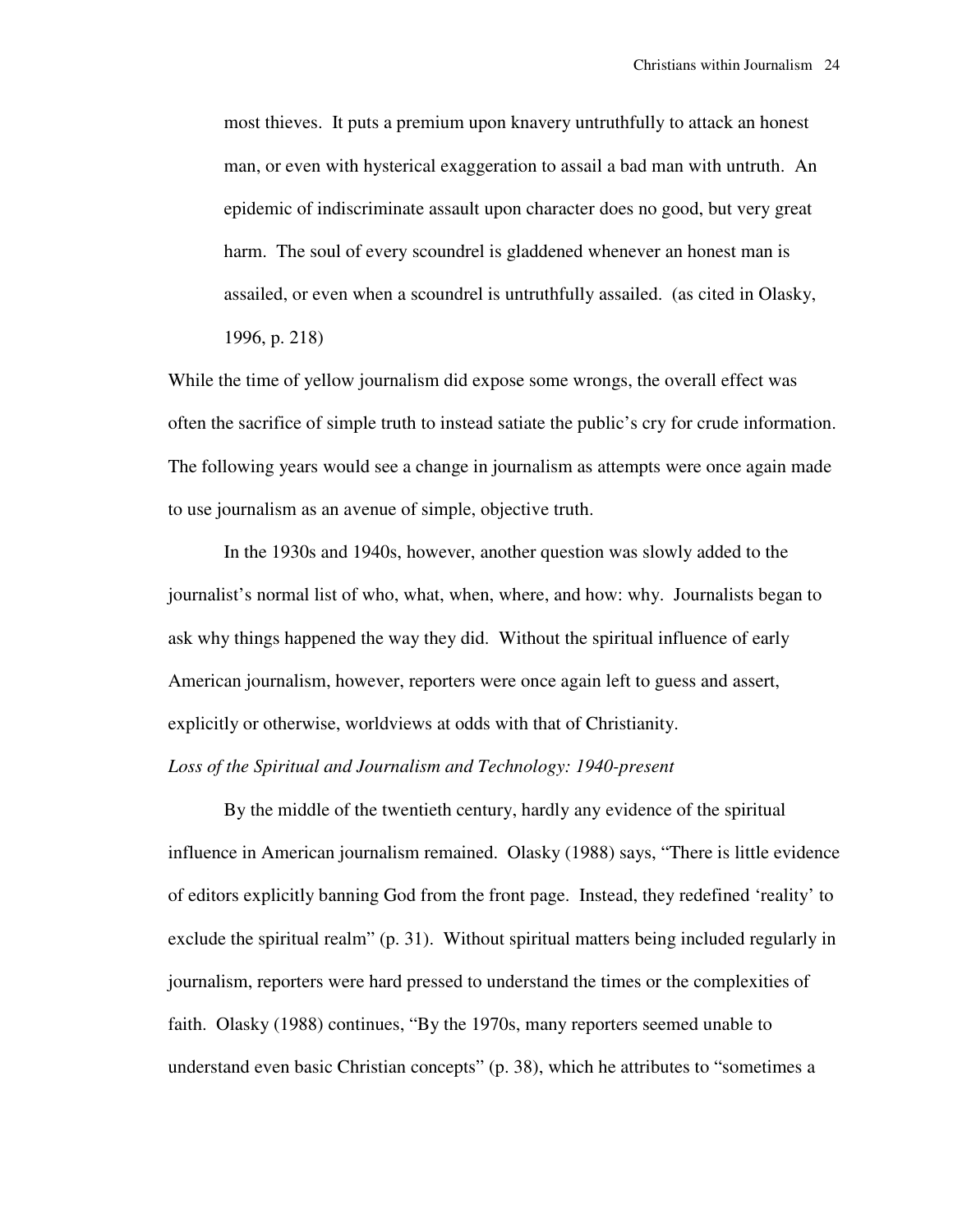most thieves. It puts a premium upon knavery untruthfully to attack an honest man, or even with hysterical exaggeration to assail a bad man with untruth. An epidemic of indiscriminate assault upon character does no good, but very great harm. The soul of every scoundrel is gladdened whenever an honest man is assailed, or even when a scoundrel is untruthfully assailed. (as cited in Olasky, 1996, p. 218)

While the time of yellow journalism did expose some wrongs, the overall effect was often the sacrifice of simple truth to instead satiate the public's cry for crude information. The following years would see a change in journalism as attempts were once again made to use journalism as an avenue of simple, objective truth.

 In the 1930s and 1940s, however, another question was slowly added to the journalist's normal list of who, what, when, where, and how: why. Journalists began to ask why things happened the way they did. Without the spiritual influence of early American journalism, however, reporters were once again left to guess and assert, explicitly or otherwise, worldviews at odds with that of Christianity.

*Loss of the Spiritual and Journalism and Technology: 1940-present*

 By the middle of the twentieth century, hardly any evidence of the spiritual influence in American journalism remained. Olasky (1988) says, "There is little evidence of editors explicitly banning God from the front page. Instead, they redefined 'reality' to exclude the spiritual realm" (p. 31). Without spiritual matters being included regularly in journalism, reporters were hard pressed to understand the times or the complexities of faith. Olasky (1988) continues, "By the 1970s, many reporters seemed unable to understand even basic Christian concepts" (p. 38), which he attributes to "sometimes a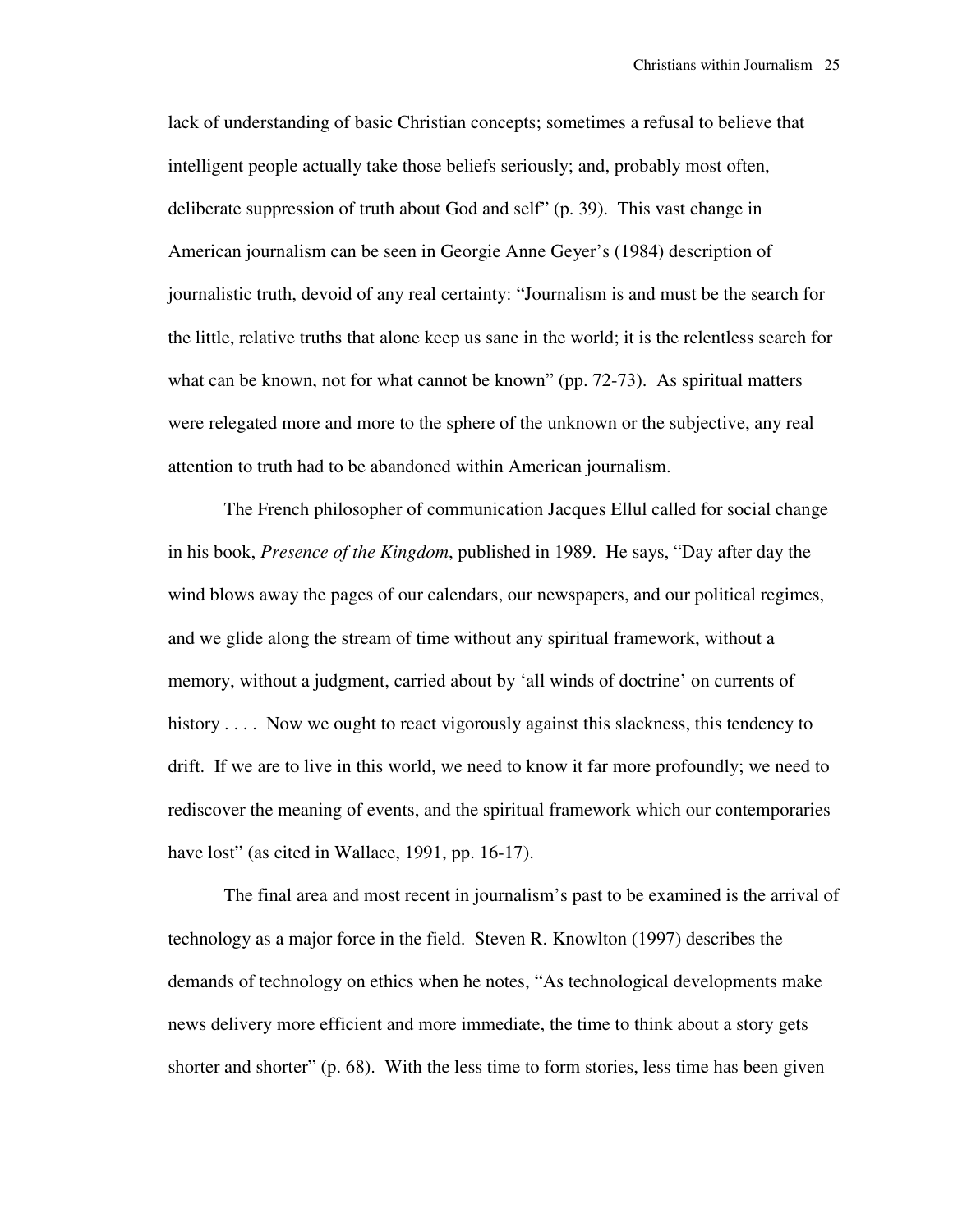lack of understanding of basic Christian concepts; sometimes a refusal to believe that intelligent people actually take those beliefs seriously; and, probably most often, deliberate suppression of truth about God and self" (p. 39). This vast change in American journalism can be seen in Georgie Anne Geyer's (1984) description of journalistic truth, devoid of any real certainty: "Journalism is and must be the search for the little, relative truths that alone keep us sane in the world; it is the relentless search for what can be known, not for what cannot be known" (pp. 72-73). As spiritual matters were relegated more and more to the sphere of the unknown or the subjective, any real attention to truth had to be abandoned within American journalism.

 The French philosopher of communication Jacques Ellul called for social change in his book, *Presence of the Kingdom*, published in 1989. He says, "Day after day the wind blows away the pages of our calendars, our newspapers, and our political regimes, and we glide along the stream of time without any spiritual framework, without a memory, without a judgment, carried about by 'all winds of doctrine' on currents of history . . . . Now we ought to react vigorously against this slackness, this tendency to drift. If we are to live in this world, we need to know it far more profoundly; we need to rediscover the meaning of events, and the spiritual framework which our contemporaries have lost" (as cited in Wallace, 1991, pp. 16-17).

 The final area and most recent in journalism's past to be examined is the arrival of technology as a major force in the field. Steven R. Knowlton (1997) describes the demands of technology on ethics when he notes, "As technological developments make news delivery more efficient and more immediate, the time to think about a story gets shorter and shorter" (p. 68). With the less time to form stories, less time has been given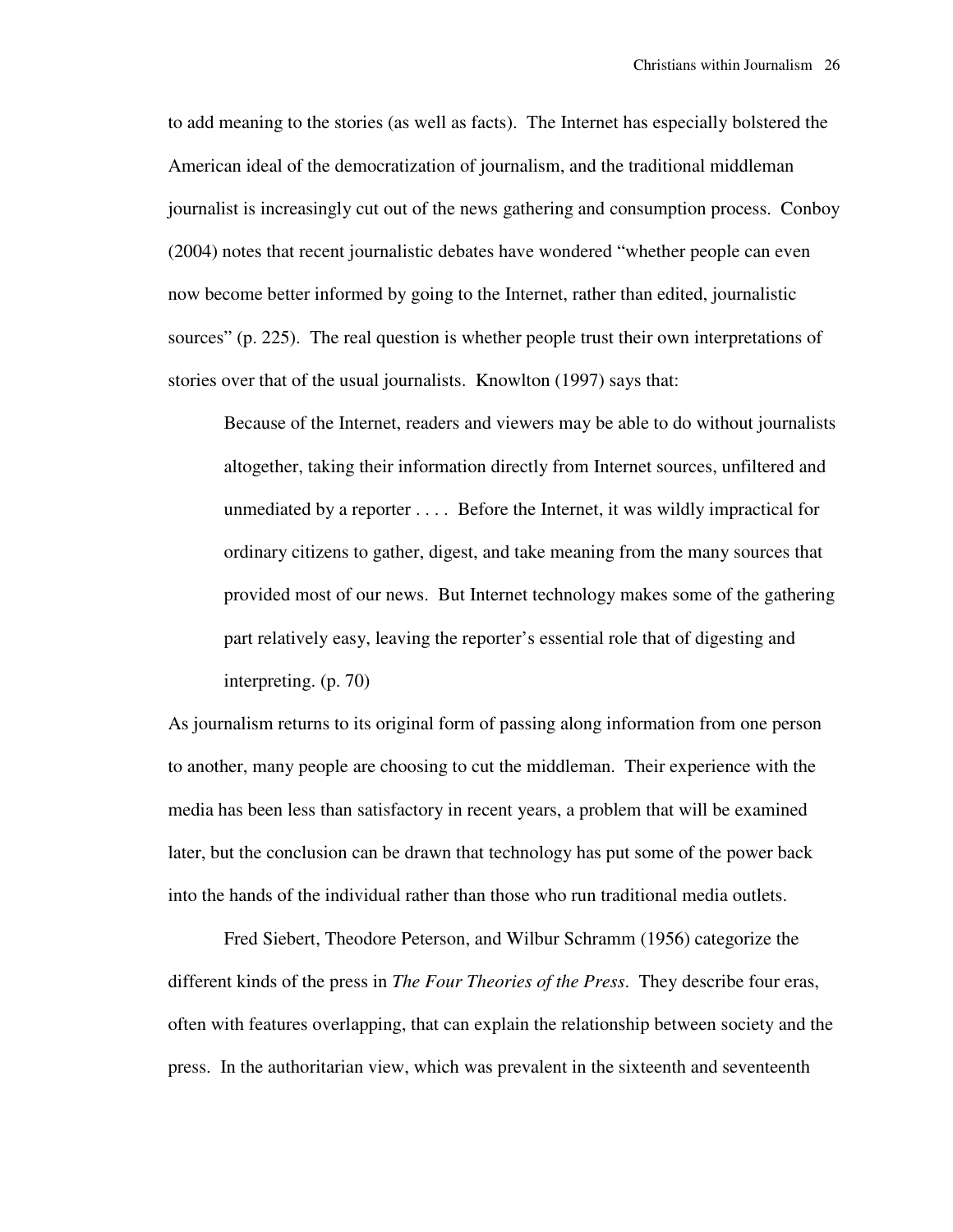to add meaning to the stories (as well as facts). The Internet has especially bolstered the American ideal of the democratization of journalism, and the traditional middleman journalist is increasingly cut out of the news gathering and consumption process. Conboy (2004) notes that recent journalistic debates have wondered "whether people can even now become better informed by going to the Internet, rather than edited, journalistic sources" (p. 225). The real question is whether people trust their own interpretations of stories over that of the usual journalists. Knowlton (1997) says that:

Because of the Internet, readers and viewers may be able to do without journalists altogether, taking their information directly from Internet sources, unfiltered and unmediated by a reporter . . . . Before the Internet, it was wildly impractical for ordinary citizens to gather, digest, and take meaning from the many sources that provided most of our news. But Internet technology makes some of the gathering part relatively easy, leaving the reporter's essential role that of digesting and interpreting. (p. 70)

As journalism returns to its original form of passing along information from one person to another, many people are choosing to cut the middleman. Their experience with the media has been less than satisfactory in recent years, a problem that will be examined later, but the conclusion can be drawn that technology has put some of the power back into the hands of the individual rather than those who run traditional media outlets.

Fred Siebert, Theodore Peterson, and Wilbur Schramm (1956) categorize the different kinds of the press in *The Four Theories of the Press*. They describe four eras, often with features overlapping, that can explain the relationship between society and the press. In the authoritarian view, which was prevalent in the sixteenth and seventeenth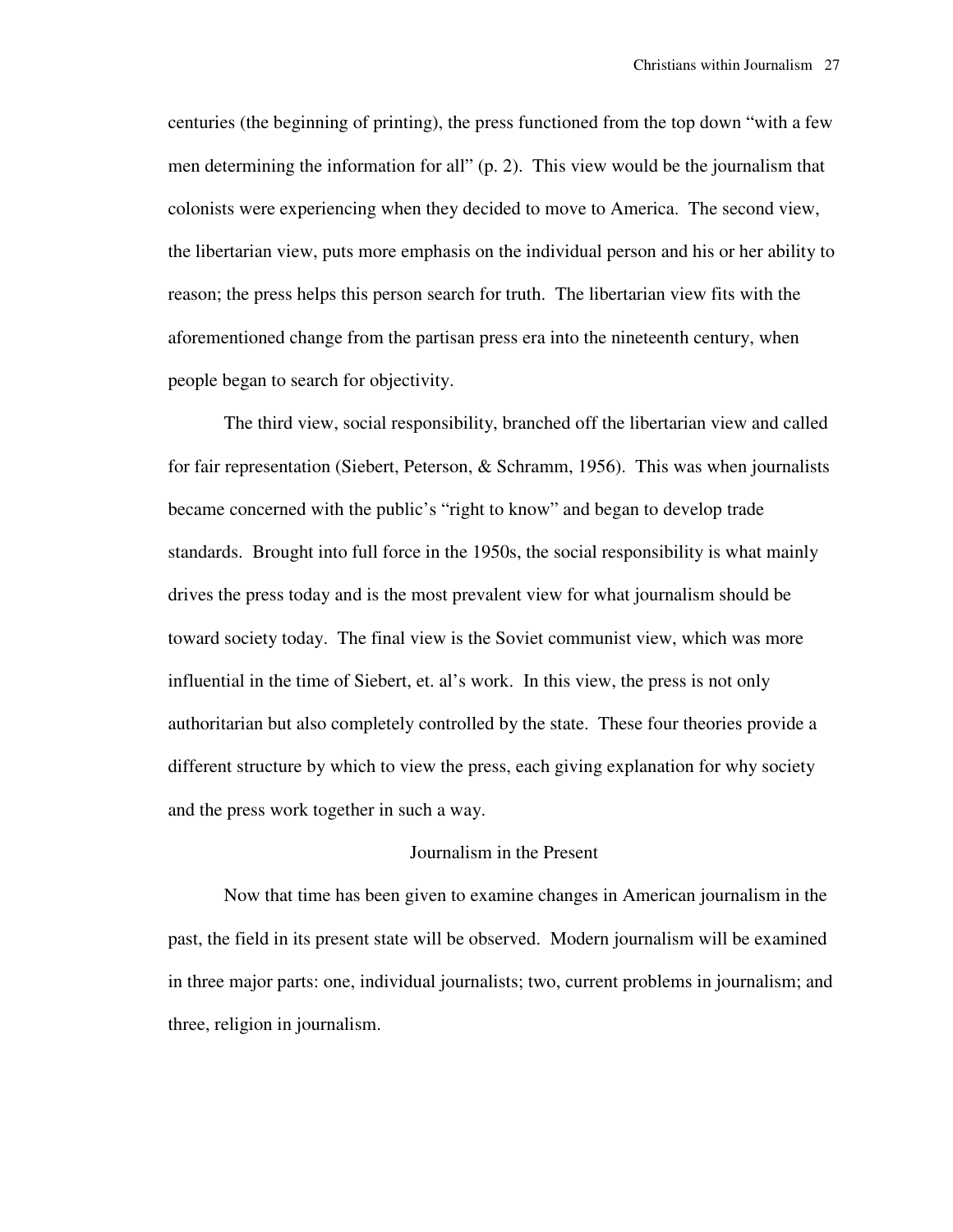centuries (the beginning of printing), the press functioned from the top down "with a few men determining the information for all" (p. 2). This view would be the journalism that colonists were experiencing when they decided to move to America. The second view, the libertarian view, puts more emphasis on the individual person and his or her ability to reason; the press helps this person search for truth. The libertarian view fits with the aforementioned change from the partisan press era into the nineteenth century, when people began to search for objectivity.

 The third view, social responsibility, branched off the libertarian view and called for fair representation (Siebert, Peterson, & Schramm, 1956). This was when journalists became concerned with the public's "right to know" and began to develop trade standards. Brought into full force in the 1950s, the social responsibility is what mainly drives the press today and is the most prevalent view for what journalism should be toward society today. The final view is the Soviet communist view, which was more influential in the time of Siebert, et. al's work. In this view, the press is not only authoritarian but also completely controlled by the state. These four theories provide a different structure by which to view the press, each giving explanation for why society and the press work together in such a way.

## Journalism in the Present

 Now that time has been given to examine changes in American journalism in the past, the field in its present state will be observed. Modern journalism will be examined in three major parts: one, individual journalists; two, current problems in journalism; and three, religion in journalism.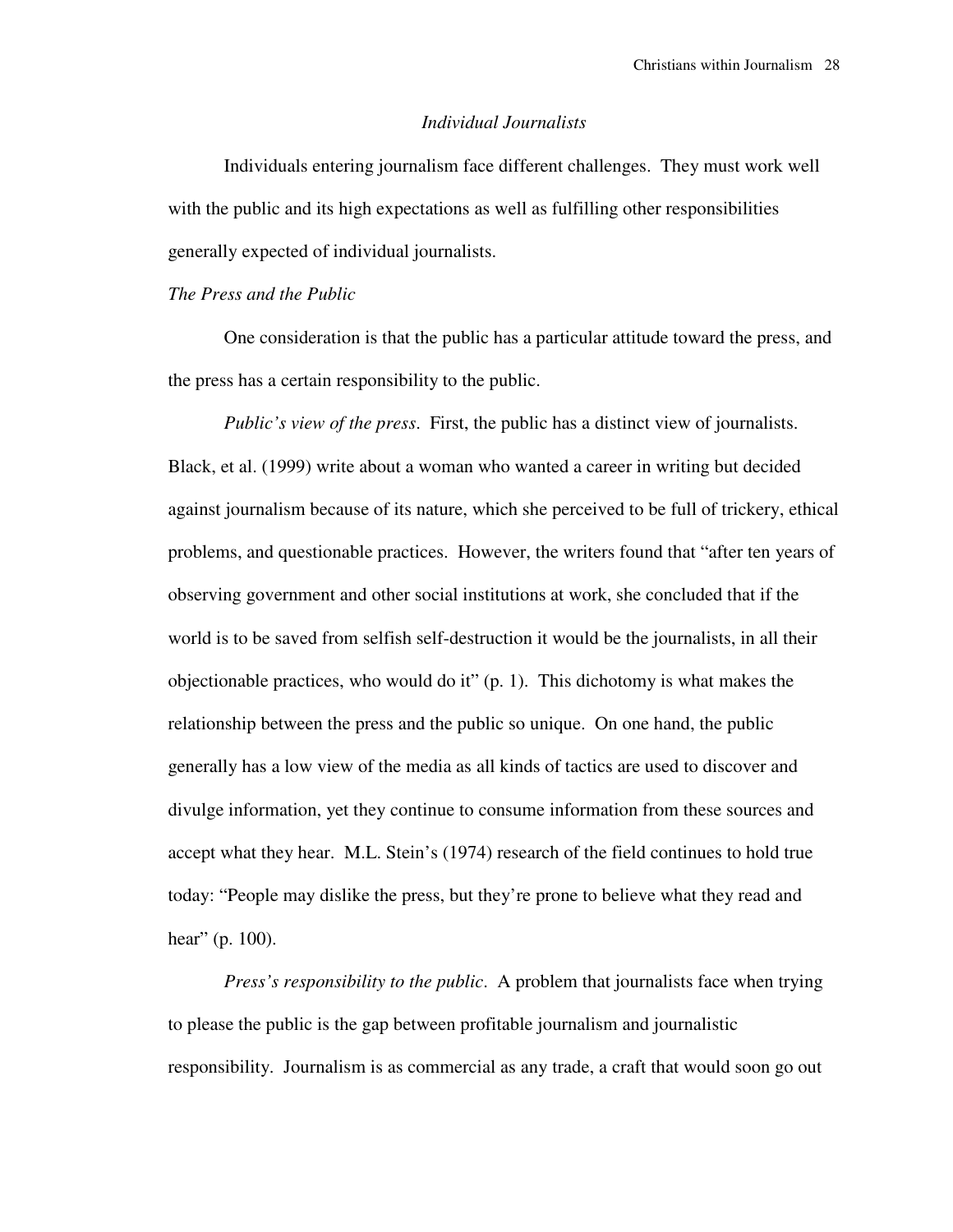## *Individual Journalists*

 Individuals entering journalism face different challenges. They must work well with the public and its high expectations as well as fulfilling other responsibilities generally expected of individual journalists.

## *The Press and the Public*

 One consideration is that the public has a particular attitude toward the press, and the press has a certain responsibility to the public.

*Public's view of the press*. First, the public has a distinct view of journalists. Black, et al. (1999) write about a woman who wanted a career in writing but decided against journalism because of its nature, which she perceived to be full of trickery, ethical problems, and questionable practices. However, the writers found that "after ten years of observing government and other social institutions at work, she concluded that if the world is to be saved from selfish self-destruction it would be the journalists, in all their objectionable practices, who would do it" (p. 1). This dichotomy is what makes the relationship between the press and the public so unique. On one hand, the public generally has a low view of the media as all kinds of tactics are used to discover and divulge information, yet they continue to consume information from these sources and accept what they hear. M.L. Stein's (1974) research of the field continues to hold true today: "People may dislike the press, but they're prone to believe what they read and hear" (p. 100).

 *Press's responsibility to the public*. A problem that journalists face when trying to please the public is the gap between profitable journalism and journalistic responsibility. Journalism is as commercial as any trade, a craft that would soon go out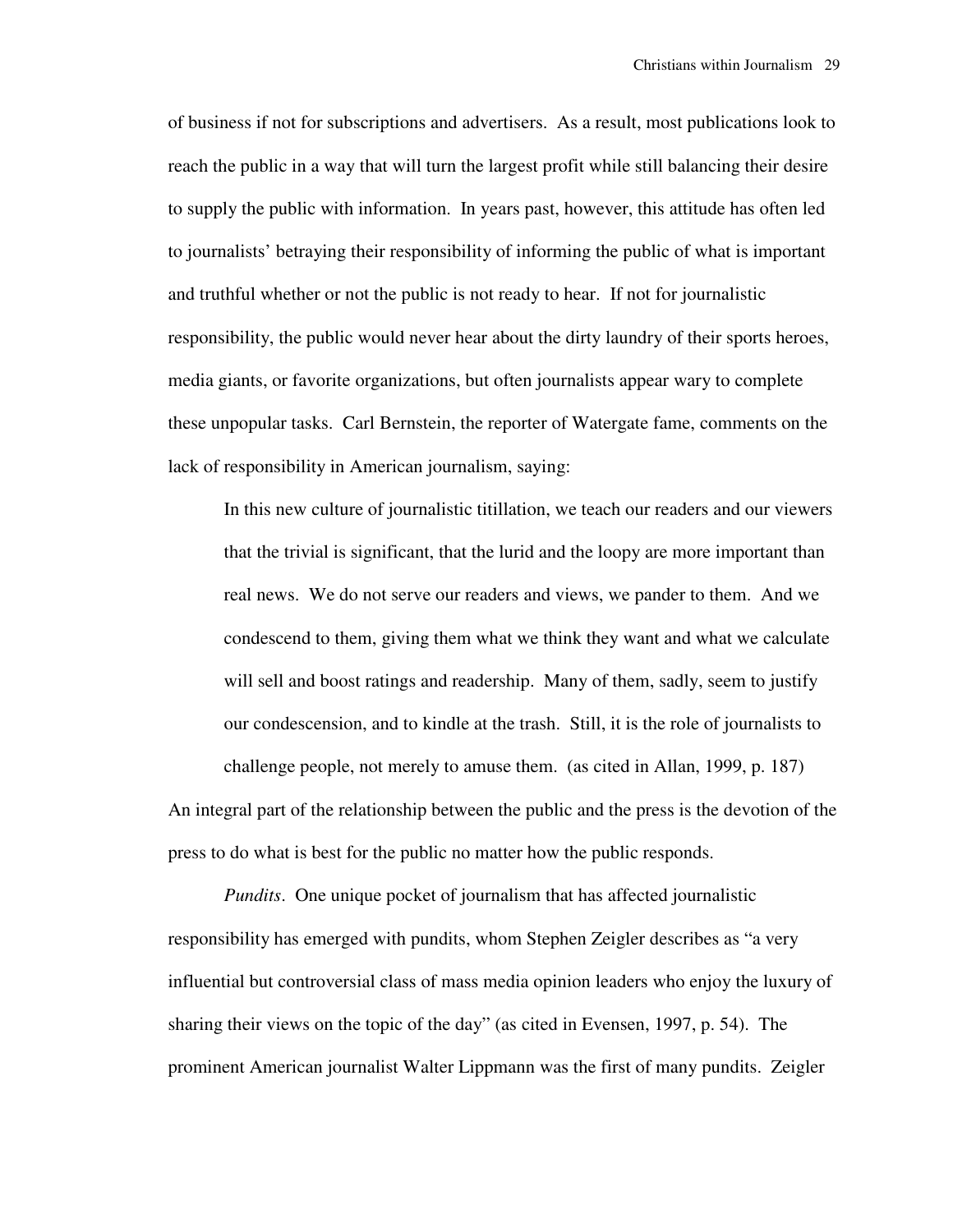of business if not for subscriptions and advertisers. As a result, most publications look to reach the public in a way that will turn the largest profit while still balancing their desire to supply the public with information. In years past, however, this attitude has often led to journalists' betraying their responsibility of informing the public of what is important and truthful whether or not the public is not ready to hear. If not for journalistic responsibility, the public would never hear about the dirty laundry of their sports heroes, media giants, or favorite organizations, but often journalists appear wary to complete these unpopular tasks. Carl Bernstein, the reporter of Watergate fame, comments on the lack of responsibility in American journalism, saying:

In this new culture of journalistic titillation, we teach our readers and our viewers that the trivial is significant, that the lurid and the loopy are more important than real news. We do not serve our readers and views, we pander to them. And we condescend to them, giving them what we think they want and what we calculate will sell and boost ratings and readership. Many of them, sadly, seem to justify our condescension, and to kindle at the trash. Still, it is the role of journalists to challenge people, not merely to amuse them. (as cited in Allan, 1999, p. 187)

An integral part of the relationship between the public and the press is the devotion of the press to do what is best for the public no matter how the public responds.

 *Pundits*. One unique pocket of journalism that has affected journalistic responsibility has emerged with pundits, whom Stephen Zeigler describes as "a very influential but controversial class of mass media opinion leaders who enjoy the luxury of sharing their views on the topic of the day" (as cited in Evensen, 1997, p. 54). The prominent American journalist Walter Lippmann was the first of many pundits. Zeigler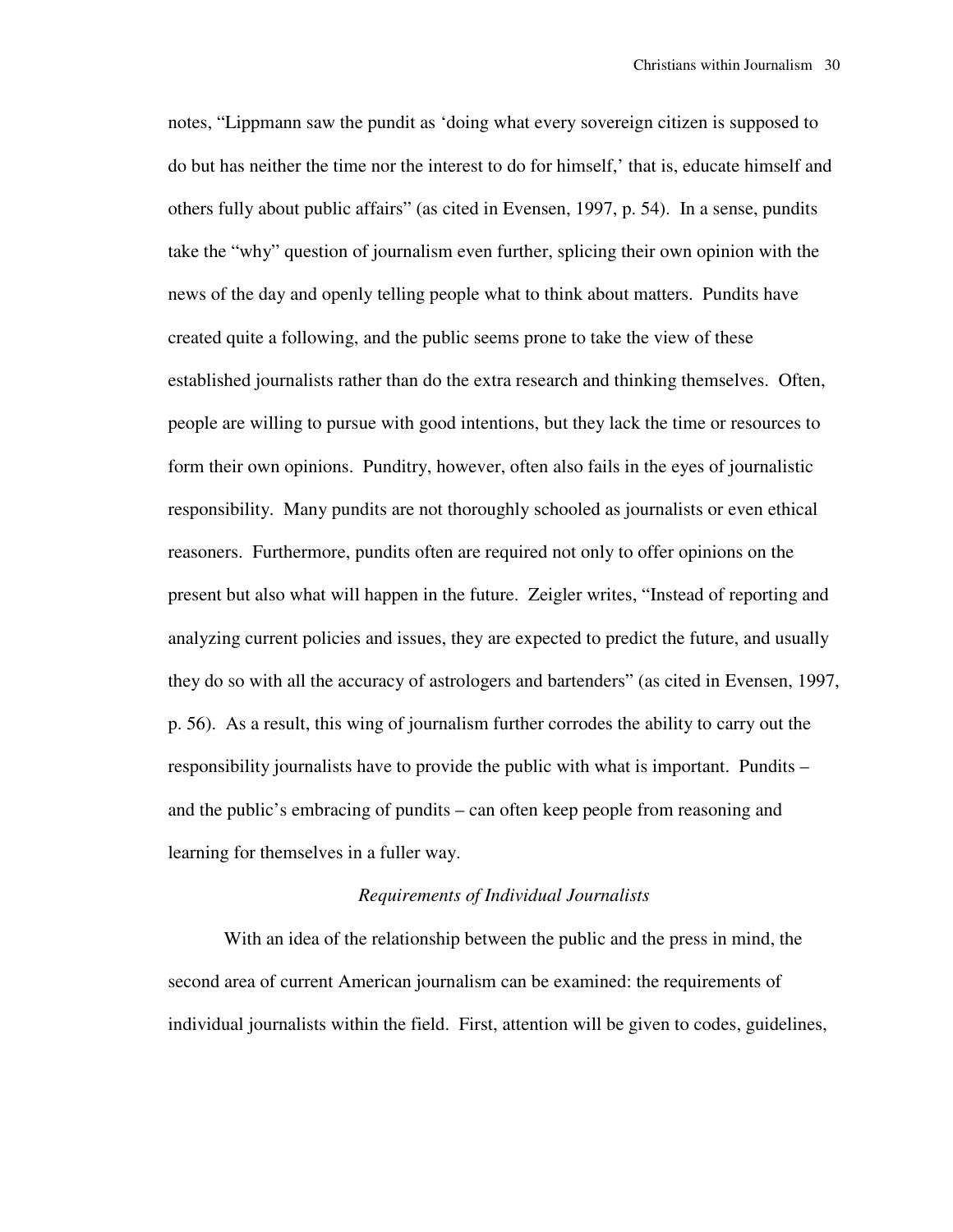notes, "Lippmann saw the pundit as 'doing what every sovereign citizen is supposed to do but has neither the time nor the interest to do for himself,' that is, educate himself and others fully about public affairs" (as cited in Evensen, 1997, p. 54). In a sense, pundits take the "why" question of journalism even further, splicing their own opinion with the news of the day and openly telling people what to think about matters. Pundits have created quite a following, and the public seems prone to take the view of these established journalists rather than do the extra research and thinking themselves. Often, people are willing to pursue with good intentions, but they lack the time or resources to form their own opinions. Punditry, however, often also fails in the eyes of journalistic responsibility. Many pundits are not thoroughly schooled as journalists or even ethical reasoners. Furthermore, pundits often are required not only to offer opinions on the present but also what will happen in the future. Zeigler writes, "Instead of reporting and analyzing current policies and issues, they are expected to predict the future, and usually they do so with all the accuracy of astrologers and bartenders" (as cited in Evensen, 1997, p. 56). As a result, this wing of journalism further corrodes the ability to carry out the responsibility journalists have to provide the public with what is important. Pundits – and the public's embracing of pundits – can often keep people from reasoning and learning for themselves in a fuller way.

## *Requirements of Individual Journalists*

 With an idea of the relationship between the public and the press in mind, the second area of current American journalism can be examined: the requirements of individual journalists within the field. First, attention will be given to codes, guidelines,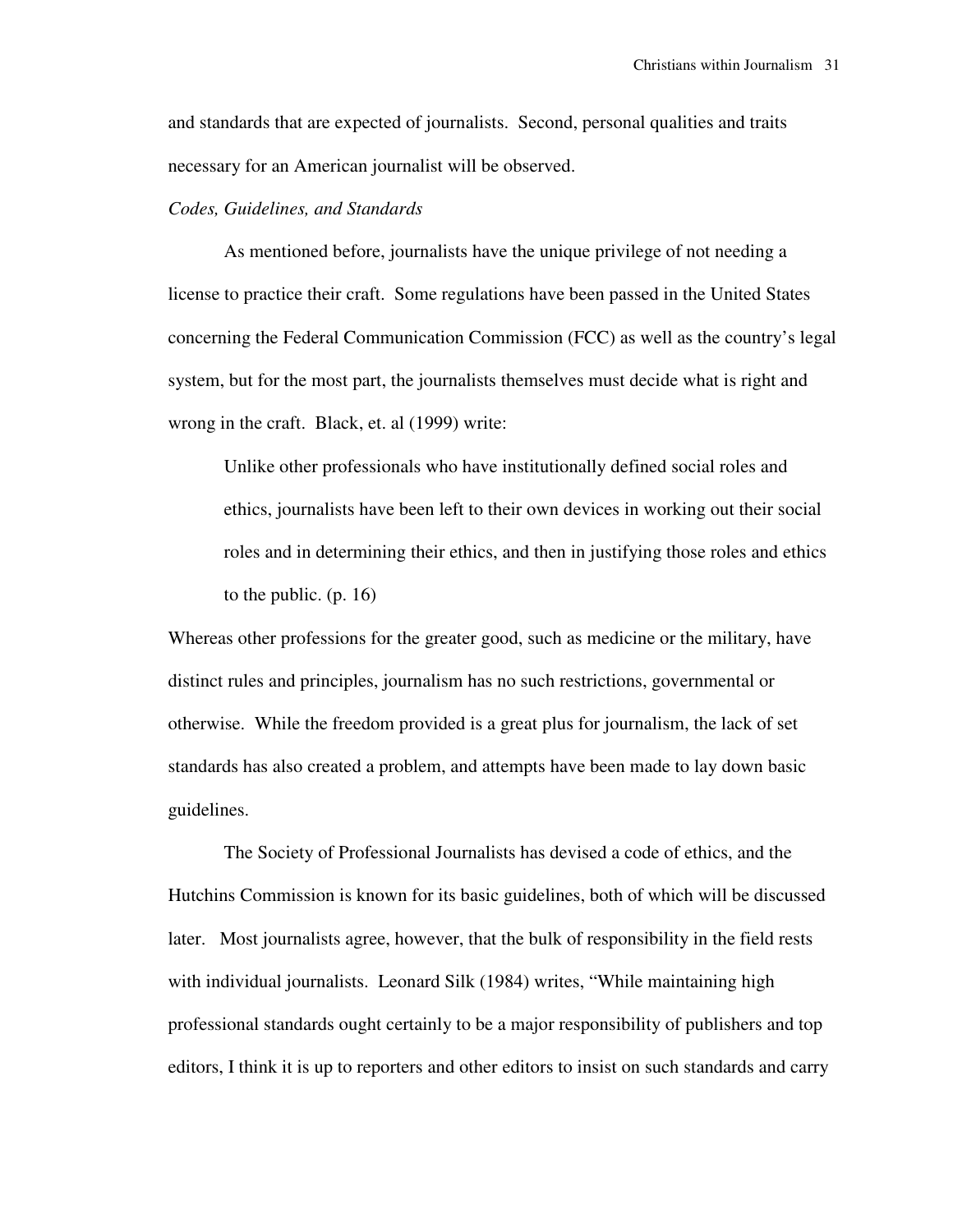and standards that are expected of journalists. Second, personal qualities and traits necessary for an American journalist will be observed.

## *Codes, Guidelines, and Standards*

 As mentioned before, journalists have the unique privilege of not needing a license to practice their craft. Some regulations have been passed in the United States concerning the Federal Communication Commission (FCC) as well as the country's legal system, but for the most part, the journalists themselves must decide what is right and wrong in the craft. Black, et. al (1999) write:

Unlike other professionals who have institutionally defined social roles and ethics, journalists have been left to their own devices in working out their social roles and in determining their ethics, and then in justifying those roles and ethics to the public. (p. 16)

Whereas other professions for the greater good, such as medicine or the military, have distinct rules and principles, journalism has no such restrictions, governmental or otherwise. While the freedom provided is a great plus for journalism, the lack of set standards has also created a problem, and attempts have been made to lay down basic guidelines.

 The Society of Professional Journalists has devised a code of ethics, and the Hutchins Commission is known for its basic guidelines, both of which will be discussed later. Most journalists agree, however, that the bulk of responsibility in the field rests with individual journalists. Leonard Silk (1984) writes, "While maintaining high professional standards ought certainly to be a major responsibility of publishers and top editors, I think it is up to reporters and other editors to insist on such standards and carry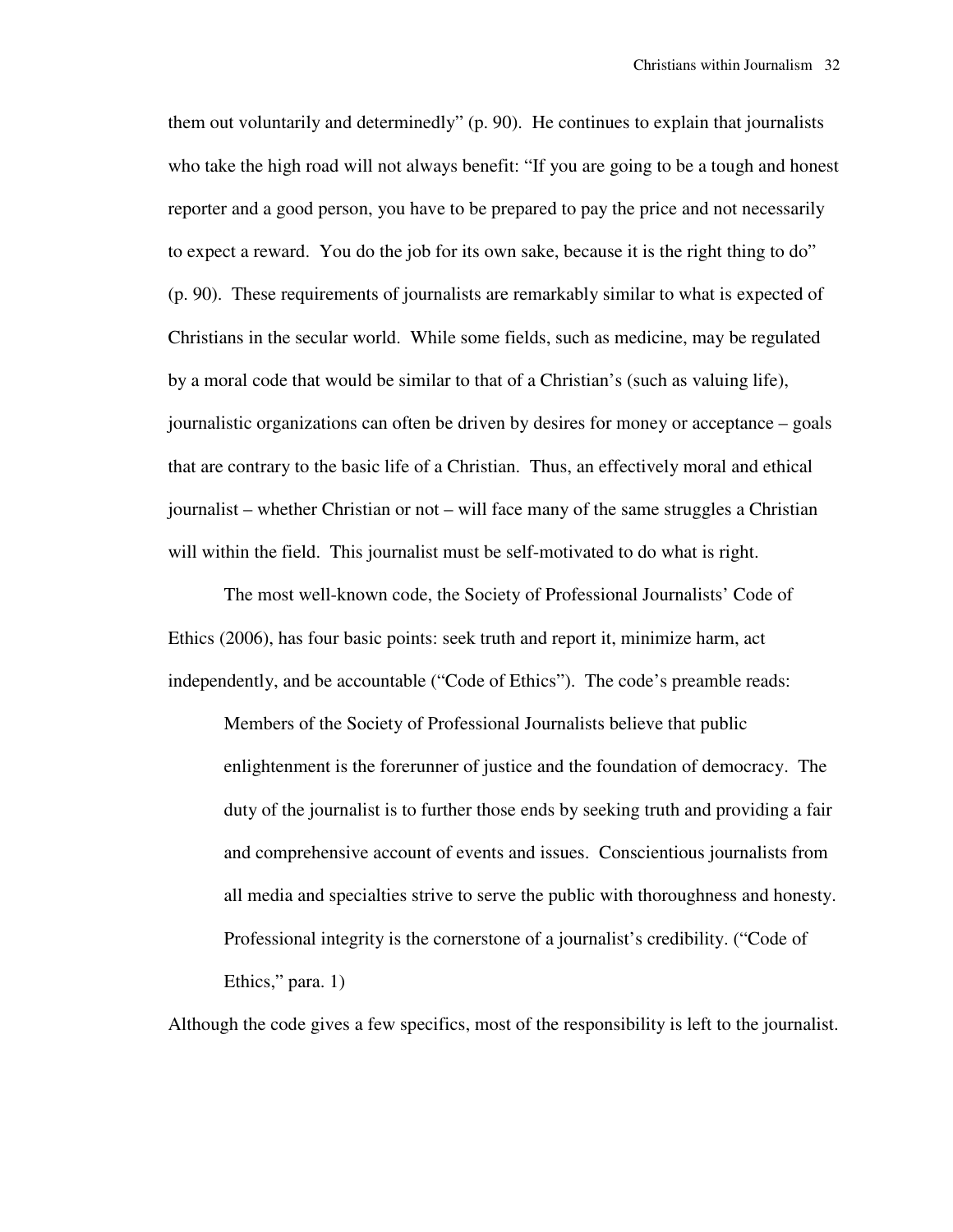them out voluntarily and determinedly" (p. 90). He continues to explain that journalists who take the high road will not always benefit: "If you are going to be a tough and honest reporter and a good person, you have to be prepared to pay the price and not necessarily to expect a reward. You do the job for its own sake, because it is the right thing to do" (p. 90). These requirements of journalists are remarkably similar to what is expected of Christians in the secular world. While some fields, such as medicine, may be regulated by a moral code that would be similar to that of a Christian's (such as valuing life), journalistic organizations can often be driven by desires for money or acceptance – goals that are contrary to the basic life of a Christian. Thus, an effectively moral and ethical journalist – whether Christian or not – will face many of the same struggles a Christian will within the field. This journalist must be self-motivated to do what is right.

The most well-known code, the Society of Professional Journalists' Code of Ethics (2006), has four basic points: seek truth and report it, minimize harm, act independently, and be accountable ("Code of Ethics"). The code's preamble reads:

Members of the Society of Professional Journalists believe that public enlightenment is the forerunner of justice and the foundation of democracy. The duty of the journalist is to further those ends by seeking truth and providing a fair and comprehensive account of events and issues. Conscientious journalists from all media and specialties strive to serve the public with thoroughness and honesty. Professional integrity is the cornerstone of a journalist's credibility. ("Code of Ethics," para. 1)

Although the code gives a few specifics, most of the responsibility is left to the journalist.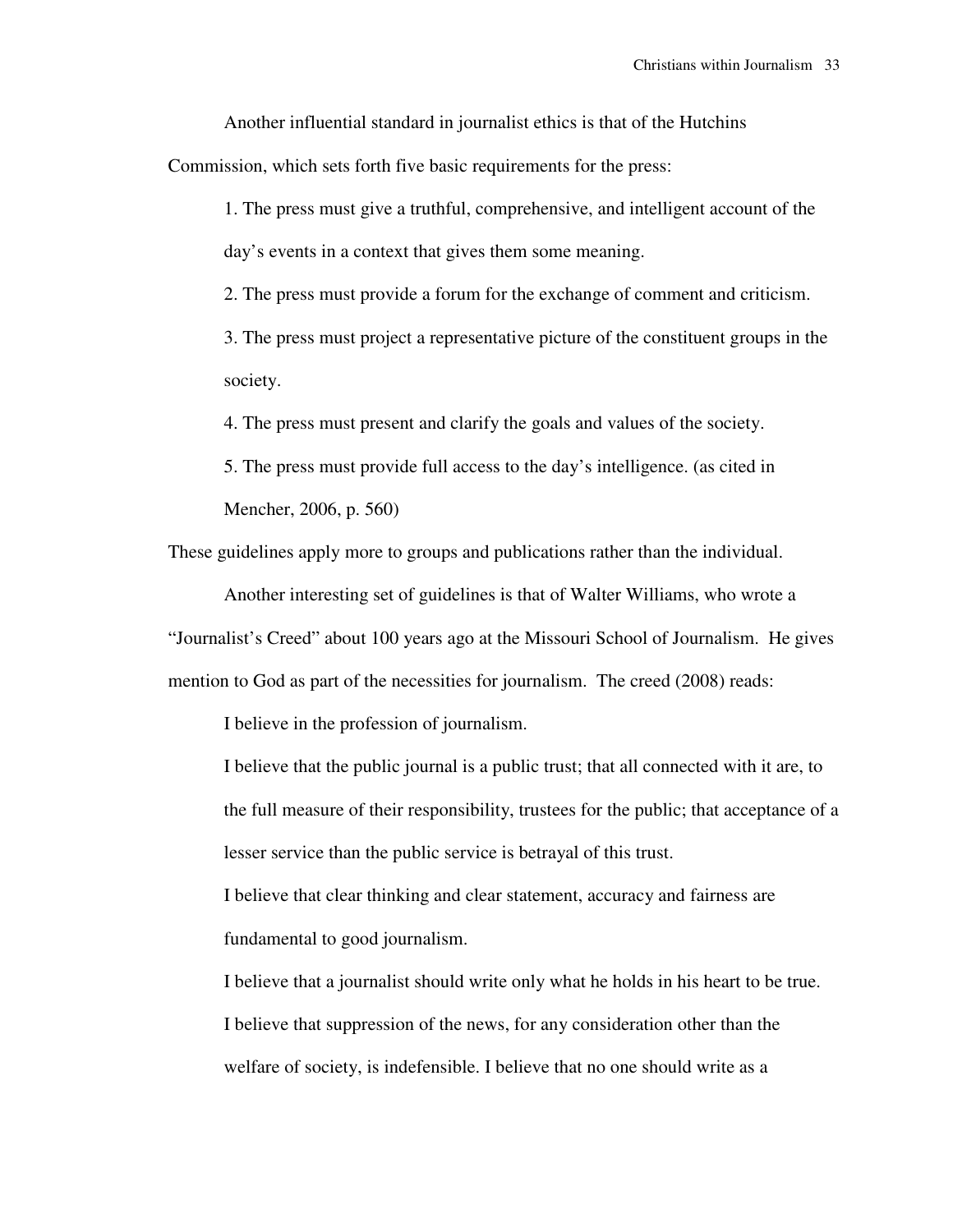Another influential standard in journalist ethics is that of the Hutchins

Commission, which sets forth five basic requirements for the press:

1. The press must give a truthful, comprehensive, and intelligent account of the day's events in a context that gives them some meaning.

2. The press must provide a forum for the exchange of comment and criticism.

3. The press must project a representative picture of the constituent groups in the society.

4. The press must present and clarify the goals and values of the society.

5. The press must provide full access to the day's intelligence. (as cited in Mencher, 2006, p. 560)

These guidelines apply more to groups and publications rather than the individual.

Another interesting set of guidelines is that of Walter Williams, who wrote a

"Journalist's Creed" about 100 years ago at the Missouri School of Journalism. He gives mention to God as part of the necessities for journalism. The creed (2008) reads:

I believe in the profession of journalism.

 I believe that the public journal is a public trust; that all connected with it are, to the full measure of their responsibility, trustees for the public; that acceptance of a lesser service than the public service is betrayal of this trust.

I believe that clear thinking and clear statement, accuracy and fairness are fundamental to good journalism.

I believe that a journalist should write only what he holds in his heart to be true. I believe that suppression of the news, for any consideration other than the welfare of society, is indefensible. I believe that no one should write as a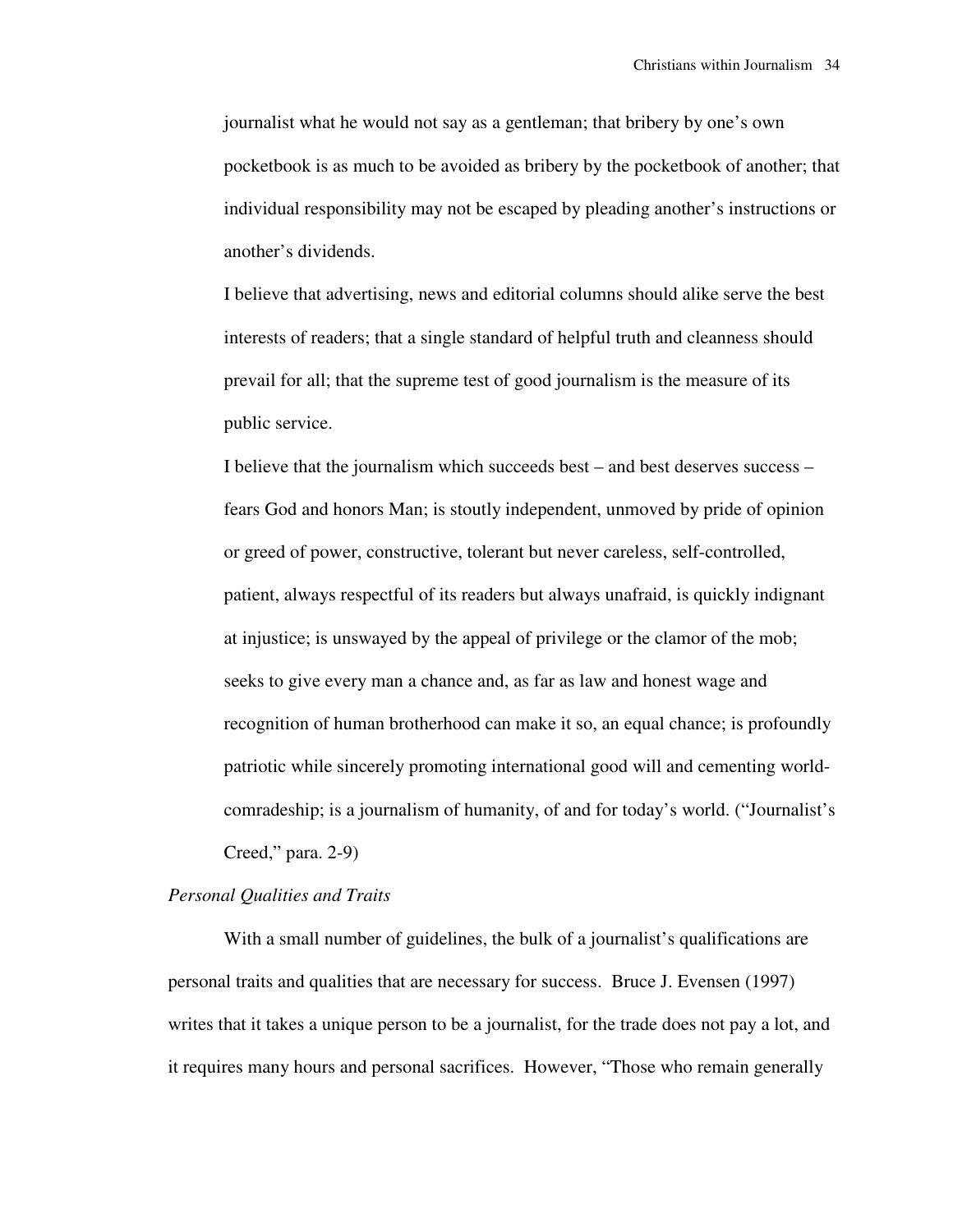journalist what he would not say as a gentleman; that bribery by one's own pocketbook is as much to be avoided as bribery by the pocketbook of another; that individual responsibility may not be escaped by pleading another's instructions or another's dividends.

I believe that advertising, news and editorial columns should alike serve the best interests of readers; that a single standard of helpful truth and cleanness should prevail for all; that the supreme test of good journalism is the measure of its public service.

I believe that the journalism which succeeds best – and best deserves success – fears God and honors Man; is stoutly independent, unmoved by pride of opinion or greed of power, constructive, tolerant but never careless, self-controlled, patient, always respectful of its readers but always unafraid, is quickly indignant at injustice; is unswayed by the appeal of privilege or the clamor of the mob; seeks to give every man a chance and, as far as law and honest wage and recognition of human brotherhood can make it so, an equal chance; is profoundly patriotic while sincerely promoting international good will and cementing worldcomradeship; is a journalism of humanity, of and for today's world. ("Journalist's Creed," para. 2-9)

#### *Personal Qualities and Traits*

With a small number of guidelines, the bulk of a journalist's qualifications are personal traits and qualities that are necessary for success. Bruce J. Evensen (1997) writes that it takes a unique person to be a journalist, for the trade does not pay a lot, and it requires many hours and personal sacrifices. However, "Those who remain generally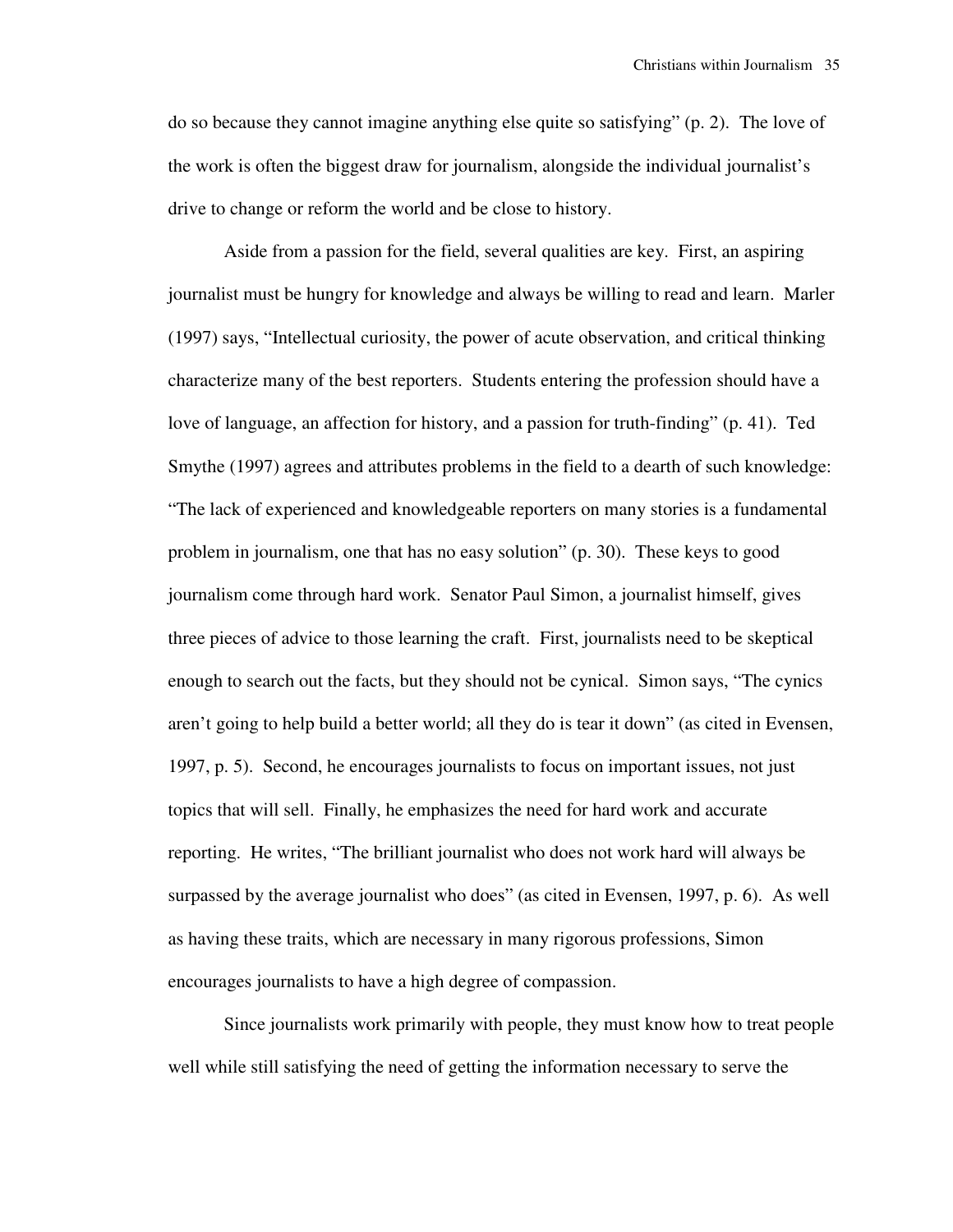do so because they cannot imagine anything else quite so satisfying" (p. 2). The love of the work is often the biggest draw for journalism, alongside the individual journalist's drive to change or reform the world and be close to history.

 Aside from a passion for the field, several qualities are key. First, an aspiring journalist must be hungry for knowledge and always be willing to read and learn. Marler (1997) says, "Intellectual curiosity, the power of acute observation, and critical thinking characterize many of the best reporters. Students entering the profession should have a love of language, an affection for history, and a passion for truth-finding" (p. 41). Ted Smythe (1997) agrees and attributes problems in the field to a dearth of such knowledge: "The lack of experienced and knowledgeable reporters on many stories is a fundamental problem in journalism, one that has no easy solution" (p. 30). These keys to good journalism come through hard work. Senator Paul Simon, a journalist himself, gives three pieces of advice to those learning the craft. First, journalists need to be skeptical enough to search out the facts, but they should not be cynical. Simon says, "The cynics aren't going to help build a better world; all they do is tear it down" (as cited in Evensen, 1997, p. 5). Second, he encourages journalists to focus on important issues, not just topics that will sell. Finally, he emphasizes the need for hard work and accurate reporting. He writes, "The brilliant journalist who does not work hard will always be surpassed by the average journalist who does" (as cited in Evensen, 1997, p. 6). As well as having these traits, which are necessary in many rigorous professions, Simon encourages journalists to have a high degree of compassion.

 Since journalists work primarily with people, they must know how to treat people well while still satisfying the need of getting the information necessary to serve the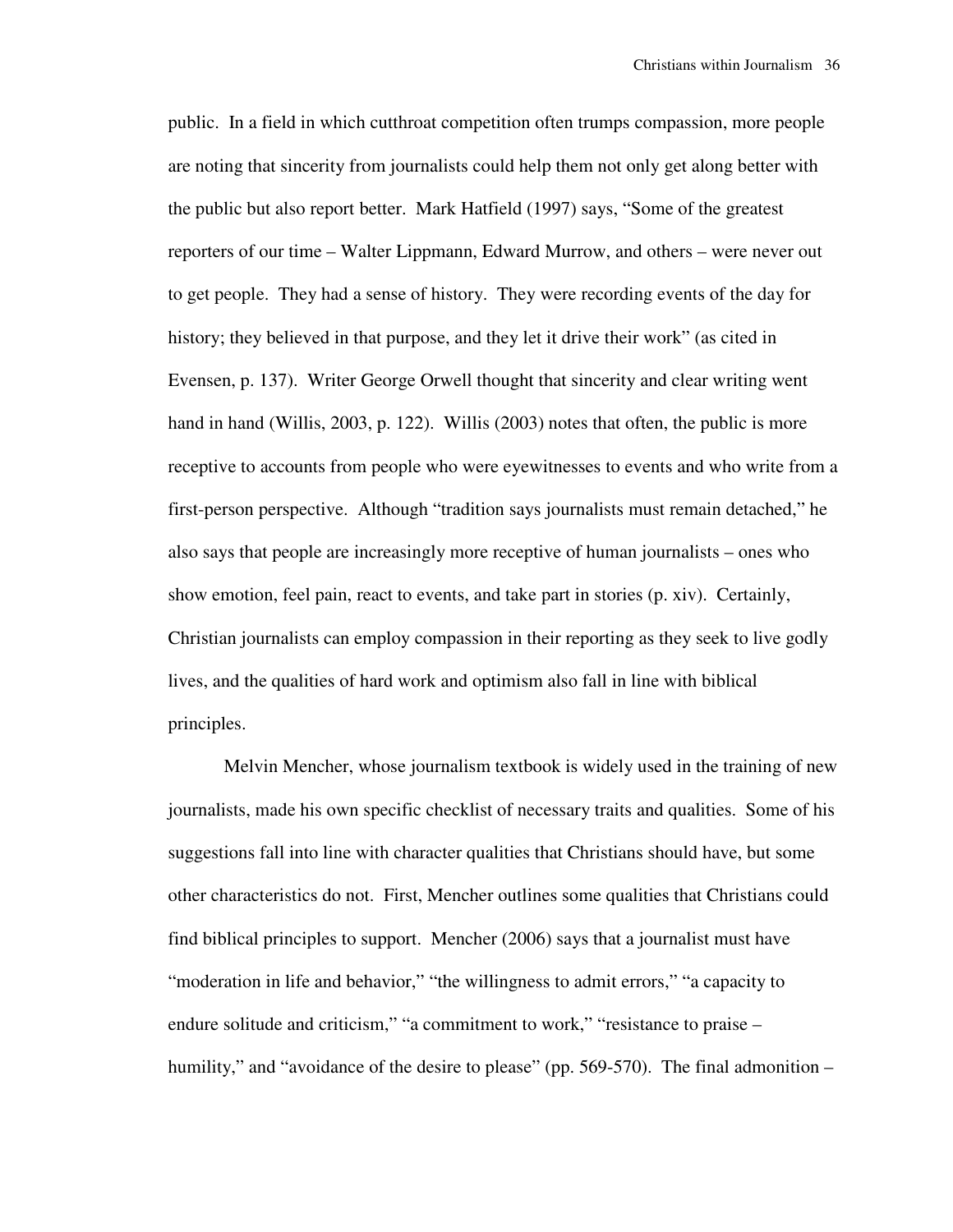public. In a field in which cutthroat competition often trumps compassion, more people are noting that sincerity from journalists could help them not only get along better with the public but also report better. Mark Hatfield (1997) says, "Some of the greatest reporters of our time – Walter Lippmann, Edward Murrow, and others – were never out to get people. They had a sense of history. They were recording events of the day for history; they believed in that purpose, and they let it drive their work" (as cited in Evensen, p. 137). Writer George Orwell thought that sincerity and clear writing went hand in hand (Willis, 2003, p. 122). Willis (2003) notes that often, the public is more receptive to accounts from people who were eyewitnesses to events and who write from a first-person perspective. Although "tradition says journalists must remain detached," he also says that people are increasingly more receptive of human journalists – ones who show emotion, feel pain, react to events, and take part in stories (p. xiv). Certainly, Christian journalists can employ compassion in their reporting as they seek to live godly lives, and the qualities of hard work and optimism also fall in line with biblical principles.

 Melvin Mencher, whose journalism textbook is widely used in the training of new journalists, made his own specific checklist of necessary traits and qualities. Some of his suggestions fall into line with character qualities that Christians should have, but some other characteristics do not. First, Mencher outlines some qualities that Christians could find biblical principles to support. Mencher (2006) says that a journalist must have "moderation in life and behavior," "the willingness to admit errors," "a capacity to endure solitude and criticism," "a commitment to work," "resistance to praise – humility," and "avoidance of the desire to please" (pp. 569-570). The final admonition –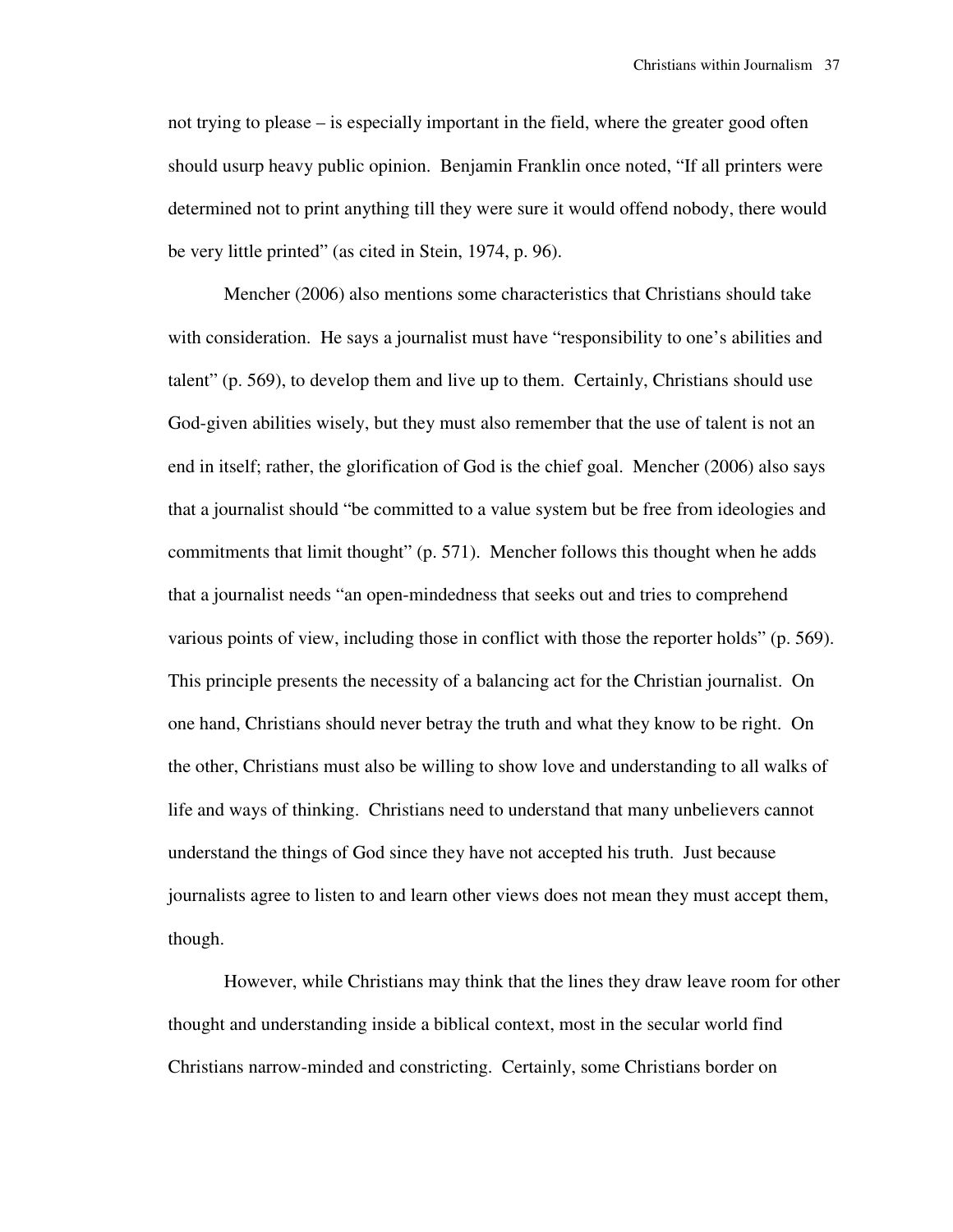not trying to please – is especially important in the field, where the greater good often should usurp heavy public opinion. Benjamin Franklin once noted, "If all printers were determined not to print anything till they were sure it would offend nobody, there would be very little printed" (as cited in Stein, 1974, p. 96).

 Mencher (2006) also mentions some characteristics that Christians should take with consideration. He says a journalist must have "responsibility to one's abilities and talent" (p. 569), to develop them and live up to them. Certainly, Christians should use God-given abilities wisely, but they must also remember that the use of talent is not an end in itself; rather, the glorification of God is the chief goal. Mencher (2006) also says that a journalist should "be committed to a value system but be free from ideologies and commitments that limit thought" (p. 571). Mencher follows this thought when he adds that a journalist needs "an open-mindedness that seeks out and tries to comprehend various points of view, including those in conflict with those the reporter holds" (p. 569). This principle presents the necessity of a balancing act for the Christian journalist. On one hand, Christians should never betray the truth and what they know to be right. On the other, Christians must also be willing to show love and understanding to all walks of life and ways of thinking. Christians need to understand that many unbelievers cannot understand the things of God since they have not accepted his truth. Just because journalists agree to listen to and learn other views does not mean they must accept them, though.

 However, while Christians may think that the lines they draw leave room for other thought and understanding inside a biblical context, most in the secular world find Christians narrow-minded and constricting. Certainly, some Christians border on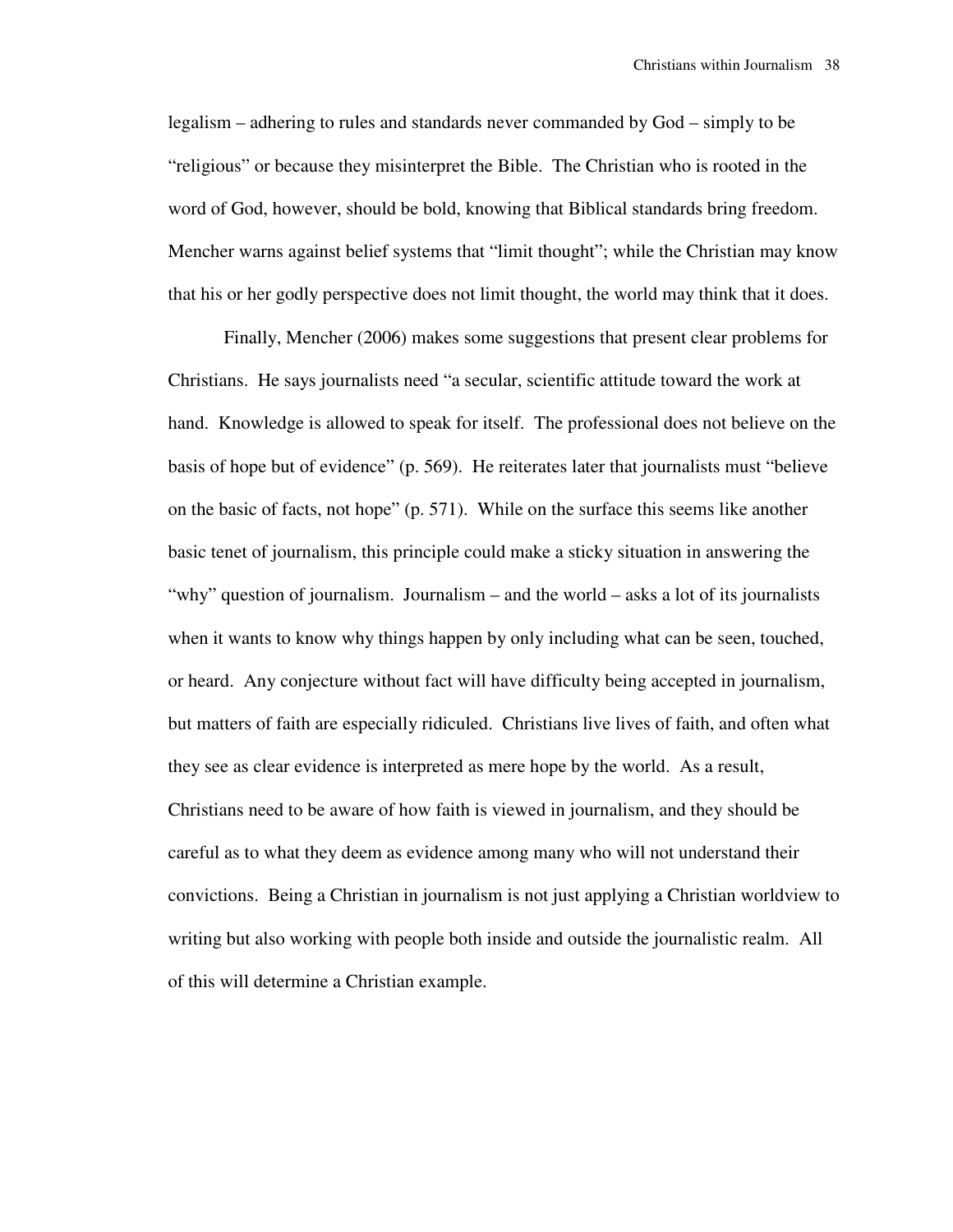legalism – adhering to rules and standards never commanded by God – simply to be "religious" or because they misinterpret the Bible. The Christian who is rooted in the word of God, however, should be bold, knowing that Biblical standards bring freedom. Mencher warns against belief systems that "limit thought"; while the Christian may know that his or her godly perspective does not limit thought, the world may think that it does.

 Finally, Mencher (2006) makes some suggestions that present clear problems for Christians. He says journalists need "a secular, scientific attitude toward the work at hand. Knowledge is allowed to speak for itself. The professional does not believe on the basis of hope but of evidence" (p. 569). He reiterates later that journalists must "believe on the basic of facts, not hope" (p. 571). While on the surface this seems like another basic tenet of journalism, this principle could make a sticky situation in answering the "why" question of journalism. Journalism – and the world – asks a lot of its journalists when it wants to know why things happen by only including what can be seen, touched, or heard. Any conjecture without fact will have difficulty being accepted in journalism, but matters of faith are especially ridiculed. Christians live lives of faith, and often what they see as clear evidence is interpreted as mere hope by the world. As a result, Christians need to be aware of how faith is viewed in journalism, and they should be careful as to what they deem as evidence among many who will not understand their convictions. Being a Christian in journalism is not just applying a Christian worldview to writing but also working with people both inside and outside the journalistic realm. All of this will determine a Christian example.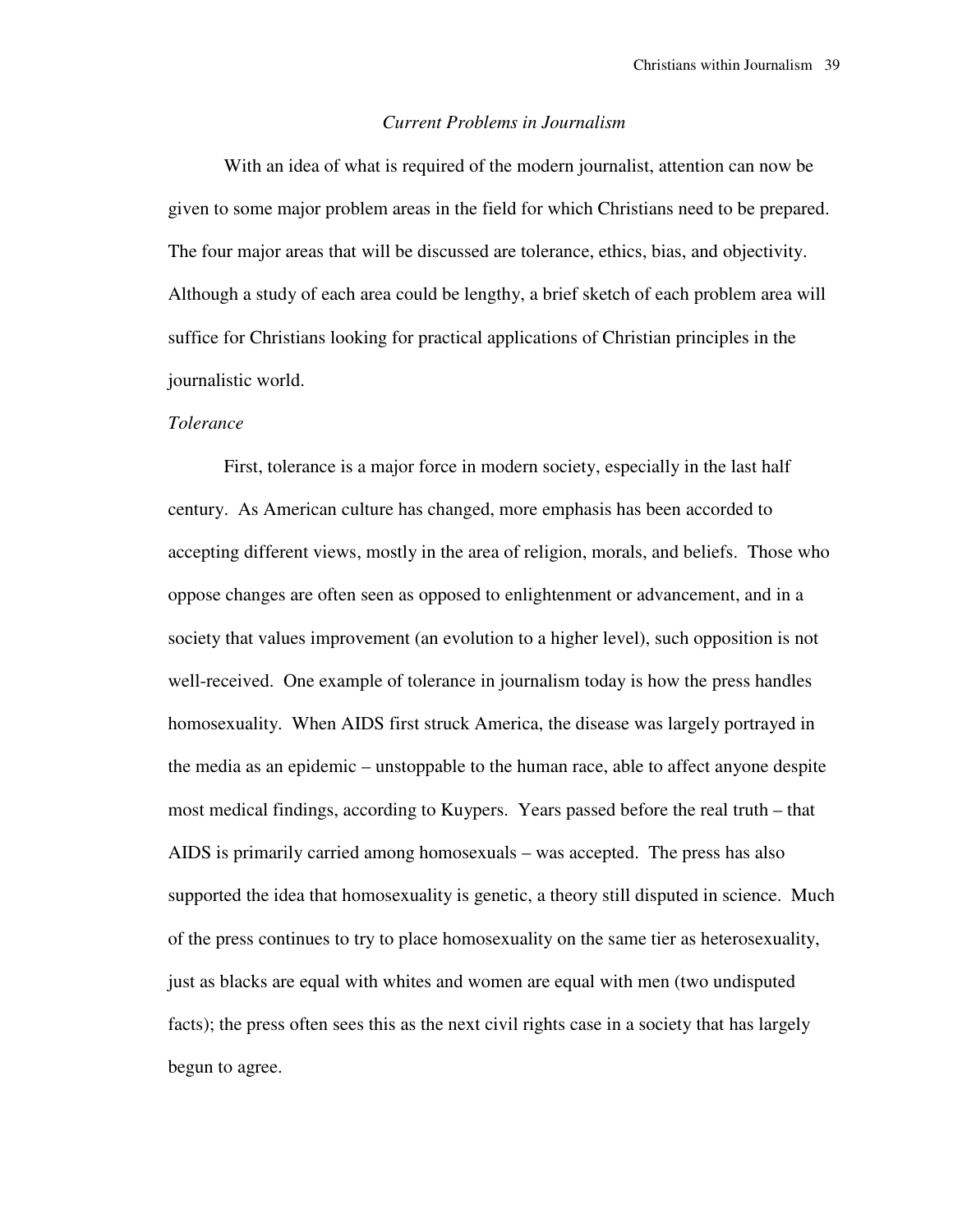#### *Current Problems in Journalism*

 With an idea of what is required of the modern journalist, attention can now be given to some major problem areas in the field for which Christians need to be prepared. The four major areas that will be discussed are tolerance, ethics, bias, and objectivity. Although a study of each area could be lengthy, a brief sketch of each problem area will suffice for Christians looking for practical applications of Christian principles in the journalistic world.

#### *Tolerance*

 First, tolerance is a major force in modern society, especially in the last half century. As American culture has changed, more emphasis has been accorded to accepting different views, mostly in the area of religion, morals, and beliefs. Those who oppose changes are often seen as opposed to enlightenment or advancement, and in a society that values improvement (an evolution to a higher level), such opposition is not well-received. One example of tolerance in journalism today is how the press handles homosexuality. When AIDS first struck America, the disease was largely portrayed in the media as an epidemic – unstoppable to the human race, able to affect anyone despite most medical findings, according to Kuypers. Years passed before the real truth – that AIDS is primarily carried among homosexuals – was accepted. The press has also supported the idea that homosexuality is genetic, a theory still disputed in science. Much of the press continues to try to place homosexuality on the same tier as heterosexuality, just as blacks are equal with whites and women are equal with men (two undisputed facts); the press often sees this as the next civil rights case in a society that has largely begun to agree.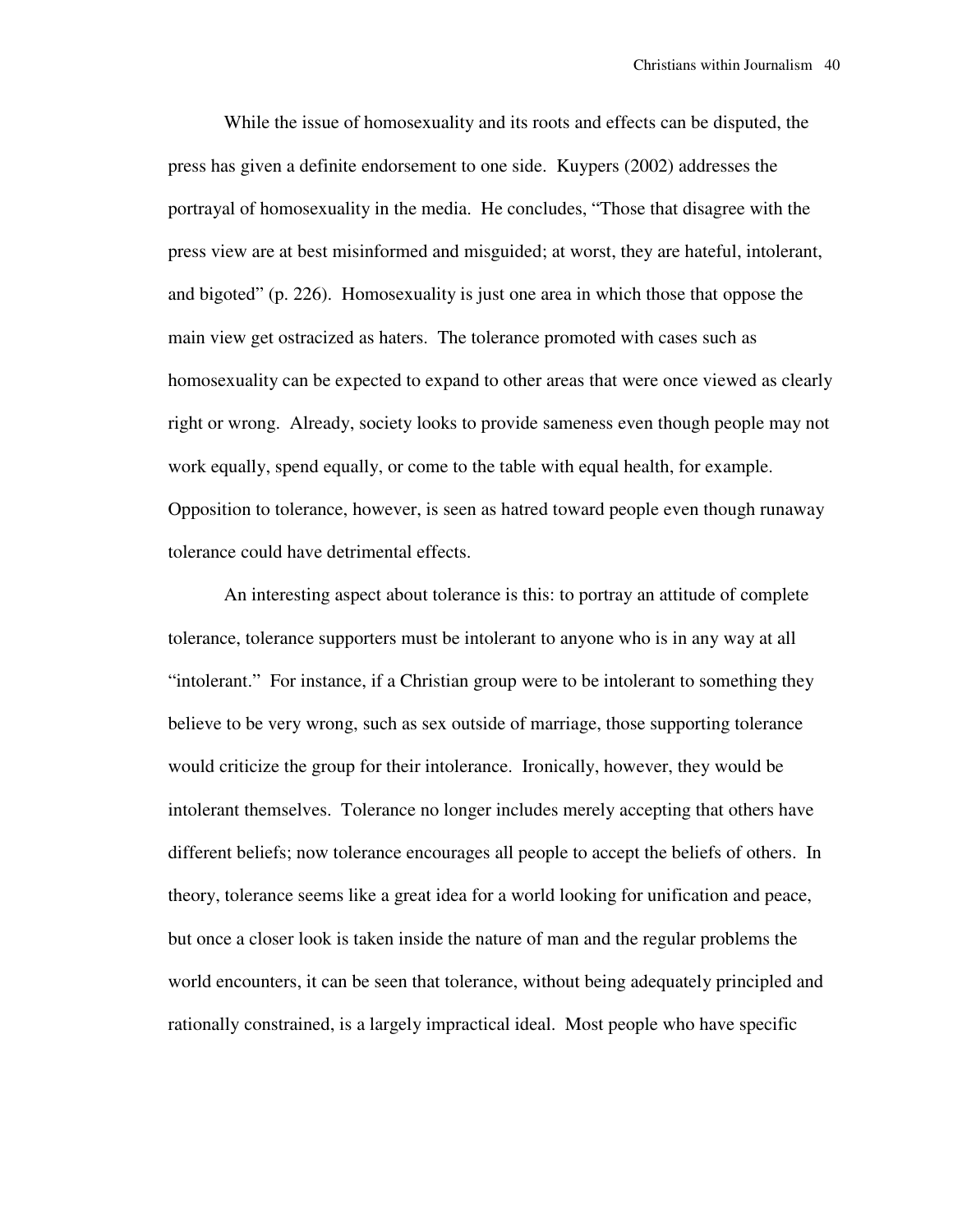While the issue of homosexuality and its roots and effects can be disputed, the press has given a definite endorsement to one side. Kuypers (2002) addresses the portrayal of homosexuality in the media. He concludes, "Those that disagree with the press view are at best misinformed and misguided; at worst, they are hateful, intolerant, and bigoted" (p. 226). Homosexuality is just one area in which those that oppose the main view get ostracized as haters. The tolerance promoted with cases such as homosexuality can be expected to expand to other areas that were once viewed as clearly right or wrong. Already, society looks to provide sameness even though people may not work equally, spend equally, or come to the table with equal health, for example. Opposition to tolerance, however, is seen as hatred toward people even though runaway tolerance could have detrimental effects.

 An interesting aspect about tolerance is this: to portray an attitude of complete tolerance, tolerance supporters must be intolerant to anyone who is in any way at all "intolerant." For instance, if a Christian group were to be intolerant to something they believe to be very wrong, such as sex outside of marriage, those supporting tolerance would criticize the group for their intolerance. Ironically, however, they would be intolerant themselves. Tolerance no longer includes merely accepting that others have different beliefs; now tolerance encourages all people to accept the beliefs of others. In theory, tolerance seems like a great idea for a world looking for unification and peace, but once a closer look is taken inside the nature of man and the regular problems the world encounters, it can be seen that tolerance, without being adequately principled and rationally constrained, is a largely impractical ideal. Most people who have specific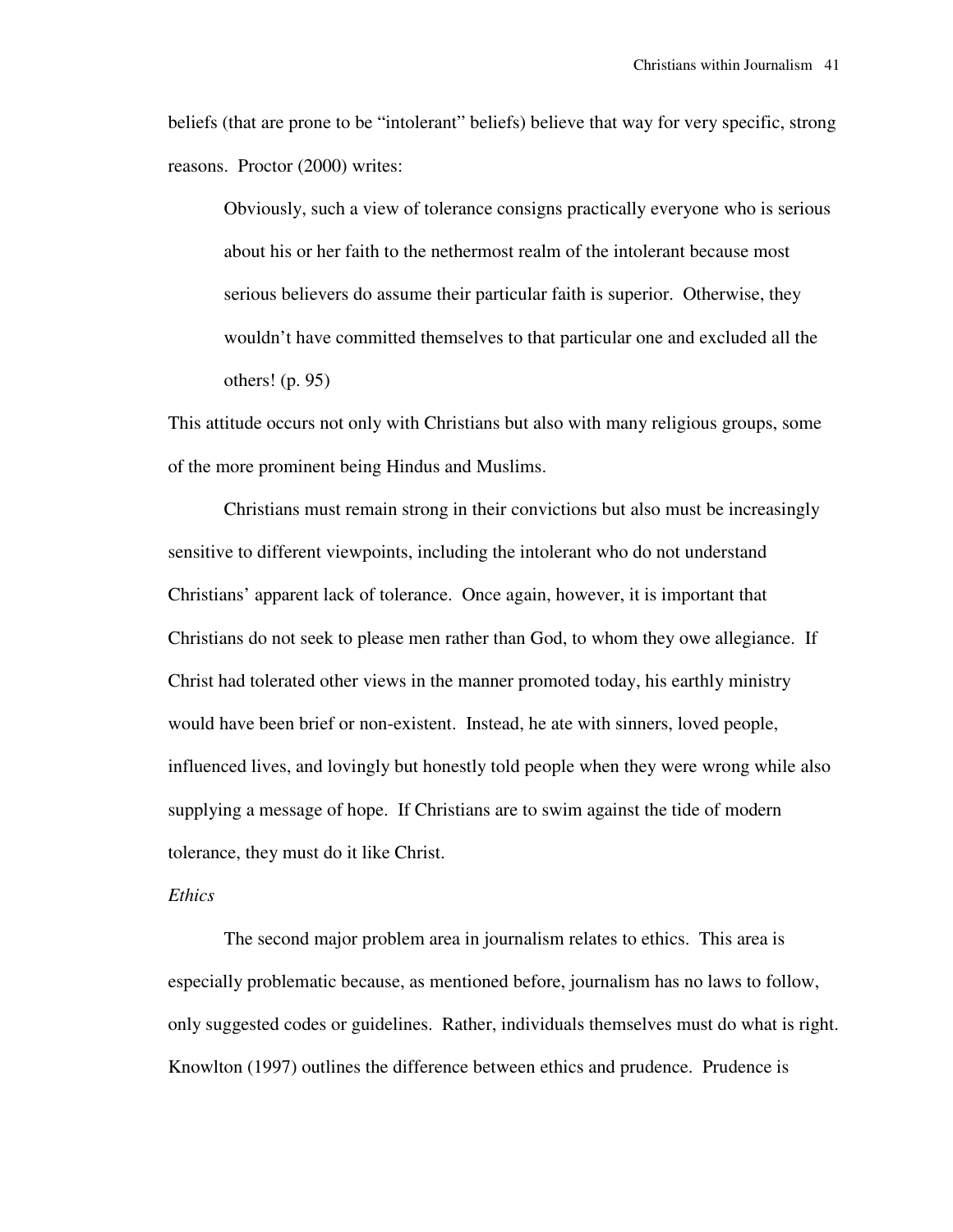beliefs (that are prone to be "intolerant" beliefs) believe that way for very specific, strong reasons. Proctor (2000) writes:

Obviously, such a view of tolerance consigns practically everyone who is serious about his or her faith to the nethermost realm of the intolerant because most serious believers do assume their particular faith is superior. Otherwise, they wouldn't have committed themselves to that particular one and excluded all the others! (p. 95)

This attitude occurs not only with Christians but also with many religious groups, some of the more prominent being Hindus and Muslims.

 Christians must remain strong in their convictions but also must be increasingly sensitive to different viewpoints, including the intolerant who do not understand Christians' apparent lack of tolerance. Once again, however, it is important that Christians do not seek to please men rather than God, to whom they owe allegiance. If Christ had tolerated other views in the manner promoted today, his earthly ministry would have been brief or non-existent. Instead, he ate with sinners, loved people, influenced lives, and lovingly but honestly told people when they were wrong while also supplying a message of hope. If Christians are to swim against the tide of modern tolerance, they must do it like Christ.

#### *Ethics*

 The second major problem area in journalism relates to ethics. This area is especially problematic because, as mentioned before, journalism has no laws to follow, only suggested codes or guidelines. Rather, individuals themselves must do what is right. Knowlton (1997) outlines the difference between ethics and prudence. Prudence is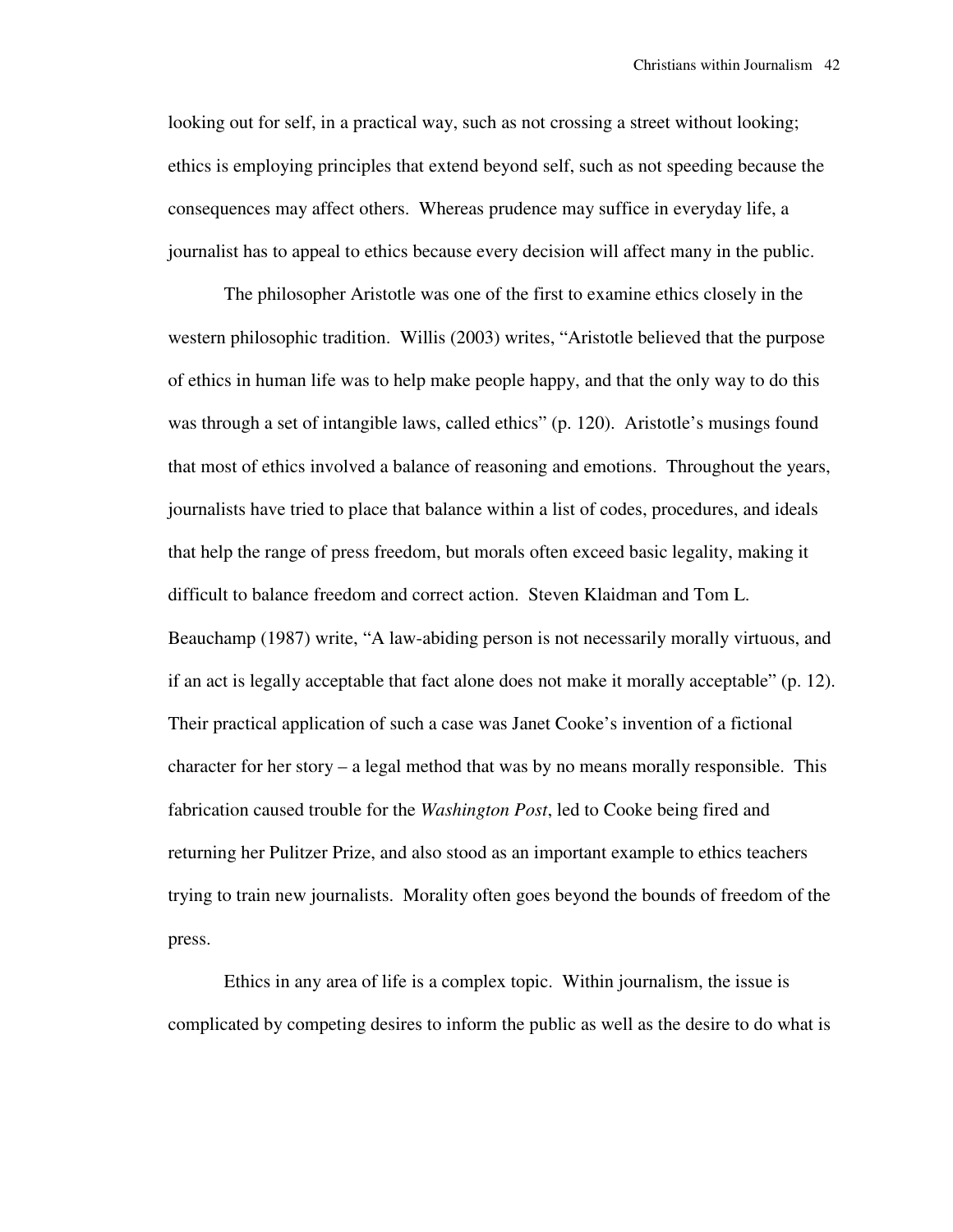looking out for self, in a practical way, such as not crossing a street without looking; ethics is employing principles that extend beyond self, such as not speeding because the consequences may affect others. Whereas prudence may suffice in everyday life, a journalist has to appeal to ethics because every decision will affect many in the public.

 The philosopher Aristotle was one of the first to examine ethics closely in the western philosophic tradition. Willis (2003) writes, "Aristotle believed that the purpose of ethics in human life was to help make people happy, and that the only way to do this was through a set of intangible laws, called ethics" (p. 120). Aristotle's musings found that most of ethics involved a balance of reasoning and emotions. Throughout the years, journalists have tried to place that balance within a list of codes, procedures, and ideals that help the range of press freedom, but morals often exceed basic legality, making it difficult to balance freedom and correct action. Steven Klaidman and Tom L. Beauchamp (1987) write, "A law-abiding person is not necessarily morally virtuous, and if an act is legally acceptable that fact alone does not make it morally acceptable" (p. 12). Their practical application of such a case was Janet Cooke's invention of a fictional character for her story – a legal method that was by no means morally responsible. This fabrication caused trouble for the *Washington Post*, led to Cooke being fired and returning her Pulitzer Prize, and also stood as an important example to ethics teachers trying to train new journalists. Morality often goes beyond the bounds of freedom of the press.

 Ethics in any area of life is a complex topic. Within journalism, the issue is complicated by competing desires to inform the public as well as the desire to do what is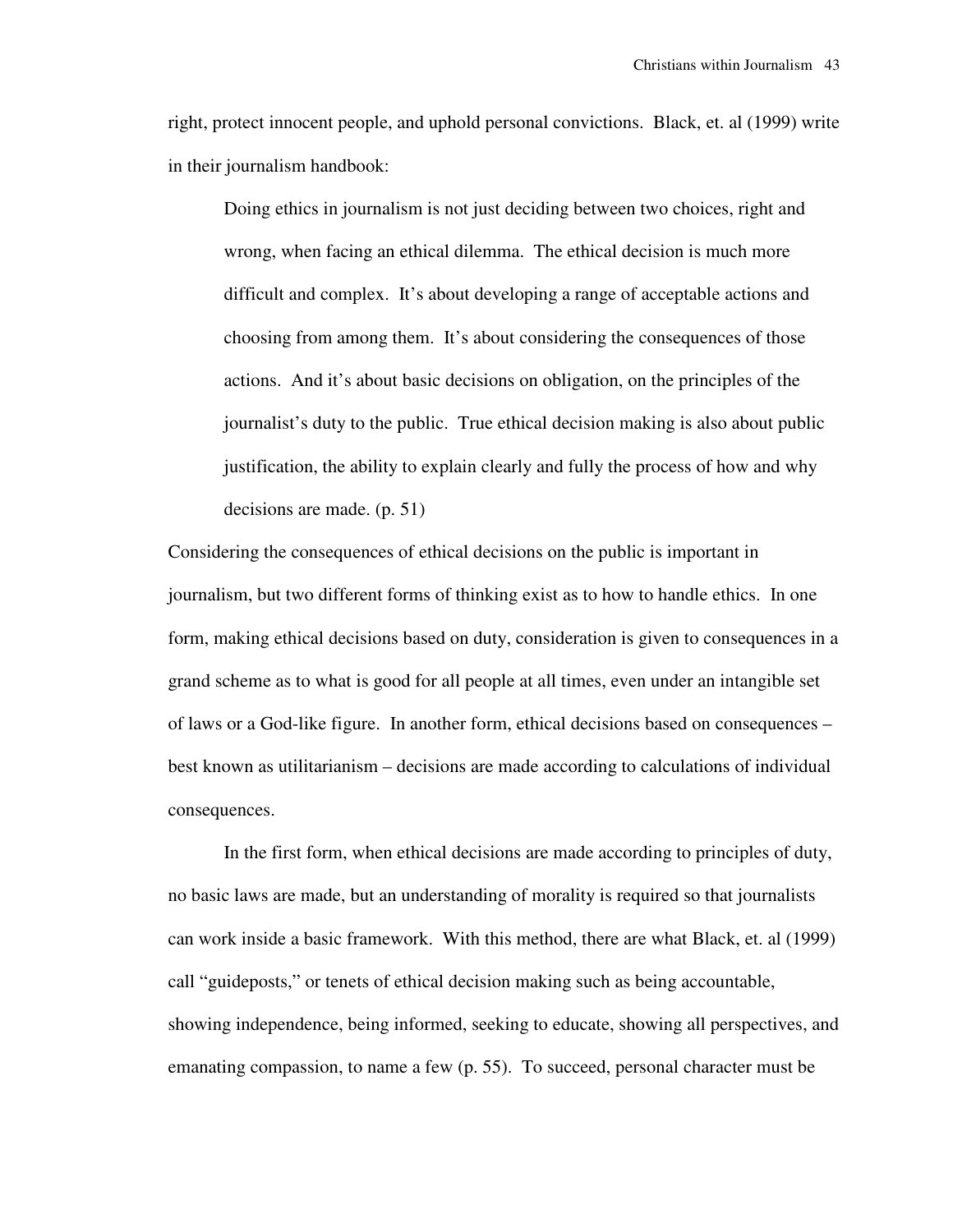right, protect innocent people, and uphold personal convictions. Black, et. al (1999) write in their journalism handbook:

Doing ethics in journalism is not just deciding between two choices, right and wrong, when facing an ethical dilemma. The ethical decision is much more difficult and complex. It's about developing a range of acceptable actions and choosing from among them. It's about considering the consequences of those actions. And it's about basic decisions on obligation, on the principles of the journalist's duty to the public. True ethical decision making is also about public justification, the ability to explain clearly and fully the process of how and why decisions are made. (p. 51)

Considering the consequences of ethical decisions on the public is important in journalism, but two different forms of thinking exist as to how to handle ethics. In one form, making ethical decisions based on duty, consideration is given to consequences in a grand scheme as to what is good for all people at all times, even under an intangible set of laws or a God-like figure. In another form, ethical decisions based on consequences – best known as utilitarianism – decisions are made according to calculations of individual consequences.

 In the first form, when ethical decisions are made according to principles of duty, no basic laws are made, but an understanding of morality is required so that journalists can work inside a basic framework. With this method, there are what Black, et. al (1999) call "guideposts," or tenets of ethical decision making such as being accountable, showing independence, being informed, seeking to educate, showing all perspectives, and emanating compassion, to name a few (p. 55). To succeed, personal character must be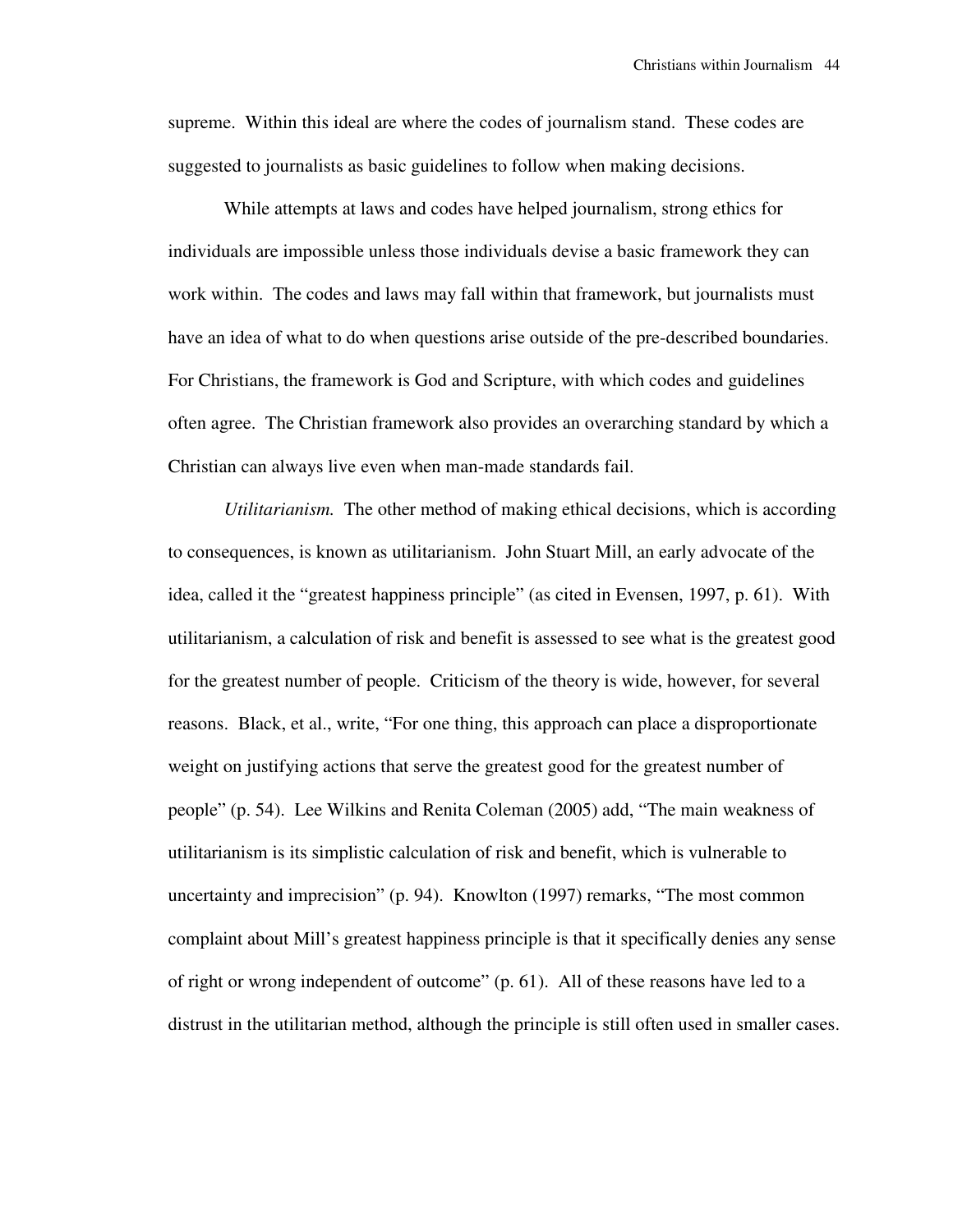supreme. Within this ideal are where the codes of journalism stand. These codes are suggested to journalists as basic guidelines to follow when making decisions.

 While attempts at laws and codes have helped journalism, strong ethics for individuals are impossible unless those individuals devise a basic framework they can work within. The codes and laws may fall within that framework, but journalists must have an idea of what to do when questions arise outside of the pre-described boundaries. For Christians, the framework is God and Scripture, with which codes and guidelines often agree. The Christian framework also provides an overarching standard by which a Christian can always live even when man-made standards fail.

 *Utilitarianism.* The other method of making ethical decisions, which is according to consequences, is known as utilitarianism. John Stuart Mill, an early advocate of the idea, called it the "greatest happiness principle" (as cited in Evensen, 1997, p. 61). With utilitarianism, a calculation of risk and benefit is assessed to see what is the greatest good for the greatest number of people. Criticism of the theory is wide, however, for several reasons. Black, et al., write, "For one thing, this approach can place a disproportionate weight on justifying actions that serve the greatest good for the greatest number of people" (p. 54). Lee Wilkins and Renita Coleman (2005) add, "The main weakness of utilitarianism is its simplistic calculation of risk and benefit, which is vulnerable to uncertainty and imprecision" (p. 94). Knowlton (1997) remarks, "The most common complaint about Mill's greatest happiness principle is that it specifically denies any sense of right or wrong independent of outcome" (p. 61). All of these reasons have led to a distrust in the utilitarian method, although the principle is still often used in smaller cases.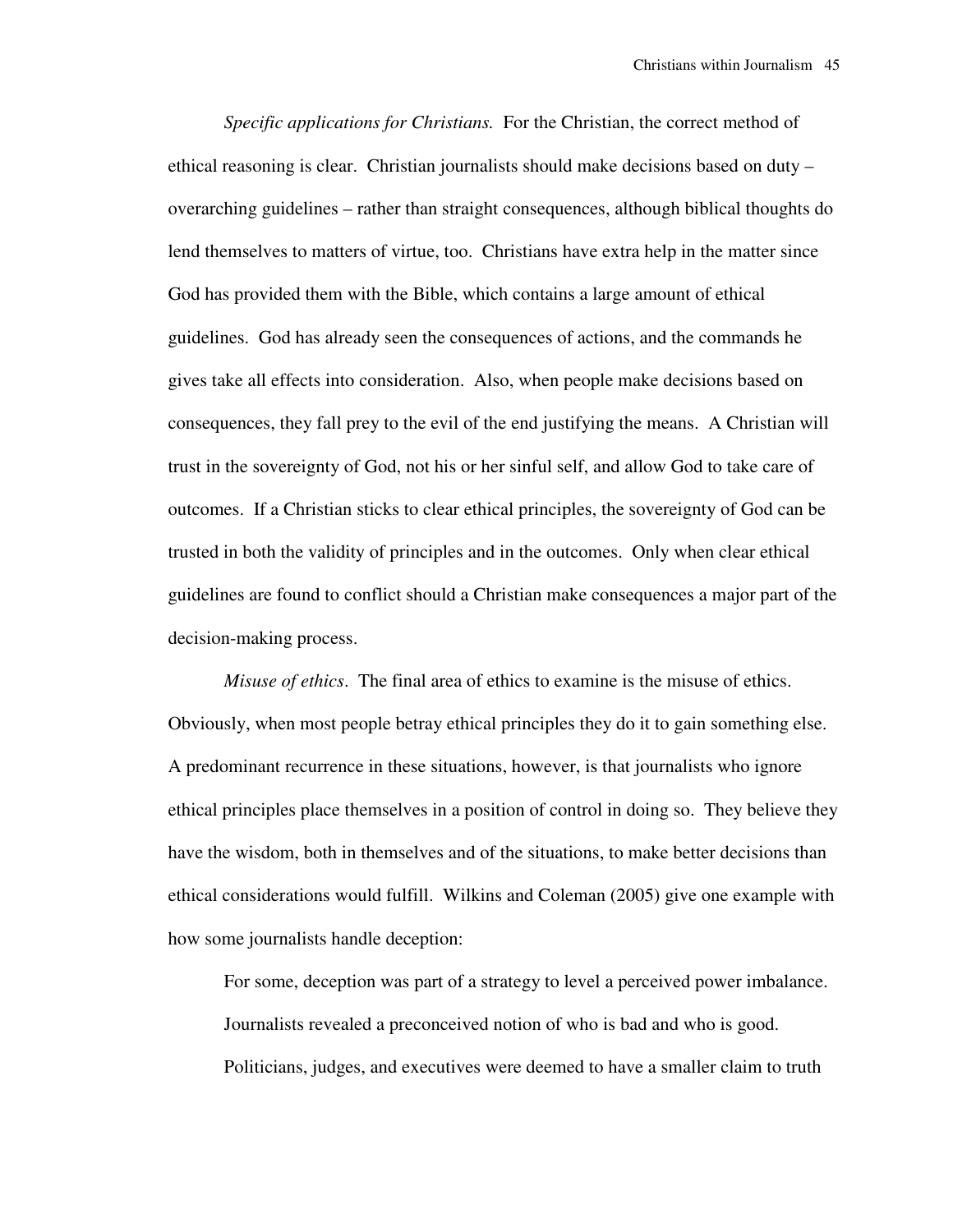*Specific applications for Christians.* For the Christian, the correct method of ethical reasoning is clear. Christian journalists should make decisions based on duty – overarching guidelines – rather than straight consequences, although biblical thoughts do lend themselves to matters of virtue, too. Christians have extra help in the matter since God has provided them with the Bible, which contains a large amount of ethical guidelines. God has already seen the consequences of actions, and the commands he gives take all effects into consideration. Also, when people make decisions based on consequences, they fall prey to the evil of the end justifying the means. A Christian will trust in the sovereignty of God, not his or her sinful self, and allow God to take care of outcomes. If a Christian sticks to clear ethical principles, the sovereignty of God can be trusted in both the validity of principles and in the outcomes. Only when clear ethical guidelines are found to conflict should a Christian make consequences a major part of the decision-making process.

 *Misuse of ethics*. The final area of ethics to examine is the misuse of ethics. Obviously, when most people betray ethical principles they do it to gain something else. A predominant recurrence in these situations, however, is that journalists who ignore ethical principles place themselves in a position of control in doing so. They believe they have the wisdom, both in themselves and of the situations, to make better decisions than ethical considerations would fulfill. Wilkins and Coleman (2005) give one example with how some journalists handle deception:

For some, deception was part of a strategy to level a perceived power imbalance. Journalists revealed a preconceived notion of who is bad and who is good. Politicians, judges, and executives were deemed to have a smaller claim to truth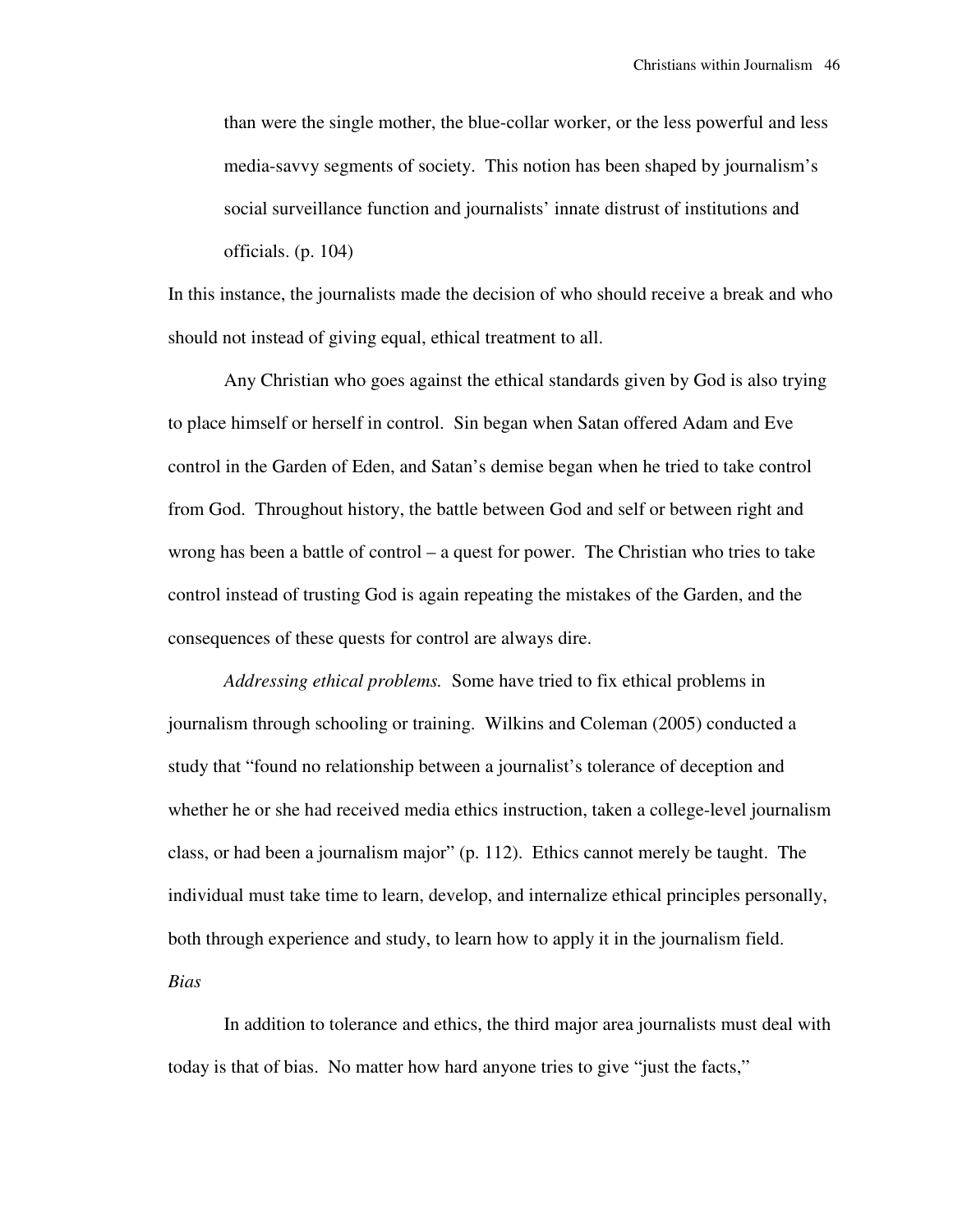than were the single mother, the blue-collar worker, or the less powerful and less media-savvy segments of society. This notion has been shaped by journalism's social surveillance function and journalists' innate distrust of institutions and officials. (p. 104)

In this instance, the journalists made the decision of who should receive a break and who should not instead of giving equal, ethical treatment to all.

 Any Christian who goes against the ethical standards given by God is also trying to place himself or herself in control. Sin began when Satan offered Adam and Eve control in the Garden of Eden, and Satan's demise began when he tried to take control from God. Throughout history, the battle between God and self or between right and wrong has been a battle of control – a quest for power. The Christian who tries to take control instead of trusting God is again repeating the mistakes of the Garden, and the consequences of these quests for control are always dire.

 *Addressing ethical problems.* Some have tried to fix ethical problems in journalism through schooling or training. Wilkins and Coleman (2005) conducted a study that "found no relationship between a journalist's tolerance of deception and whether he or she had received media ethics instruction, taken a college-level journalism class, or had been a journalism major" (p. 112). Ethics cannot merely be taught. The individual must take time to learn, develop, and internalize ethical principles personally, both through experience and study, to learn how to apply it in the journalism field. *Bias*

 In addition to tolerance and ethics, the third major area journalists must deal with today is that of bias. No matter how hard anyone tries to give "just the facts,"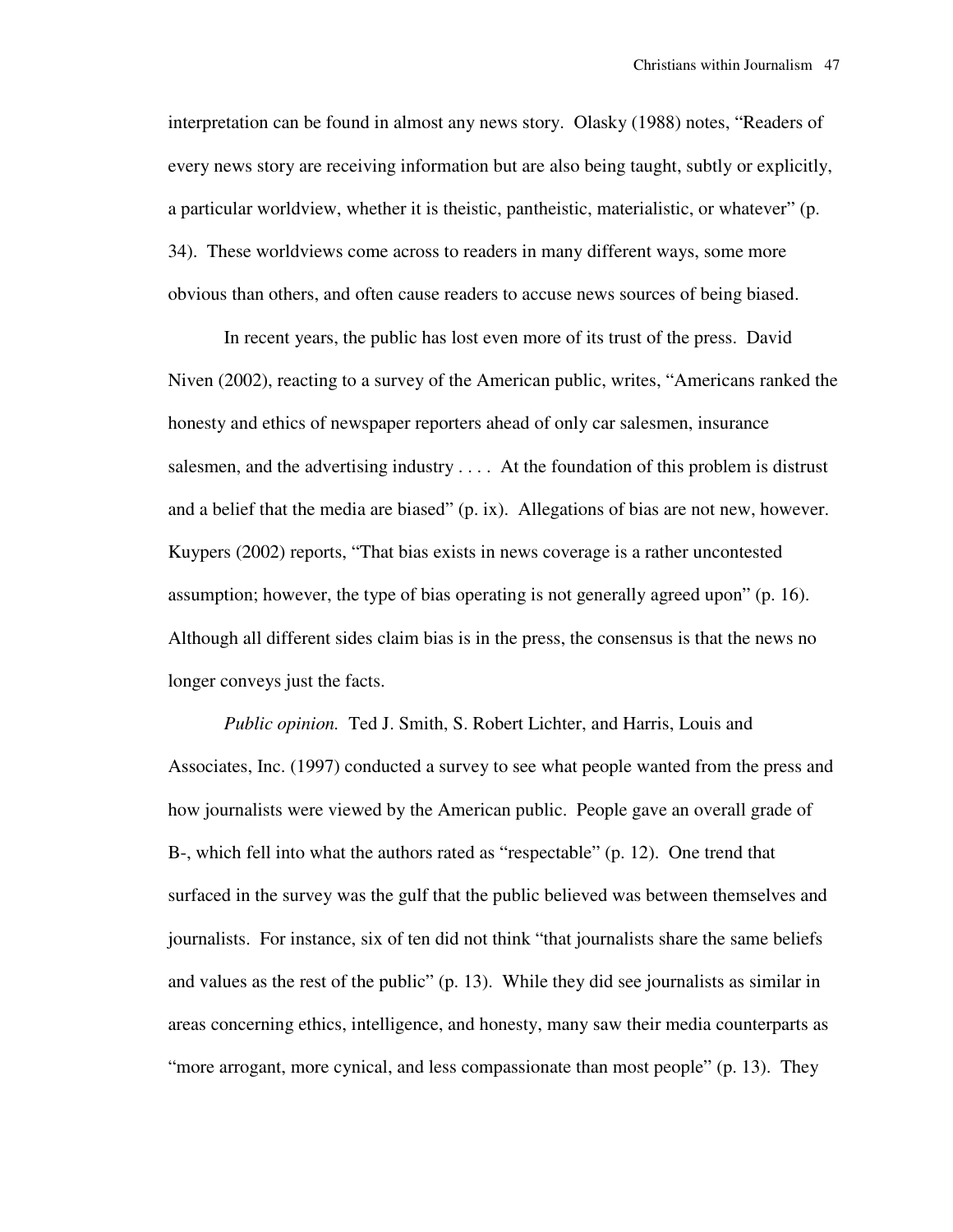interpretation can be found in almost any news story. Olasky (1988) notes, "Readers of every news story are receiving information but are also being taught, subtly or explicitly, a particular worldview, whether it is theistic, pantheistic, materialistic, or whatever" (p. 34). These worldviews come across to readers in many different ways, some more obvious than others, and often cause readers to accuse news sources of being biased.

 In recent years, the public has lost even more of its trust of the press. David Niven (2002), reacting to a survey of the American public, writes, "Americans ranked the honesty and ethics of newspaper reporters ahead of only car salesmen, insurance salesmen, and the advertising industry . . . . At the foundation of this problem is distrust and a belief that the media are biased" (p. ix). Allegations of bias are not new, however. Kuypers (2002) reports, "That bias exists in news coverage is a rather uncontested assumption; however, the type of bias operating is not generally agreed upon" (p. 16). Although all different sides claim bias is in the press, the consensus is that the news no longer conveys just the facts.

 *Public opinion.* Ted J. Smith, S. Robert Lichter, and Harris, Louis and Associates, Inc. (1997) conducted a survey to see what people wanted from the press and how journalists were viewed by the American public. People gave an overall grade of B-, which fell into what the authors rated as "respectable" (p. 12). One trend that surfaced in the survey was the gulf that the public believed was between themselves and journalists. For instance, six of ten did not think "that journalists share the same beliefs and values as the rest of the public" (p. 13). While they did see journalists as similar in areas concerning ethics, intelligence, and honesty, many saw their media counterparts as "more arrogant, more cynical, and less compassionate than most people" (p. 13). They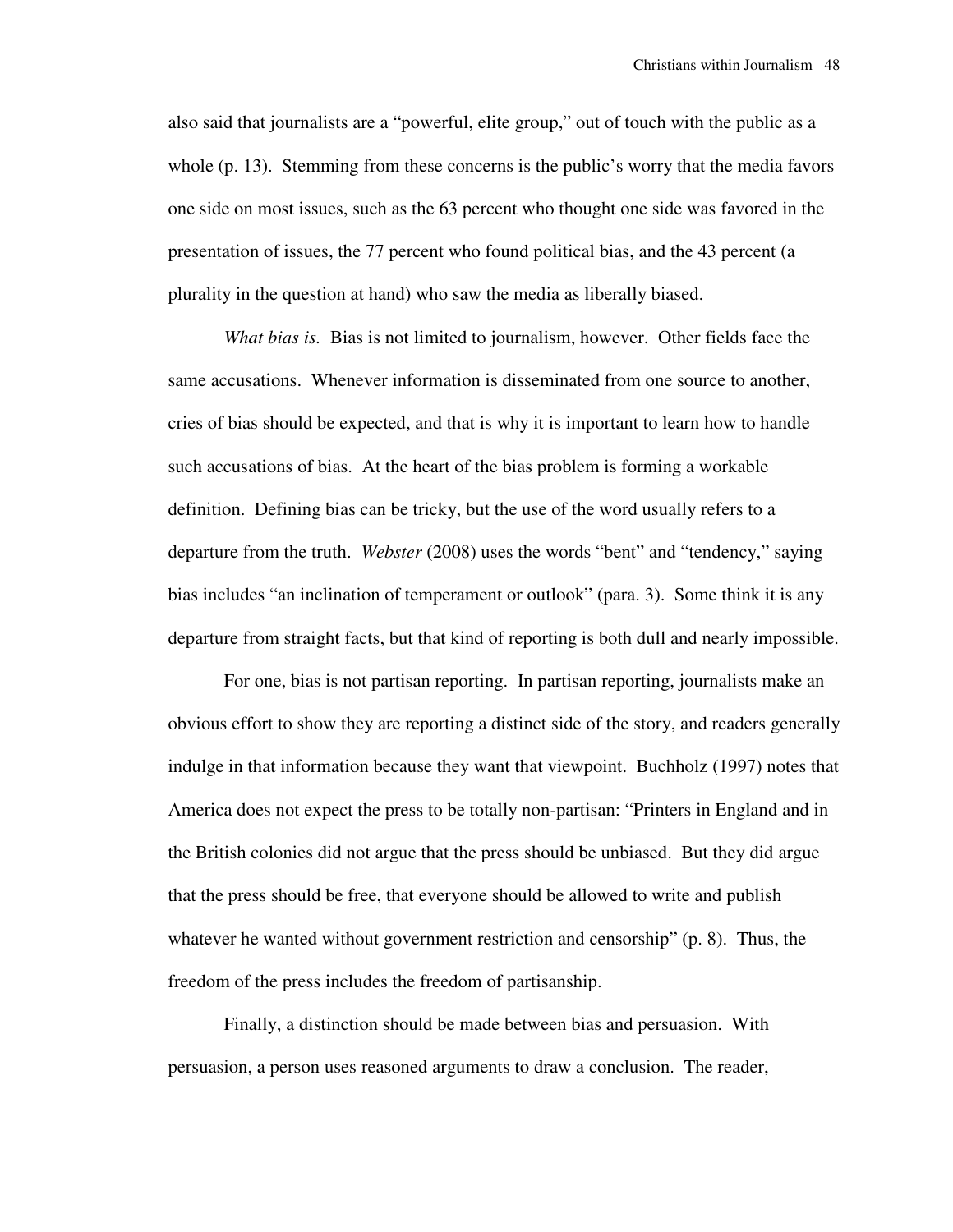also said that journalists are a "powerful, elite group," out of touch with the public as a whole (p. 13). Stemming from these concerns is the public's worry that the media favors one side on most issues, such as the 63 percent who thought one side was favored in the presentation of issues, the 77 percent who found political bias, and the 43 percent (a plurality in the question at hand) who saw the media as liberally biased.

 *What bias is.* Bias is not limited to journalism, however. Other fields face the same accusations. Whenever information is disseminated from one source to another, cries of bias should be expected, and that is why it is important to learn how to handle such accusations of bias. At the heart of the bias problem is forming a workable definition. Defining bias can be tricky, but the use of the word usually refers to a departure from the truth. *Webster* (2008) uses the words "bent" and "tendency," saying bias includes "an inclination of temperament or outlook" (para. 3). Some think it is any departure from straight facts, but that kind of reporting is both dull and nearly impossible.

 For one, bias is not partisan reporting. In partisan reporting, journalists make an obvious effort to show they are reporting a distinct side of the story, and readers generally indulge in that information because they want that viewpoint. Buchholz (1997) notes that America does not expect the press to be totally non-partisan: "Printers in England and in the British colonies did not argue that the press should be unbiased. But they did argue that the press should be free, that everyone should be allowed to write and publish whatever he wanted without government restriction and censorship" (p. 8). Thus, the freedom of the press includes the freedom of partisanship.

 Finally, a distinction should be made between bias and persuasion. With persuasion, a person uses reasoned arguments to draw a conclusion. The reader,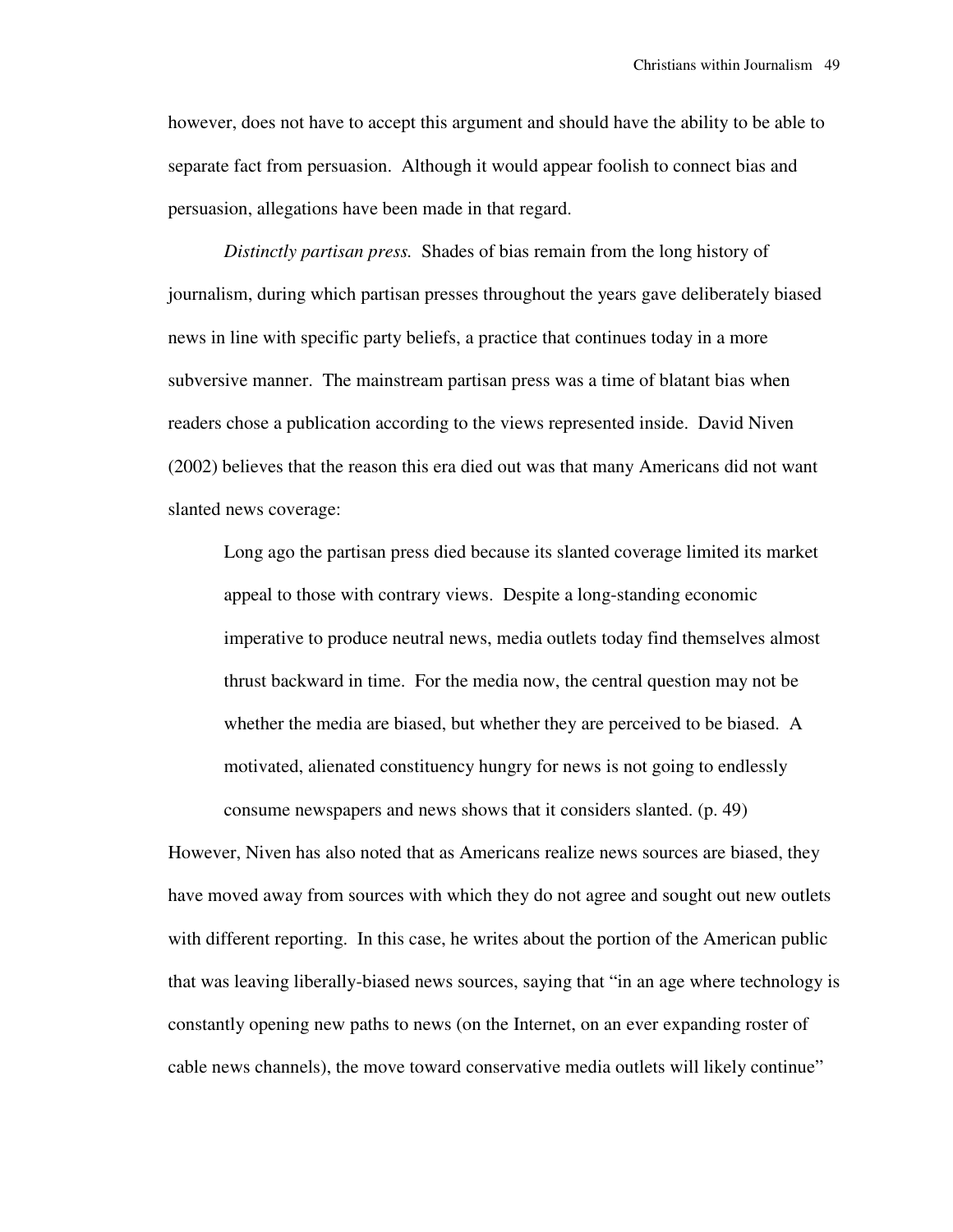however, does not have to accept this argument and should have the ability to be able to separate fact from persuasion. Although it would appear foolish to connect bias and persuasion, allegations have been made in that regard.

*Distinctly partisan press.* Shades of bias remain from the long history of journalism, during which partisan presses throughout the years gave deliberately biased news in line with specific party beliefs, a practice that continues today in a more subversive manner. The mainstream partisan press was a time of blatant bias when readers chose a publication according to the views represented inside. David Niven (2002) believes that the reason this era died out was that many Americans did not want slanted news coverage:

Long ago the partisan press died because its slanted coverage limited its market appeal to those with contrary views. Despite a long-standing economic imperative to produce neutral news, media outlets today find themselves almost thrust backward in time. For the media now, the central question may not be whether the media are biased, but whether they are perceived to be biased. A motivated, alienated constituency hungry for news is not going to endlessly consume newspapers and news shows that it considers slanted. (p. 49)

However, Niven has also noted that as Americans realize news sources are biased, they have moved away from sources with which they do not agree and sought out new outlets with different reporting. In this case, he writes about the portion of the American public that was leaving liberally-biased news sources, saying that "in an age where technology is constantly opening new paths to news (on the Internet, on an ever expanding roster of cable news channels), the move toward conservative media outlets will likely continue"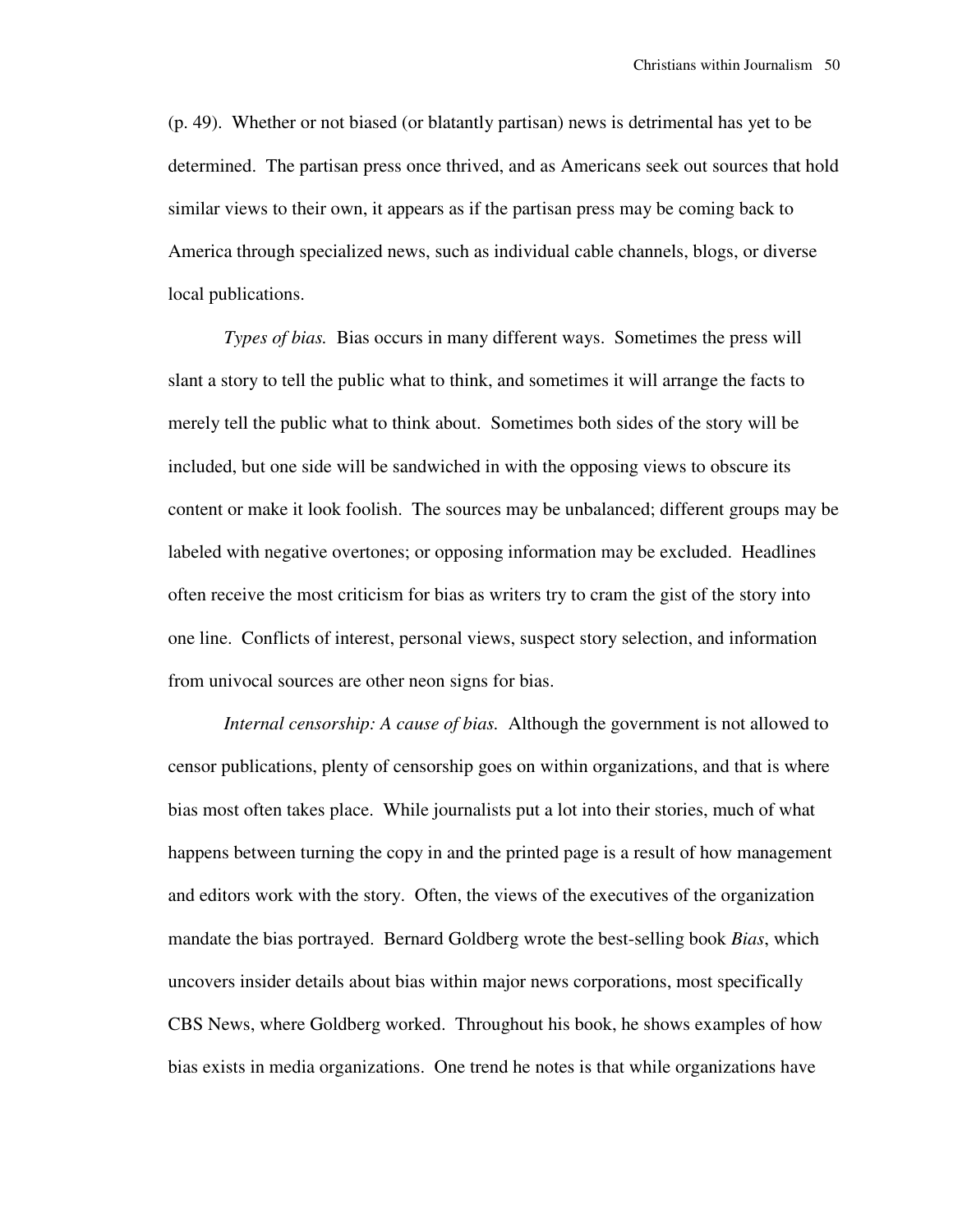(p. 49). Whether or not biased (or blatantly partisan) news is detrimental has yet to be determined. The partisan press once thrived, and as Americans seek out sources that hold similar views to their own, it appears as if the partisan press may be coming back to America through specialized news, such as individual cable channels, blogs, or diverse local publications.

*Types of bias.* Bias occurs in many different ways. Sometimes the press will slant a story to tell the public what to think, and sometimes it will arrange the facts to merely tell the public what to think about. Sometimes both sides of the story will be included, but one side will be sandwiched in with the opposing views to obscure its content or make it look foolish. The sources may be unbalanced; different groups may be labeled with negative overtones; or opposing information may be excluded. Headlines often receive the most criticism for bias as writers try to cram the gist of the story into one line. Conflicts of interest, personal views, suspect story selection, and information from univocal sources are other neon signs for bias.

*Internal censorship: A cause of bias.* Although the government is not allowed to censor publications, plenty of censorship goes on within organizations, and that is where bias most often takes place. While journalists put a lot into their stories, much of what happens between turning the copy in and the printed page is a result of how management and editors work with the story. Often, the views of the executives of the organization mandate the bias portrayed. Bernard Goldberg wrote the best-selling book *Bias*, which uncovers insider details about bias within major news corporations, most specifically CBS News, where Goldberg worked. Throughout his book, he shows examples of how bias exists in media organizations. One trend he notes is that while organizations have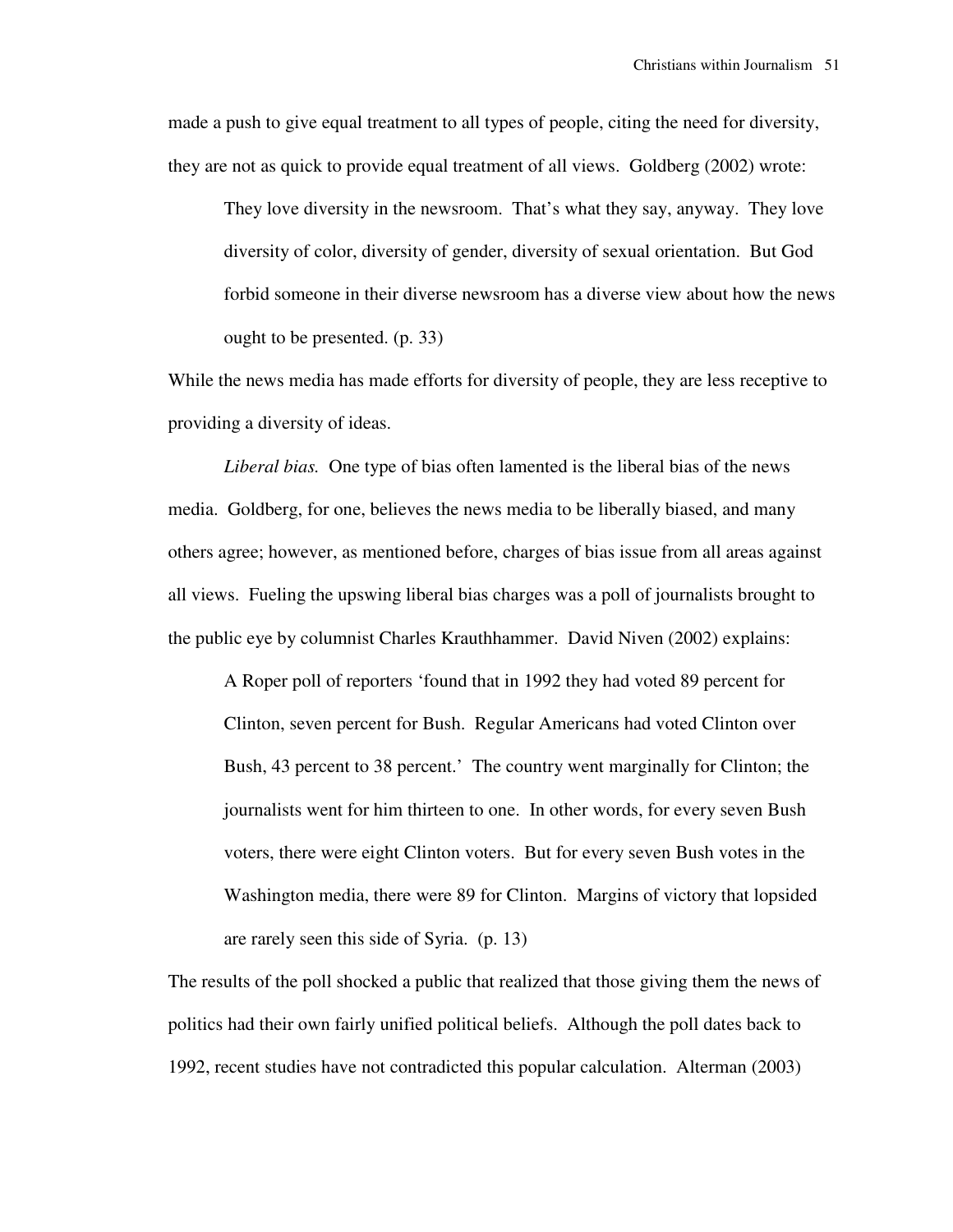made a push to give equal treatment to all types of people, citing the need for diversity, they are not as quick to provide equal treatment of all views. Goldberg (2002) wrote:

They love diversity in the newsroom. That's what they say, anyway. They love diversity of color, diversity of gender, diversity of sexual orientation. But God forbid someone in their diverse newsroom has a diverse view about how the news ought to be presented. (p. 33)

While the news media has made efforts for diversity of people, they are less receptive to providing a diversity of ideas.

*Liberal bias.* One type of bias often lamented is the liberal bias of the news media. Goldberg, for one, believes the news media to be liberally biased, and many others agree; however, as mentioned before, charges of bias issue from all areas against all views. Fueling the upswing liberal bias charges was a poll of journalists brought to the public eye by columnist Charles Krauthhammer. David Niven (2002) explains:

A Roper poll of reporters 'found that in 1992 they had voted 89 percent for Clinton, seven percent for Bush. Regular Americans had voted Clinton over Bush, 43 percent to 38 percent.' The country went marginally for Clinton; the journalists went for him thirteen to one. In other words, for every seven Bush voters, there were eight Clinton voters. But for every seven Bush votes in the Washington media, there were 89 for Clinton. Margins of victory that lopsided are rarely seen this side of Syria. (p. 13)

The results of the poll shocked a public that realized that those giving them the news of politics had their own fairly unified political beliefs. Although the poll dates back to 1992, recent studies have not contradicted this popular calculation. Alterman (2003)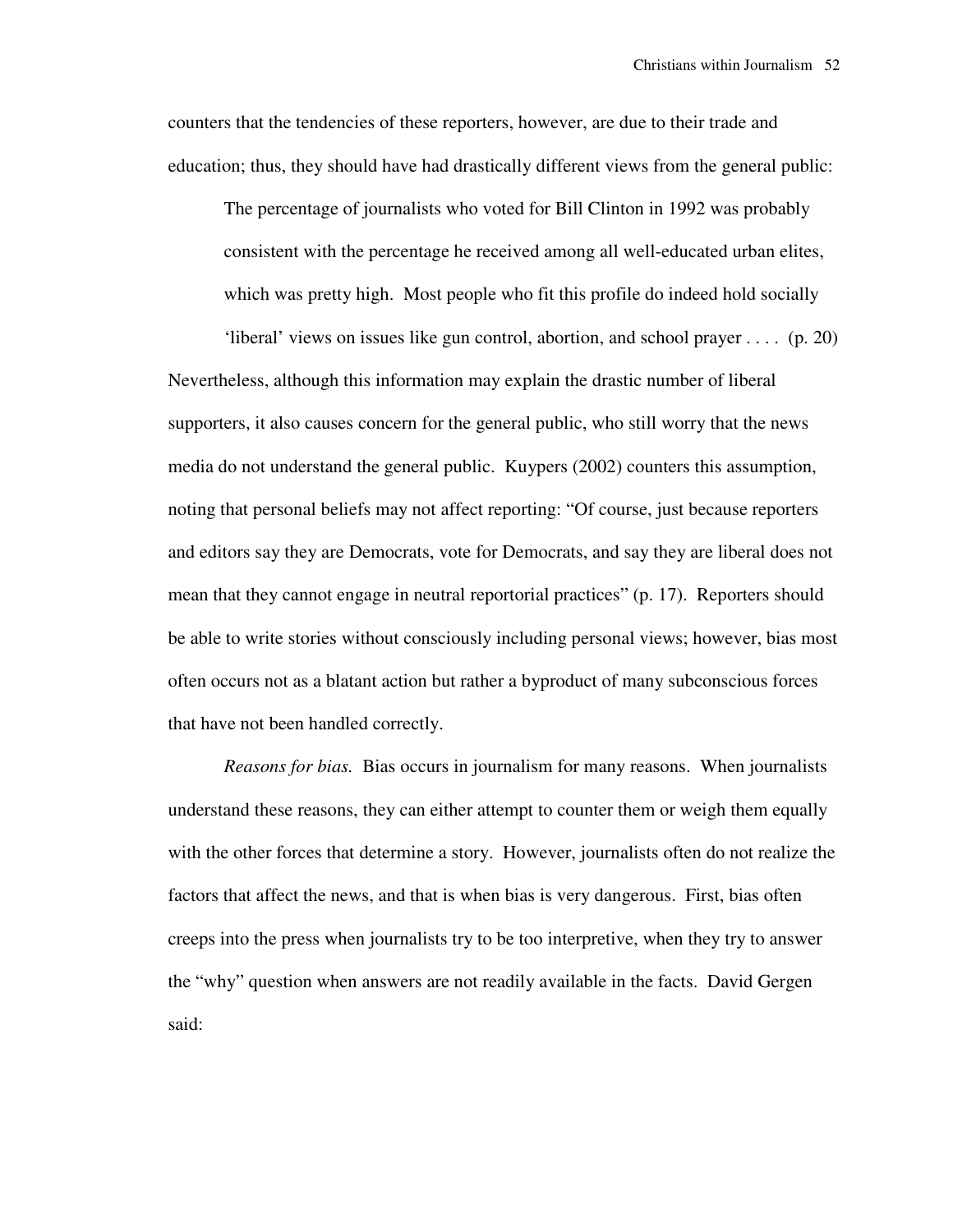counters that the tendencies of these reporters, however, are due to their trade and education; thus, they should have had drastically different views from the general public:

The percentage of journalists who voted for Bill Clinton in 1992 was probably consistent with the percentage he received among all well-educated urban elites, which was pretty high. Most people who fit this profile do indeed hold socially

'liberal' views on issues like gun control, abortion, and school prayer  $\dots$  (p. 20) Nevertheless, although this information may explain the drastic number of liberal supporters, it also causes concern for the general public, who still worry that the news media do not understand the general public. Kuypers (2002) counters this assumption, noting that personal beliefs may not affect reporting: "Of course, just because reporters and editors say they are Democrats, vote for Democrats, and say they are liberal does not mean that they cannot engage in neutral reportorial practices" (p. 17). Reporters should be able to write stories without consciously including personal views; however, bias most often occurs not as a blatant action but rather a byproduct of many subconscious forces that have not been handled correctly.

*Reasons for bias.* Bias occurs in journalism for many reasons. When journalists understand these reasons, they can either attempt to counter them or weigh them equally with the other forces that determine a story. However, journalists often do not realize the factors that affect the news, and that is when bias is very dangerous. First, bias often creeps into the press when journalists try to be too interpretive, when they try to answer the "why" question when answers are not readily available in the facts. David Gergen said: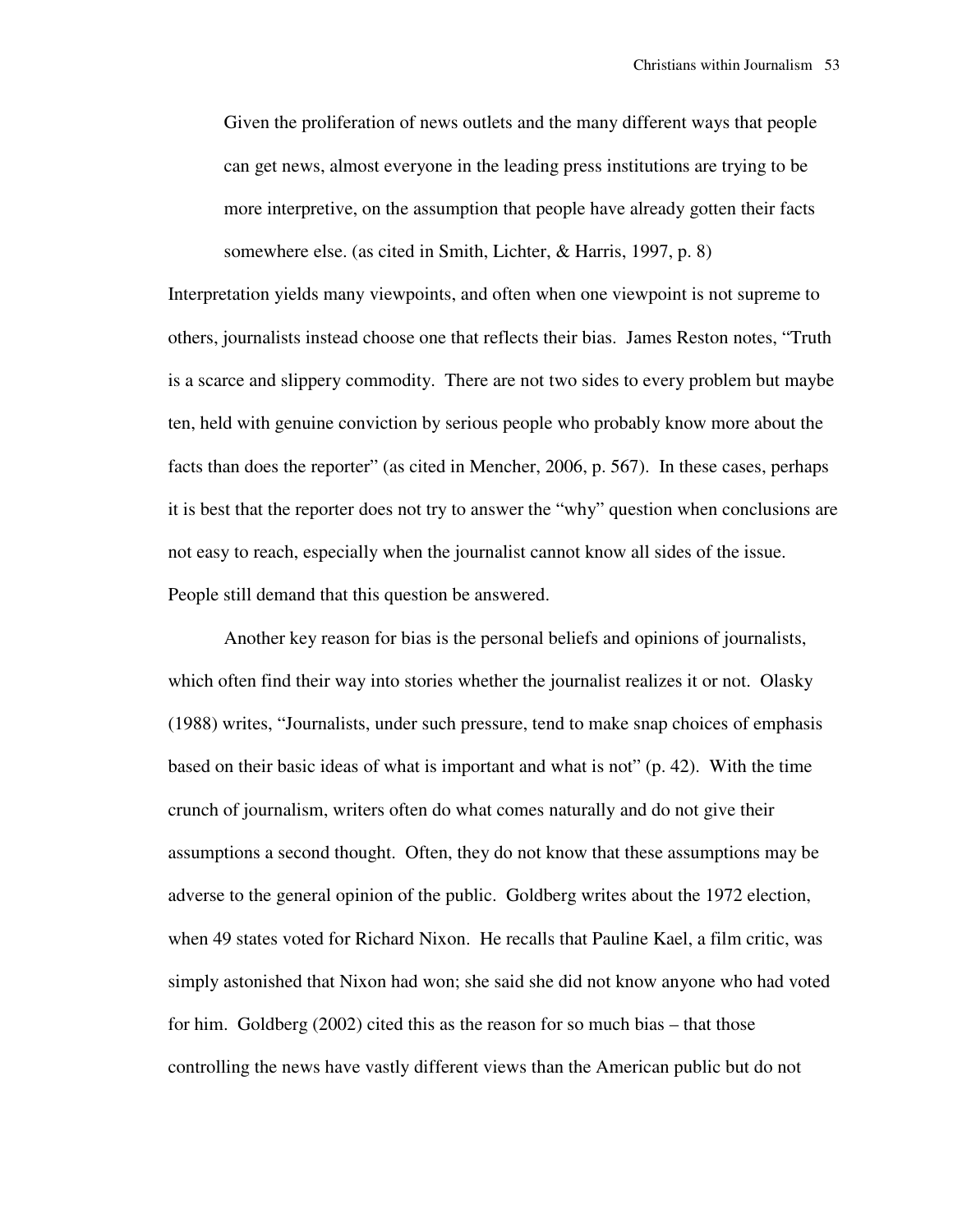Given the proliferation of news outlets and the many different ways that people can get news, almost everyone in the leading press institutions are trying to be more interpretive, on the assumption that people have already gotten their facts somewhere else. (as cited in Smith, Lichter, & Harris, 1997, p. 8)

Interpretation yields many viewpoints, and often when one viewpoint is not supreme to others, journalists instead choose one that reflects their bias. James Reston notes, "Truth is a scarce and slippery commodity. There are not two sides to every problem but maybe ten, held with genuine conviction by serious people who probably know more about the facts than does the reporter" (as cited in Mencher, 2006, p. 567). In these cases, perhaps it is best that the reporter does not try to answer the "why" question when conclusions are not easy to reach, especially when the journalist cannot know all sides of the issue. People still demand that this question be answered.

 Another key reason for bias is the personal beliefs and opinions of journalists, which often find their way into stories whether the journalist realizes it or not. Olasky (1988) writes, "Journalists, under such pressure, tend to make snap choices of emphasis based on their basic ideas of what is important and what is not" (p. 42). With the time crunch of journalism, writers often do what comes naturally and do not give their assumptions a second thought. Often, they do not know that these assumptions may be adverse to the general opinion of the public. Goldberg writes about the 1972 election, when 49 states voted for Richard Nixon. He recalls that Pauline Kael, a film critic, was simply astonished that Nixon had won; she said she did not know anyone who had voted for him. Goldberg (2002) cited this as the reason for so much bias – that those controlling the news have vastly different views than the American public but do not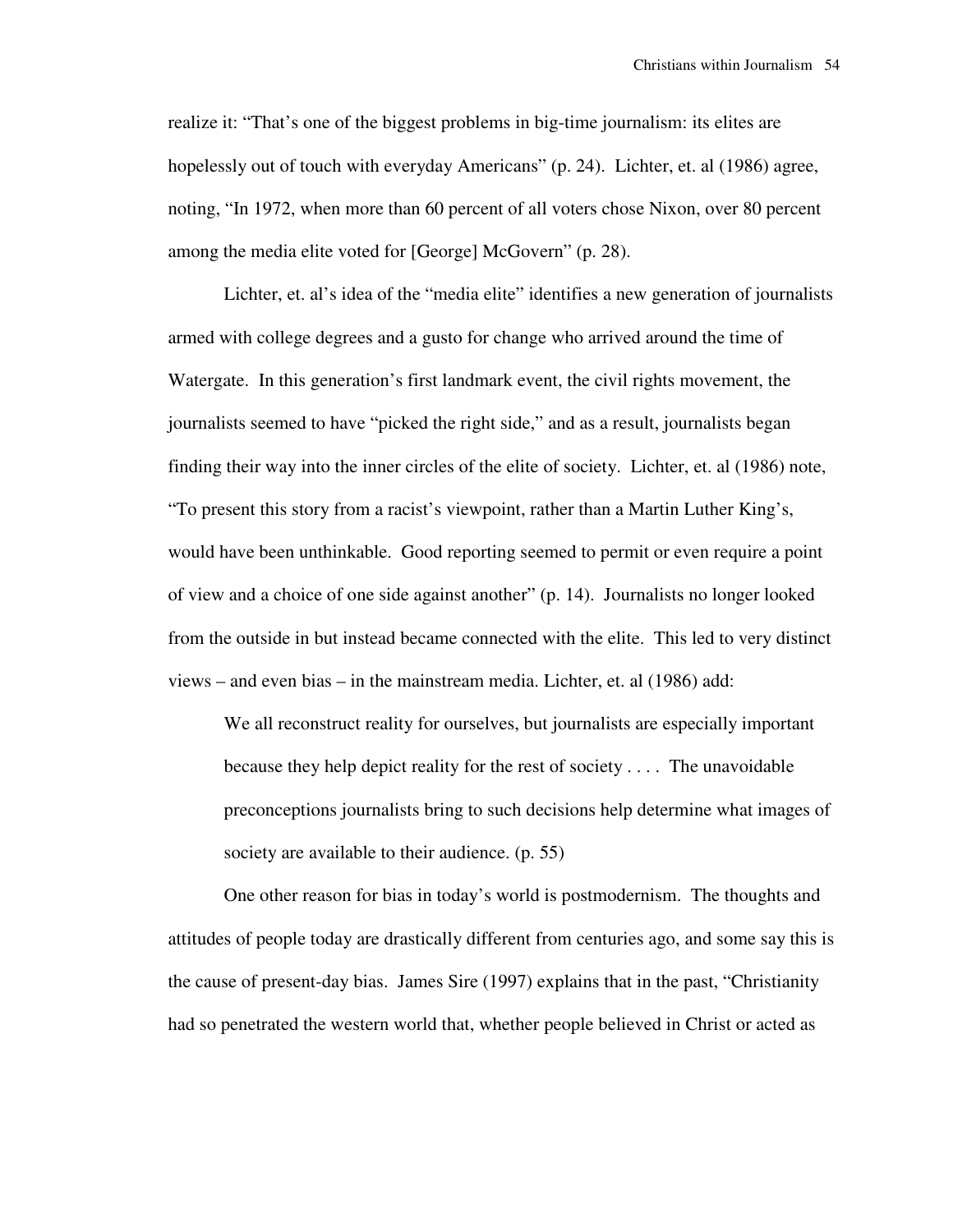realize it: "That's one of the biggest problems in big-time journalism: its elites are hopelessly out of touch with everyday Americans" (p. 24). Lichter, et. al (1986) agree, noting, "In 1972, when more than 60 percent of all voters chose Nixon, over 80 percent among the media elite voted for [George] McGovern" (p. 28).

 Lichter, et. al's idea of the "media elite" identifies a new generation of journalists armed with college degrees and a gusto for change who arrived around the time of Watergate. In this generation's first landmark event, the civil rights movement, the journalists seemed to have "picked the right side," and as a result, journalists began finding their way into the inner circles of the elite of society. Lichter, et. al (1986) note, "To present this story from a racist's viewpoint, rather than a Martin Luther King's, would have been unthinkable. Good reporting seemed to permit or even require a point of view and a choice of one side against another" (p. 14). Journalists no longer looked from the outside in but instead became connected with the elite. This led to very distinct views – and even bias – in the mainstream media. Lichter, et. al (1986) add:

We all reconstruct reality for ourselves, but journalists are especially important because they help depict reality for the rest of society . . . . The unavoidable preconceptions journalists bring to such decisions help determine what images of society are available to their audience. (p. 55)

 One other reason for bias in today's world is postmodernism. The thoughts and attitudes of people today are drastically different from centuries ago, and some say this is the cause of present-day bias. James Sire (1997) explains that in the past, "Christianity had so penetrated the western world that, whether people believed in Christ or acted as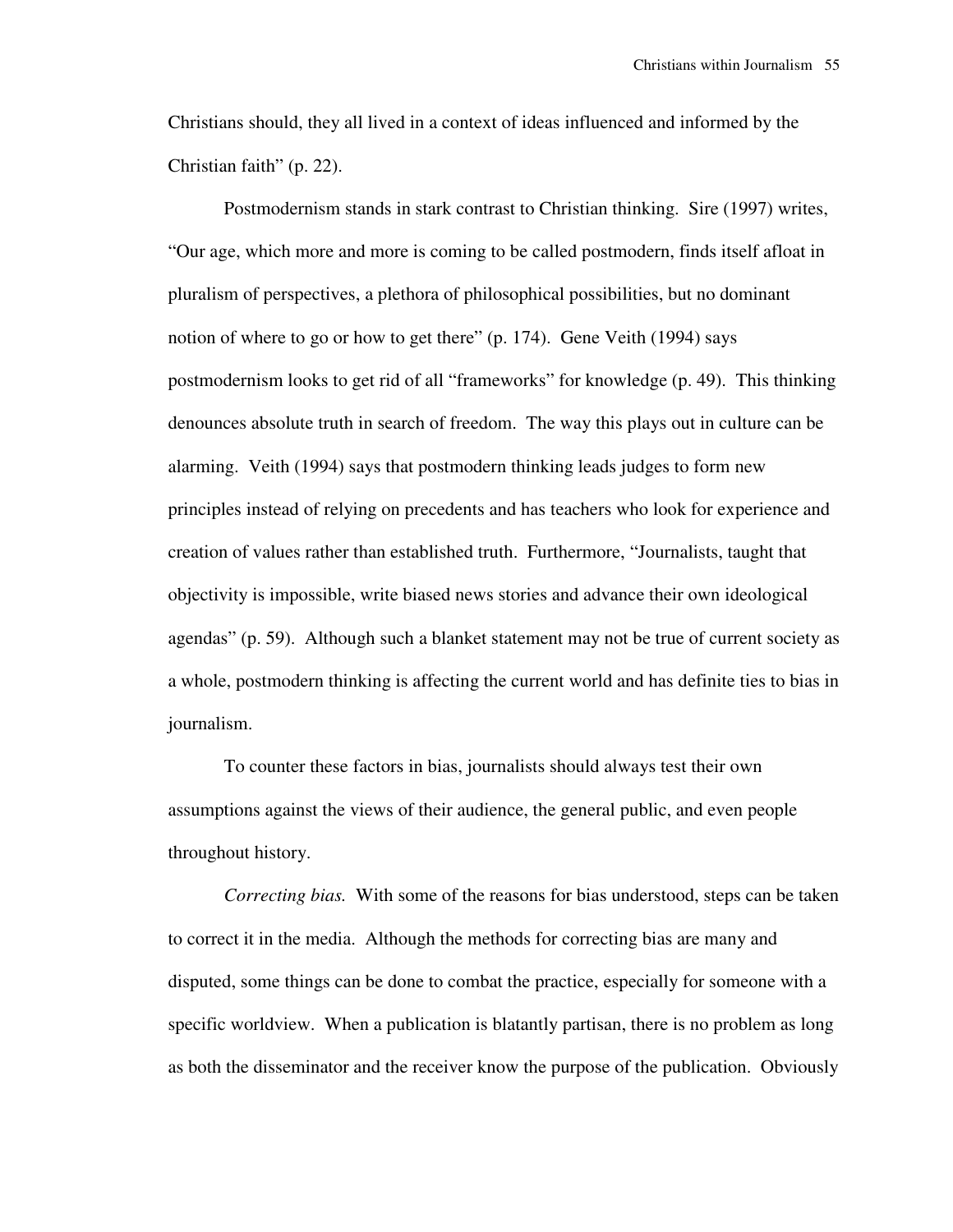Christians should, they all lived in a context of ideas influenced and informed by the Christian faith" (p. 22).

 Postmodernism stands in stark contrast to Christian thinking. Sire (1997) writes, "Our age, which more and more is coming to be called postmodern, finds itself afloat in pluralism of perspectives, a plethora of philosophical possibilities, but no dominant notion of where to go or how to get there" (p. 174). Gene Veith (1994) says postmodernism looks to get rid of all "frameworks" for knowledge (p. 49). This thinking denounces absolute truth in search of freedom. The way this plays out in culture can be alarming. Veith (1994) says that postmodern thinking leads judges to form new principles instead of relying on precedents and has teachers who look for experience and creation of values rather than established truth. Furthermore, "Journalists, taught that objectivity is impossible, write biased news stories and advance their own ideological agendas" (p. 59). Although such a blanket statement may not be true of current society as a whole, postmodern thinking is affecting the current world and has definite ties to bias in journalism.

 To counter these factors in bias, journalists should always test their own assumptions against the views of their audience, the general public, and even people throughout history.

*Correcting bias.* With some of the reasons for bias understood, steps can be taken to correct it in the media. Although the methods for correcting bias are many and disputed, some things can be done to combat the practice, especially for someone with a specific worldview. When a publication is blatantly partisan, there is no problem as long as both the disseminator and the receiver know the purpose of the publication. Obviously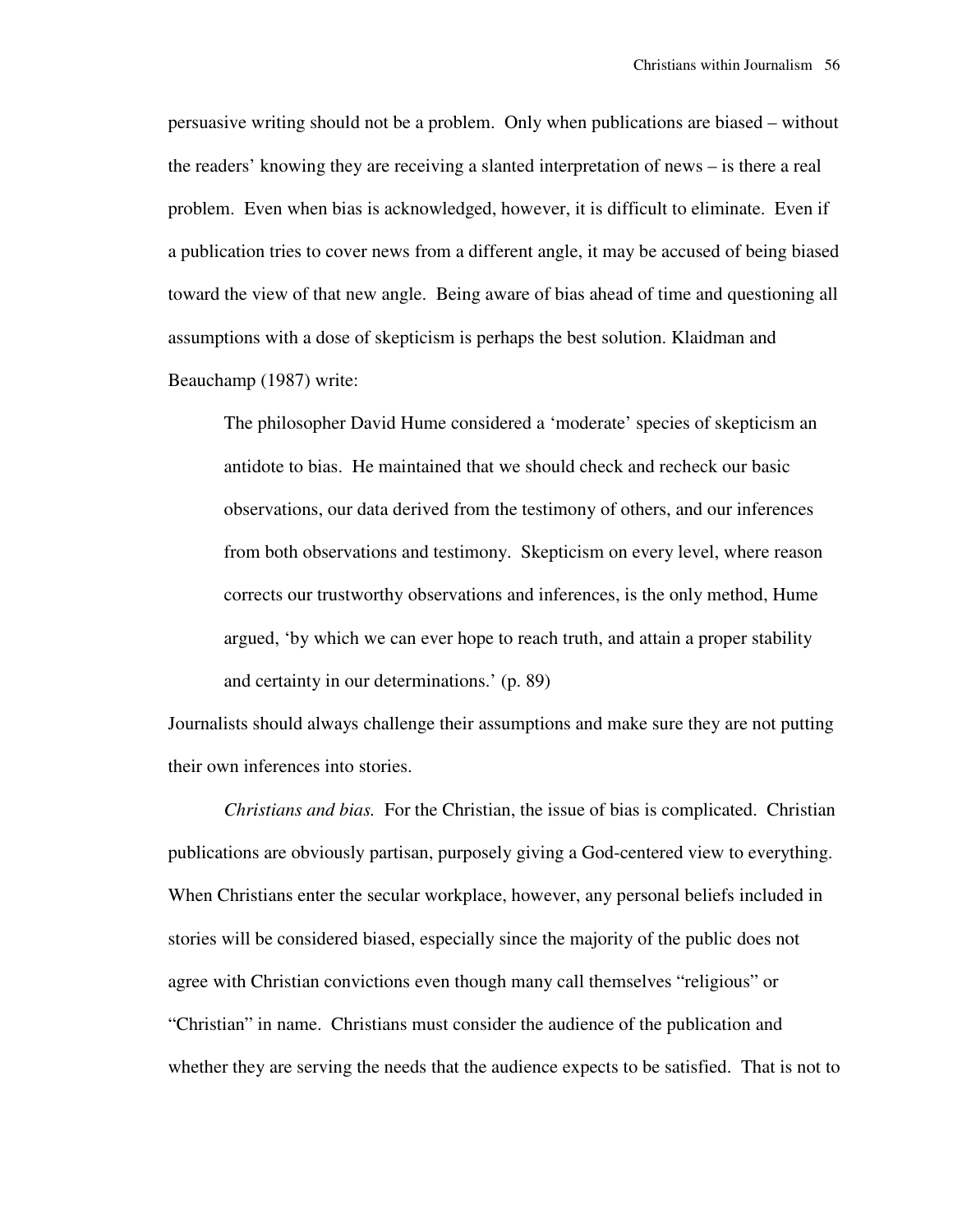persuasive writing should not be a problem. Only when publications are biased – without the readers' knowing they are receiving a slanted interpretation of news – is there a real problem. Even when bias is acknowledged, however, it is difficult to eliminate. Even if a publication tries to cover news from a different angle, it may be accused of being biased toward the view of that new angle. Being aware of bias ahead of time and questioning all assumptions with a dose of skepticism is perhaps the best solution. Klaidman and Beauchamp (1987) write:

The philosopher David Hume considered a 'moderate' species of skepticism an antidote to bias. He maintained that we should check and recheck our basic observations, our data derived from the testimony of others, and our inferences from both observations and testimony. Skepticism on every level, where reason corrects our trustworthy observations and inferences, is the only method, Hume argued, 'by which we can ever hope to reach truth, and attain a proper stability and certainty in our determinations.' (p. 89)

Journalists should always challenge their assumptions and make sure they are not putting their own inferences into stories.

*Christians and bias.* For the Christian, the issue of bias is complicated. Christian publications are obviously partisan, purposely giving a God-centered view to everything. When Christians enter the secular workplace, however, any personal beliefs included in stories will be considered biased, especially since the majority of the public does not agree with Christian convictions even though many call themselves "religious" or "Christian" in name. Christians must consider the audience of the publication and whether they are serving the needs that the audience expects to be satisfied. That is not to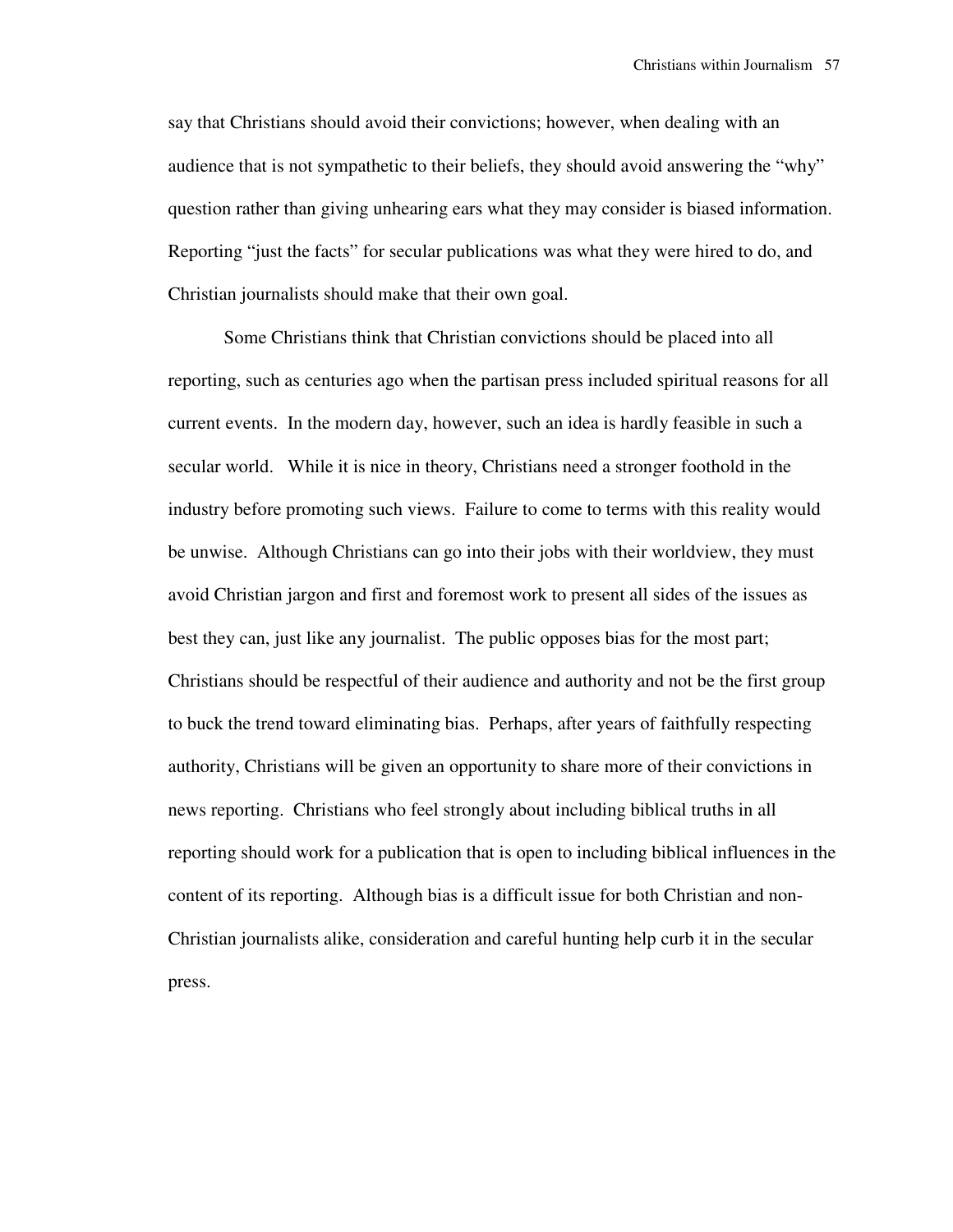say that Christians should avoid their convictions; however, when dealing with an audience that is not sympathetic to their beliefs, they should avoid answering the "why" question rather than giving unhearing ears what they may consider is biased information. Reporting "just the facts" for secular publications was what they were hired to do, and Christian journalists should make that their own goal.

 Some Christians think that Christian convictions should be placed into all reporting, such as centuries ago when the partisan press included spiritual reasons for all current events. In the modern day, however, such an idea is hardly feasible in such a secular world. While it is nice in theory, Christians need a stronger foothold in the industry before promoting such views. Failure to come to terms with this reality would be unwise. Although Christians can go into their jobs with their worldview, they must avoid Christian jargon and first and foremost work to present all sides of the issues as best they can, just like any journalist. The public opposes bias for the most part; Christians should be respectful of their audience and authority and not be the first group to buck the trend toward eliminating bias. Perhaps, after years of faithfully respecting authority, Christians will be given an opportunity to share more of their convictions in news reporting. Christians who feel strongly about including biblical truths in all reporting should work for a publication that is open to including biblical influences in the content of its reporting. Although bias is a difficult issue for both Christian and non-Christian journalists alike, consideration and careful hunting help curb it in the secular press.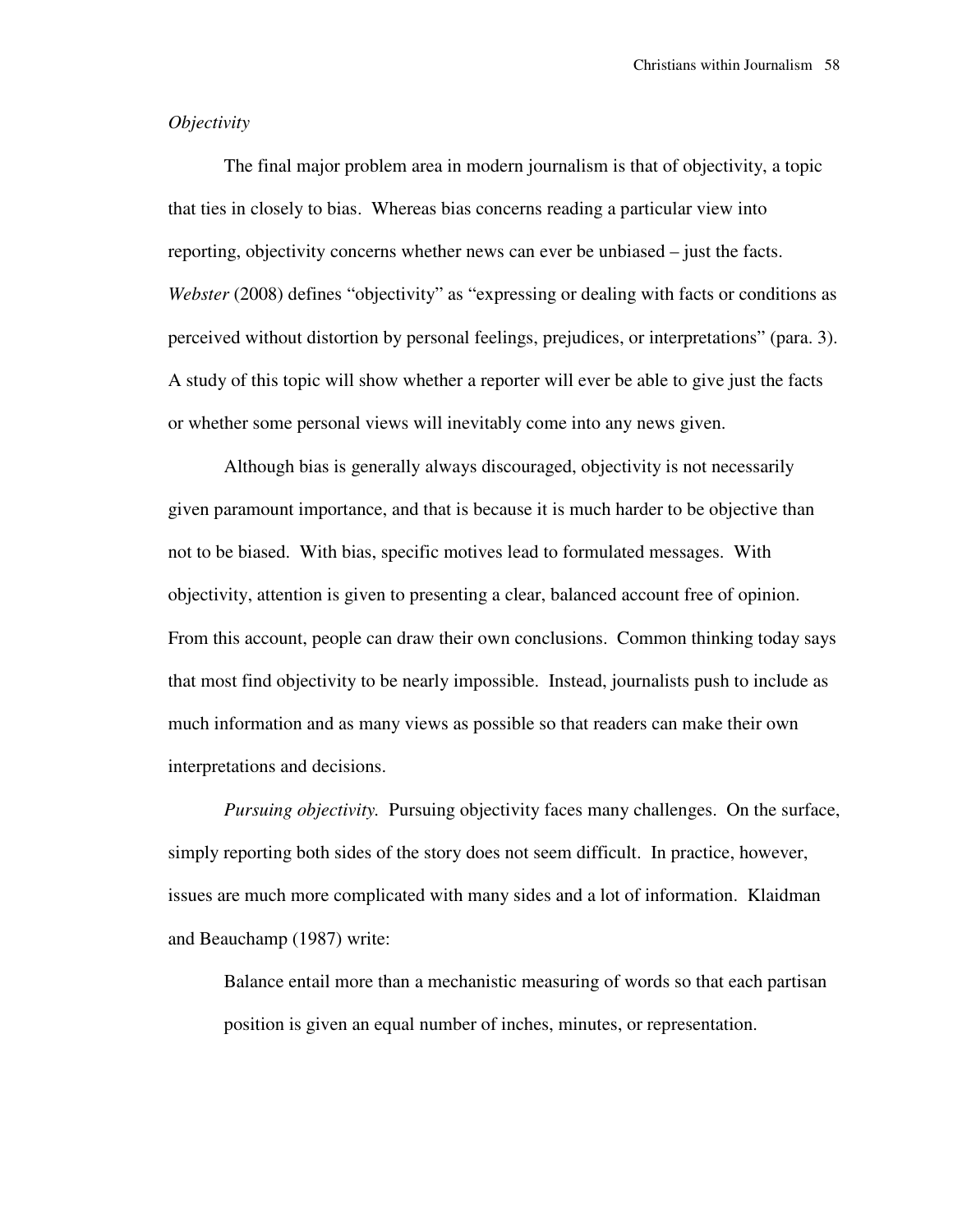## *Objectivity*

 The final major problem area in modern journalism is that of objectivity, a topic that ties in closely to bias. Whereas bias concerns reading a particular view into reporting, objectivity concerns whether news can ever be unbiased – just the facts. *Webster* (2008) defines "objectivity" as "expressing or dealing with facts or conditions as perceived without distortion by personal feelings, prejudices, or interpretations" (para. 3). A study of this topic will show whether a reporter will ever be able to give just the facts or whether some personal views will inevitably come into any news given.

 Although bias is generally always discouraged, objectivity is not necessarily given paramount importance, and that is because it is much harder to be objective than not to be biased. With bias, specific motives lead to formulated messages. With objectivity, attention is given to presenting a clear, balanced account free of opinion. From this account, people can draw their own conclusions. Common thinking today says that most find objectivity to be nearly impossible. Instead, journalists push to include as much information and as many views as possible so that readers can make their own interpretations and decisions.

*Pursuing objectivity.* Pursuing objectivity faces many challenges. On the surface, simply reporting both sides of the story does not seem difficult. In practice, however, issues are much more complicated with many sides and a lot of information. Klaidman and Beauchamp (1987) write:

Balance entail more than a mechanistic measuring of words so that each partisan position is given an equal number of inches, minutes, or representation.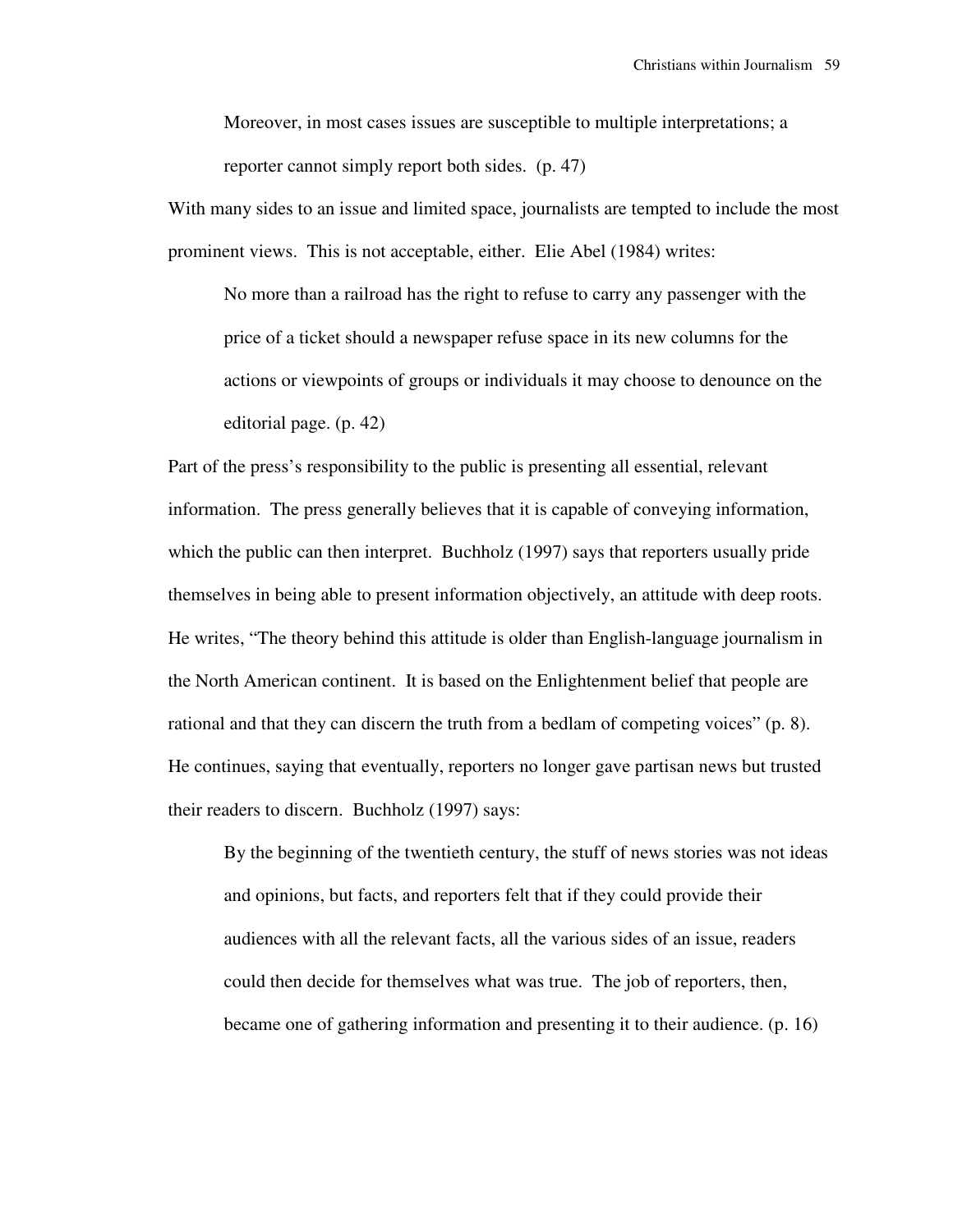Moreover, in most cases issues are susceptible to multiple interpretations; a reporter cannot simply report both sides. (p. 47)

With many sides to an issue and limited space, journalists are tempted to include the most prominent views. This is not acceptable, either. Elie Abel (1984) writes:

No more than a railroad has the right to refuse to carry any passenger with the price of a ticket should a newspaper refuse space in its new columns for the actions or viewpoints of groups or individuals it may choose to denounce on the editorial page. (p. 42)

Part of the press's responsibility to the public is presenting all essential, relevant information. The press generally believes that it is capable of conveying information, which the public can then interpret. Buchholz (1997) says that reporters usually pride themselves in being able to present information objectively, an attitude with deep roots. He writes, "The theory behind this attitude is older than English-language journalism in the North American continent. It is based on the Enlightenment belief that people are rational and that they can discern the truth from a bedlam of competing voices" (p. 8). He continues, saying that eventually, reporters no longer gave partisan news but trusted their readers to discern. Buchholz (1997) says:

By the beginning of the twentieth century, the stuff of news stories was not ideas and opinions, but facts, and reporters felt that if they could provide their audiences with all the relevant facts, all the various sides of an issue, readers could then decide for themselves what was true. The job of reporters, then, became one of gathering information and presenting it to their audience. (p. 16)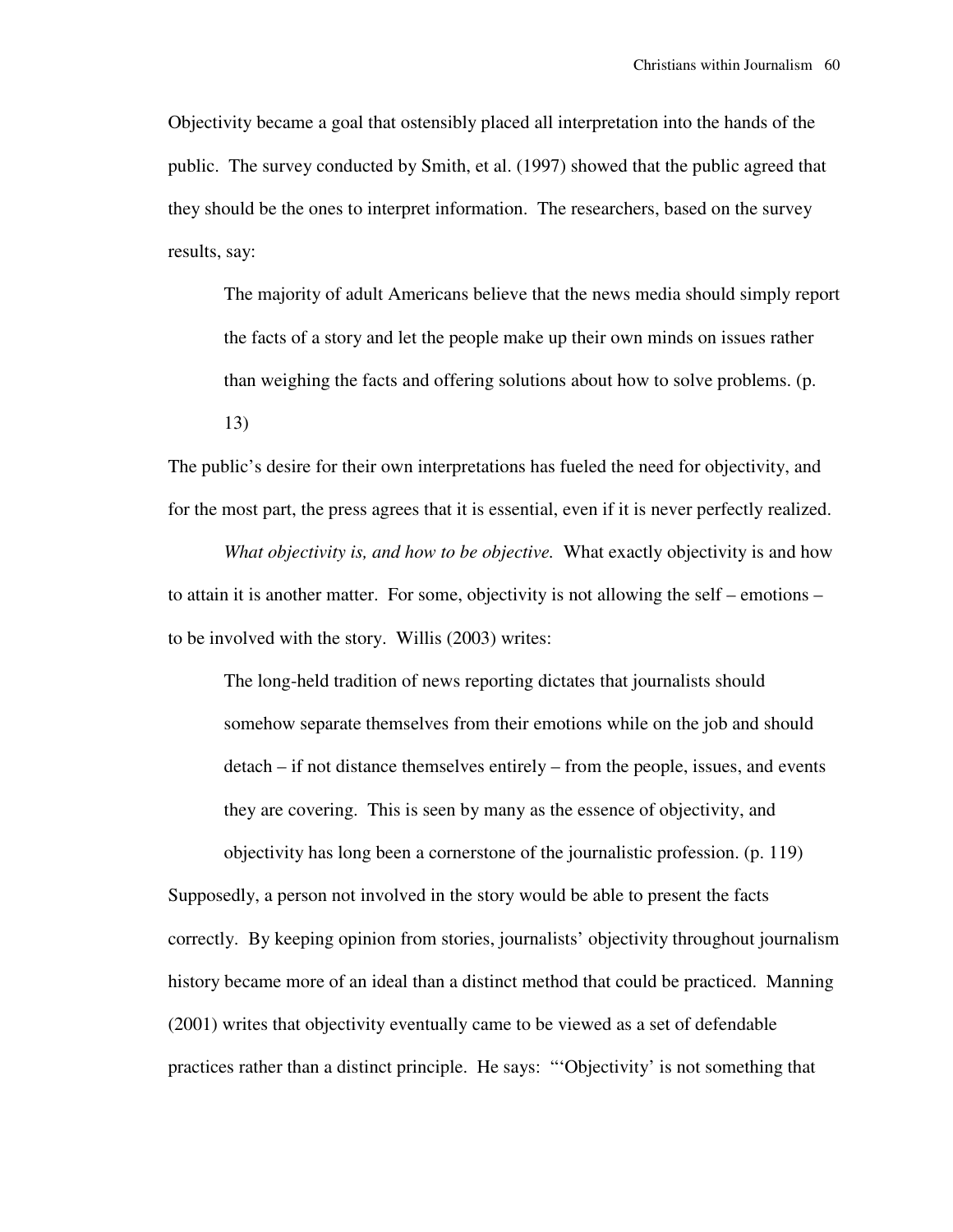Objectivity became a goal that ostensibly placed all interpretation into the hands of the public. The survey conducted by Smith, et al. (1997) showed that the public agreed that they should be the ones to interpret information. The researchers, based on the survey results, say:

The majority of adult Americans believe that the news media should simply report the facts of a story and let the people make up their own minds on issues rather than weighing the facts and offering solutions about how to solve problems. (p.

13)

The public's desire for their own interpretations has fueled the need for objectivity, and for the most part, the press agrees that it is essential, even if it is never perfectly realized.

*What objectivity is, and how to be objective.* What exactly objectivity is and how to attain it is another matter. For some, objectivity is not allowing the self – emotions – to be involved with the story. Willis (2003) writes:

The long-held tradition of news reporting dictates that journalists should somehow separate themselves from their emotions while on the job and should detach – if not distance themselves entirely – from the people, issues, and events they are covering. This is seen by many as the essence of objectivity, and objectivity has long been a cornerstone of the journalistic profession. (p. 119)

Supposedly, a person not involved in the story would be able to present the facts correctly. By keeping opinion from stories, journalists' objectivity throughout journalism history became more of an ideal than a distinct method that could be practiced. Manning (2001) writes that objectivity eventually came to be viewed as a set of defendable practices rather than a distinct principle. He says: "'Objectivity' is not something that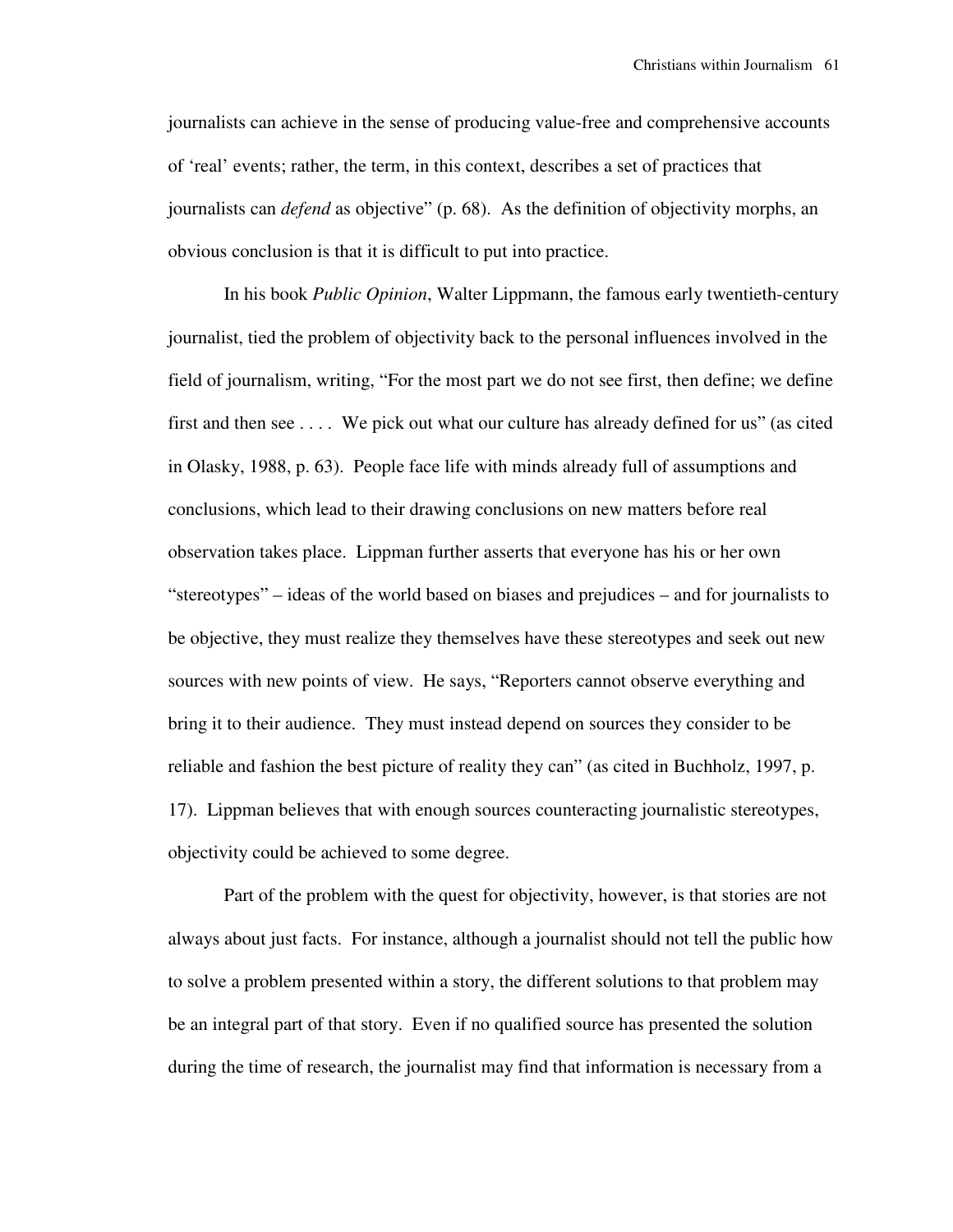journalists can achieve in the sense of producing value-free and comprehensive accounts of 'real' events; rather, the term, in this context, describes a set of practices that journalists can *defend* as objective" (p. 68). As the definition of objectivity morphs, an obvious conclusion is that it is difficult to put into practice.

 In his book *Public Opinion*, Walter Lippmann, the famous early twentieth-century journalist, tied the problem of objectivity back to the personal influences involved in the field of journalism, writing, "For the most part we do not see first, then define; we define first and then see . . . . We pick out what our culture has already defined for us" (as cited in Olasky, 1988, p. 63). People face life with minds already full of assumptions and conclusions, which lead to their drawing conclusions on new matters before real observation takes place. Lippman further asserts that everyone has his or her own "stereotypes" – ideas of the world based on biases and prejudices – and for journalists to be objective, they must realize they themselves have these stereotypes and seek out new sources with new points of view. He says, "Reporters cannot observe everything and bring it to their audience. They must instead depend on sources they consider to be reliable and fashion the best picture of reality they can" (as cited in Buchholz, 1997, p. 17). Lippman believes that with enough sources counteracting journalistic stereotypes, objectivity could be achieved to some degree.

 Part of the problem with the quest for objectivity, however, is that stories are not always about just facts. For instance, although a journalist should not tell the public how to solve a problem presented within a story, the different solutions to that problem may be an integral part of that story. Even if no qualified source has presented the solution during the time of research, the journalist may find that information is necessary from a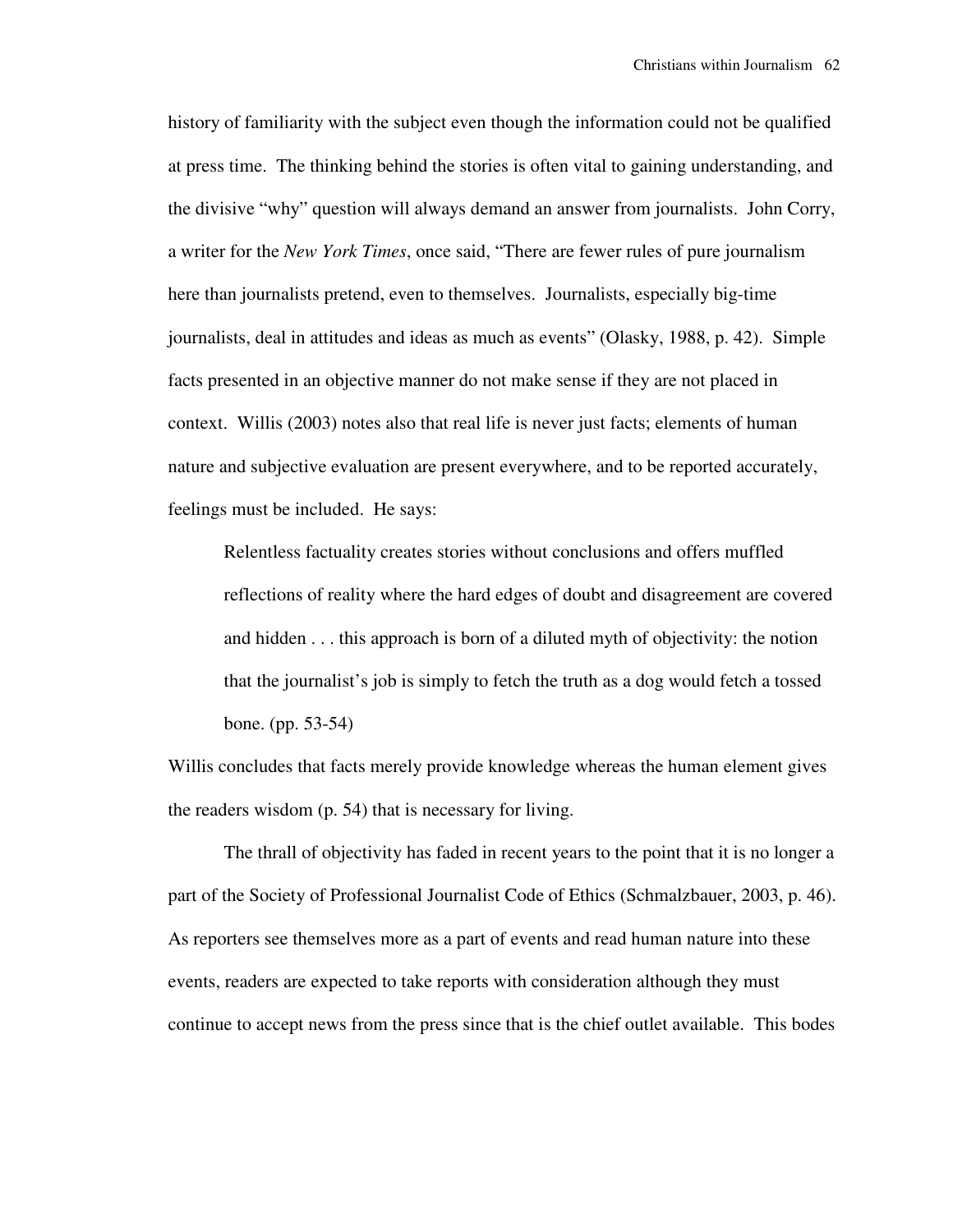history of familiarity with the subject even though the information could not be qualified at press time. The thinking behind the stories is often vital to gaining understanding, and the divisive "why" question will always demand an answer from journalists. John Corry, a writer for the *New York Times*, once said, "There are fewer rules of pure journalism here than journalists pretend, even to themselves. Journalists, especially big-time journalists, deal in attitudes and ideas as much as events" (Olasky, 1988, p. 42). Simple facts presented in an objective manner do not make sense if they are not placed in context. Willis (2003) notes also that real life is never just facts; elements of human nature and subjective evaluation are present everywhere, and to be reported accurately, feelings must be included. He says:

Relentless factuality creates stories without conclusions and offers muffled reflections of reality where the hard edges of doubt and disagreement are covered and hidden . . . this approach is born of a diluted myth of objectivity: the notion that the journalist's job is simply to fetch the truth as a dog would fetch a tossed bone. (pp. 53-54)

Willis concludes that facts merely provide knowledge whereas the human element gives the readers wisdom (p. 54) that is necessary for living.

 The thrall of objectivity has faded in recent years to the point that it is no longer a part of the Society of Professional Journalist Code of Ethics (Schmalzbauer, 2003, p. 46). As reporters see themselves more as a part of events and read human nature into these events, readers are expected to take reports with consideration although they must continue to accept news from the press since that is the chief outlet available. This bodes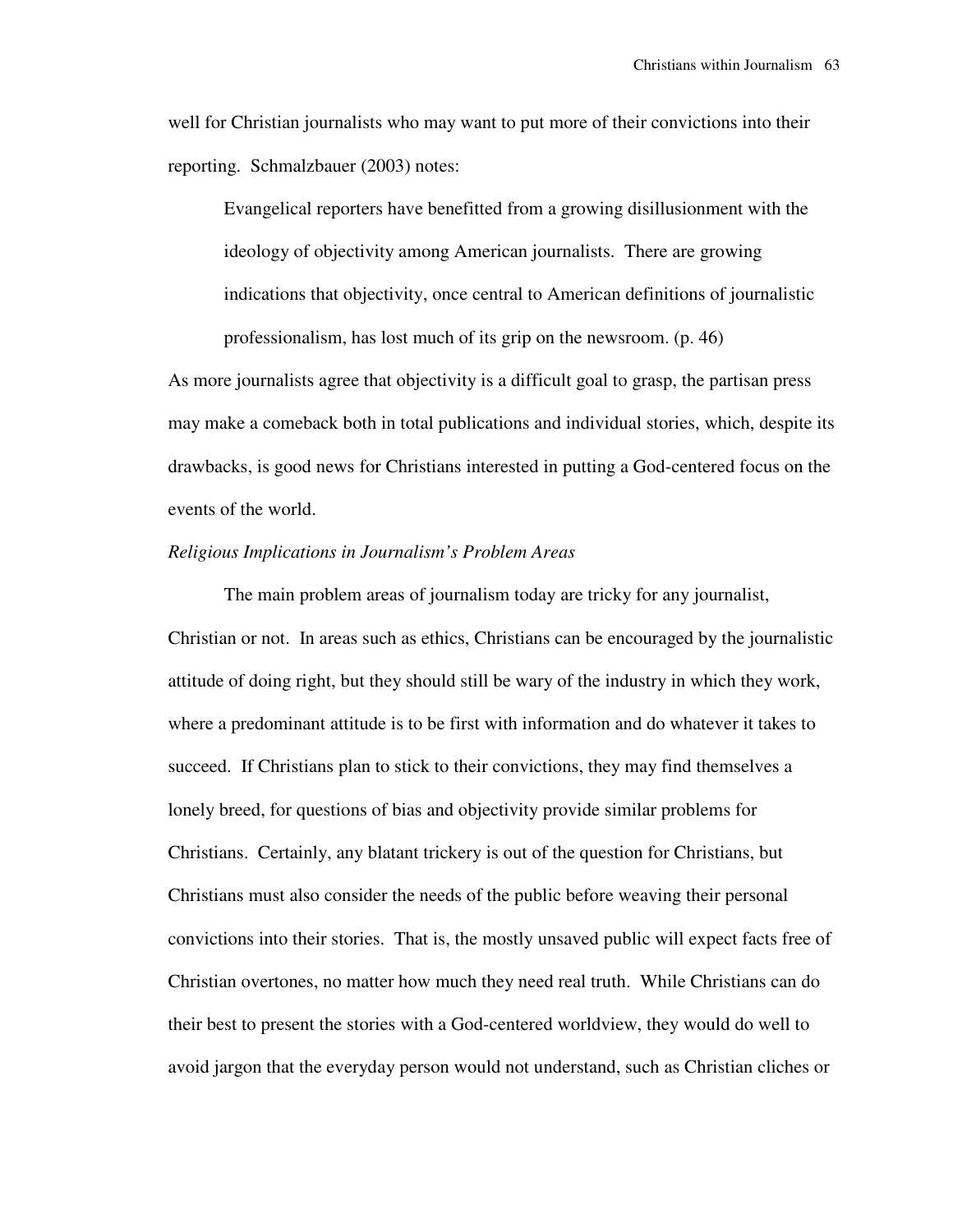well for Christian journalists who may want to put more of their convictions into their reporting. Schmalzbauer (2003) notes:

Evangelical reporters have benefitted from a growing disillusionment with the ideology of objectivity among American journalists. There are growing indications that objectivity, once central to American definitions of journalistic professionalism, has lost much of its grip on the newsroom. (p. 46)

As more journalists agree that objectivity is a difficult goal to grasp, the partisan press may make a comeback both in total publications and individual stories, which, despite its drawbacks, is good news for Christians interested in putting a God-centered focus on the events of the world.

#### *Religious Implications in Journalism's Problem Areas*

 The main problem areas of journalism today are tricky for any journalist, Christian or not. In areas such as ethics, Christians can be encouraged by the journalistic attitude of doing right, but they should still be wary of the industry in which they work, where a predominant attitude is to be first with information and do whatever it takes to succeed. If Christians plan to stick to their convictions, they may find themselves a lonely breed, for questions of bias and objectivity provide similar problems for Christians. Certainly, any blatant trickery is out of the question for Christians, but Christians must also consider the needs of the public before weaving their personal convictions into their stories. That is, the mostly unsaved public will expect facts free of Christian overtones, no matter how much they need real truth. While Christians can do their best to present the stories with a God-centered worldview, they would do well to avoid jargon that the everyday person would not understand, such as Christian cliches or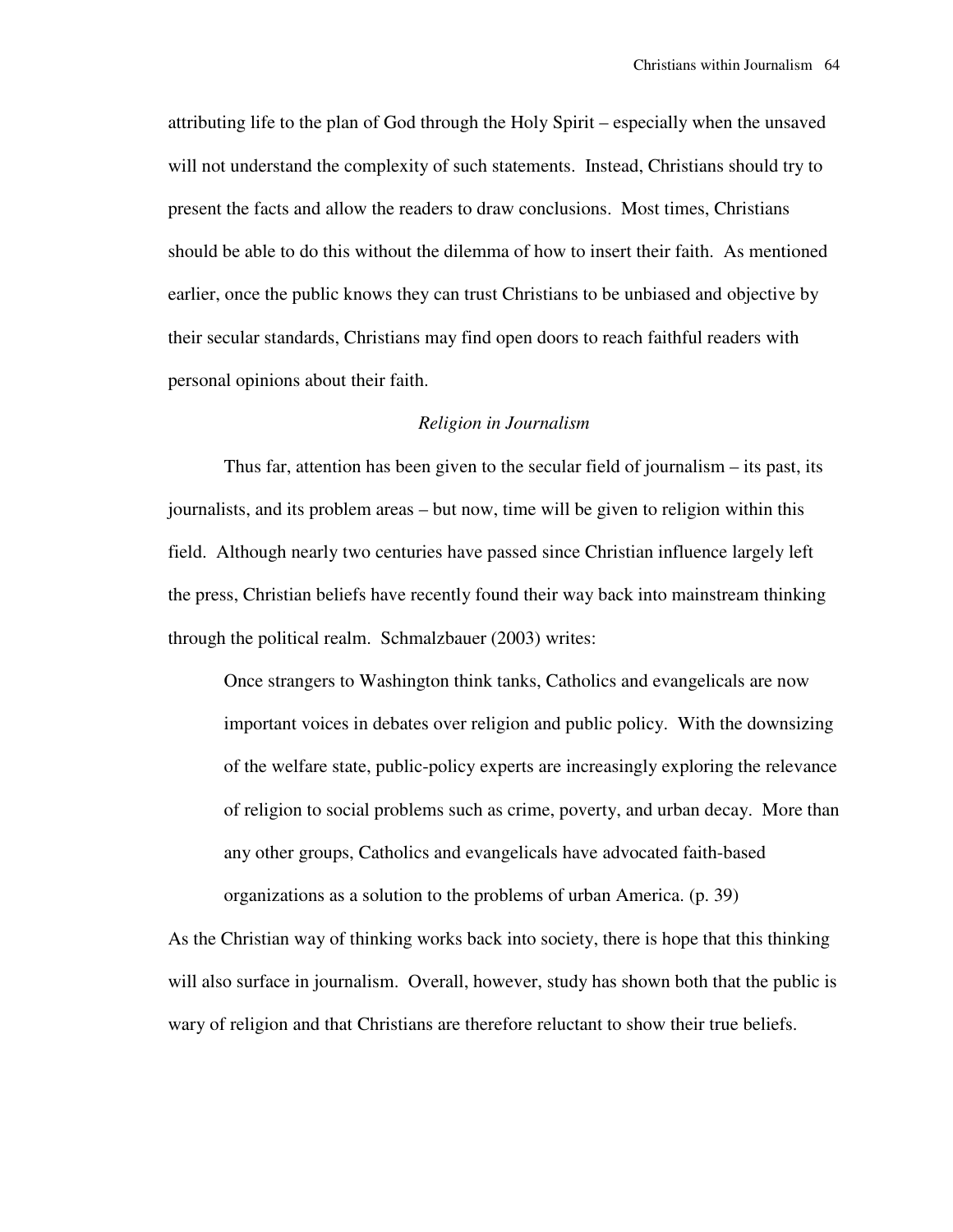attributing life to the plan of God through the Holy Spirit – especially when the unsaved will not understand the complexity of such statements. Instead, Christians should try to present the facts and allow the readers to draw conclusions. Most times, Christians should be able to do this without the dilemma of how to insert their faith. As mentioned earlier, once the public knows they can trust Christians to be unbiased and objective by their secular standards, Christians may find open doors to reach faithful readers with personal opinions about their faith.

#### *Religion in Journalism*

 Thus far, attention has been given to the secular field of journalism – its past, its journalists, and its problem areas – but now, time will be given to religion within this field. Although nearly two centuries have passed since Christian influence largely left the press, Christian beliefs have recently found their way back into mainstream thinking through the political realm. Schmalzbauer (2003) writes:

Once strangers to Washington think tanks, Catholics and evangelicals are now important voices in debates over religion and public policy. With the downsizing of the welfare state, public-policy experts are increasingly exploring the relevance of religion to social problems such as crime, poverty, and urban decay. More than any other groups, Catholics and evangelicals have advocated faith-based organizations as a solution to the problems of urban America. (p. 39)

As the Christian way of thinking works back into society, there is hope that this thinking will also surface in journalism. Overall, however, study has shown both that the public is wary of religion and that Christians are therefore reluctant to show their true beliefs.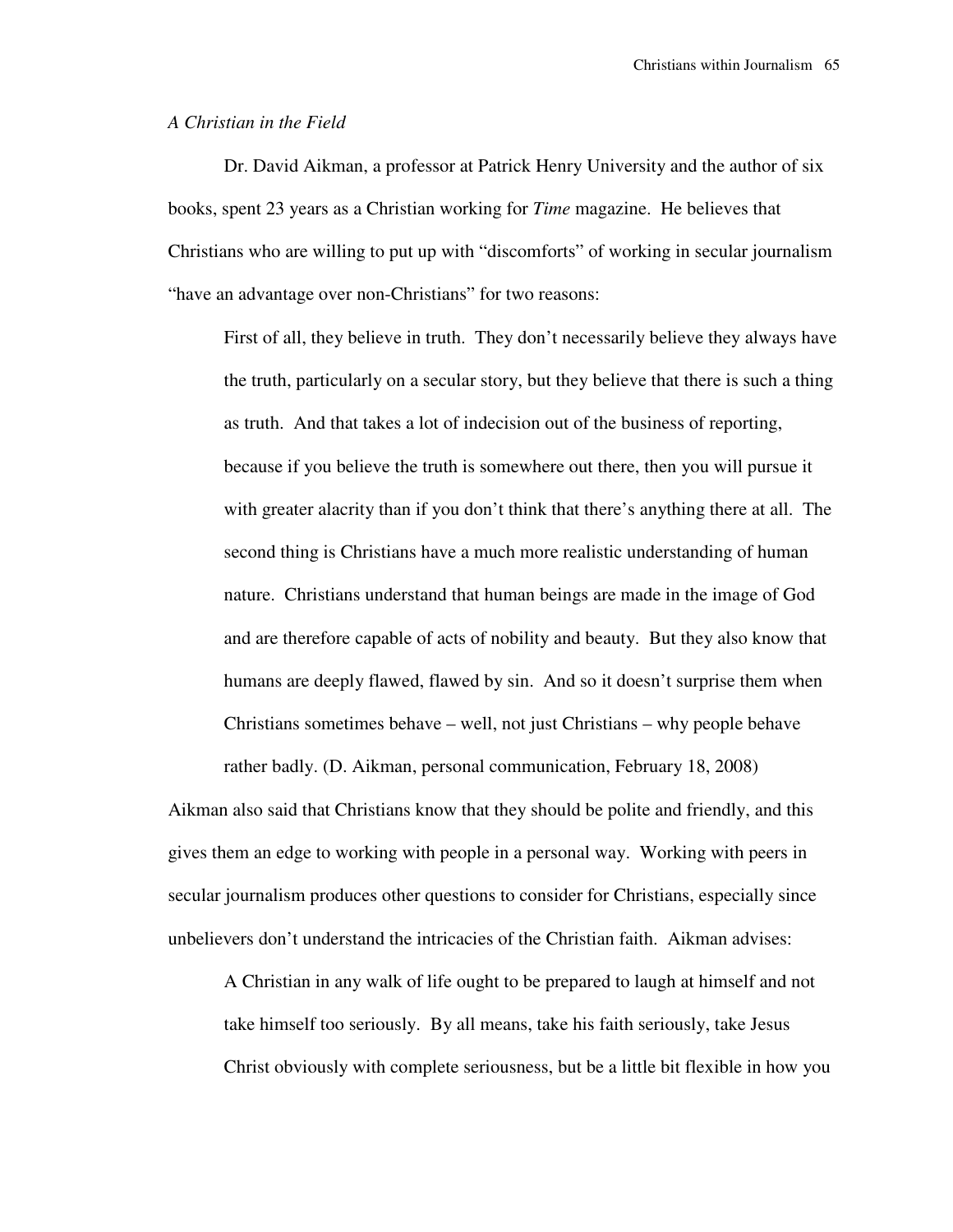### *A Christian in the Field*

 Dr. David Aikman, a professor at Patrick Henry University and the author of six books, spent 23 years as a Christian working for *Time* magazine. He believes that Christians who are willing to put up with "discomforts" of working in secular journalism "have an advantage over non-Christians" for two reasons:

First of all, they believe in truth. They don't necessarily believe they always have the truth, particularly on a secular story, but they believe that there is such a thing as truth. And that takes a lot of indecision out of the business of reporting, because if you believe the truth is somewhere out there, then you will pursue it with greater alacrity than if you don't think that there's anything there at all. The second thing is Christians have a much more realistic understanding of human nature. Christians understand that human beings are made in the image of God and are therefore capable of acts of nobility and beauty. But they also know that humans are deeply flawed, flawed by sin. And so it doesn't surprise them when Christians sometimes behave – well, not just Christians – why people behave rather badly. (D. Aikman, personal communication, February 18, 2008)

Aikman also said that Christians know that they should be polite and friendly, and this gives them an edge to working with people in a personal way. Working with peers in secular journalism produces other questions to consider for Christians, especially since unbelievers don't understand the intricacies of the Christian faith. Aikman advises:

A Christian in any walk of life ought to be prepared to laugh at himself and not take himself too seriously. By all means, take his faith seriously, take Jesus Christ obviously with complete seriousness, but be a little bit flexible in how you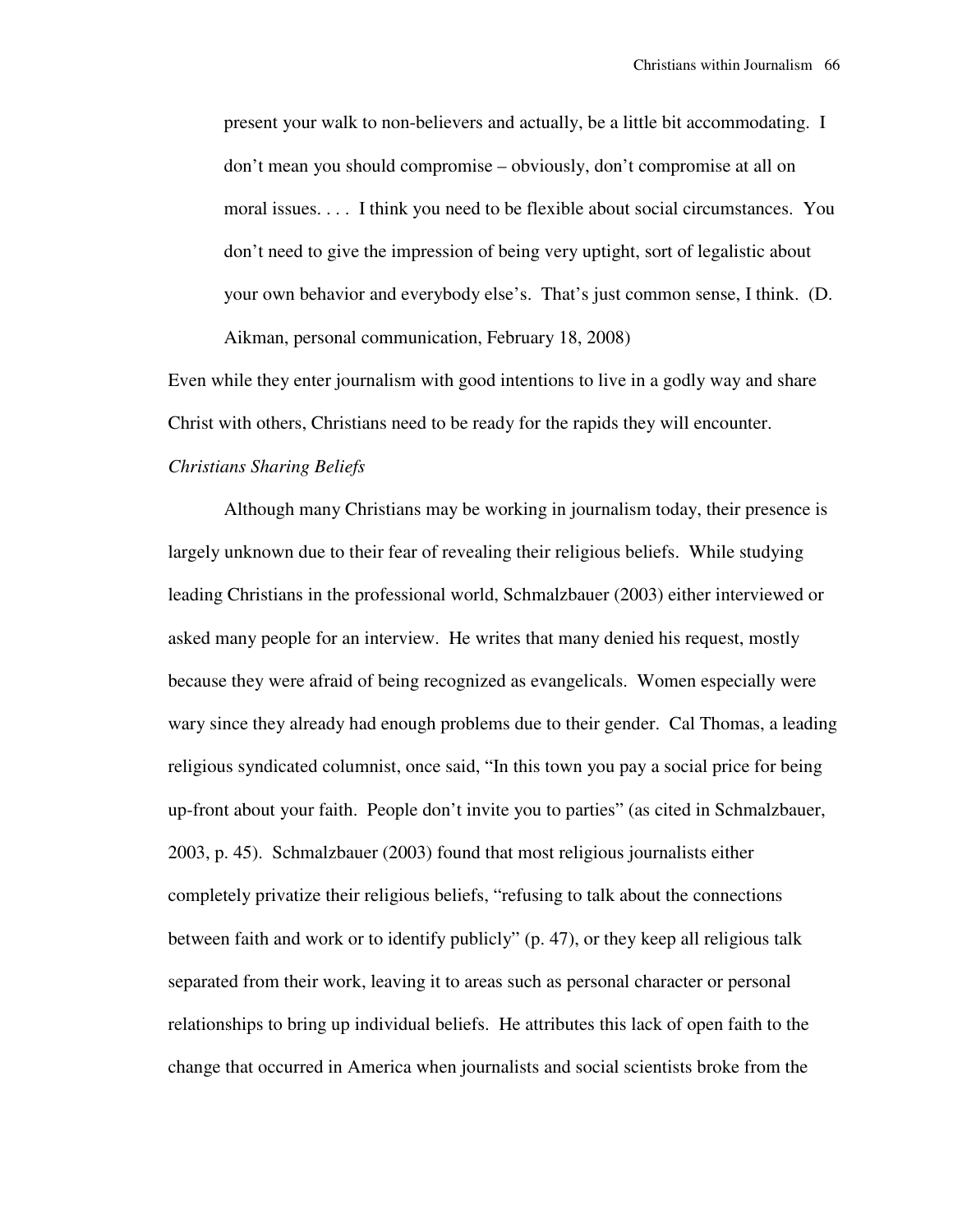present your walk to non-believers and actually, be a little bit accommodating. I don't mean you should compromise – obviously, don't compromise at all on moral issues. . . . I think you need to be flexible about social circumstances. You don't need to give the impression of being very uptight, sort of legalistic about your own behavior and everybody else's. That's just common sense, I think. (D. Aikman, personal communication, February 18, 2008)

Even while they enter journalism with good intentions to live in a godly way and share Christ with others, Christians need to be ready for the rapids they will encounter.

# *Christians Sharing Beliefs*

 Although many Christians may be working in journalism today, their presence is largely unknown due to their fear of revealing their religious beliefs. While studying leading Christians in the professional world, Schmalzbauer (2003) either interviewed or asked many people for an interview. He writes that many denied his request, mostly because they were afraid of being recognized as evangelicals. Women especially were wary since they already had enough problems due to their gender. Cal Thomas, a leading religious syndicated columnist, once said, "In this town you pay a social price for being up-front about your faith. People don't invite you to parties" (as cited in Schmalzbauer, 2003, p. 45). Schmalzbauer (2003) found that most religious journalists either completely privatize their religious beliefs, "refusing to talk about the connections between faith and work or to identify publicly" (p. 47), or they keep all religious talk separated from their work, leaving it to areas such as personal character or personal relationships to bring up individual beliefs. He attributes this lack of open faith to the change that occurred in America when journalists and social scientists broke from the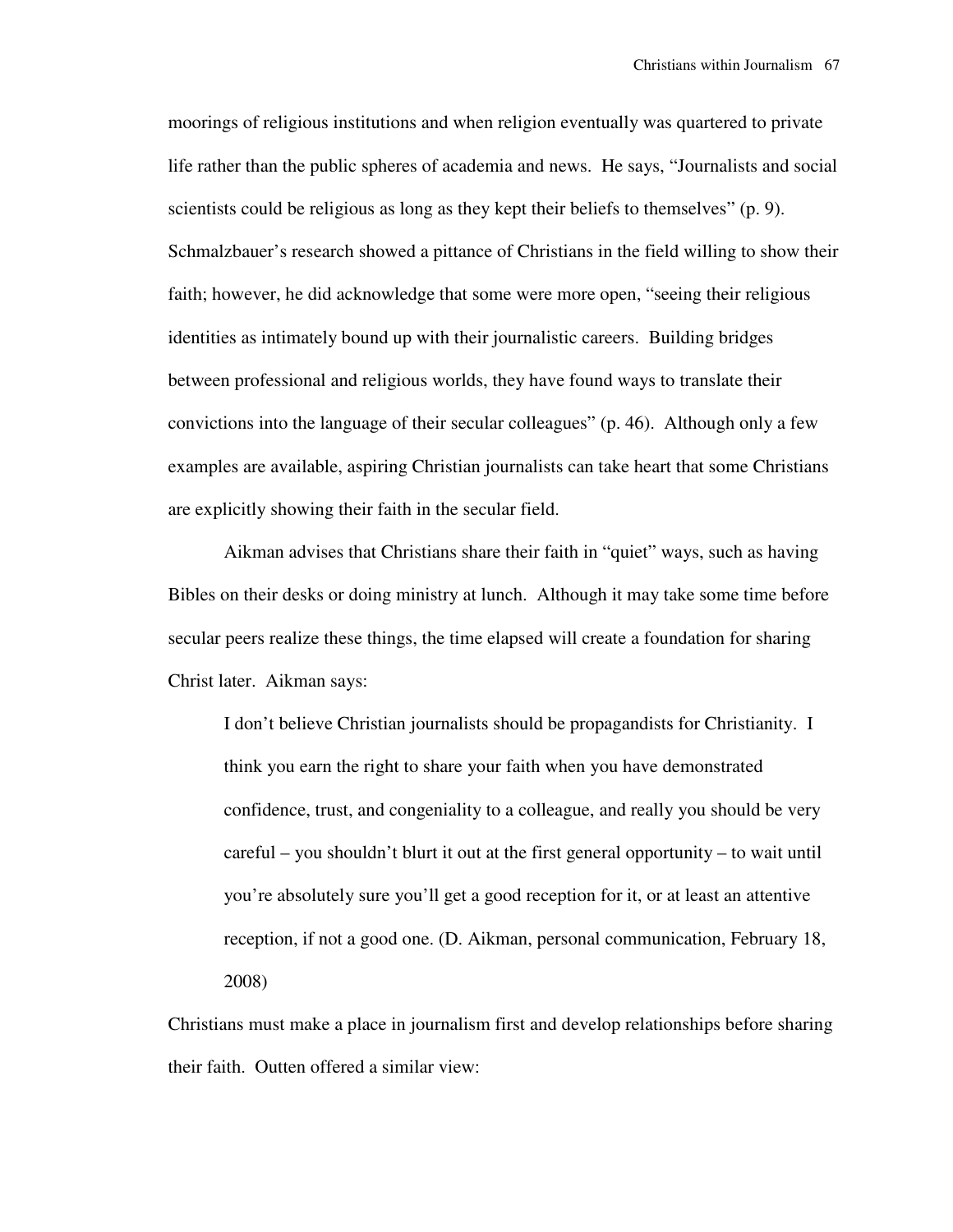moorings of religious institutions and when religion eventually was quartered to private life rather than the public spheres of academia and news. He says, "Journalists and social scientists could be religious as long as they kept their beliefs to themselves" (p. 9). Schmalzbauer's research showed a pittance of Christians in the field willing to show their faith; however, he did acknowledge that some were more open, "seeing their religious identities as intimately bound up with their journalistic careers. Building bridges between professional and religious worlds, they have found ways to translate their convictions into the language of their secular colleagues" (p. 46). Although only a few examples are available, aspiring Christian journalists can take heart that some Christians are explicitly showing their faith in the secular field.

 Aikman advises that Christians share their faith in "quiet" ways, such as having Bibles on their desks or doing ministry at lunch. Although it may take some time before secular peers realize these things, the time elapsed will create a foundation for sharing Christ later. Aikman says:

I don't believe Christian journalists should be propagandists for Christianity. I think you earn the right to share your faith when you have demonstrated confidence, trust, and congeniality to a colleague, and really you should be very careful – you shouldn't blurt it out at the first general opportunity – to wait until you're absolutely sure you'll get a good reception for it, or at least an attentive reception, if not a good one. (D. Aikman, personal communication, February 18, 2008)

Christians must make a place in journalism first and develop relationships before sharing their faith. Outten offered a similar view: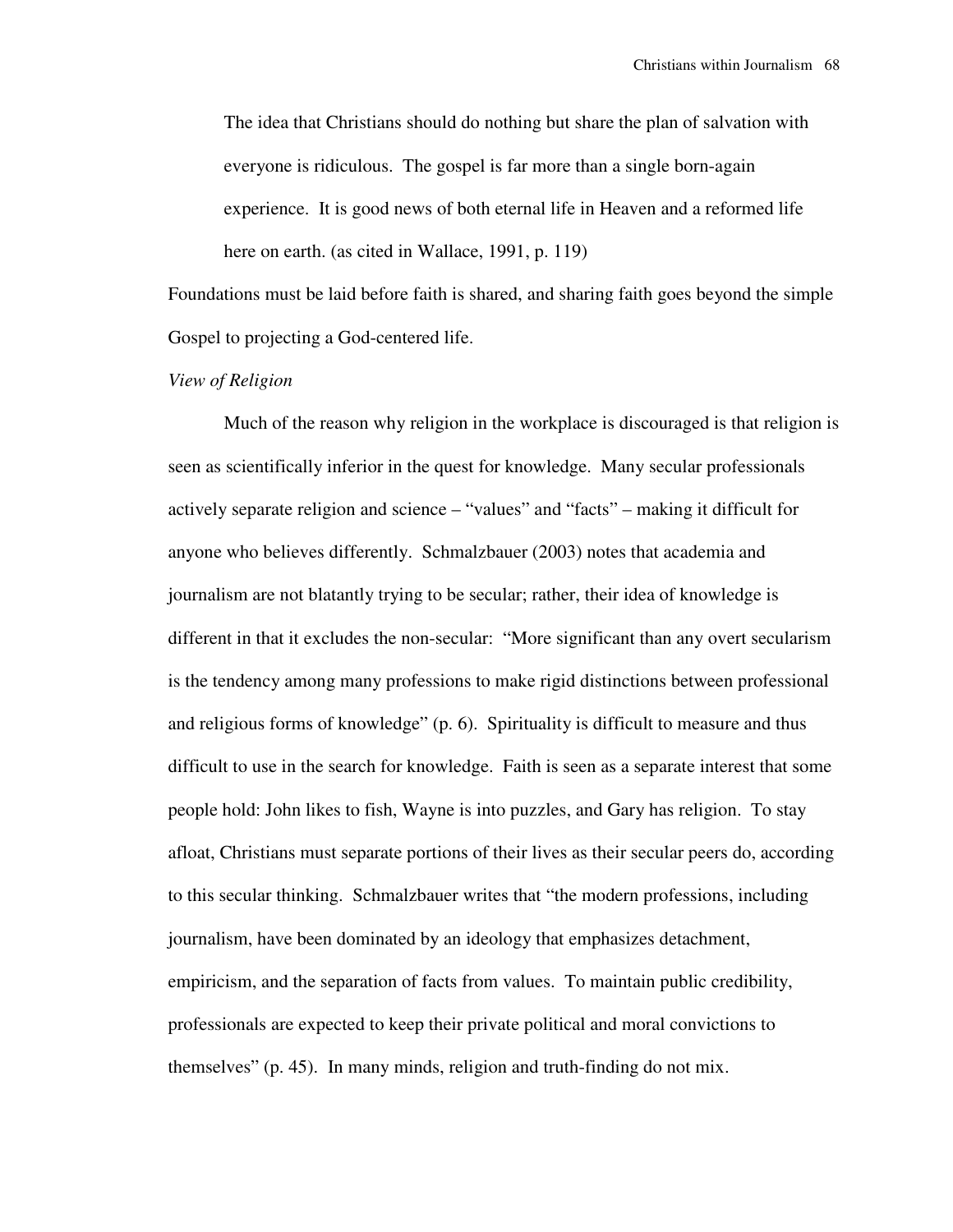The idea that Christians should do nothing but share the plan of salvation with everyone is ridiculous. The gospel is far more than a single born-again experience. It is good news of both eternal life in Heaven and a reformed life here on earth. (as cited in Wallace, 1991, p. 119)

Foundations must be laid before faith is shared, and sharing faith goes beyond the simple Gospel to projecting a God-centered life.

## *View of Religion*

 Much of the reason why religion in the workplace is discouraged is that religion is seen as scientifically inferior in the quest for knowledge. Many secular professionals actively separate religion and science – "values" and "facts" – making it difficult for anyone who believes differently. Schmalzbauer (2003) notes that academia and journalism are not blatantly trying to be secular; rather, their idea of knowledge is different in that it excludes the non-secular: "More significant than any overt secularism is the tendency among many professions to make rigid distinctions between professional and religious forms of knowledge" (p. 6). Spirituality is difficult to measure and thus difficult to use in the search for knowledge. Faith is seen as a separate interest that some people hold: John likes to fish, Wayne is into puzzles, and Gary has religion. To stay afloat, Christians must separate portions of their lives as their secular peers do, according to this secular thinking. Schmalzbauer writes that "the modern professions, including journalism, have been dominated by an ideology that emphasizes detachment, empiricism, and the separation of facts from values. To maintain public credibility, professionals are expected to keep their private political and moral convictions to themselves" (p. 45). In many minds, religion and truth-finding do not mix.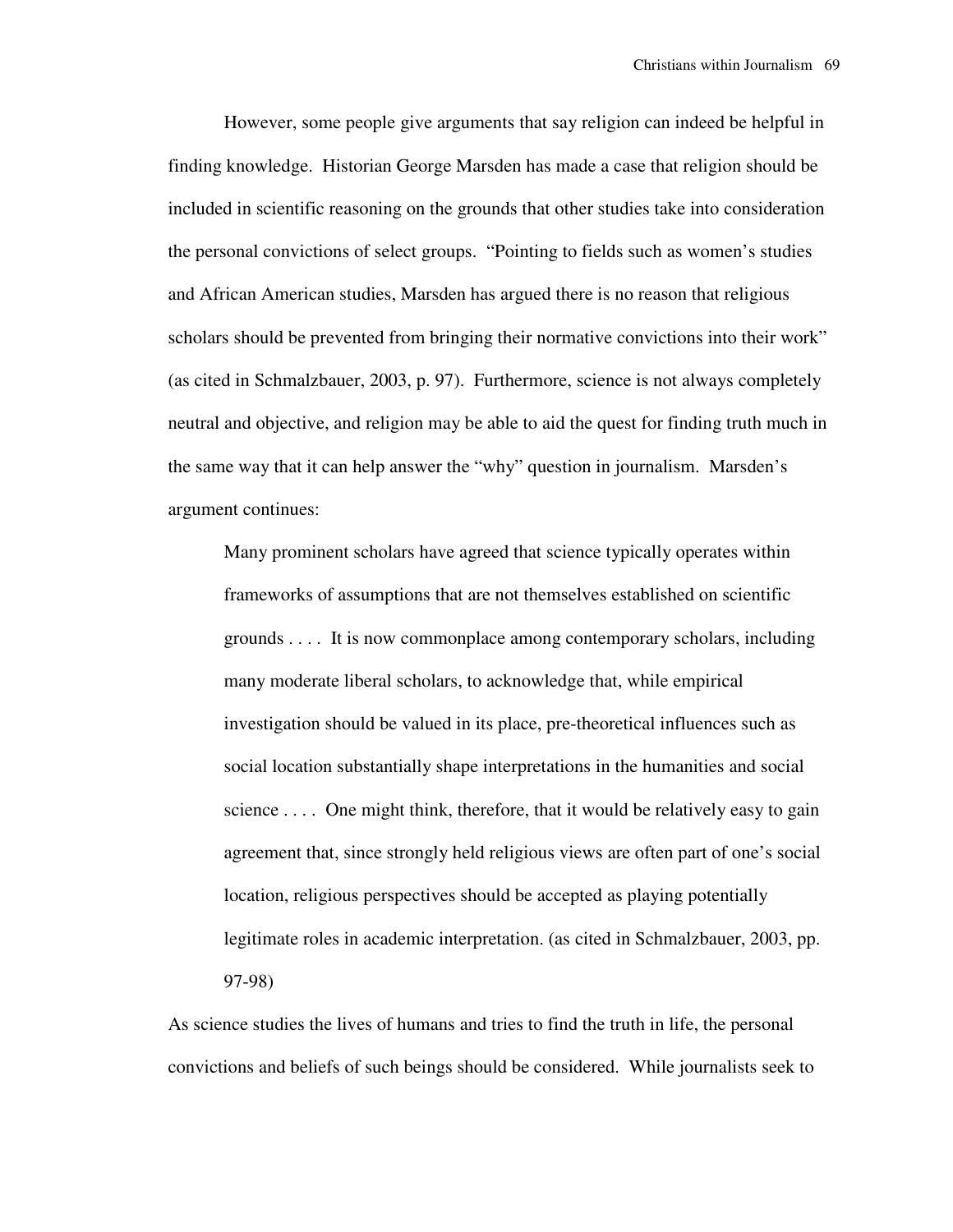However, some people give arguments that say religion can indeed be helpful in finding knowledge. Historian George Marsden has made a case that religion should be included in scientific reasoning on the grounds that other studies take into consideration the personal convictions of select groups. "Pointing to fields such as women's studies and African American studies, Marsden has argued there is no reason that religious scholars should be prevented from bringing their normative convictions into their work" (as cited in Schmalzbauer, 2003, p. 97). Furthermore, science is not always completely neutral and objective, and religion may be able to aid the quest for finding truth much in the same way that it can help answer the "why" question in journalism. Marsden's argument continues:

Many prominent scholars have agreed that science typically operates within frameworks of assumptions that are not themselves established on scientific grounds . . . . It is now commonplace among contemporary scholars, including many moderate liberal scholars, to acknowledge that, while empirical investigation should be valued in its place, pre-theoretical influences such as social location substantially shape interpretations in the humanities and social science . . . . One might think, therefore, that it would be relatively easy to gain agreement that, since strongly held religious views are often part of one's social location, religious perspectives should be accepted as playing potentially legitimate roles in academic interpretation. (as cited in Schmalzbauer, 2003, pp. 97-98)

As science studies the lives of humans and tries to find the truth in life, the personal convictions and beliefs of such beings should be considered. While journalists seek to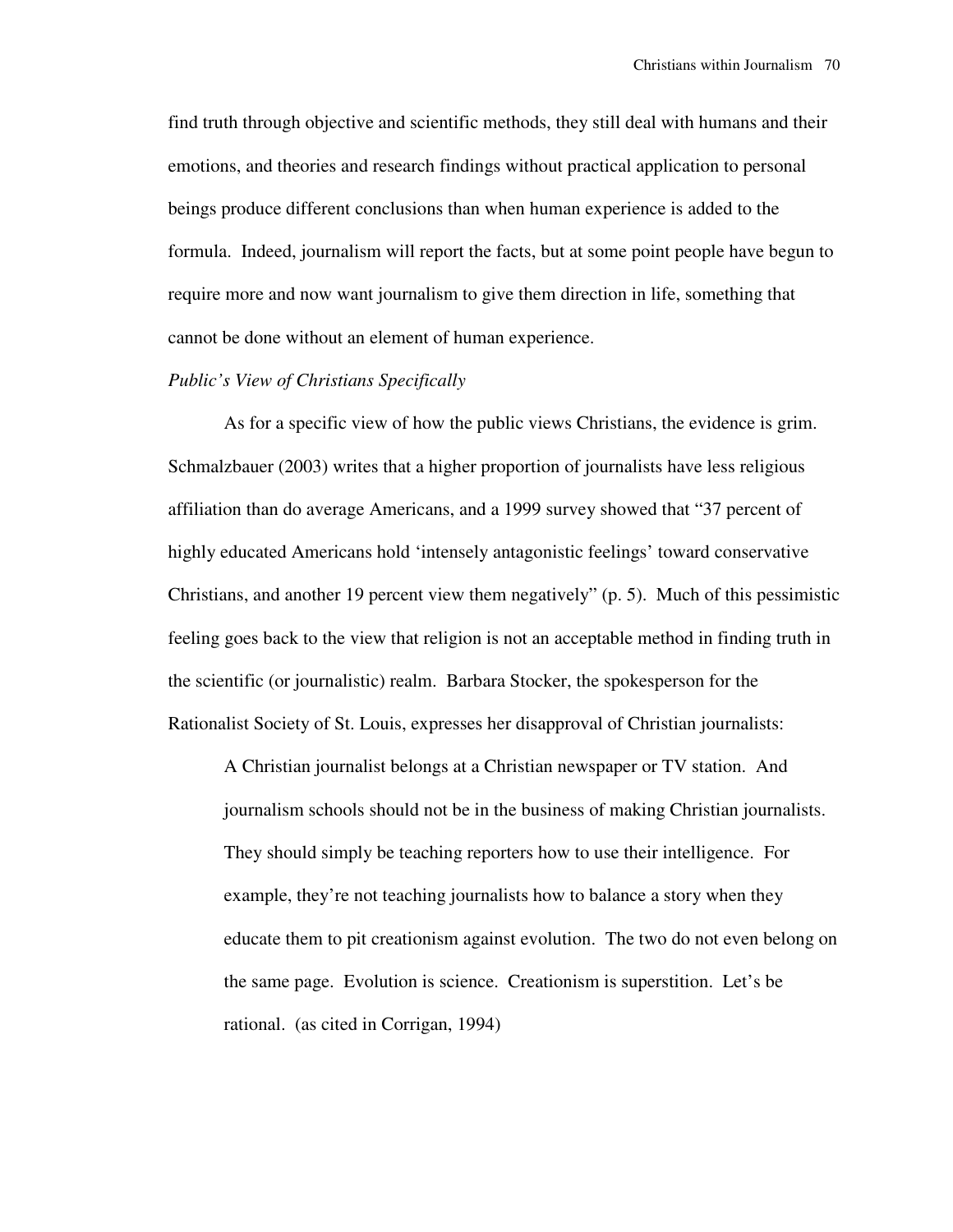find truth through objective and scientific methods, they still deal with humans and their emotions, and theories and research findings without practical application to personal beings produce different conclusions than when human experience is added to the formula. Indeed, journalism will report the facts, but at some point people have begun to require more and now want journalism to give them direction in life, something that cannot be done without an element of human experience.

# *Public's View of Christians Specifically*

 As for a specific view of how the public views Christians, the evidence is grim. Schmalzbauer (2003) writes that a higher proportion of journalists have less religious affiliation than do average Americans, and a 1999 survey showed that "37 percent of highly educated Americans hold 'intensely antagonistic feelings' toward conservative Christians, and another 19 percent view them negatively" (p. 5). Much of this pessimistic feeling goes back to the view that religion is not an acceptable method in finding truth in the scientific (or journalistic) realm. Barbara Stocker, the spokesperson for the Rationalist Society of St. Louis, expresses her disapproval of Christian journalists:

A Christian journalist belongs at a Christian newspaper or TV station. And journalism schools should not be in the business of making Christian journalists. They should simply be teaching reporters how to use their intelligence. For example, they're not teaching journalists how to balance a story when they educate them to pit creationism against evolution. The two do not even belong on the same page. Evolution is science. Creationism is superstition. Let's be rational. (as cited in Corrigan, 1994)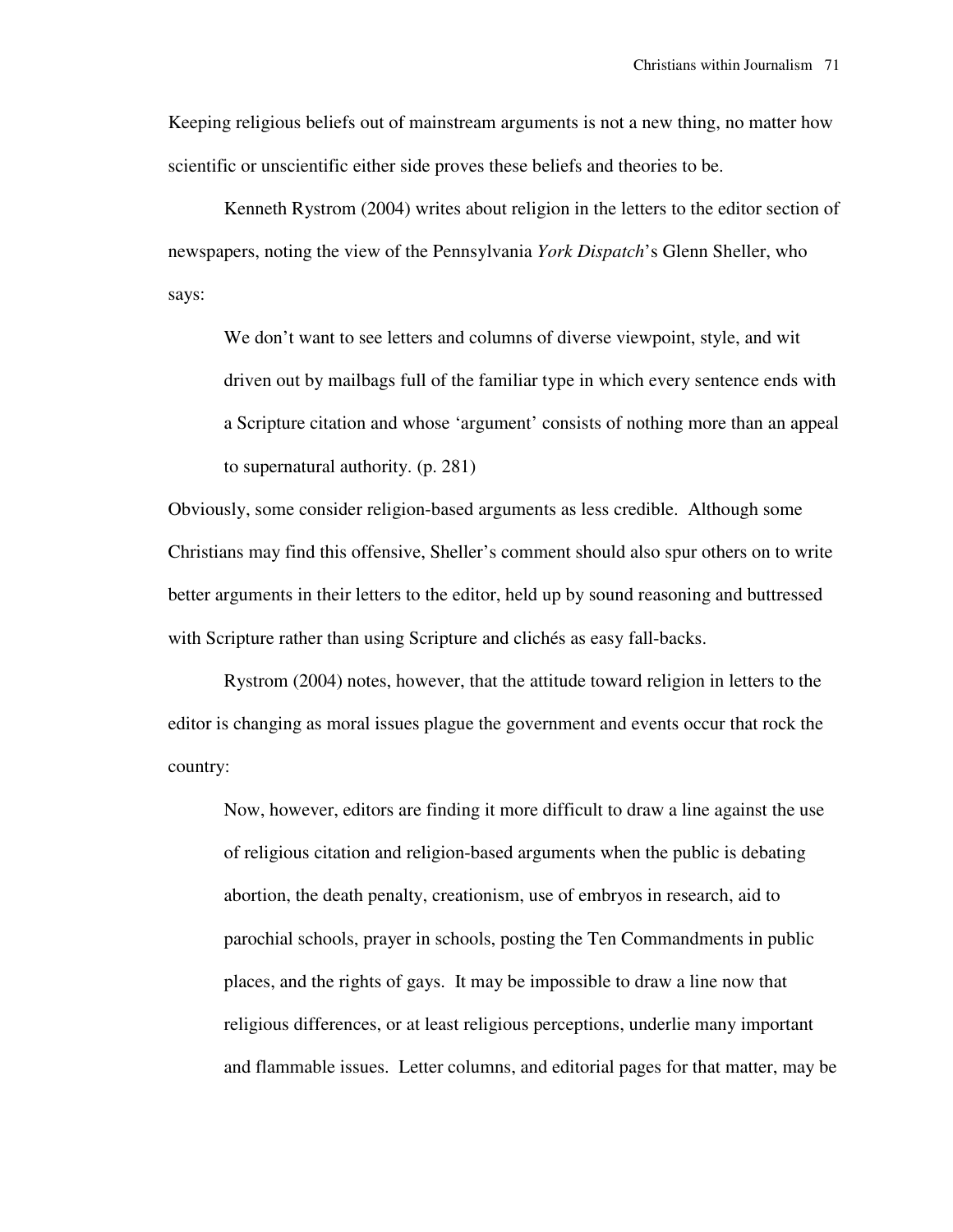Keeping religious beliefs out of mainstream arguments is not a new thing, no matter how scientific or unscientific either side proves these beliefs and theories to be.

 Kenneth Rystrom (2004) writes about religion in the letters to the editor section of newspapers, noting the view of the Pennsylvania *York Dispatch*'s Glenn Sheller, who says:

We don't want to see letters and columns of diverse viewpoint, style, and wit driven out by mailbags full of the familiar type in which every sentence ends with a Scripture citation and whose 'argument' consists of nothing more than an appeal to supernatural authority. (p. 281)

Obviously, some consider religion-based arguments as less credible. Although some Christians may find this offensive, Sheller's comment should also spur others on to write better arguments in their letters to the editor, held up by sound reasoning and buttressed with Scripture rather than using Scripture and clichés as easy fall-backs.

 Rystrom (2004) notes, however, that the attitude toward religion in letters to the editor is changing as moral issues plague the government and events occur that rock the country:

Now, however, editors are finding it more difficult to draw a line against the use of religious citation and religion-based arguments when the public is debating abortion, the death penalty, creationism, use of embryos in research, aid to parochial schools, prayer in schools, posting the Ten Commandments in public places, and the rights of gays. It may be impossible to draw a line now that religious differences, or at least religious perceptions, underlie many important and flammable issues. Letter columns, and editorial pages for that matter, may be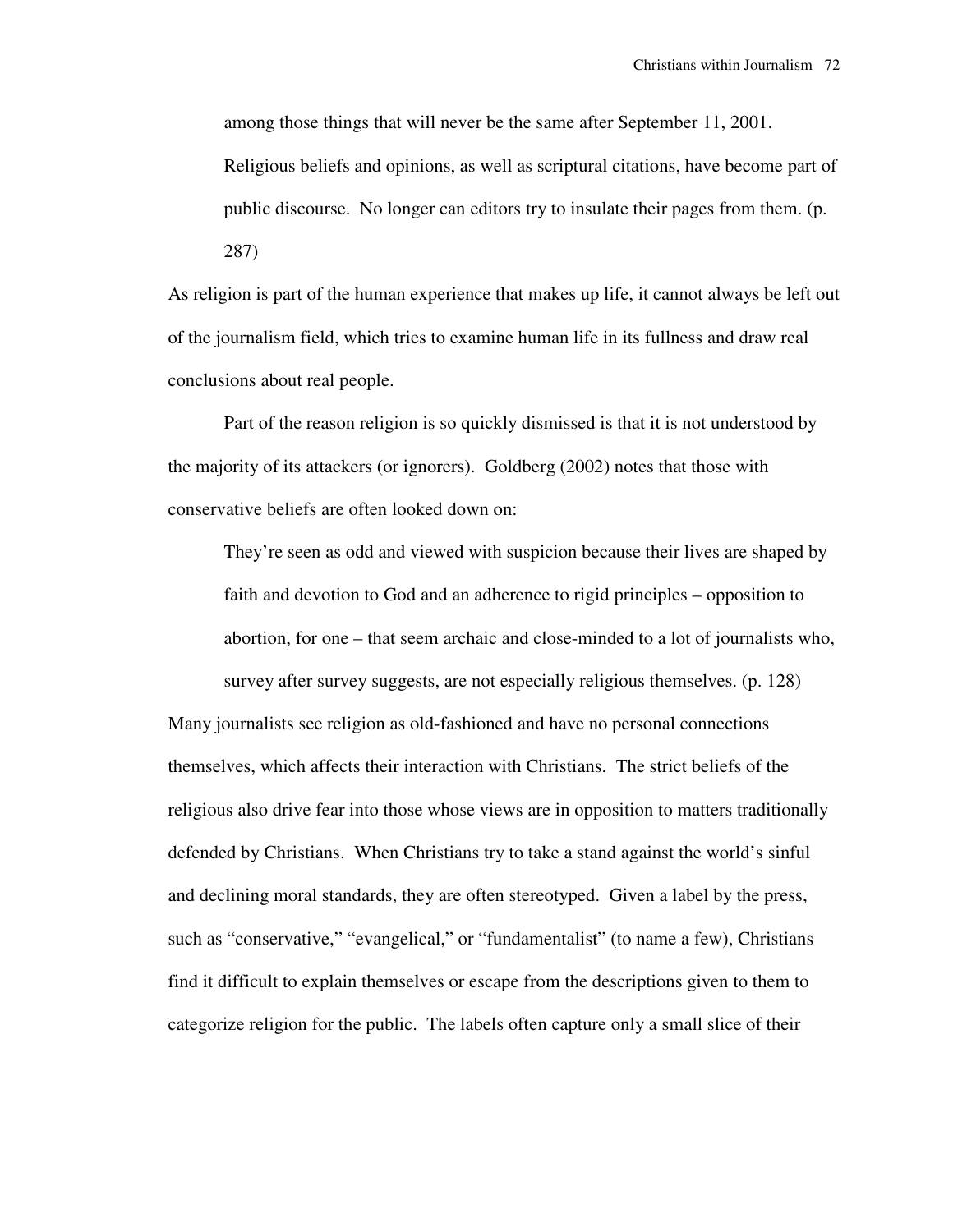among those things that will never be the same after September 11, 2001. Religious beliefs and opinions, as well as scriptural citations, have become part of public discourse. No longer can editors try to insulate their pages from them. (p. 287)

As religion is part of the human experience that makes up life, it cannot always be left out of the journalism field, which tries to examine human life in its fullness and draw real conclusions about real people.

 Part of the reason religion is so quickly dismissed is that it is not understood by the majority of its attackers (or ignorers). Goldberg (2002) notes that those with conservative beliefs are often looked down on:

They're seen as odd and viewed with suspicion because their lives are shaped by faith and devotion to God and an adherence to rigid principles – opposition to abortion, for one – that seem archaic and close-minded to a lot of journalists who, survey after survey suggests, are not especially religious themselves. (p. 128)

Many journalists see religion as old-fashioned and have no personal connections themselves, which affects their interaction with Christians. The strict beliefs of the religious also drive fear into those whose views are in opposition to matters traditionally defended by Christians. When Christians try to take a stand against the world's sinful and declining moral standards, they are often stereotyped. Given a label by the press, such as "conservative," "evangelical," or "fundamentalist" (to name a few), Christians find it difficult to explain themselves or escape from the descriptions given to them to categorize religion for the public. The labels often capture only a small slice of their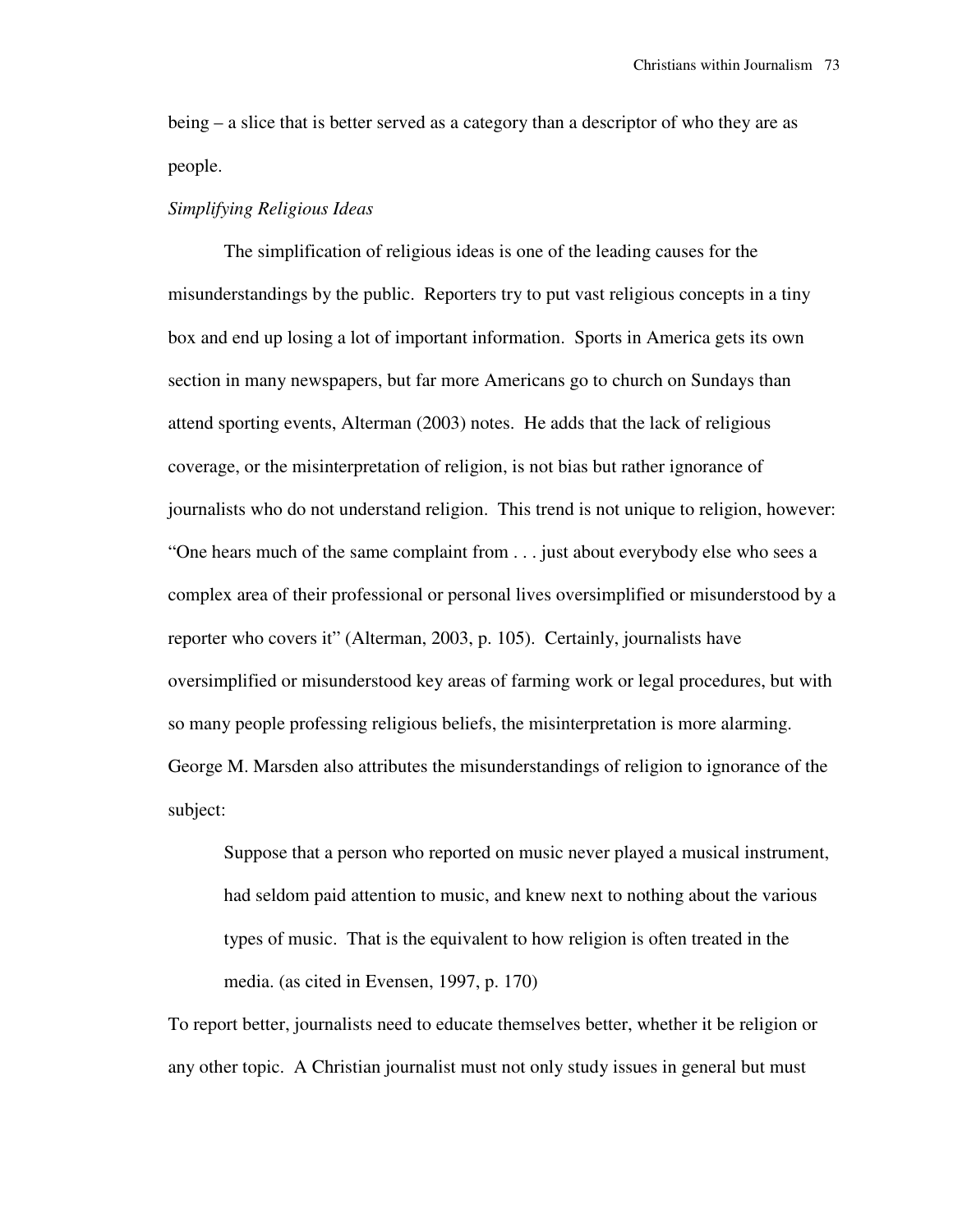being – a slice that is better served as a category than a descriptor of who they are as people.

### *Simplifying Religious Ideas*

 The simplification of religious ideas is one of the leading causes for the misunderstandings by the public. Reporters try to put vast religious concepts in a tiny box and end up losing a lot of important information. Sports in America gets its own section in many newspapers, but far more Americans go to church on Sundays than attend sporting events, Alterman (2003) notes. He adds that the lack of religious coverage, or the misinterpretation of religion, is not bias but rather ignorance of journalists who do not understand religion. This trend is not unique to religion, however: "One hears much of the same complaint from . . . just about everybody else who sees a complex area of their professional or personal lives oversimplified or misunderstood by a reporter who covers it" (Alterman, 2003, p. 105). Certainly, journalists have oversimplified or misunderstood key areas of farming work or legal procedures, but with so many people professing religious beliefs, the misinterpretation is more alarming. George M. Marsden also attributes the misunderstandings of religion to ignorance of the subject:

Suppose that a person who reported on music never played a musical instrument, had seldom paid attention to music, and knew next to nothing about the various types of music. That is the equivalent to how religion is often treated in the media. (as cited in Evensen, 1997, p. 170)

To report better, journalists need to educate themselves better, whether it be religion or any other topic. A Christian journalist must not only study issues in general but must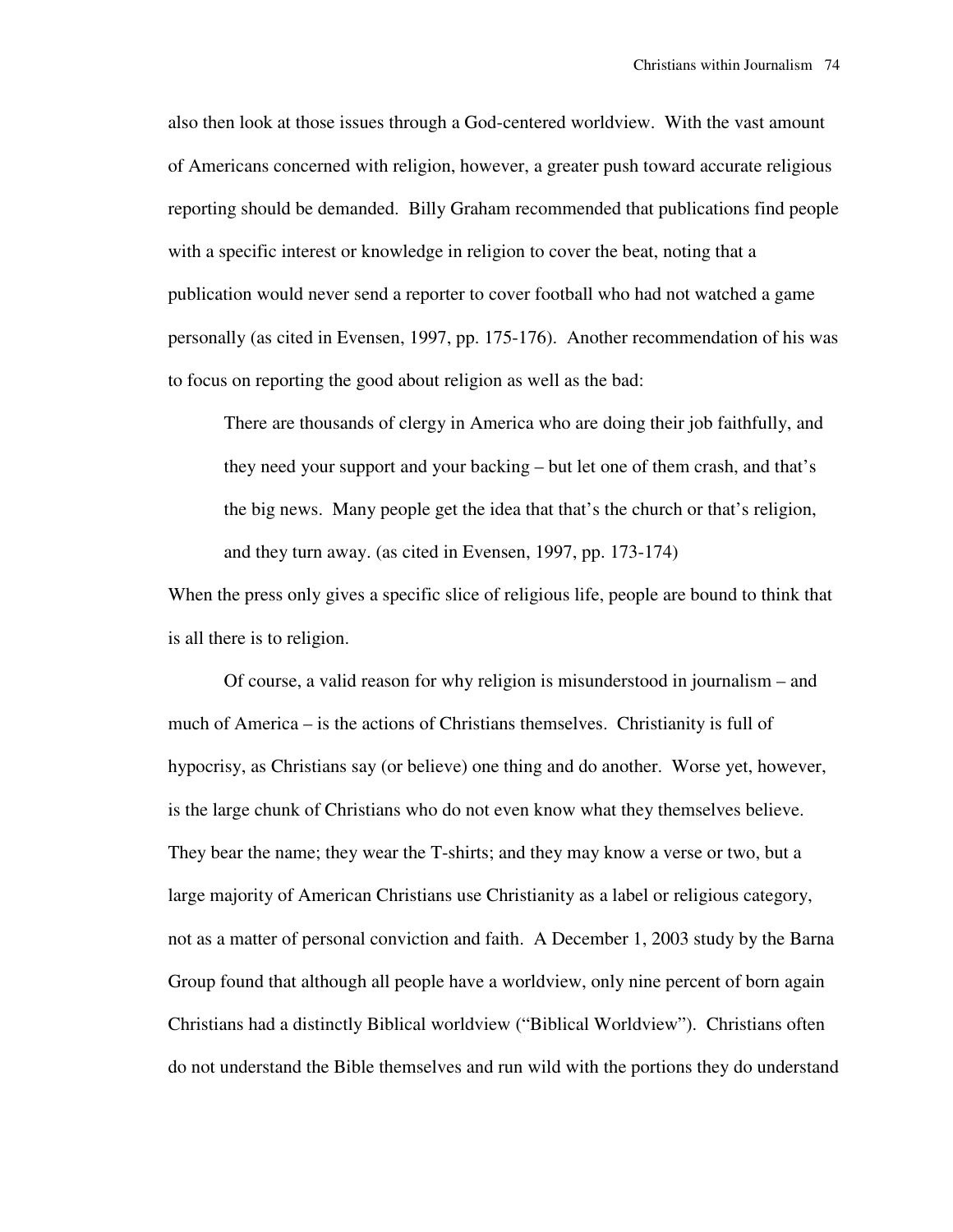also then look at those issues through a God-centered worldview. With the vast amount of Americans concerned with religion, however, a greater push toward accurate religious reporting should be demanded. Billy Graham recommended that publications find people with a specific interest or knowledge in religion to cover the beat, noting that a publication would never send a reporter to cover football who had not watched a game personally (as cited in Evensen, 1997, pp. 175-176). Another recommendation of his was to focus on reporting the good about religion as well as the bad:

There are thousands of clergy in America who are doing their job faithfully, and they need your support and your backing – but let one of them crash, and that's the big news. Many people get the idea that that's the church or that's religion, and they turn away. (as cited in Evensen, 1997, pp. 173-174)

When the press only gives a specific slice of religious life, people are bound to think that is all there is to religion.

 Of course, a valid reason for why religion is misunderstood in journalism – and much of America – is the actions of Christians themselves. Christianity is full of hypocrisy, as Christians say (or believe) one thing and do another. Worse yet, however, is the large chunk of Christians who do not even know what they themselves believe. They bear the name; they wear the T-shirts; and they may know a verse or two, but a large majority of American Christians use Christianity as a label or religious category, not as a matter of personal conviction and faith. A December 1, 2003 study by the Barna Group found that although all people have a worldview, only nine percent of born again Christians had a distinctly Biblical worldview ("Biblical Worldview"). Christians often do not understand the Bible themselves and run wild with the portions they do understand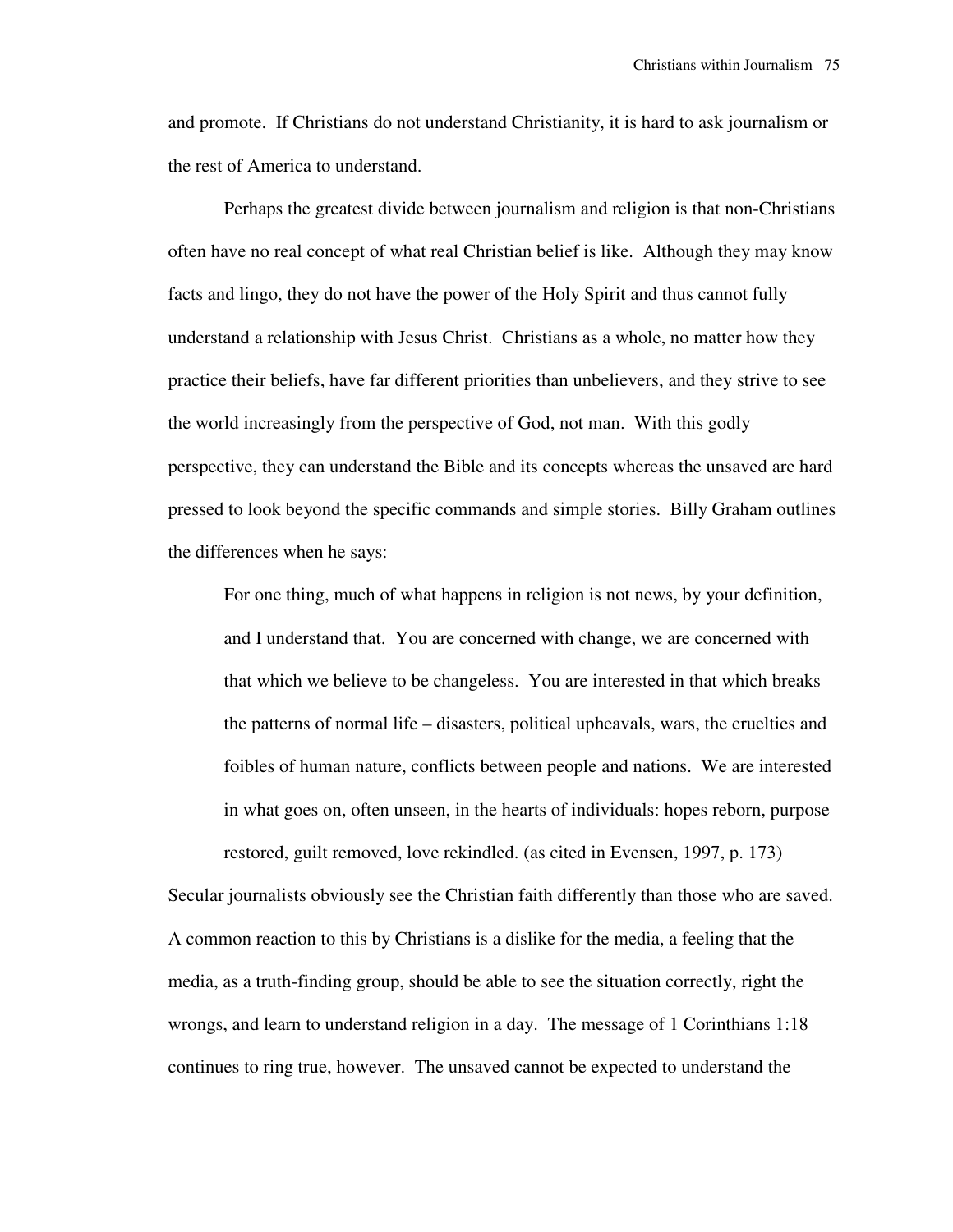and promote. If Christians do not understand Christianity, it is hard to ask journalism or the rest of America to understand.

 Perhaps the greatest divide between journalism and religion is that non-Christians often have no real concept of what real Christian belief is like. Although they may know facts and lingo, they do not have the power of the Holy Spirit and thus cannot fully understand a relationship with Jesus Christ. Christians as a whole, no matter how they practice their beliefs, have far different priorities than unbelievers, and they strive to see the world increasingly from the perspective of God, not man. With this godly perspective, they can understand the Bible and its concepts whereas the unsaved are hard pressed to look beyond the specific commands and simple stories. Billy Graham outlines the differences when he says:

For one thing, much of what happens in religion is not news, by your definition, and I understand that. You are concerned with change, we are concerned with that which we believe to be changeless. You are interested in that which breaks the patterns of normal life – disasters, political upheavals, wars, the cruelties and foibles of human nature, conflicts between people and nations. We are interested in what goes on, often unseen, in the hearts of individuals: hopes reborn, purpose restored, guilt removed, love rekindled. (as cited in Evensen, 1997, p. 173)

Secular journalists obviously see the Christian faith differently than those who are saved. A common reaction to this by Christians is a dislike for the media, a feeling that the media, as a truth-finding group, should be able to see the situation correctly, right the wrongs, and learn to understand religion in a day. The message of 1 Corinthians 1:18 continues to ring true, however. The unsaved cannot be expected to understand the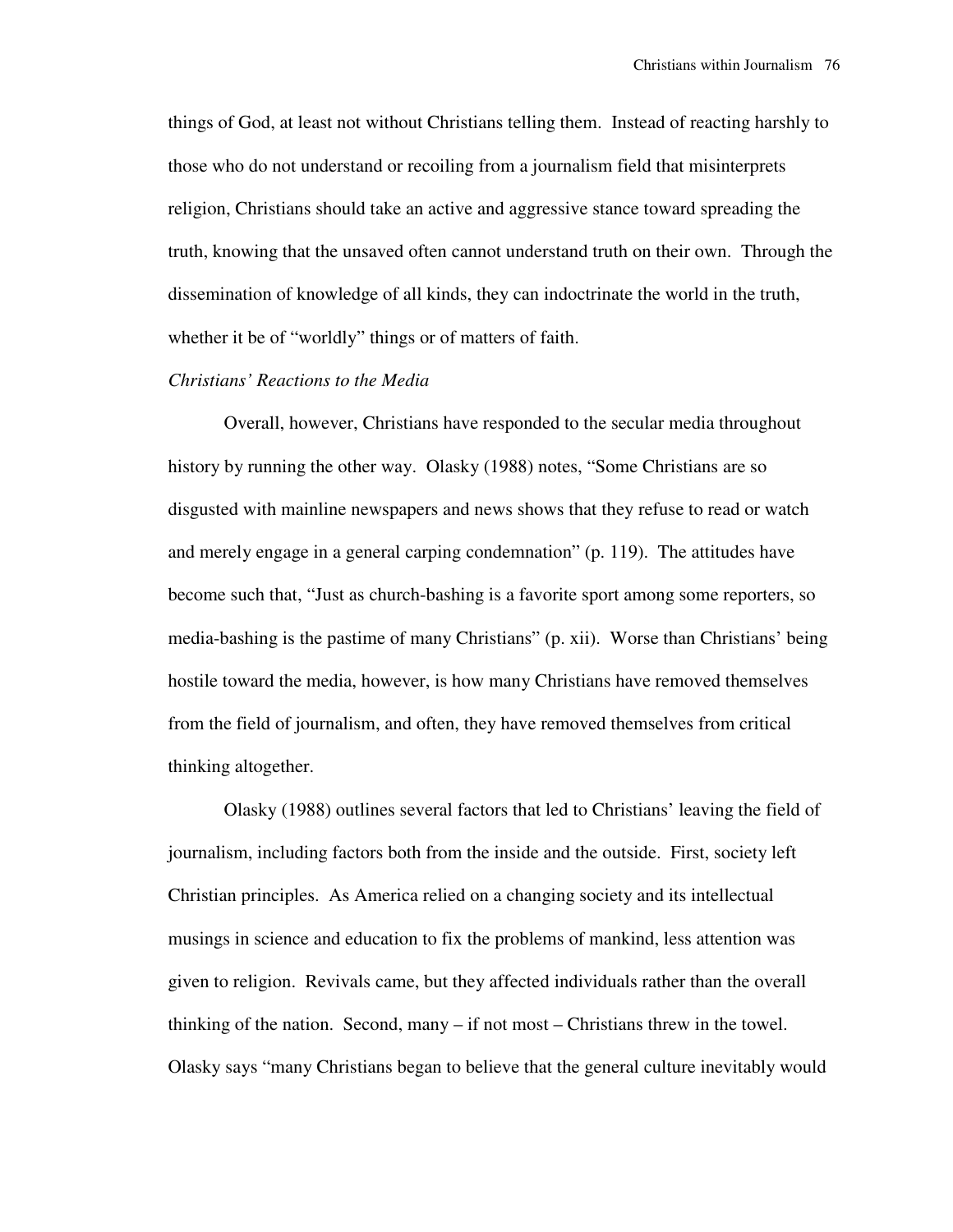things of God, at least not without Christians telling them. Instead of reacting harshly to those who do not understand or recoiling from a journalism field that misinterprets religion, Christians should take an active and aggressive stance toward spreading the truth, knowing that the unsaved often cannot understand truth on their own. Through the dissemination of knowledge of all kinds, they can indoctrinate the world in the truth, whether it be of "worldly" things or of matters of faith.

## *Christians' Reactions to the Media*

 Overall, however, Christians have responded to the secular media throughout history by running the other way. Olasky (1988) notes, "Some Christians are so disgusted with mainline newspapers and news shows that they refuse to read or watch and merely engage in a general carping condemnation" (p. 119). The attitudes have become such that, "Just as church-bashing is a favorite sport among some reporters, so media-bashing is the pastime of many Christians" (p. xii). Worse than Christians' being hostile toward the media, however, is how many Christians have removed themselves from the field of journalism, and often, they have removed themselves from critical thinking altogether.

 Olasky (1988) outlines several factors that led to Christians' leaving the field of journalism, including factors both from the inside and the outside. First, society left Christian principles. As America relied on a changing society and its intellectual musings in science and education to fix the problems of mankind, less attention was given to religion. Revivals came, but they affected individuals rather than the overall thinking of the nation. Second, many – if not most – Christians threw in the towel. Olasky says "many Christians began to believe that the general culture inevitably would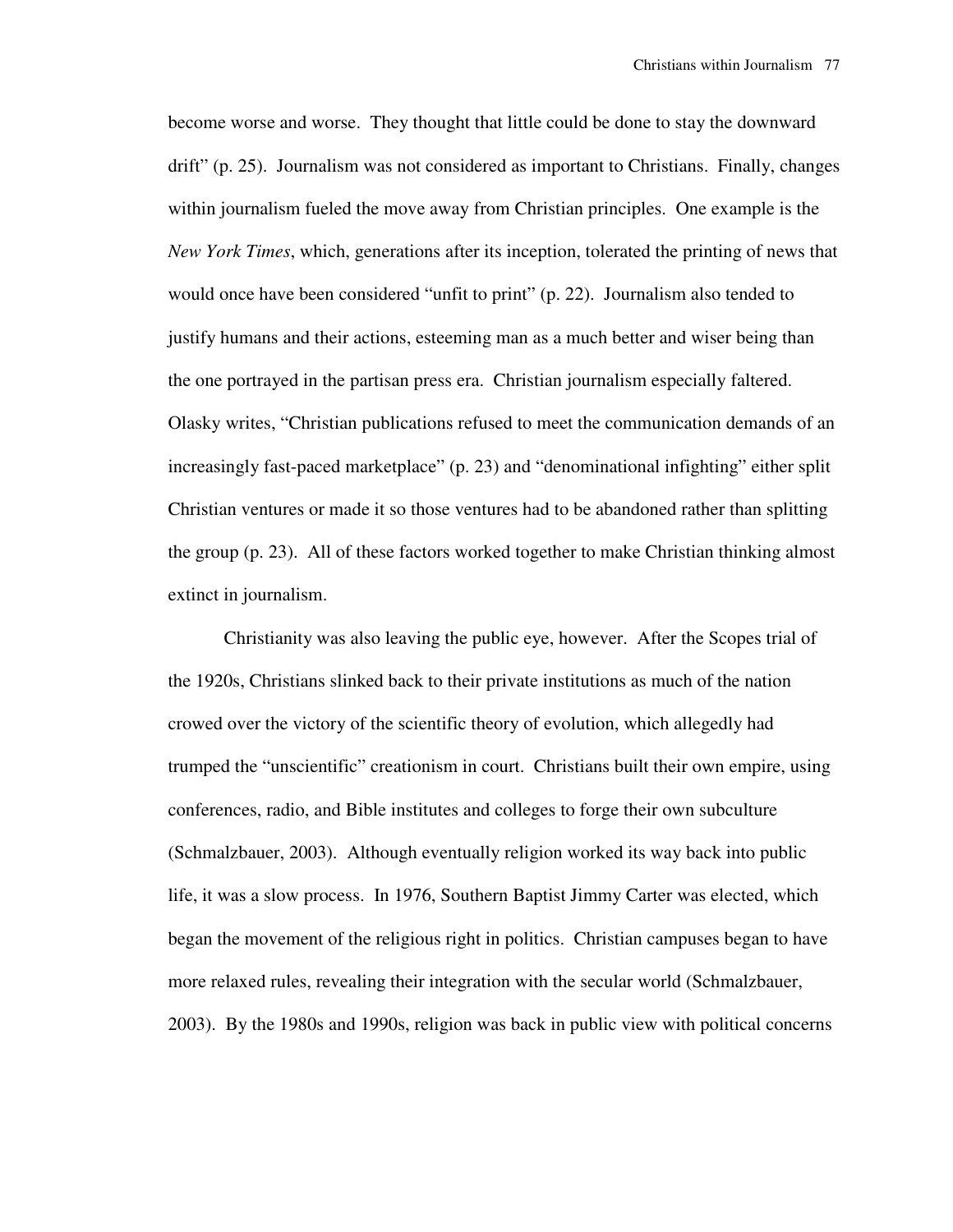become worse and worse. They thought that little could be done to stay the downward drift" (p. 25). Journalism was not considered as important to Christians. Finally, changes within journalism fueled the move away from Christian principles. One example is the *New York Times*, which, generations after its inception, tolerated the printing of news that would once have been considered "unfit to print" (p. 22). Journalism also tended to justify humans and their actions, esteeming man as a much better and wiser being than the one portrayed in the partisan press era. Christian journalism especially faltered. Olasky writes, "Christian publications refused to meet the communication demands of an increasingly fast-paced marketplace" (p. 23) and "denominational infighting" either split Christian ventures or made it so those ventures had to be abandoned rather than splitting the group (p. 23). All of these factors worked together to make Christian thinking almost extinct in journalism.

 Christianity was also leaving the public eye, however. After the Scopes trial of the 1920s, Christians slinked back to their private institutions as much of the nation crowed over the victory of the scientific theory of evolution, which allegedly had trumped the "unscientific" creationism in court. Christians built their own empire, using conferences, radio, and Bible institutes and colleges to forge their own subculture (Schmalzbauer, 2003). Although eventually religion worked its way back into public life, it was a slow process. In 1976, Southern Baptist Jimmy Carter was elected, which began the movement of the religious right in politics. Christian campuses began to have more relaxed rules, revealing their integration with the secular world (Schmalzbauer, 2003). By the 1980s and 1990s, religion was back in public view with political concerns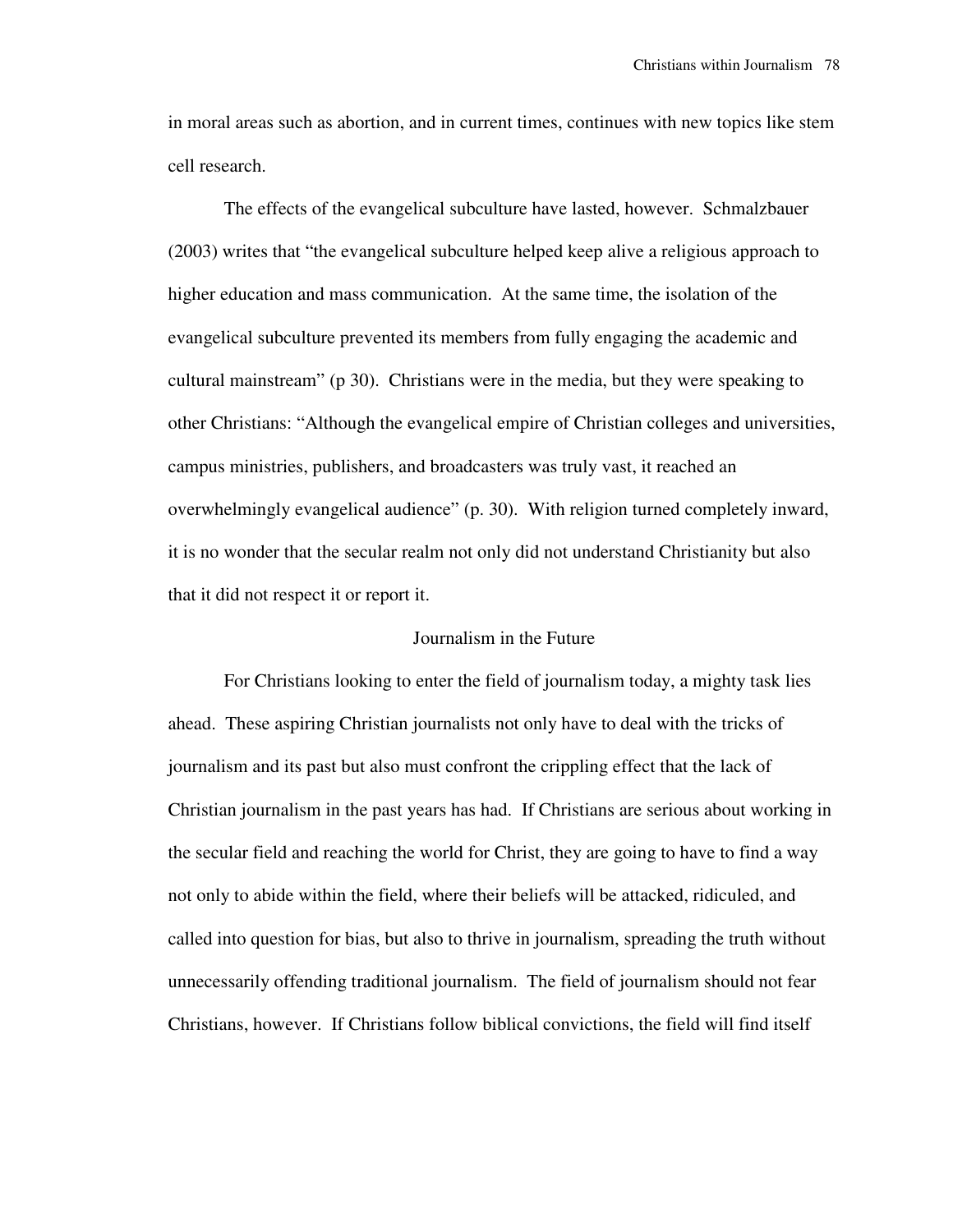in moral areas such as abortion, and in current times, continues with new topics like stem cell research.

 The effects of the evangelical subculture have lasted, however. Schmalzbauer (2003) writes that "the evangelical subculture helped keep alive a religious approach to higher education and mass communication. At the same time, the isolation of the evangelical subculture prevented its members from fully engaging the academic and cultural mainstream" (p 30). Christians were in the media, but they were speaking to other Christians: "Although the evangelical empire of Christian colleges and universities, campus ministries, publishers, and broadcasters was truly vast, it reached an overwhelmingly evangelical audience" (p. 30). With religion turned completely inward, it is no wonder that the secular realm not only did not understand Christianity but also that it did not respect it or report it.

### Journalism in the Future

 For Christians looking to enter the field of journalism today, a mighty task lies ahead. These aspiring Christian journalists not only have to deal with the tricks of journalism and its past but also must confront the crippling effect that the lack of Christian journalism in the past years has had. If Christians are serious about working in the secular field and reaching the world for Christ, they are going to have to find a way not only to abide within the field, where their beliefs will be attacked, ridiculed, and called into question for bias, but also to thrive in journalism, spreading the truth without unnecessarily offending traditional journalism. The field of journalism should not fear Christians, however. If Christians follow biblical convictions, the field will find itself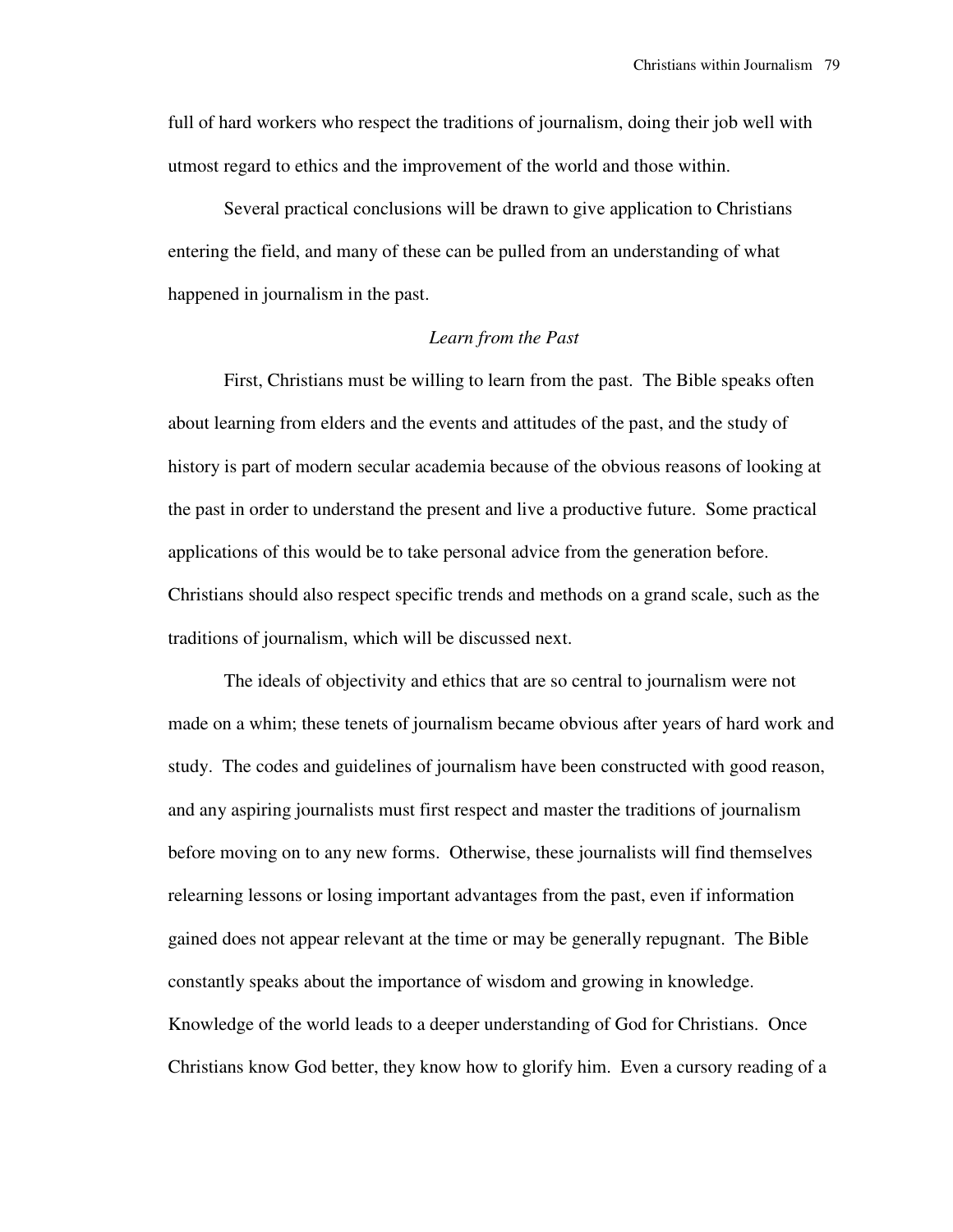full of hard workers who respect the traditions of journalism, doing their job well with utmost regard to ethics and the improvement of the world and those within.

 Several practical conclusions will be drawn to give application to Christians entering the field, and many of these can be pulled from an understanding of what happened in journalism in the past.

# *Learn from the Past*

 First, Christians must be willing to learn from the past. The Bible speaks often about learning from elders and the events and attitudes of the past, and the study of history is part of modern secular academia because of the obvious reasons of looking at the past in order to understand the present and live a productive future. Some practical applications of this would be to take personal advice from the generation before. Christians should also respect specific trends and methods on a grand scale, such as the traditions of journalism, which will be discussed next.

 The ideals of objectivity and ethics that are so central to journalism were not made on a whim; these tenets of journalism became obvious after years of hard work and study. The codes and guidelines of journalism have been constructed with good reason, and any aspiring journalists must first respect and master the traditions of journalism before moving on to any new forms. Otherwise, these journalists will find themselves relearning lessons or losing important advantages from the past, even if information gained does not appear relevant at the time or may be generally repugnant. The Bible constantly speaks about the importance of wisdom and growing in knowledge. Knowledge of the world leads to a deeper understanding of God for Christians. Once Christians know God better, they know how to glorify him. Even a cursory reading of a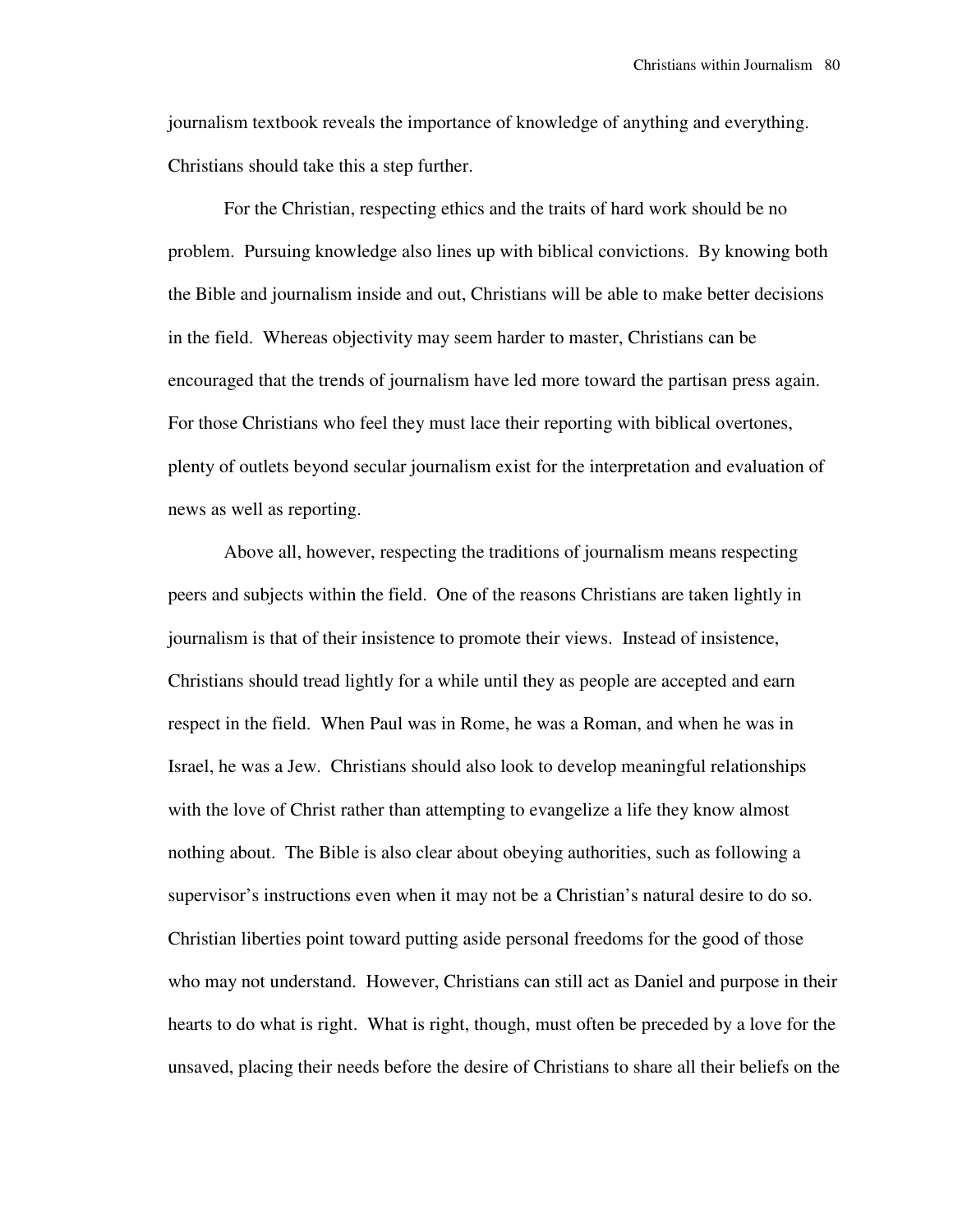journalism textbook reveals the importance of knowledge of anything and everything. Christians should take this a step further.

 For the Christian, respecting ethics and the traits of hard work should be no problem. Pursuing knowledge also lines up with biblical convictions. By knowing both the Bible and journalism inside and out, Christians will be able to make better decisions in the field. Whereas objectivity may seem harder to master, Christians can be encouraged that the trends of journalism have led more toward the partisan press again. For those Christians who feel they must lace their reporting with biblical overtones, plenty of outlets beyond secular journalism exist for the interpretation and evaluation of news as well as reporting.

 Above all, however, respecting the traditions of journalism means respecting peers and subjects within the field. One of the reasons Christians are taken lightly in journalism is that of their insistence to promote their views. Instead of insistence, Christians should tread lightly for a while until they as people are accepted and earn respect in the field. When Paul was in Rome, he was a Roman, and when he was in Israel, he was a Jew. Christians should also look to develop meaningful relationships with the love of Christ rather than attempting to evangelize a life they know almost nothing about. The Bible is also clear about obeying authorities, such as following a supervisor's instructions even when it may not be a Christian's natural desire to do so. Christian liberties point toward putting aside personal freedoms for the good of those who may not understand. However, Christians can still act as Daniel and purpose in their hearts to do what is right. What is right, though, must often be preceded by a love for the unsaved, placing their needs before the desire of Christians to share all their beliefs on the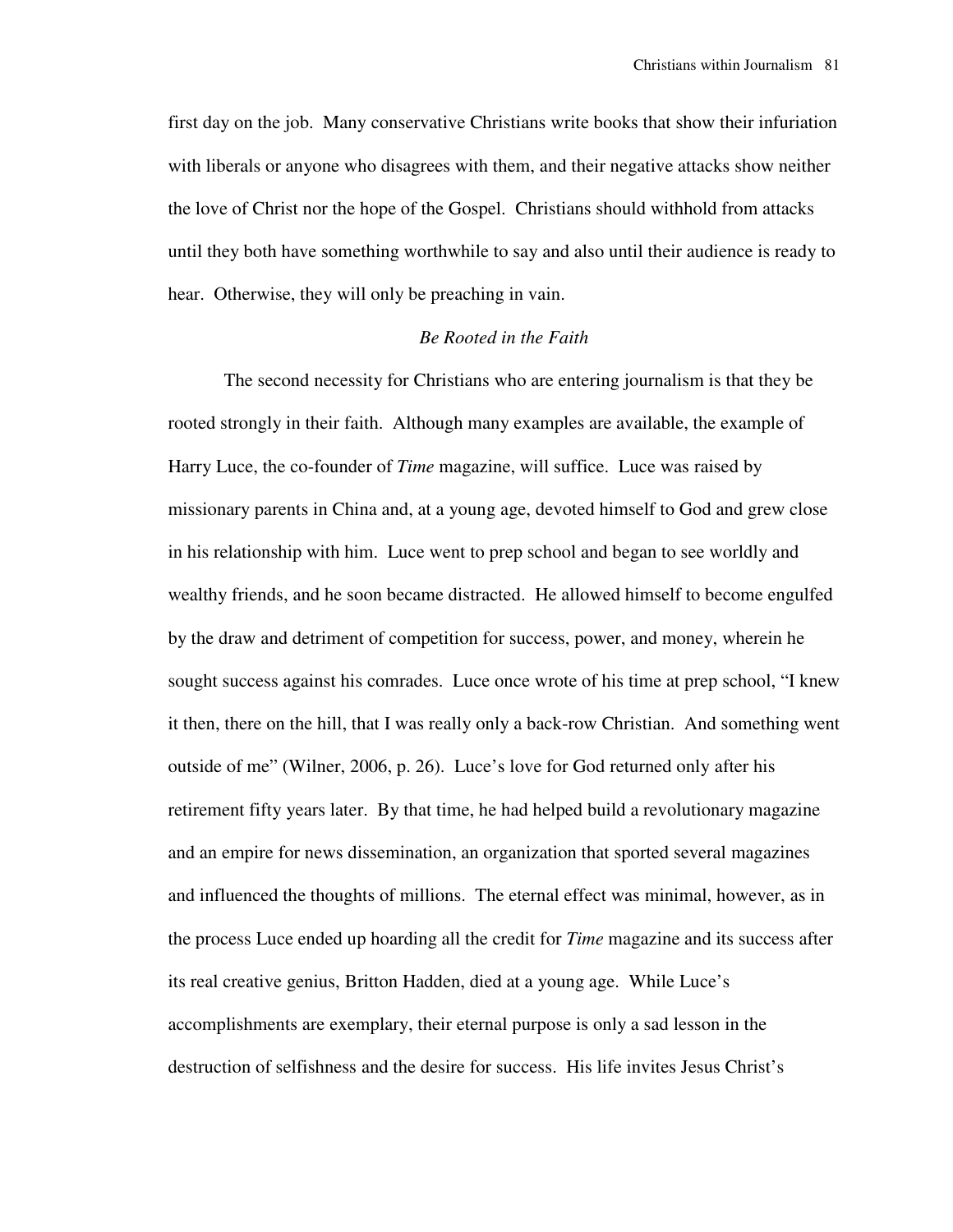first day on the job. Many conservative Christians write books that show their infuriation with liberals or anyone who disagrees with them, and their negative attacks show neither the love of Christ nor the hope of the Gospel. Christians should withhold from attacks until they both have something worthwhile to say and also until their audience is ready to hear. Otherwise, they will only be preaching in vain.

## *Be Rooted in the Faith*

 The second necessity for Christians who are entering journalism is that they be rooted strongly in their faith. Although many examples are available, the example of Harry Luce, the co-founder of *Time* magazine, will suffice. Luce was raised by missionary parents in China and, at a young age, devoted himself to God and grew close in his relationship with him. Luce went to prep school and began to see worldly and wealthy friends, and he soon became distracted. He allowed himself to become engulfed by the draw and detriment of competition for success, power, and money, wherein he sought success against his comrades. Luce once wrote of his time at prep school, "I knew it then, there on the hill, that I was really only a back-row Christian. And something went outside of me" (Wilner, 2006, p. 26). Luce's love for God returned only after his retirement fifty years later. By that time, he had helped build a revolutionary magazine and an empire for news dissemination, an organization that sported several magazines and influenced the thoughts of millions. The eternal effect was minimal, however, as in the process Luce ended up hoarding all the credit for *Time* magazine and its success after its real creative genius, Britton Hadden, died at a young age. While Luce's accomplishments are exemplary, their eternal purpose is only a sad lesson in the destruction of selfishness and the desire for success. His life invites Jesus Christ's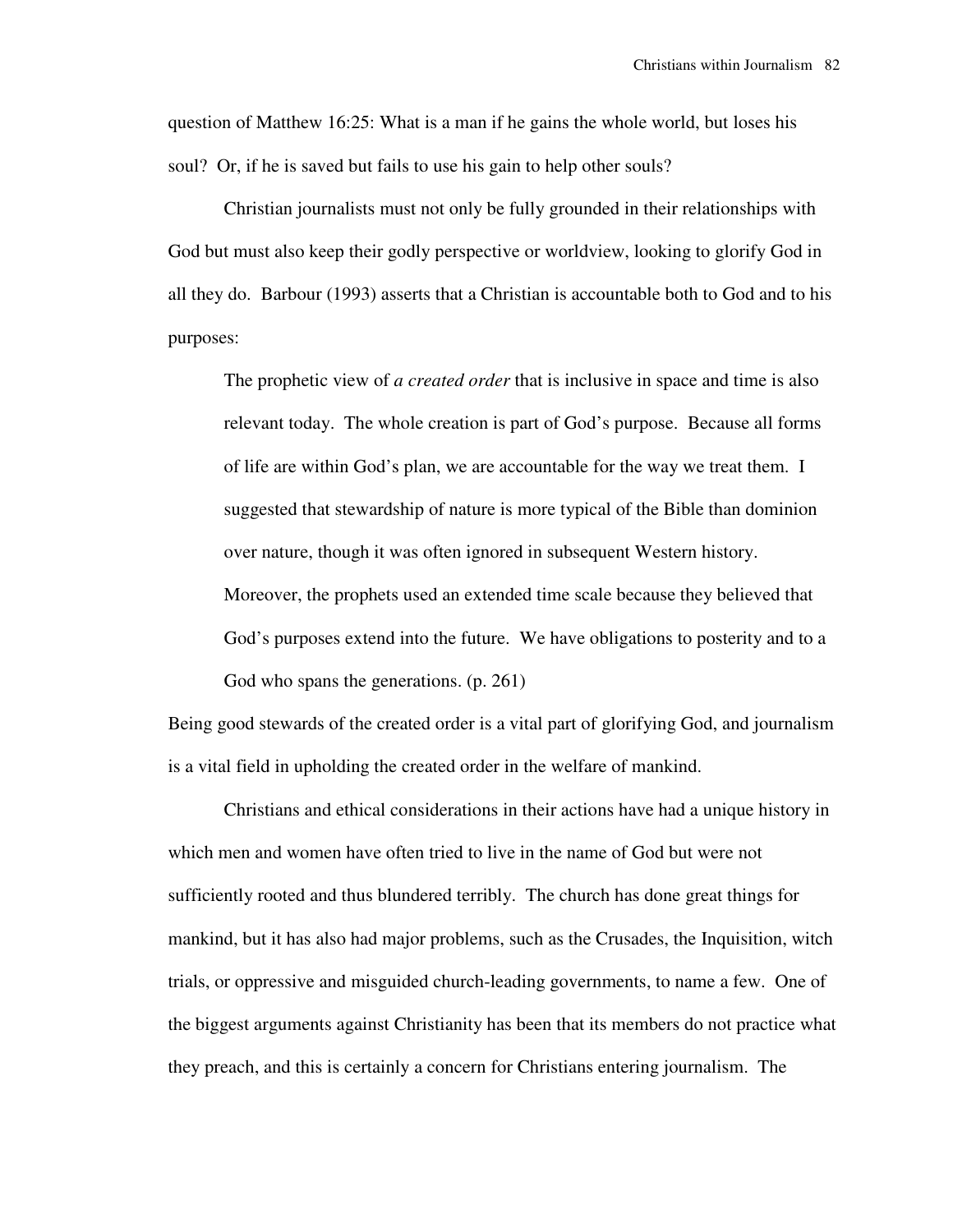question of Matthew 16:25: What is a man if he gains the whole world, but loses his soul? Or, if he is saved but fails to use his gain to help other souls?

 Christian journalists must not only be fully grounded in their relationships with God but must also keep their godly perspective or worldview, looking to glorify God in all they do. Barbour (1993) asserts that a Christian is accountable both to God and to his purposes:

The prophetic view of *a created order* that is inclusive in space and time is also relevant today. The whole creation is part of God's purpose. Because all forms of life are within God's plan, we are accountable for the way we treat them. I suggested that stewardship of nature is more typical of the Bible than dominion over nature, though it was often ignored in subsequent Western history. Moreover, the prophets used an extended time scale because they believed that

God's purposes extend into the future. We have obligations to posterity and to a God who spans the generations. (p. 261)

Being good stewards of the created order is a vital part of glorifying God, and journalism is a vital field in upholding the created order in the welfare of mankind.

 Christians and ethical considerations in their actions have had a unique history in which men and women have often tried to live in the name of God but were not sufficiently rooted and thus blundered terribly. The church has done great things for mankind, but it has also had major problems, such as the Crusades, the Inquisition, witch trials, or oppressive and misguided church-leading governments, to name a few. One of the biggest arguments against Christianity has been that its members do not practice what they preach, and this is certainly a concern for Christians entering journalism. The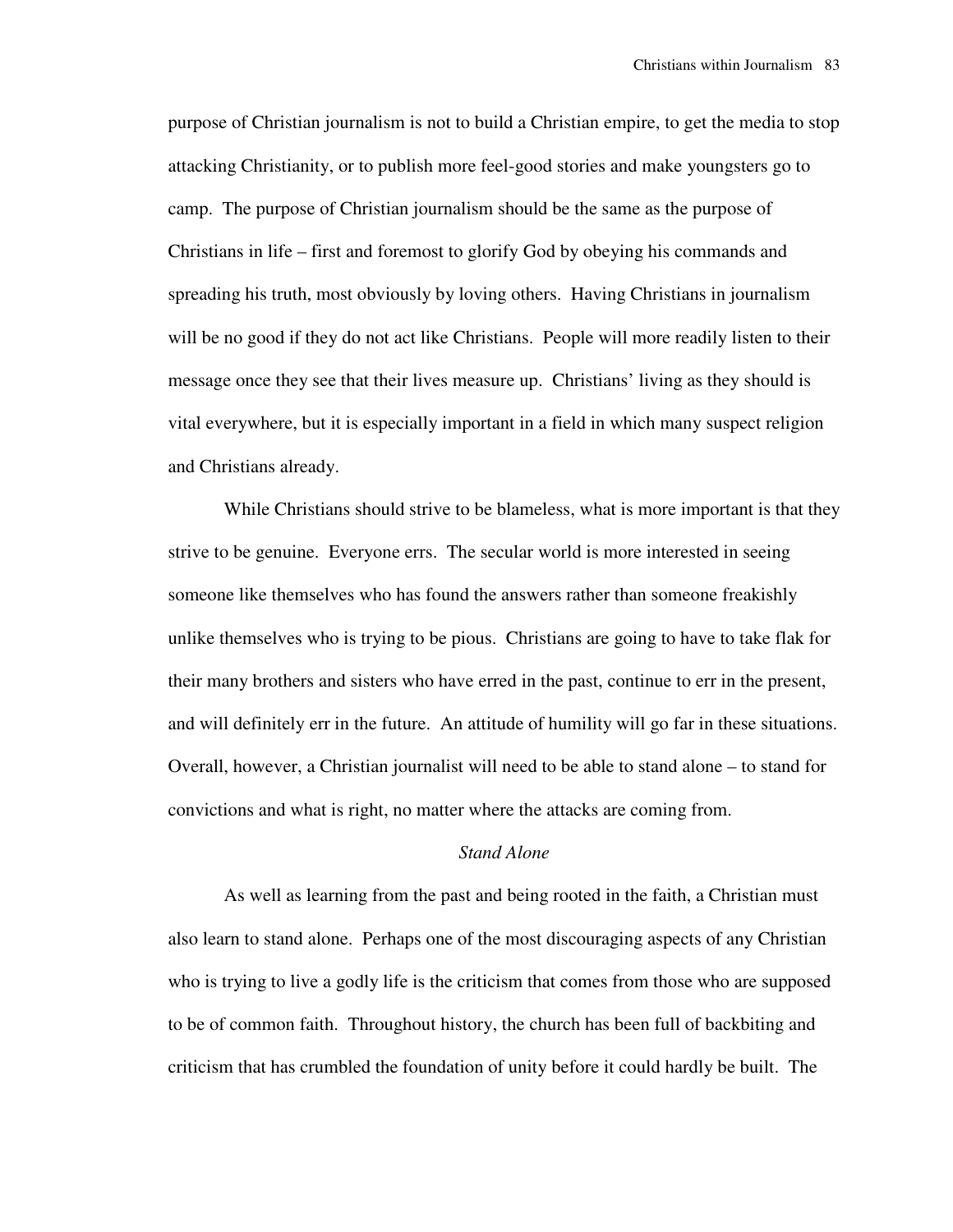purpose of Christian journalism is not to build a Christian empire, to get the media to stop attacking Christianity, or to publish more feel-good stories and make youngsters go to camp. The purpose of Christian journalism should be the same as the purpose of Christians in life – first and foremost to glorify God by obeying his commands and spreading his truth, most obviously by loving others. Having Christians in journalism will be no good if they do not act like Christians. People will more readily listen to their message once they see that their lives measure up. Christians' living as they should is vital everywhere, but it is especially important in a field in which many suspect religion and Christians already.

 While Christians should strive to be blameless, what is more important is that they strive to be genuine. Everyone errs. The secular world is more interested in seeing someone like themselves who has found the answers rather than someone freakishly unlike themselves who is trying to be pious. Christians are going to have to take flak for their many brothers and sisters who have erred in the past, continue to err in the present, and will definitely err in the future. An attitude of humility will go far in these situations. Overall, however, a Christian journalist will need to be able to stand alone – to stand for convictions and what is right, no matter where the attacks are coming from.

## *Stand Alone*

 As well as learning from the past and being rooted in the faith, a Christian must also learn to stand alone. Perhaps one of the most discouraging aspects of any Christian who is trying to live a godly life is the criticism that comes from those who are supposed to be of common faith. Throughout history, the church has been full of backbiting and criticism that has crumbled the foundation of unity before it could hardly be built. The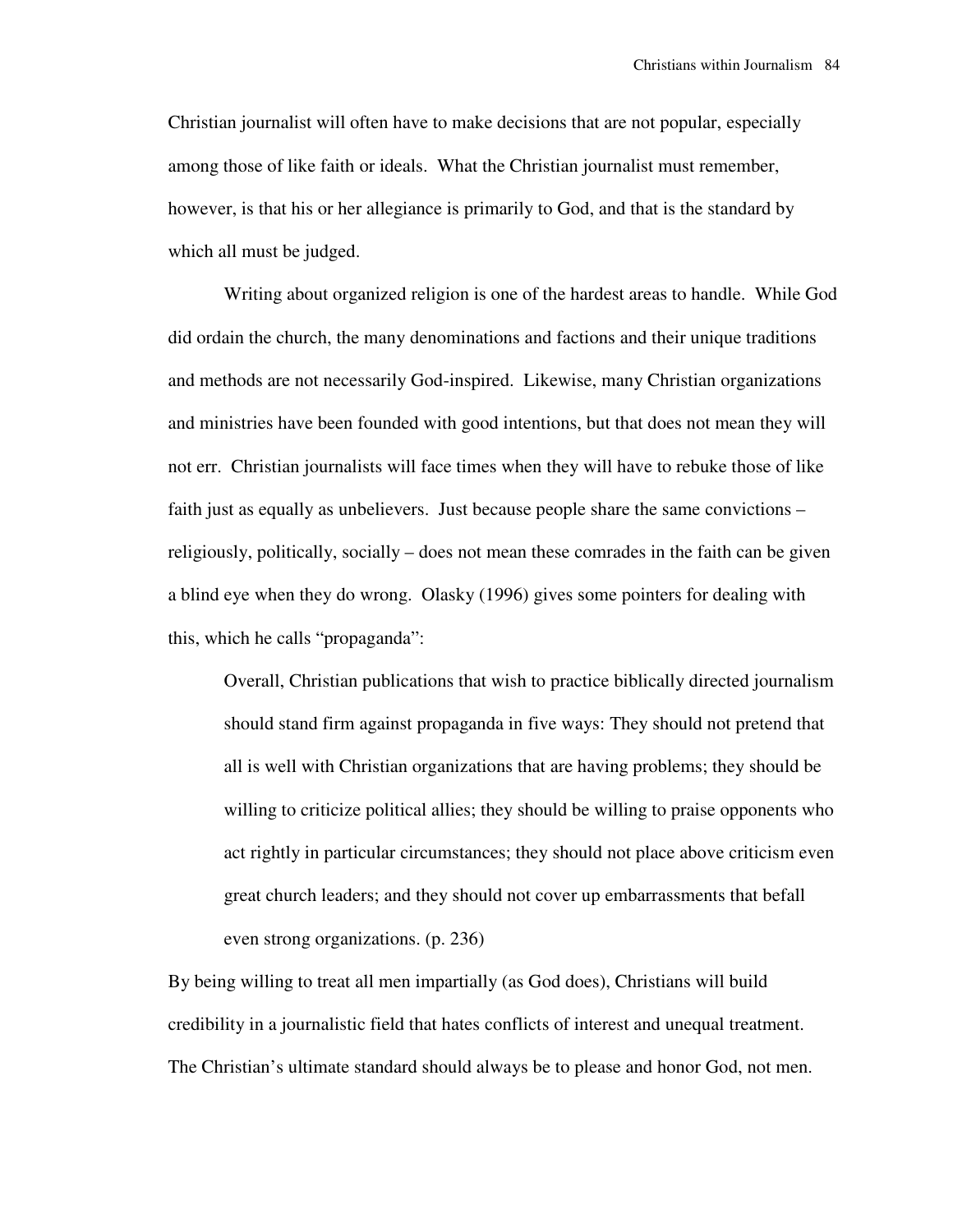Christian journalist will often have to make decisions that are not popular, especially among those of like faith or ideals. What the Christian journalist must remember, however, is that his or her allegiance is primarily to God, and that is the standard by which all must be judged.

 Writing about organized religion is one of the hardest areas to handle. While God did ordain the church, the many denominations and factions and their unique traditions and methods are not necessarily God-inspired. Likewise, many Christian organizations and ministries have been founded with good intentions, but that does not mean they will not err. Christian journalists will face times when they will have to rebuke those of like faith just as equally as unbelievers. Just because people share the same convictions – religiously, politically, socially – does not mean these comrades in the faith can be given a blind eye when they do wrong. Olasky (1996) gives some pointers for dealing with this, which he calls "propaganda":

Overall, Christian publications that wish to practice biblically directed journalism should stand firm against propaganda in five ways: They should not pretend that all is well with Christian organizations that are having problems; they should be willing to criticize political allies; they should be willing to praise opponents who act rightly in particular circumstances; they should not place above criticism even great church leaders; and they should not cover up embarrassments that befall even strong organizations. (p. 236)

By being willing to treat all men impartially (as God does), Christians will build credibility in a journalistic field that hates conflicts of interest and unequal treatment. The Christian's ultimate standard should always be to please and honor God, not men.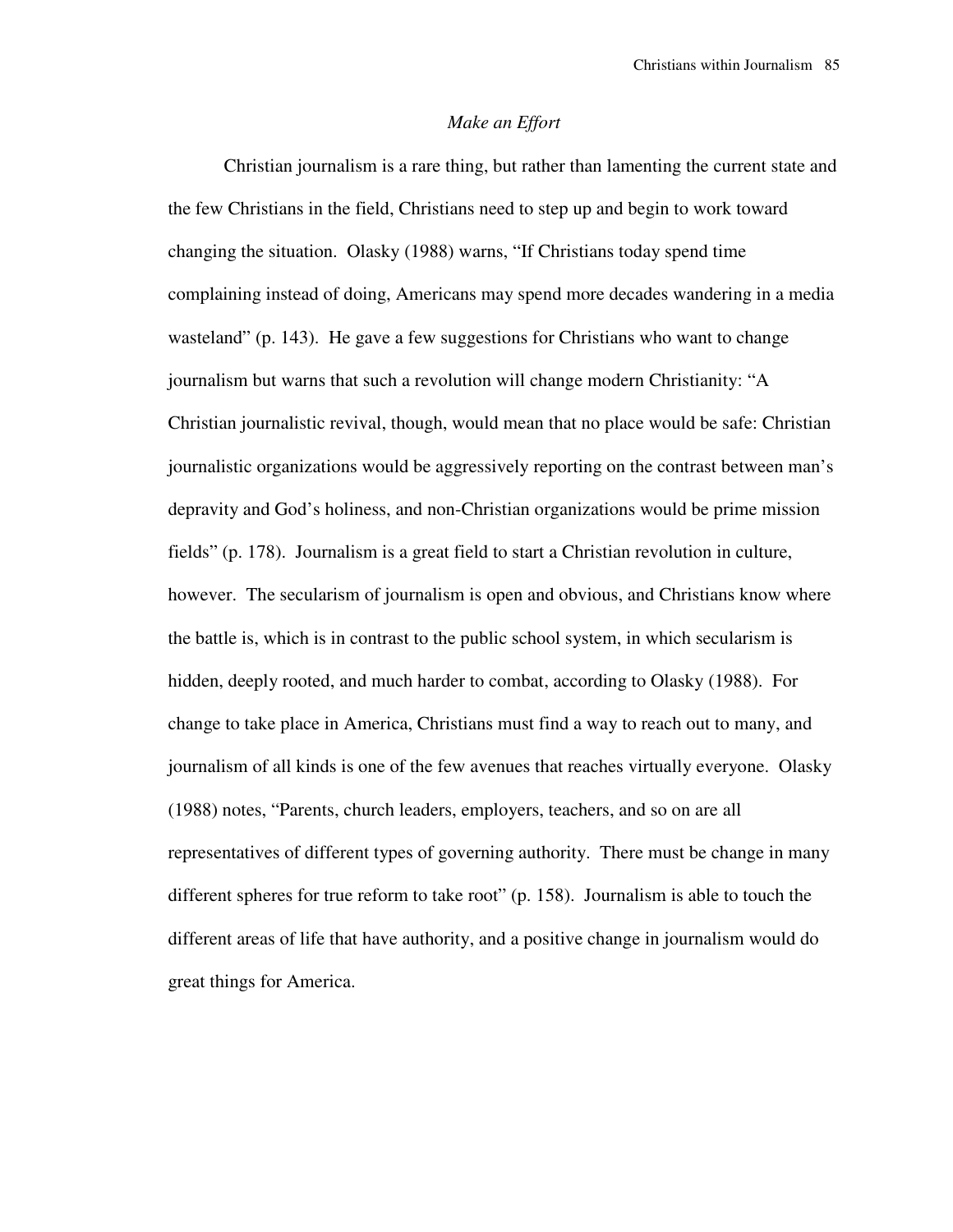#### *Make an Effort*

 Christian journalism is a rare thing, but rather than lamenting the current state and the few Christians in the field, Christians need to step up and begin to work toward changing the situation. Olasky (1988) warns, "If Christians today spend time complaining instead of doing, Americans may spend more decades wandering in a media wasteland" (p. 143). He gave a few suggestions for Christians who want to change journalism but warns that such a revolution will change modern Christianity: "A Christian journalistic revival, though, would mean that no place would be safe: Christian journalistic organizations would be aggressively reporting on the contrast between man's depravity and God's holiness, and non-Christian organizations would be prime mission fields" (p. 178). Journalism is a great field to start a Christian revolution in culture, however. The secularism of journalism is open and obvious, and Christians know where the battle is, which is in contrast to the public school system, in which secularism is hidden, deeply rooted, and much harder to combat, according to Olasky (1988). For change to take place in America, Christians must find a way to reach out to many, and journalism of all kinds is one of the few avenues that reaches virtually everyone. Olasky (1988) notes, "Parents, church leaders, employers, teachers, and so on are all representatives of different types of governing authority. There must be change in many different spheres for true reform to take root" (p. 158). Journalism is able to touch the different areas of life that have authority, and a positive change in journalism would do great things for America.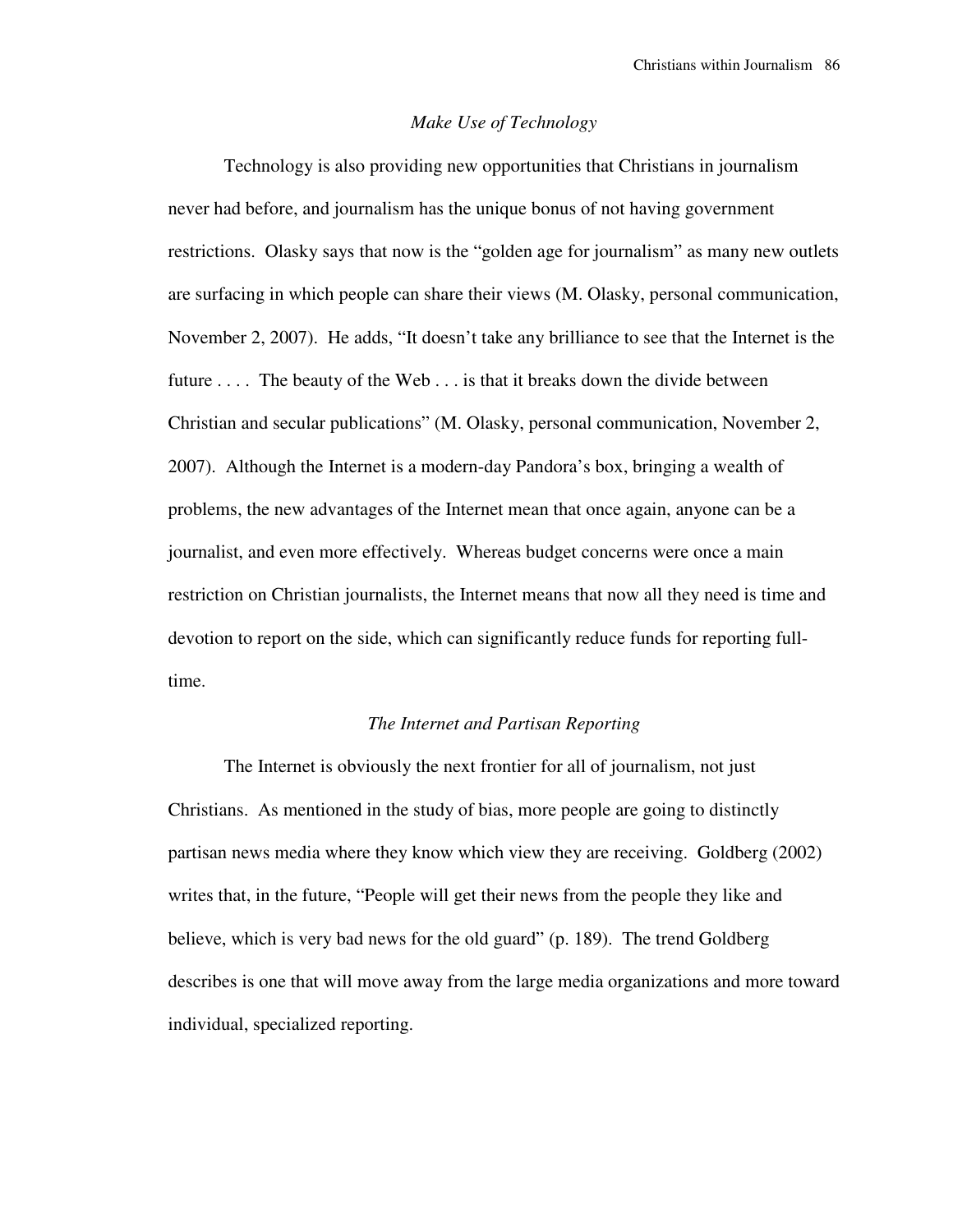### *Make Use of Technology*

 Technology is also providing new opportunities that Christians in journalism never had before, and journalism has the unique bonus of not having government restrictions. Olasky says that now is the "golden age for journalism" as many new outlets are surfacing in which people can share their views (M. Olasky, personal communication, November 2, 2007). He adds, "It doesn't take any brilliance to see that the Internet is the future . . . . The beauty of the Web . . . is that it breaks down the divide between Christian and secular publications" (M. Olasky, personal communication, November 2, 2007). Although the Internet is a modern-day Pandora's box, bringing a wealth of problems, the new advantages of the Internet mean that once again, anyone can be a journalist, and even more effectively. Whereas budget concerns were once a main restriction on Christian journalists, the Internet means that now all they need is time and devotion to report on the side, which can significantly reduce funds for reporting fulltime.

### *The Internet and Partisan Reporting*

 The Internet is obviously the next frontier for all of journalism, not just Christians. As mentioned in the study of bias, more people are going to distinctly partisan news media where they know which view they are receiving. Goldberg (2002) writes that, in the future, "People will get their news from the people they like and believe, which is very bad news for the old guard" (p. 189). The trend Goldberg describes is one that will move away from the large media organizations and more toward individual, specialized reporting.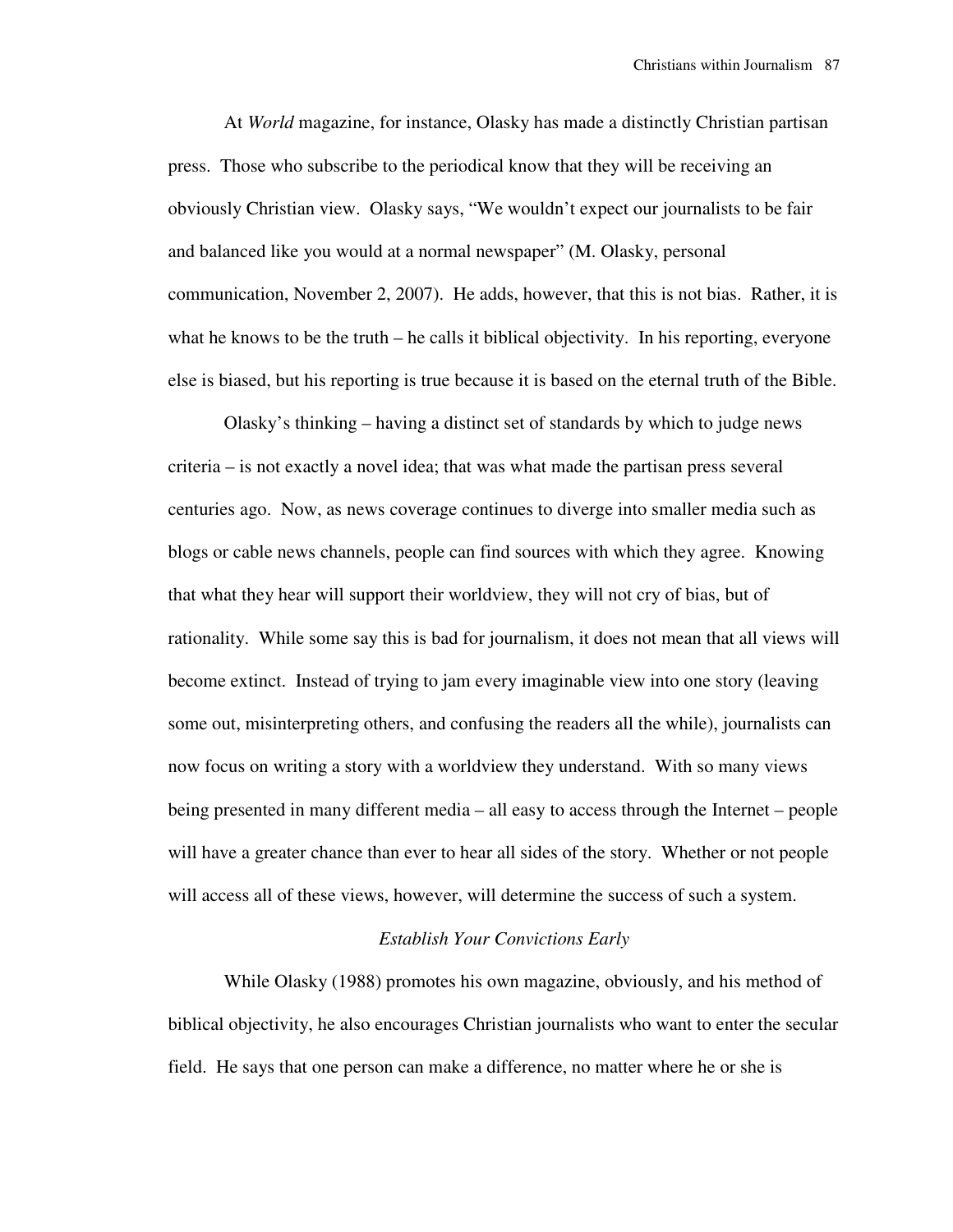At *World* magazine, for instance, Olasky has made a distinctly Christian partisan press. Those who subscribe to the periodical know that they will be receiving an obviously Christian view. Olasky says, "We wouldn't expect our journalists to be fair and balanced like you would at a normal newspaper" (M. Olasky, personal communication, November 2, 2007). He adds, however, that this is not bias. Rather, it is what he knows to be the truth – he calls it biblical objectivity. In his reporting, everyone else is biased, but his reporting is true because it is based on the eternal truth of the Bible.

 Olasky's thinking – having a distinct set of standards by which to judge news criteria – is not exactly a novel idea; that was what made the partisan press several centuries ago. Now, as news coverage continues to diverge into smaller media such as blogs or cable news channels, people can find sources with which they agree. Knowing that what they hear will support their worldview, they will not cry of bias, but of rationality. While some say this is bad for journalism, it does not mean that all views will become extinct. Instead of trying to jam every imaginable view into one story (leaving some out, misinterpreting others, and confusing the readers all the while), journalists can now focus on writing a story with a worldview they understand. With so many views being presented in many different media – all easy to access through the Internet – people will have a greater chance than ever to hear all sides of the story. Whether or not people will access all of these views, however, will determine the success of such a system.

#### *Establish Your Convictions Early*

 While Olasky (1988) promotes his own magazine, obviously, and his method of biblical objectivity, he also encourages Christian journalists who want to enter the secular field. He says that one person can make a difference, no matter where he or she is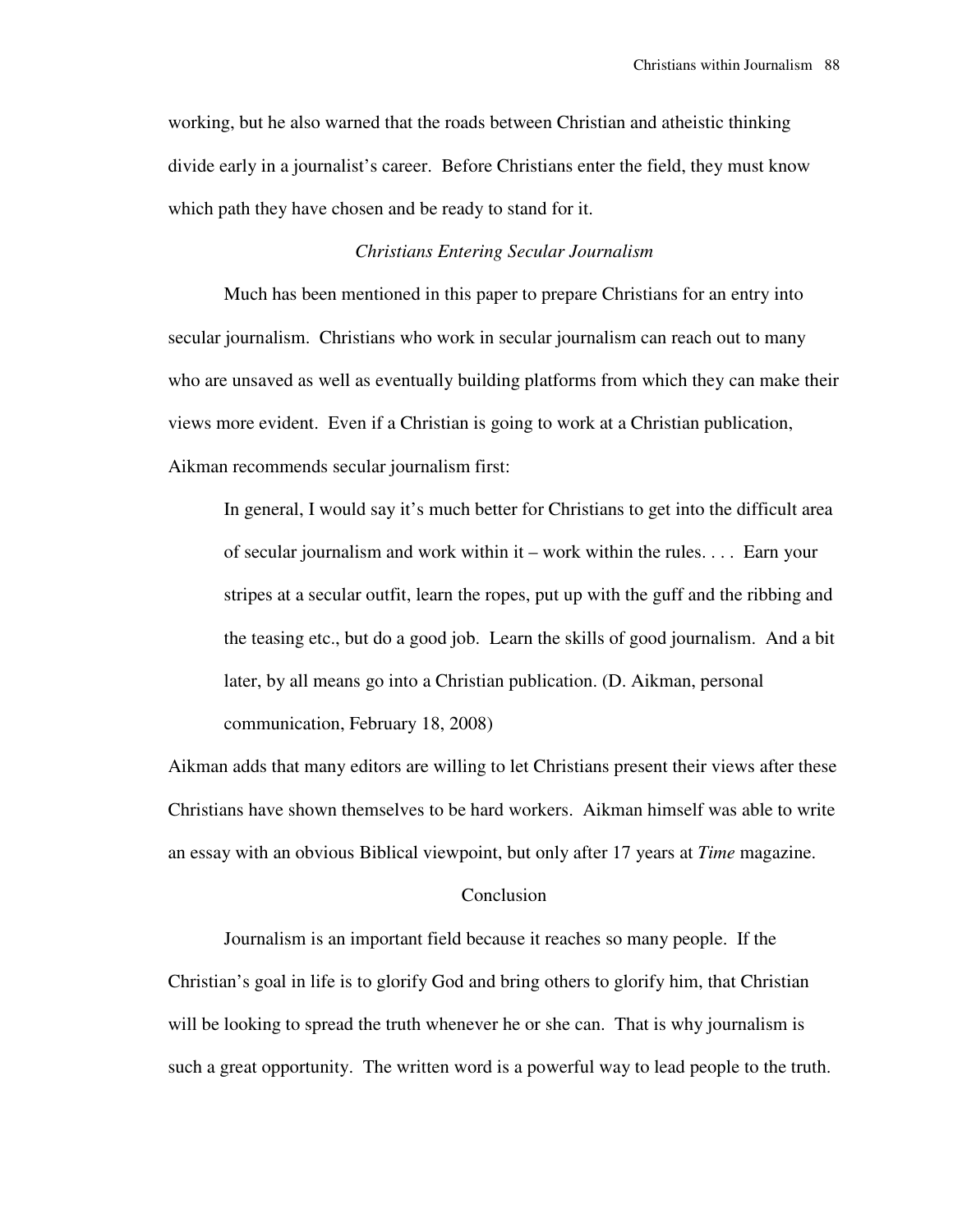working, but he also warned that the roads between Christian and atheistic thinking divide early in a journalist's career. Before Christians enter the field, they must know which path they have chosen and be ready to stand for it.

## *Christians Entering Secular Journalism*

 Much has been mentioned in this paper to prepare Christians for an entry into secular journalism. Christians who work in secular journalism can reach out to many who are unsaved as well as eventually building platforms from which they can make their views more evident. Even if a Christian is going to work at a Christian publication, Aikman recommends secular journalism first:

In general, I would say it's much better for Christians to get into the difficult area of secular journalism and work within it – work within the rules. . . . Earn your stripes at a secular outfit, learn the ropes, put up with the guff and the ribbing and the teasing etc., but do a good job. Learn the skills of good journalism. And a bit later, by all means go into a Christian publication. (D. Aikman, personal communication, February 18, 2008)

Aikman adds that many editors are willing to let Christians present their views after these Christians have shown themselves to be hard workers. Aikman himself was able to write an essay with an obvious Biblical viewpoint, but only after 17 years at *Time* magazine.

#### Conclusion

 Journalism is an important field because it reaches so many people. If the Christian's goal in life is to glorify God and bring others to glorify him, that Christian will be looking to spread the truth whenever he or she can. That is why journalism is such a great opportunity. The written word is a powerful way to lead people to the truth.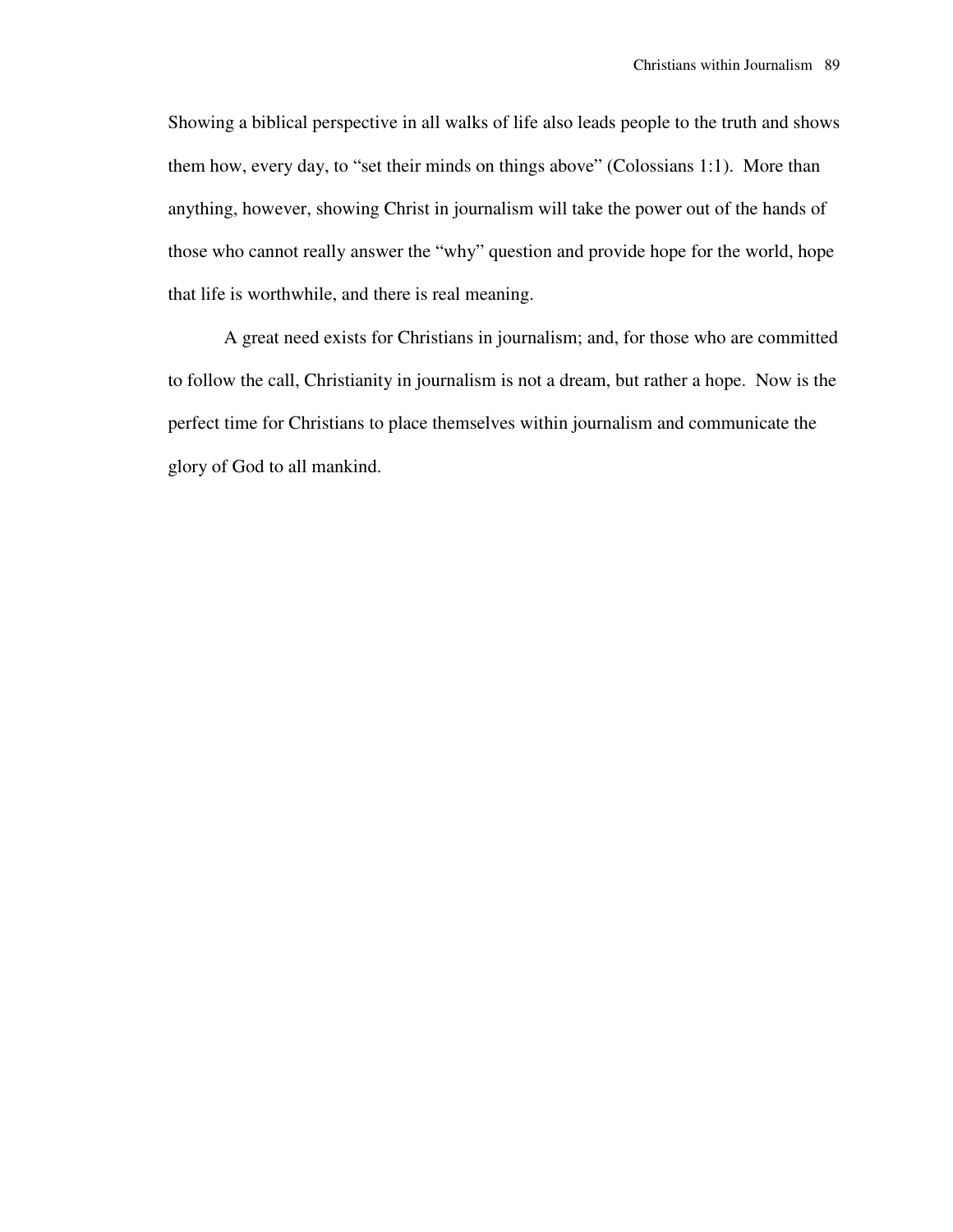Showing a biblical perspective in all walks of life also leads people to the truth and shows them how, every day, to "set their minds on things above" (Colossians 1:1). More than anything, however, showing Christ in journalism will take the power out of the hands of those who cannot really answer the "why" question and provide hope for the world, hope that life is worthwhile, and there is real meaning.

 A great need exists for Christians in journalism; and, for those who are committed to follow the call, Christianity in journalism is not a dream, but rather a hope. Now is the perfect time for Christians to place themselves within journalism and communicate the glory of God to all mankind.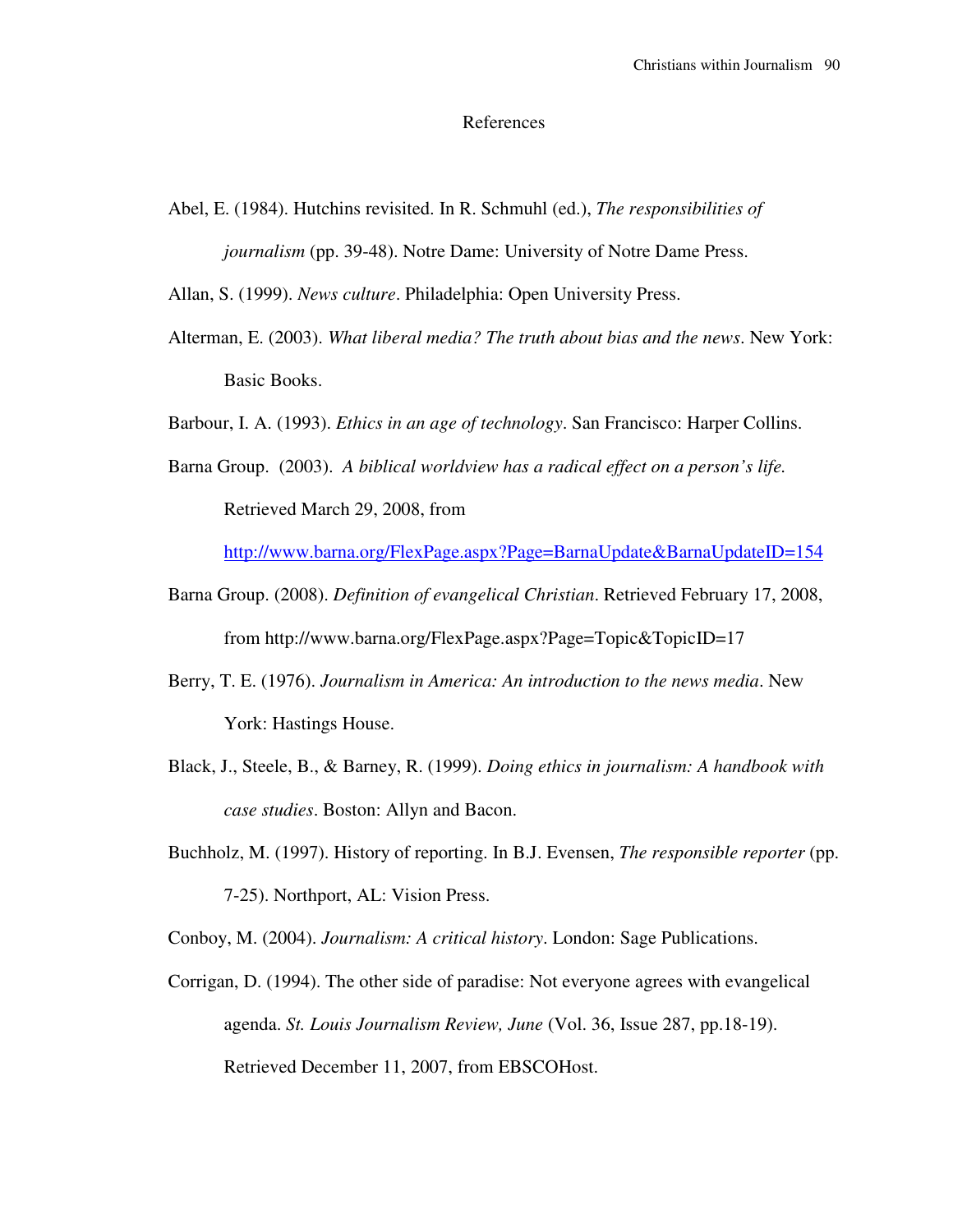#### References

Abel, E. (1984). Hutchins revisited. In R. Schmuhl (ed.), *The responsibilities of journalism* (pp. 39-48). Notre Dame: University of Notre Dame Press.

Allan, S. (1999). *News culture*. Philadelphia: Open University Press.

- Alterman, E. (2003). *What liberal media? The truth about bias and the news*. New York: Basic Books.
- Barbour, I. A. (1993). *Ethics in an age of technology*. San Francisco: Harper Collins.
- Barna Group. (2003). *A biblical worldview has a radical effect on a person's life.*  Retrieved March 29, 2008, from

http://www.barna.org/FlexPage.aspx?Page=BarnaUpdate&BarnaUpdateID=154

- Barna Group. (2008). *Definition of evangelical Christian*. Retrieved February 17, 2008, from http://www.barna.org/FlexPage.aspx?Page=Topic&TopicID=17
- Berry, T. E. (1976). *Journalism in America: An introduction to the news media*. New York: Hastings House.
- Black, J., Steele, B., & Barney, R. (1999). *Doing ethics in journalism: A handbook with case studies*. Boston: Allyn and Bacon.
- Buchholz, M. (1997). History of reporting. In B.J. Evensen, *The responsible reporter* (pp. 7-25). Northport, AL: Vision Press.

Conboy, M. (2004). *Journalism: A critical history*. London: Sage Publications.

Corrigan, D. (1994). The other side of paradise: Not everyone agrees with evangelical agenda. *St. Louis Journalism Review, June* (Vol. 36, Issue 287, pp.18-19). Retrieved December 11, 2007, from EBSCOHost.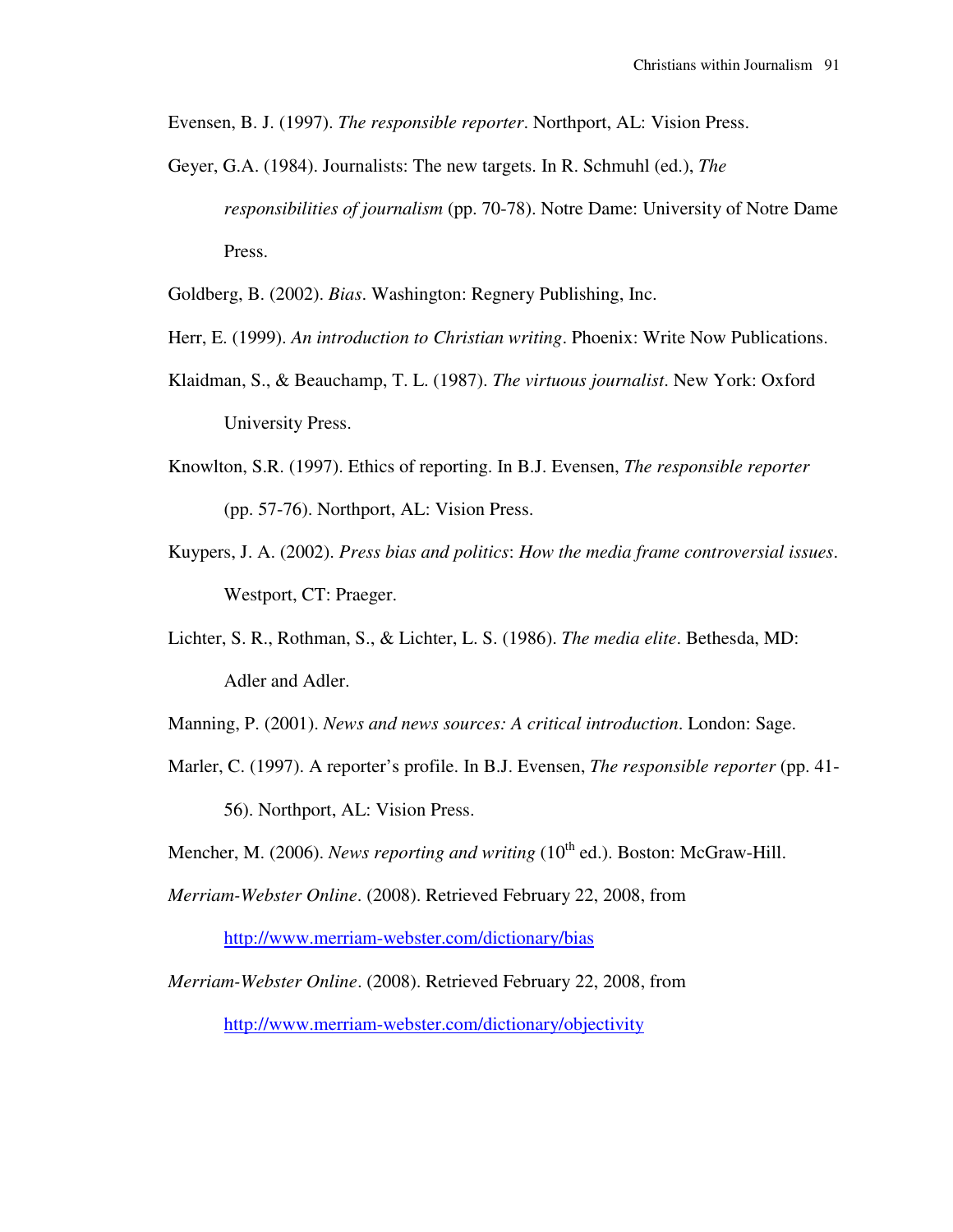Evensen, B. J. (1997). *The responsible reporter*. Northport, AL: Vision Press.

- Geyer, G.A. (1984). Journalists: The new targets. In R. Schmuhl (ed.), *The responsibilities of journalism* (pp. 70-78). Notre Dame: University of Notre Dame Press.
- Goldberg, B. (2002). *Bias*. Washington: Regnery Publishing, Inc.
- Herr, E. (1999). *An introduction to Christian writing*. Phoenix: Write Now Publications.
- Klaidman, S., & Beauchamp, T. L. (1987). *The virtuous journalist*. New York: Oxford University Press.
- Knowlton, S.R. (1997). Ethics of reporting. In B.J. Evensen, *The responsible reporter* (pp. 57-76). Northport, AL: Vision Press.
- Kuypers, J. A. (2002). *Press bias and politics*: *How the media frame controversial issues*. Westport, CT: Praeger.
- Lichter, S. R., Rothman, S., & Lichter, L. S. (1986). *The media elite*. Bethesda, MD: Adler and Adler.
- Manning, P. (2001). *News and news sources: A critical introduction*. London: Sage.
- Marler, C. (1997). A reporter's profile. In B.J. Evensen, *The responsible reporter* (pp. 41- 56). Northport, AL: Vision Press.

Mencher, M. (2006). *News reporting and writing* (10<sup>th</sup> ed.). Boston: McGraw-Hill.

*Merriam-Webster Online*. (2008). Retrieved February 22, 2008, from

http://www.merriam-webster.com/dictionary/bias

*Merriam-Webster Online*. (2008). Retrieved February 22, 2008, from http://www.merriam-webster.com/dictionary/objectivity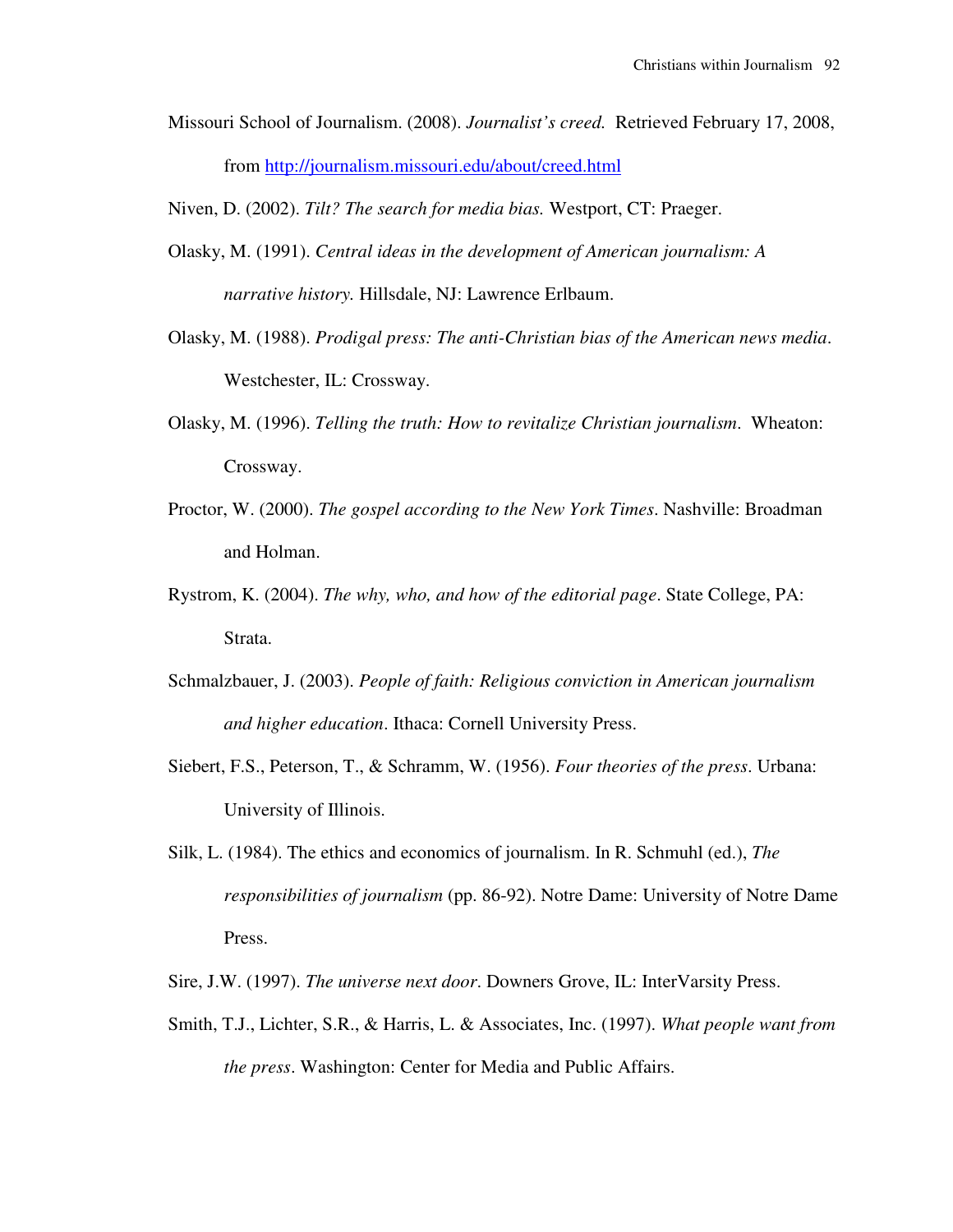Missouri School of Journalism. (2008). *Journalist's creed.* Retrieved February 17, 2008, from http://journalism.missouri.edu/about/creed.html

Niven, D. (2002). *Tilt? The search for media bias.* Westport, CT: Praeger.

- Olasky, M. (1991). *Central ideas in the development of American journalism: A narrative history.* Hillsdale, NJ: Lawrence Erlbaum.
- Olasky, M. (1988). *Prodigal press: The anti-Christian bias of the American news media*. Westchester, IL: Crossway.
- Olasky, M. (1996). *Telling the truth: How to revitalize Christian journalism*. Wheaton: Crossway.
- Proctor, W. (2000). *The gospel according to the New York Times*. Nashville: Broadman and Holman.
- Rystrom, K. (2004). *The why, who, and how of the editorial page*. State College, PA: Strata.
- Schmalzbauer, J. (2003). *People of faith: Religious conviction in American journalism and higher education*. Ithaca: Cornell University Press.
- Siebert, F.S., Peterson, T., & Schramm, W. (1956). *Four theories of the press*. Urbana: University of Illinois.
- Silk, L. (1984). The ethics and economics of journalism. In R. Schmuhl (ed.), *The responsibilities of journalism* (pp. 86-92). Notre Dame: University of Notre Dame Press.
- Sire, J.W. (1997). *The universe next door*. Downers Grove, IL: InterVarsity Press.
- Smith, T.J., Lichter, S.R., & Harris, L. & Associates, Inc. (1997). *What people want from the press*. Washington: Center for Media and Public Affairs.